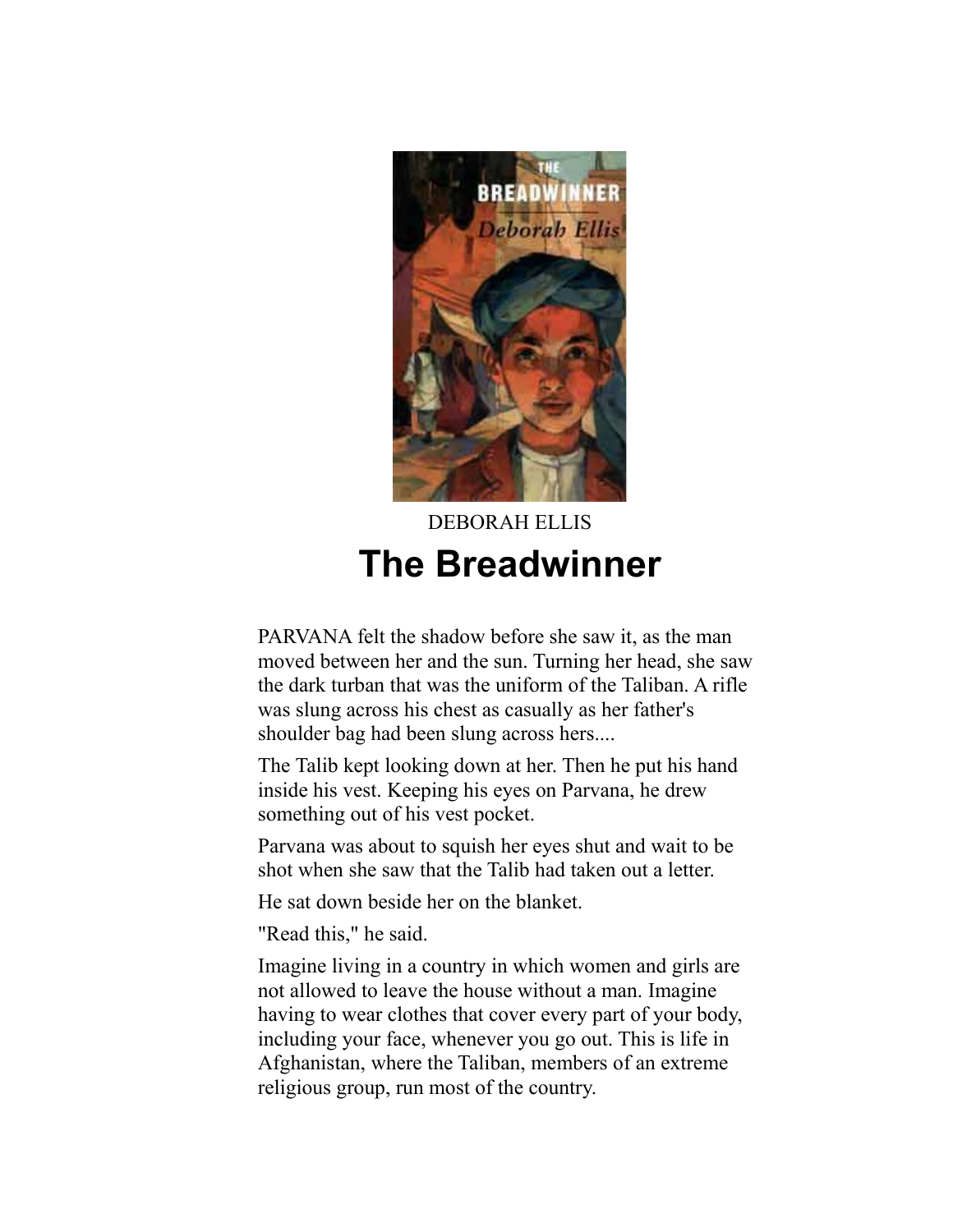

# DEBORAH ELLIS **The Breadwinner**

PARVANA felt the shadow before she saw it, as the man moved between her and the sun. Turning her head, she saw the dark turban that was the uniform of the Taliban. A rifle was slung across his chest as casually as her father's shoulder bag had been slung across hers....

The Talib kept looking down at her. Then he put his hand inside his vest. Keeping his eyes on Parvana, he drew something out of his vest pocket.

Parvana was about to squish her eyes shut and wait to be shot when she saw that the Talib had taken out a letter.

He sat down beside her on the blanket.

"Read this," he said.

Imagine living in a country in which women and girls are not allowed to leave the house without a man. Imagine having to wear clothes that cover every part of your body, including your face, whenever you go out. This is life in Afghanistan, where the Taliban, members of an extreme religious group, run most of the country.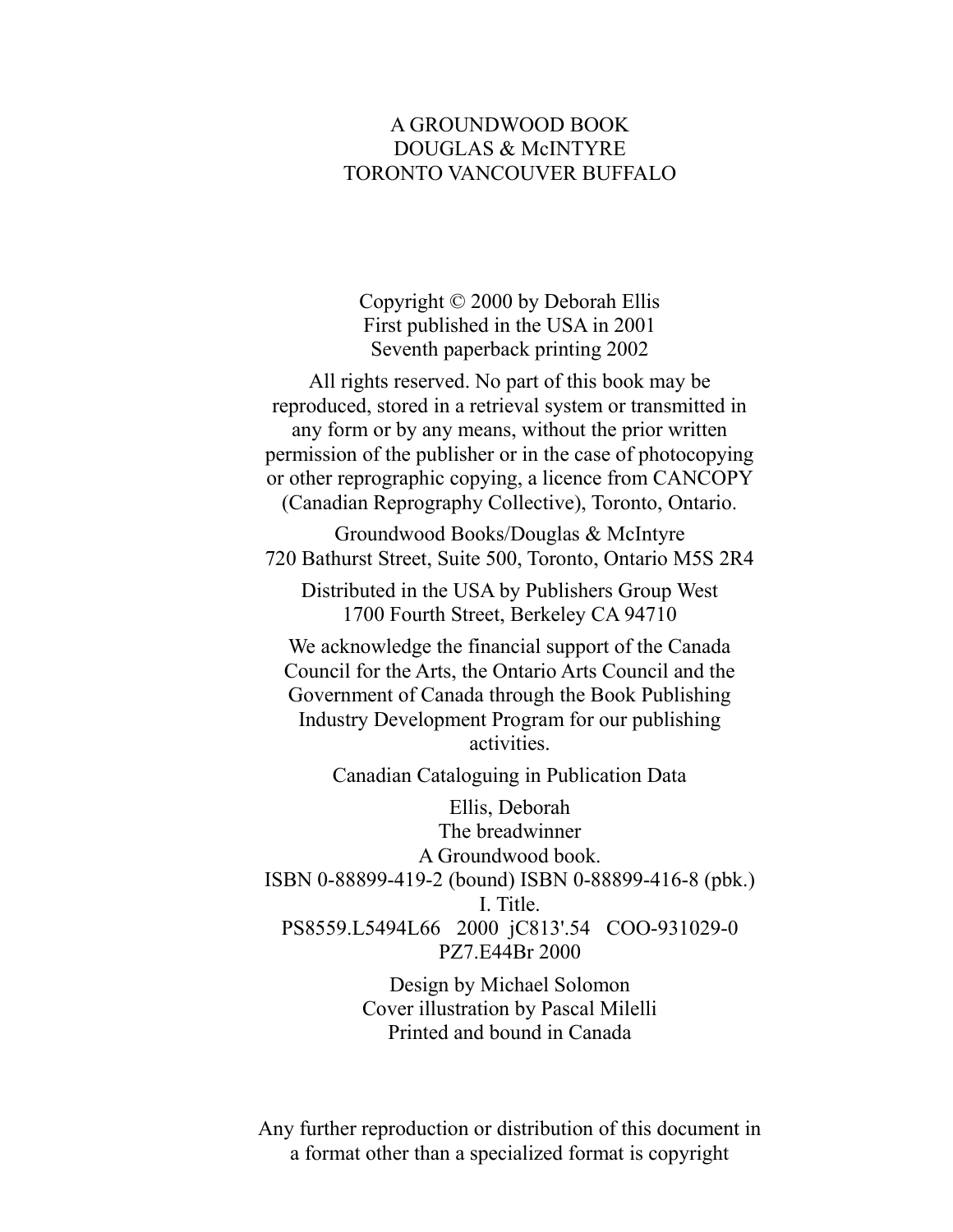#### A GROUNDWOOD BOOK DOUGLAS & McINTYRE TORONTO VANCOUVER BUFFALO

Copyright © 2000 by Deborah Ellis First published in the USA in 2001 Seventh paperback printing 2002

All rights reserved. No part of this book may be reproduced, stored in a retrieval system or transmitted in any form or by any means, without the prior written permission of the publisher or in the case of photocopying or other reprographic copying, a licence from CANCOPY (Canadian Reprography Collective), Toronto, Ontario.

Groundwood Books/Douglas & McIntyre 720 Bathurst Street, Suite 500, Toronto, Ontario M5S 2R4

Distributed in the USA by Publishers Group West 1700 Fourth Street, Berkeley CA 94710

We acknowledge the financial support of the Canada Council for the Arts, the Ontario Arts Council and the Government of Canada through the Book Publishing Industry Development Program for our publishing activities.

Canadian Cataloguing in Publication Data

Ellis, Deborah The breadwinner A Groundwood book. ISBN 0-88899-419-2 (bound) ISBN 0-88899-416-8 (pbk.) I. Title. PS8559.L5494L66 2000 jC813'.54 COO-931029-0 PZ7.E44Br 2000

> Design by Michael Solomon Cover illustration by Pascal Milelli Printed and bound in Canada

Any further reproduction or distribution of this document in a format other than a specialized format is copyright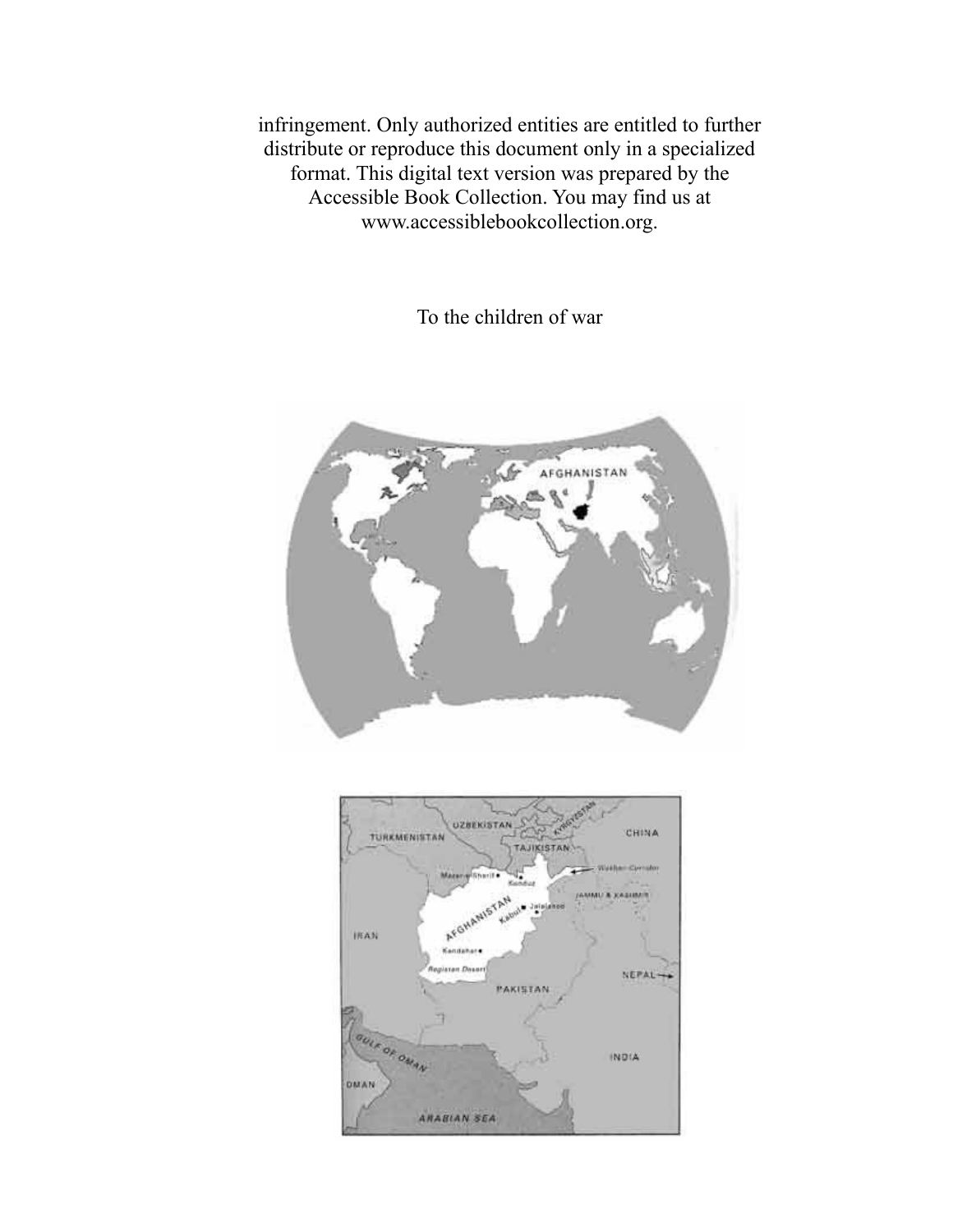infringement. Only authorized entities are entitled to further distribute or reproduce this document only in a specialized format. This digital text version was prepared by the Accessible Book Collection. You may find us at www.accessiblebookcollection.org.

To the children of war



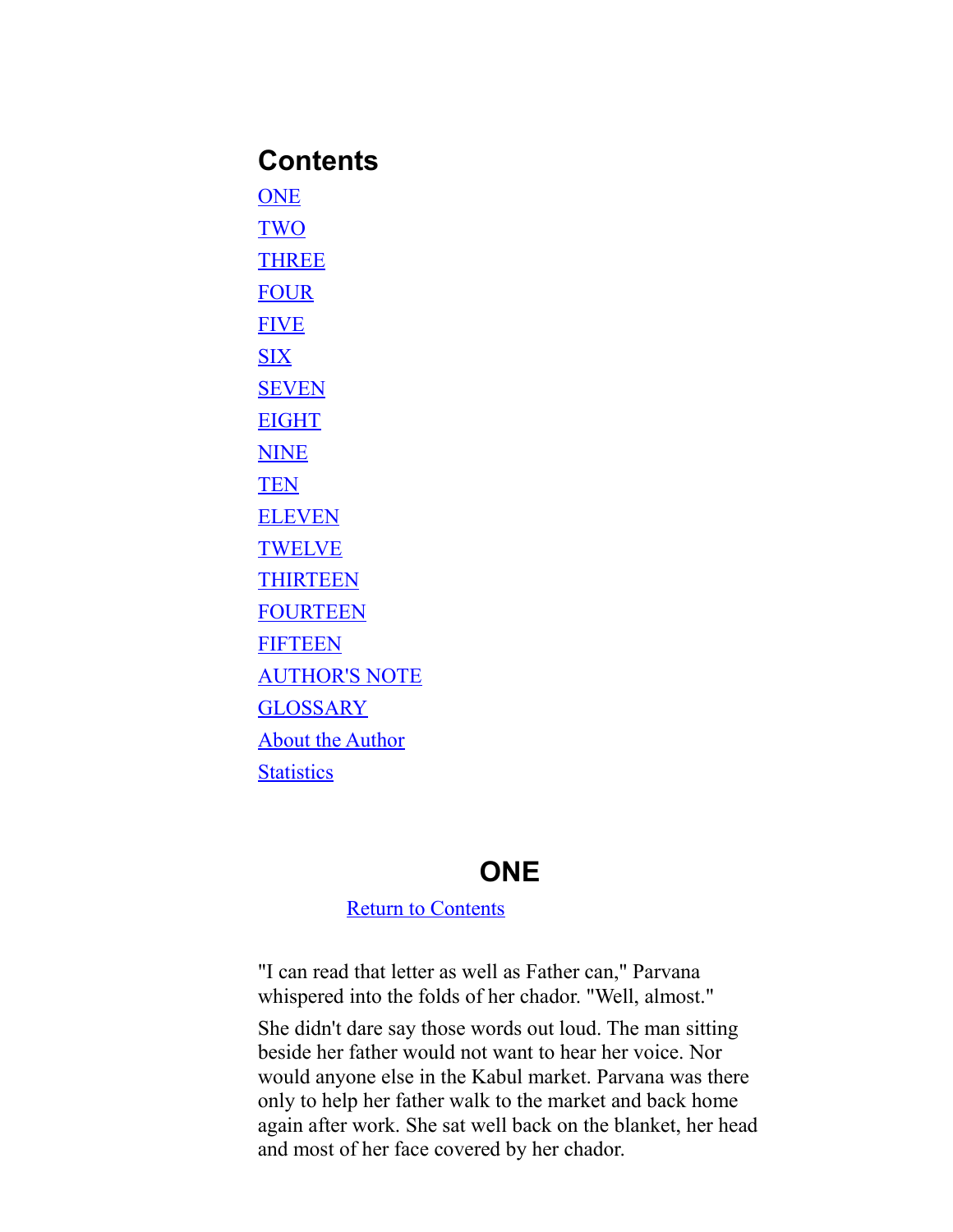# **Contents**

<span id="page-3-19"></span><span id="page-3-18"></span><span id="page-3-17"></span><span id="page-3-16"></span><span id="page-3-15"></span><span id="page-3-14"></span><span id="page-3-13"></span><span id="page-3-12"></span><span id="page-3-11"></span><span id="page-3-10"></span><span id="page-3-0"></span>**[ONE](#page-3-0) [TWO](#page-3-19)** [THREE](#page-3-18) [FOUR](#page-3-17) **[FIVE](#page-3-16) [SIX](#page-3-15)** [SEVEN](#page-3-14) **[EIGHT](#page-3-13)** [NINE](#page-3-12) **[TEN](#page-3-11) [ELEVEN](#page-3-10) [TWELVE](#page-3-9)** [THIRTEEN](#page-3-8) **[FOURTEEN](#page-3-7) [FIFTEEN](#page-3-6)** [AUTHOR'S NOTE](#page-3-5) **[GLOSSARY](#page-3-4)** [About the Author](#page-3-3) **[Statistics](#page-3-2)** 

# <span id="page-3-9"></span><span id="page-3-8"></span><span id="page-3-7"></span><span id="page-3-6"></span><span id="page-3-5"></span><span id="page-3-4"></span><span id="page-3-3"></span><span id="page-3-1"></span>**ONE**

#### <span id="page-3-2"></span>[Return to Contents](#page-3-1)

"I can read that letter as well as Father can," Parvana whispered into the folds of her chador. "Well, almost."

She didn't dare say those words out loud. The man sitting beside her father would not want to hear her voice. Nor would anyone else in the Kabul market. Parvana was there only to help her father walk to the market and back home again after work. She sat well back on the blanket, her head and most of her face covered by her chador.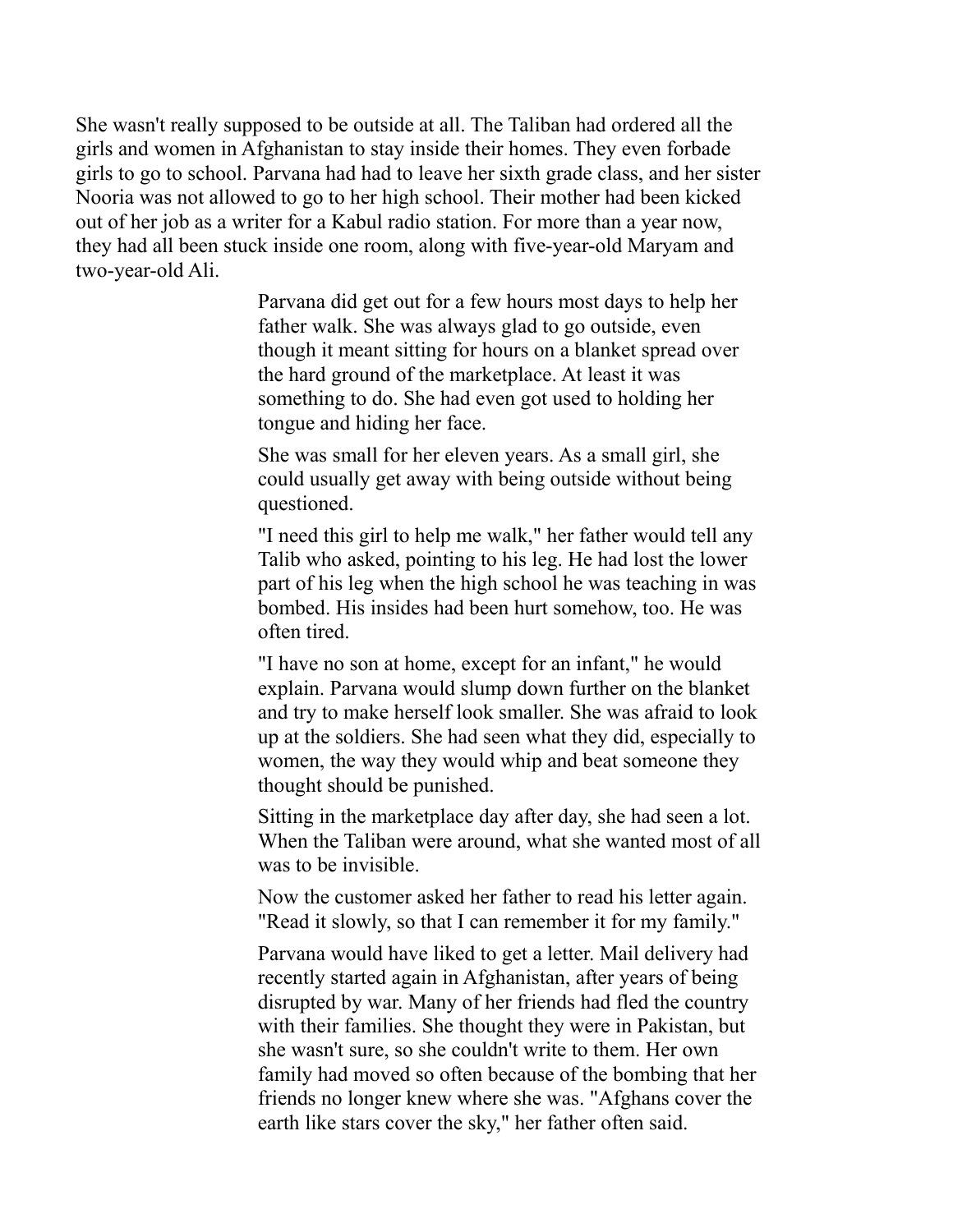She wasn't really supposed to be outside at all. The Taliban had ordered all the girls and women in Afghanistan to stay inside their homes. They even forbade girls to go to school. Parvana had had to leave her sixth grade class, and her sister Nooria was not allowed to go to her high school. Their mother had been kicked out of her job as a writer for a Kabul radio station. For more than a year now, they had all been stuck inside one room, along with five-year-old Maryam and two-year-old Ali.

> Parvana did get out for a few hours most days to help her father walk. She was always glad to go outside, even though it meant sitting for hours on a blanket spread over the hard ground of the marketplace. At least it was something to do. She had even got used to holding her tongue and hiding her face.

She was small for her eleven years. As a small girl, she could usually get away with being outside without being questioned.

"I need this girl to help me walk," her father would tell any Talib who asked, pointing to his leg. He had lost the lower part of his leg when the high school he was teaching in was bombed. His insides had been hurt somehow, too. He was often tired.

"I have no son at home, except for an infant," he would explain. Parvana would slump down further on the blanket and try to make herself look smaller. She was afraid to look up at the soldiers. She had seen what they did, especially to women, the way they would whip and beat someone they thought should be punished.

Sitting in the marketplace day after day, she had seen a lot. When the Taliban were around, what she wanted most of all was to be invisible.

Now the customer asked her father to read his letter again. "Read it slowly, so that I can remember it for my family."

Parvana would have liked to get a letter. Mail delivery had recently started again in Afghanistan, after years of being disrupted by war. Many of her friends had fled the country with their families. She thought they were in Pakistan, but she wasn't sure, so she couldn't write to them. Her own family had moved so often because of the bombing that her friends no longer knew where she was. "Afghans cover the earth like stars cover the sky," her father often said.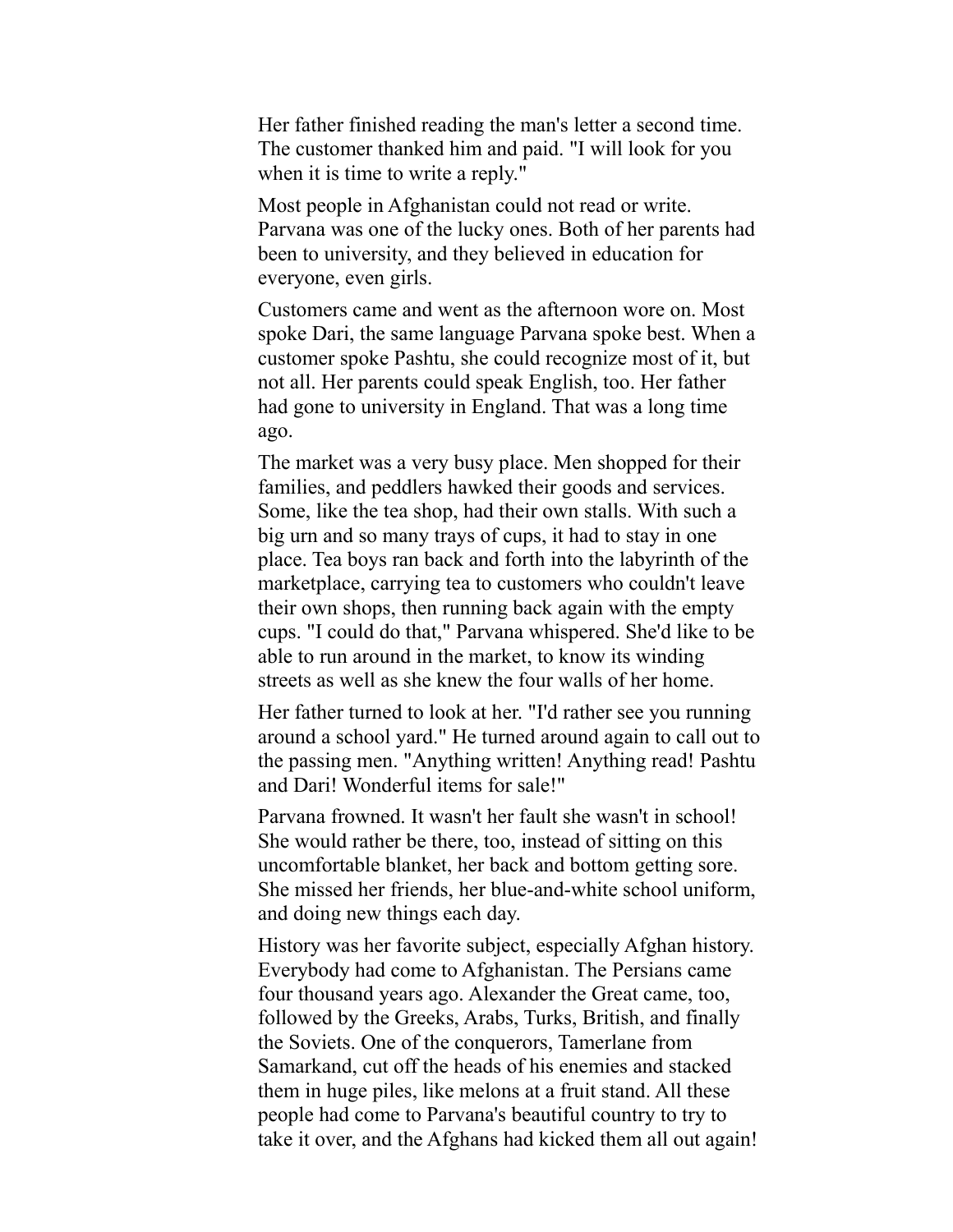Her father finished reading the man's letter a second time. The customer thanked him and paid. "I will look for you when it is time to write a reply."

Most people in Afghanistan could not read or write. Parvana was one of the lucky ones. Both of her parents had been to university, and they believed in education for everyone, even girls.

Customers came and went as the afternoon wore on. Most spoke Dari, the same language Parvana spoke best. When a customer spoke Pashtu, she could recognize most of it, but not all. Her parents could speak English, too. Her father had gone to university in England. That was a long time ago.

The market was a very busy place. Men shopped for their families, and peddlers hawked their goods and services. Some, like the tea shop, had their own stalls. With such a big urn and so many trays of cups, it had to stay in one place. Tea boys ran back and forth into the labyrinth of the marketplace, carrying tea to customers who couldn't leave their own shops, then running back again with the empty cups. "I could do that," Parvana whispered. She'd like to be able to run around in the market, to know its winding streets as well as she knew the four walls of her home.

Her father turned to look at her. "I'd rather see you running around a school yard." He turned around again to call out to the passing men. "Anything written! Anything read! Pashtu and Dari! Wonderful items for sale!"

Parvana frowned. It wasn't her fault she wasn't in school! She would rather be there, too, instead of sitting on this uncomfortable blanket, her back and bottom getting sore. She missed her friends, her blue-and-white school uniform, and doing new things each day.

History was her favorite subject, especially Afghan history. Everybody had come to Afghanistan. The Persians came four thousand years ago. Alexander the Great came, too, followed by the Greeks, Arabs, Turks, British, and finally the Soviets. One of the conquerors, Tamerlane from Samarkand, cut off the heads of his enemies and stacked them in huge piles, like melons at a fruit stand. All these people had come to Parvana's beautiful country to try to take it over, and the Afghans had kicked them all out again!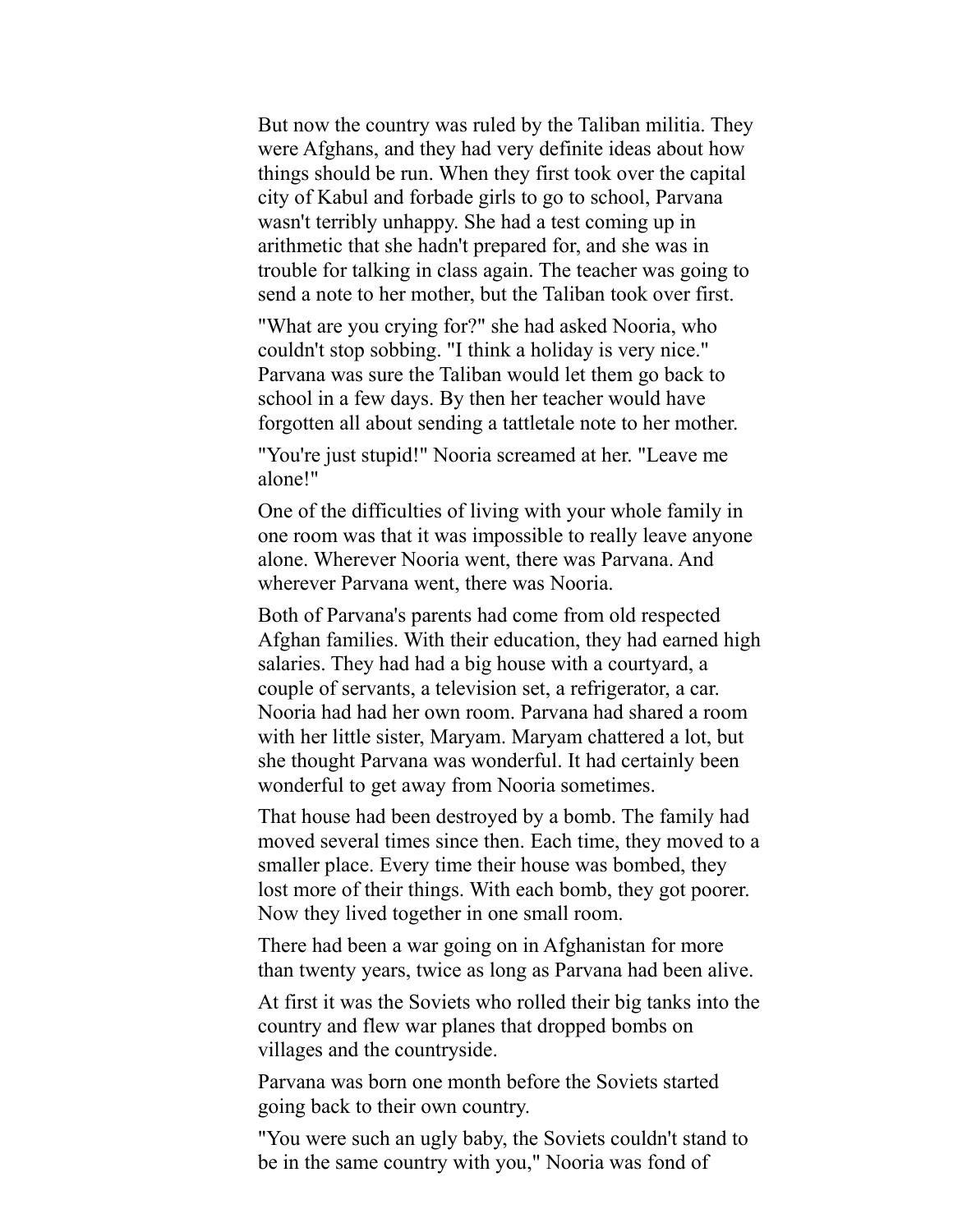But now the country was ruled by the Taliban militia. They were Afghans, and they had very definite ideas about how things should be run. When they first took over the capital city of Kabul and forbade girls to go to school, Parvana wasn't terribly unhappy. She had a test coming up in arithmetic that she hadn't prepared for, and she was in trouble for talking in class again. The teacher was going to send a note to her mother, but the Taliban took over first.

"What are you crying for?" she had asked Nooria, who couldn't stop sobbing. "I think a holiday is very nice." Parvana was sure the Taliban would let them go back to school in a few days. By then her teacher would have forgotten all about sending a tattletale note to her mother.

"You're just stupid!" Nooria screamed at her. "Leave me alone!"

One of the difficulties of living with your whole family in one room was that it was impossible to really leave anyone alone. Wherever Nooria went, there was Parvana. And wherever Parvana went, there was Nooria.

Both of Parvana's parents had come from old respected Afghan families. With their education, they had earned high salaries. They had had a big house with a courtyard, a couple of servants, a television set, a refrigerator, a car. Nooria had had her own room. Parvana had shared a room with her little sister, Maryam. Maryam chattered a lot, but she thought Parvana was wonderful. It had certainly been wonderful to get away from Nooria sometimes.

That house had been destroyed by a bomb. The family had moved several times since then. Each time, they moved to a smaller place. Every time their house was bombed, they lost more of their things. With each bomb, they got poorer. Now they lived together in one small room.

There had been a war going on in Afghanistan for more than twenty years, twice as long as Parvana had been alive.

At first it was the Soviets who rolled their big tanks into the country and flew war planes that dropped bombs on villages and the countryside.

Parvana was born one month before the Soviets started going back to their own country.

"You were such an ugly baby, the Soviets couldn't stand to be in the same country with you," Nooria was fond of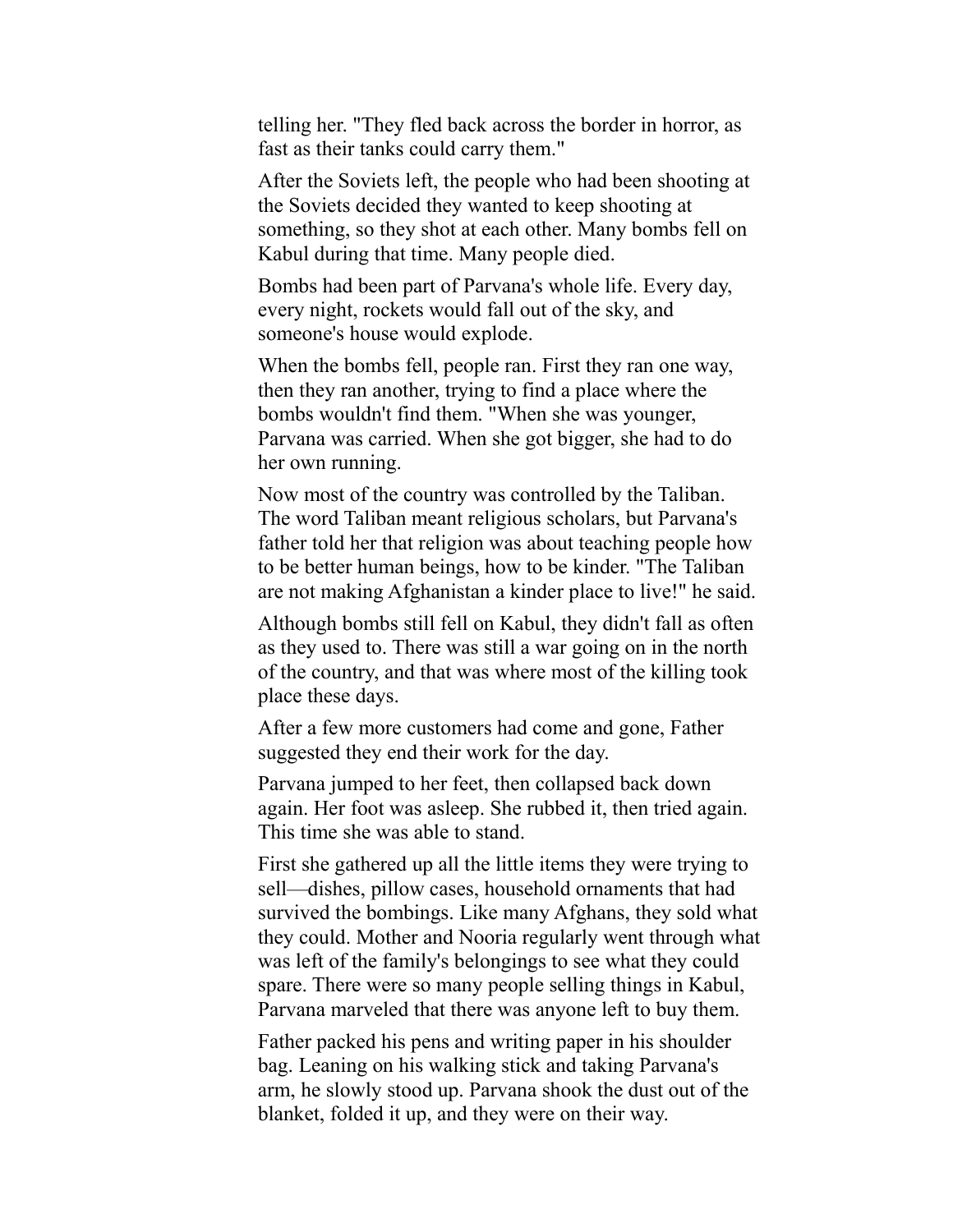telling her. "They fled back across the border in horror, as fast as their tanks could carry them."

After the Soviets left, the people who had been shooting at the Soviets decided they wanted to keep shooting at something, so they shot at each other. Many bombs fell on Kabul during that time. Many people died.

Bombs had been part of Parvana's whole life. Every day, every night, rockets would fall out of the sky, and someone's house would explode.

When the bombs fell, people ran. First they ran one way, then they ran another, trying to find a place where the bombs wouldn't find them. "When she was younger, Parvana was carried. When she got bigger, she had to do her own running.

Now most of the country was controlled by the Taliban. The word Taliban meant religious scholars, but Parvana's father told her that religion was about teaching people how to be better human beings, how to be kinder. "The Taliban are not making Afghanistan a kinder place to live!" he said.

Although bombs still fell on Kabul, they didn't fall as often as they used to. There was still a war going on in the north of the country, and that was where most of the killing took place these days.

After a few more customers had come and gone, Father suggested they end their work for the day.

Parvana jumped to her feet, then collapsed back down again. Her foot was asleep. She rubbed it, then tried again. This time she was able to stand.

First she gathered up all the little items they were trying to sell—dishes, pillow cases, household ornaments that had survived the bombings. Like many Afghans, they sold what they could. Mother and Nooria regularly went through what was left of the family's belongings to see what they could spare. There were so many people selling things in Kabul, Parvana marveled that there was anyone left to buy them.

Father packed his pens and writing paper in his shoulder bag. Leaning on his walking stick and taking Parvana's arm, he slowly stood up. Parvana shook the dust out of the blanket, folded it up, and they were on their way.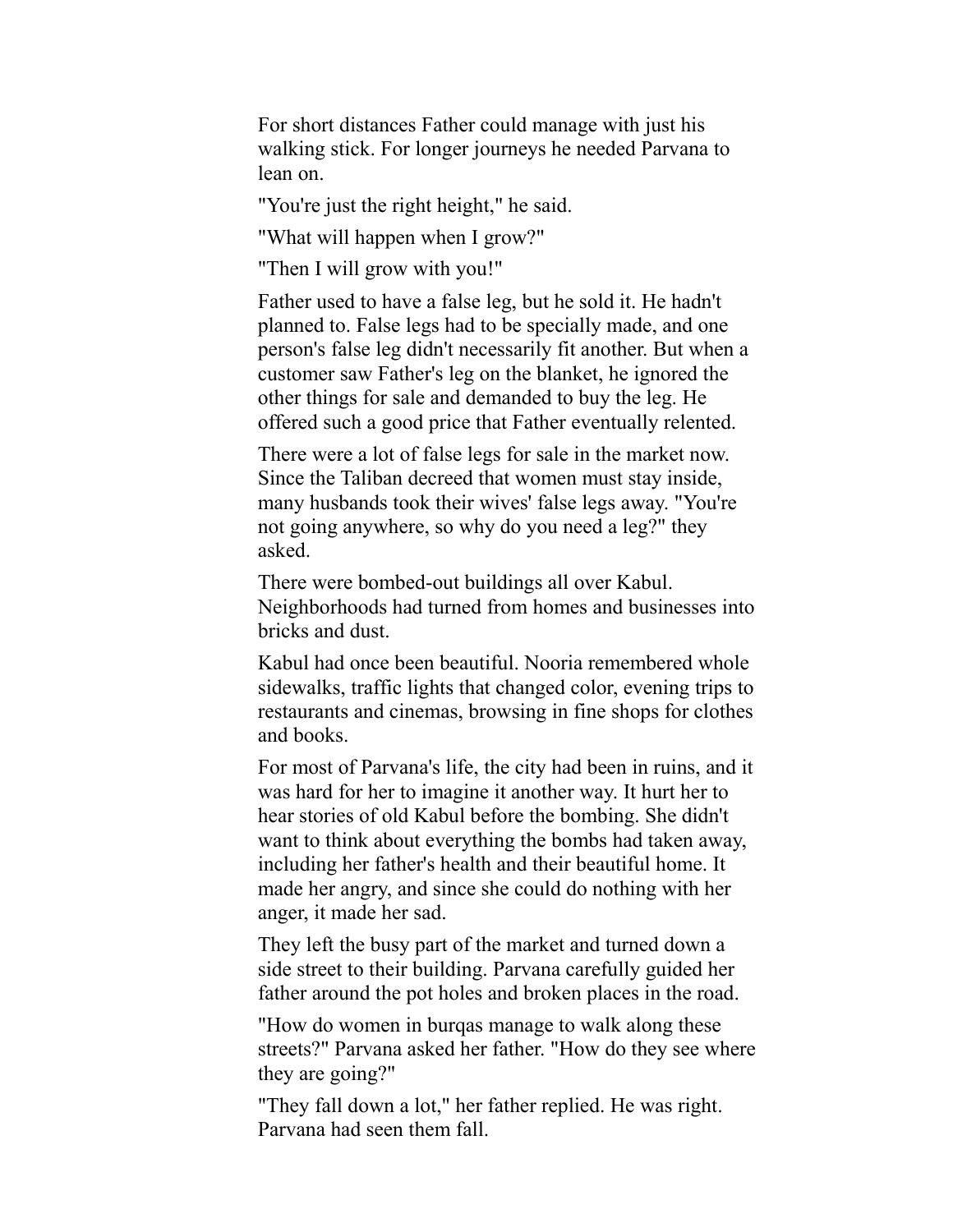For short distances Father could manage with just his walking stick. For longer journeys he needed Parvana to lean on.

"You're just the right height," he said.

"What will happen when I grow?"

"Then I will grow with you!"

Father used to have a false leg, but he sold it. He hadn't planned to. False legs had to be specially made, and one person's false leg didn't necessarily fit another. But when a customer saw Father's leg on the blanket, he ignored the other things for sale and demanded to buy the leg. He offered such a good price that Father eventually relented.

There were a lot of false legs for sale in the market now. Since the Taliban decreed that women must stay inside, many husbands took their wives' false legs away. "You're not going anywhere, so why do you need a leg?" they asked.

There were bombed-out buildings all over Kabul. Neighborhoods had turned from homes and businesses into bricks and dust.

Kabul had once been beautiful. Nooria remembered whole sidewalks, traffic lights that changed color, evening trips to restaurants and cinemas, browsing in fine shops for clothes and books.

For most of Parvana's life, the city had been in ruins, and it was hard for her to imagine it another way. It hurt her to hear stories of old Kabul before the bombing. She didn't want to think about everything the bombs had taken away, including her father's health and their beautiful home. It made her angry, and since she could do nothing with her anger, it made her sad.

They left the busy part of the market and turned down a side street to their building. Parvana carefully guided her father around the pot holes and broken places in the road.

"How do women in burqas manage to walk along these streets?" Parvana asked her father. "How do they see where they are going?"

"They fall down a lot," her father replied. He was right. Parvana had seen them fall.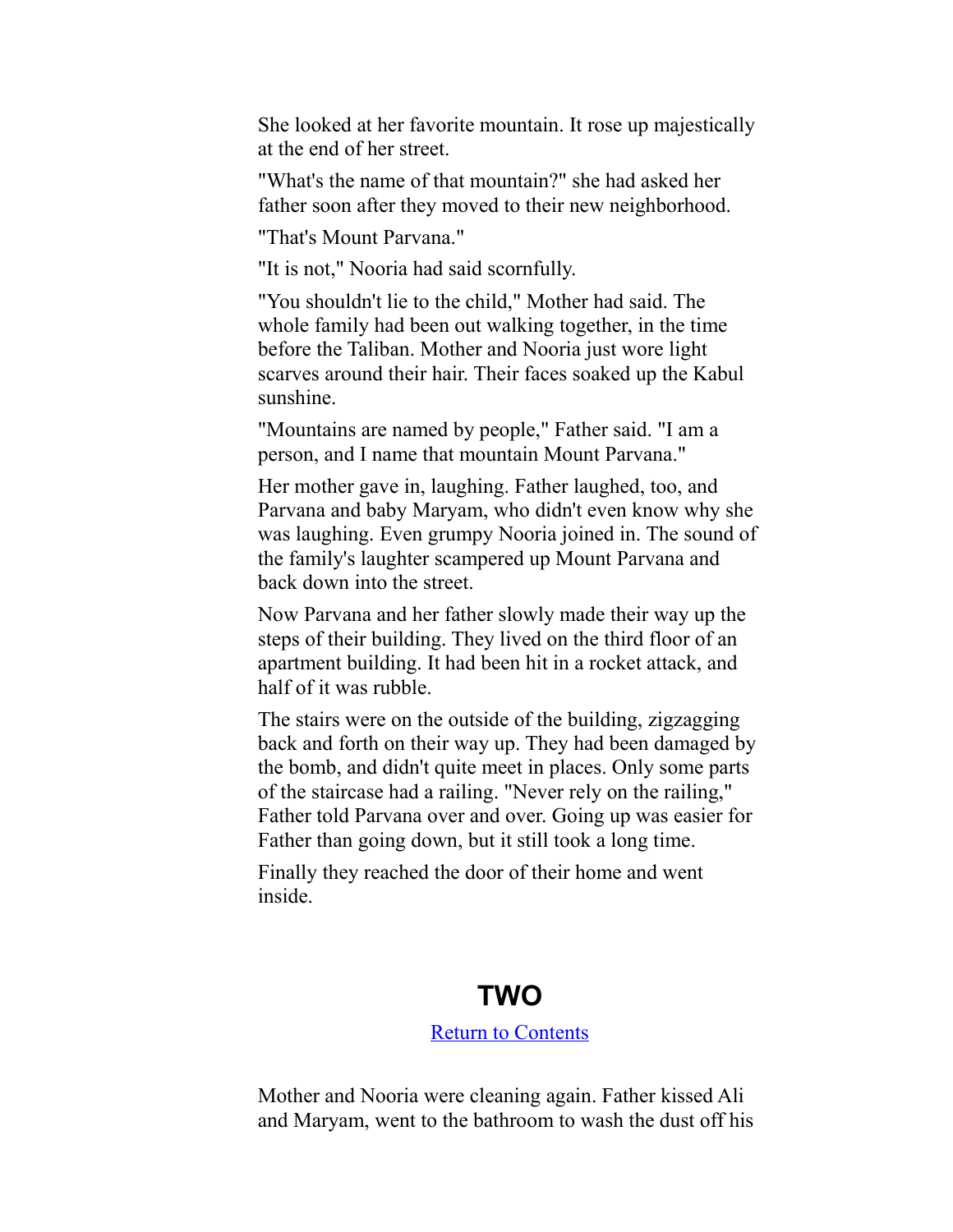She looked at her favorite mountain. It rose up majestically at the end of her street.

"What's the name of that mountain?" she had asked her father soon after they moved to their new neighborhood.

"That's Mount Parvana."

"It is not," Nooria had said scornfully.

"You shouldn't lie to the child," Mother had said. The whole family had been out walking together, in the time before the Taliban. Mother and Nooria just wore light scarves around their hair. Their faces soaked up the Kabul sunshine.

"Mountains are named by people," Father said. "I am a person, and I name that mountain Mount Parvana."

Her mother gave in, laughing. Father laughed, too, and Parvana and baby Maryam, who didn't even know why she was laughing. Even grumpy Nooria joined in. The sound of the family's laughter scampered up Mount Parvana and back down into the street.

Now Parvana and her father slowly made their way up the steps of their building. They lived on the third floor of an apartment building. It had been hit in a rocket attack, and half of it was rubble.

The stairs were on the outside of the building, zigzagging back and forth on their way up. They had been damaged by the bomb, and didn't quite meet in places. Only some parts of the staircase had a railing. "Never rely on the railing," Father told Parvana over and over. Going up was easier for Father than going down, but it still took a long time.

Finally they reached the door of their home and went inside.

### <span id="page-9-0"></span>**TWO**

[Return to Contents](#page-9-0)

Mother and Nooria were cleaning again. Father kissed Ali and Maryam, went to the bathroom to wash the dust off his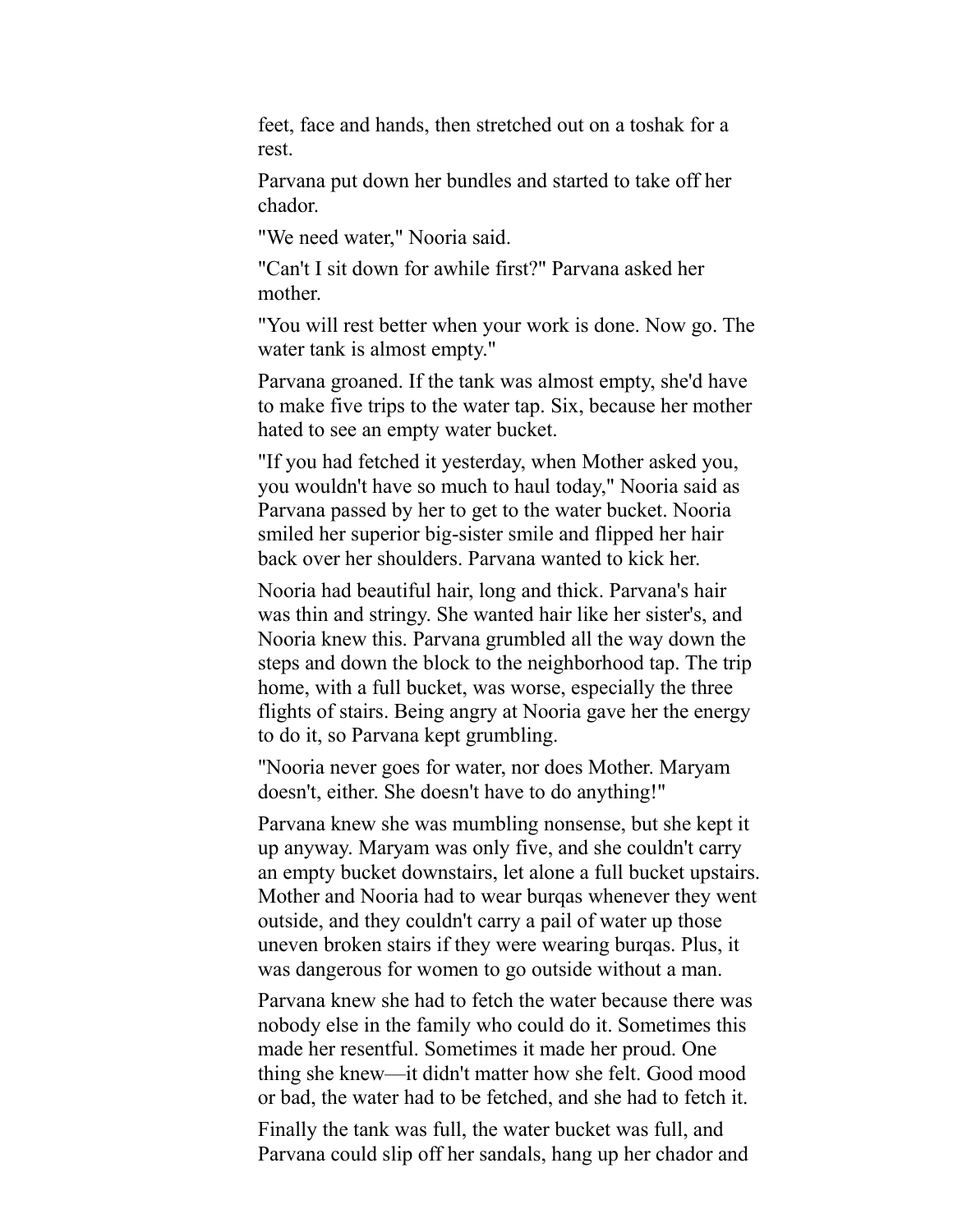feet, face and hands, then stretched out on a toshak for a rest.

Parvana put down her bundles and started to take off her chador.

"We need water," Nooria said.

"Can't I sit down for awhile first?" Parvana asked her mother.

"You will rest better when your work is done. Now go. The water tank is almost empty."

Parvana groaned. If the tank was almost empty, she'd have to make five trips to the water tap. Six, because her mother hated to see an empty water bucket.

"If you had fetched it yesterday, when Mother asked you, you wouldn't have so much to haul today," Nooria said as Parvana passed by her to get to the water bucket. Nooria smiled her superior big-sister smile and flipped her hair back over her shoulders. Parvana wanted to kick her.

Nooria had beautiful hair, long and thick. Parvana's hair was thin and stringy. She wanted hair like her sister's, and Nooria knew this. Parvana grumbled all the way down the steps and down the block to the neighborhood tap. The trip home, with a full bucket, was worse, especially the three flights of stairs. Being angry at Nooria gave her the energy to do it, so Parvana kept grumbling.

"Nooria never goes for water, nor does Mother. Maryam doesn't, either. She doesn't have to do anything!"

Parvana knew she was mumbling nonsense, but she kept it up anyway. Maryam was only five, and she couldn't carry an empty bucket downstairs, let alone a full bucket upstairs. Mother and Nooria had to wear burqas whenever they went outside, and they couldn't carry a pail of water up those uneven broken stairs if they were wearing burqas. Plus, it was dangerous for women to go outside without a man.

Parvana knew she had to fetch the water because there was nobody else in the family who could do it. Sometimes this made her resentful. Sometimes it made her proud. One thing she knew—it didn't matter how she felt. Good mood or bad, the water had to be fetched, and she had to fetch it.

Finally the tank was full, the water bucket was full, and Parvana could slip off her sandals, hang up her chador and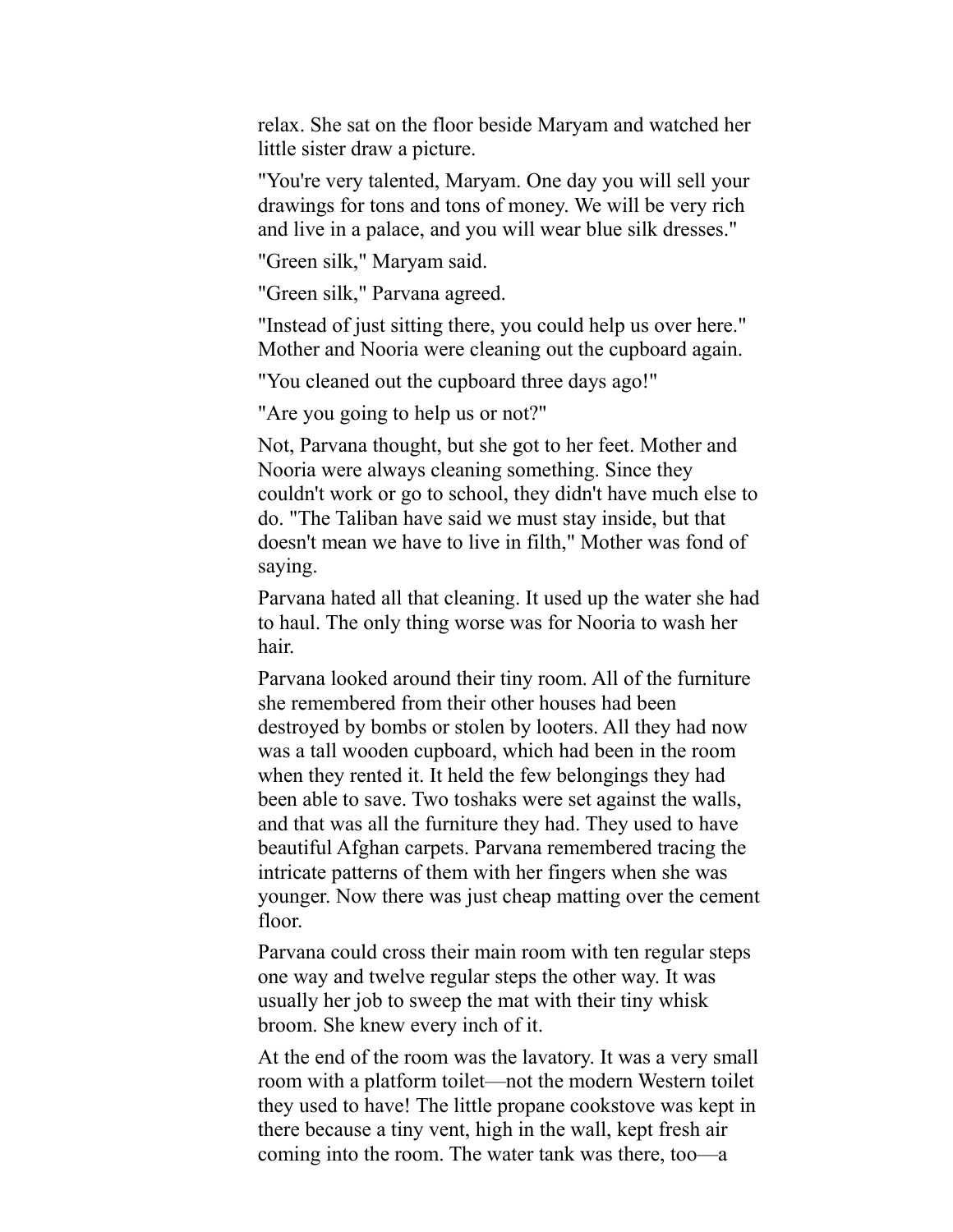relax. She sat on the floor beside Maryam and watched her little sister draw a picture.

"You're very talented, Maryam. One day you will sell your drawings for tons and tons of money. We will be very rich and live in a palace, and you will wear blue silk dresses."

"Green silk," Maryam said.

"Green silk," Parvana agreed.

"Instead of just sitting there, you could help us over here." Mother and Nooria were cleaning out the cupboard again.

"You cleaned out the cupboard three days ago!"

"Are you going to help us or not?"

Not, Parvana thought, but she got to her feet. Mother and Nooria were always cleaning something. Since they couldn't work or go to school, they didn't have much else to do. "The Taliban have said we must stay inside, but that doesn't mean we have to live in filth," Mother was fond of saying.

Parvana hated all that cleaning. It used up the water she had to haul. The only thing worse was for Nooria to wash her hair.

Parvana looked around their tiny room. All of the furniture she remembered from their other houses had been destroyed by bombs or stolen by looters. All they had now was a tall wooden cupboard, which had been in the room when they rented it. It held the few belongings they had been able to save. Two toshaks were set against the walls, and that was all the furniture they had. They used to have beautiful Afghan carpets. Parvana remembered tracing the intricate patterns of them with her fingers when she was younger. Now there was just cheap matting over the cement floor.

Parvana could cross their main room with ten regular steps one way and twelve regular steps the other way. It was usually her job to sweep the mat with their tiny whisk broom. She knew every inch of it.

At the end of the room was the lavatory. It was a very small room with a platform toilet—not the modern Western toilet they used to have! The little propane cookstove was kept in there because a tiny vent, high in the wall, kept fresh air coming into the room. The water tank was there, too—a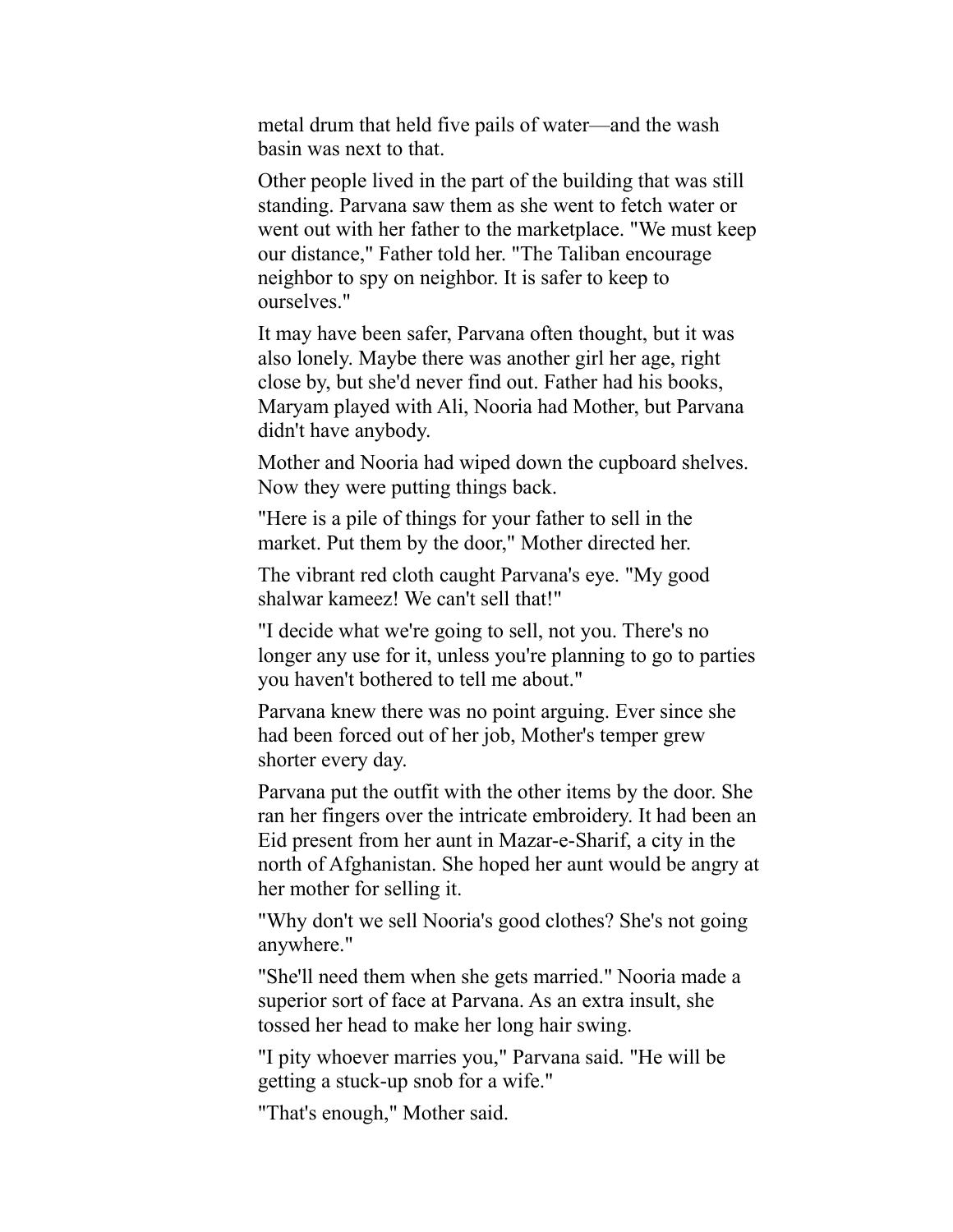metal drum that held five pails of water—and the wash basin was next to that.

Other people lived in the part of the building that was still standing. Parvana saw them as she went to fetch water or went out with her father to the marketplace. "We must keep our distance," Father told her. "The Taliban encourage neighbor to spy on neighbor. It is safer to keep to ourselves."

It may have been safer, Parvana often thought, but it was also lonely. Maybe there was another girl her age, right close by, but she'd never find out. Father had his books, Maryam played with Ali, Nooria had Mother, but Parvana didn't have anybody.

Mother and Nooria had wiped down the cupboard shelves. Now they were putting things back.

"Here is a pile of things for your father to sell in the market. Put them by the door," Mother directed her.

The vibrant red cloth caught Parvana's eye. "My good shalwar kameez! We can't sell that!"

"I decide what we're going to sell, not you. There's no longer any use for it, unless you're planning to go to parties you haven't bothered to tell me about."

Parvana knew there was no point arguing. Ever since she had been forced out of her job, Mother's temper grew shorter every day.

Parvana put the outfit with the other items by the door. She ran her fingers over the intricate embroidery. It had been an Eid present from her aunt in Mazar-e-Sharif, a city in the north of Afghanistan. She hoped her aunt would be angry at her mother for selling it.

"Why don't we sell Nooria's good clothes? She's not going anywhere."

"She'll need them when she gets married." Nooria made a superior sort of face at Parvana. As an extra insult, she tossed her head to make her long hair swing.

"I pity whoever marries you," Parvana said. "He will be getting a stuck-up snob for a wife."

"That's enough," Mother said.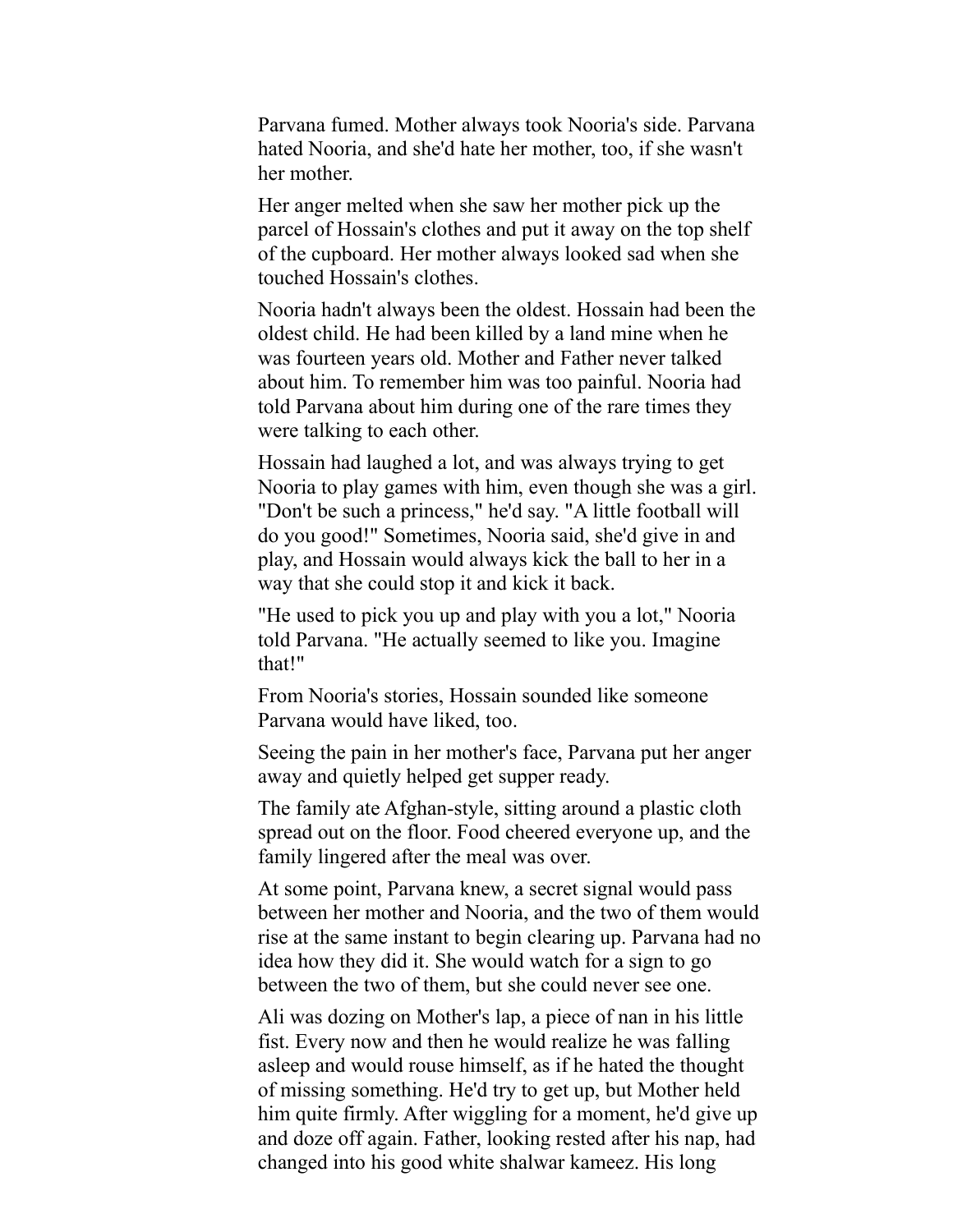Parvana fumed. Mother always took Nooria's side. Parvana hated Nooria, and she'd hate her mother, too, if she wasn't her mother.

Her anger melted when she saw her mother pick up the parcel of Hossain's clothes and put it away on the top shelf of the cupboard. Her mother always looked sad when she touched Hossain's clothes.

Nooria hadn't always been the oldest. Hossain had been the oldest child. He had been killed by a land mine when he was fourteen years old. Mother and Father never talked about him. To remember him was too painful. Nooria had told Parvana about him during one of the rare times they were talking to each other.

Hossain had laughed a lot, and was always trying to get Nooria to play games with him, even though she was a girl. "Don't be such a princess," he'd say. "A little football will do you good!" Sometimes, Nooria said, she'd give in and play, and Hossain would always kick the ball to her in a way that she could stop it and kick it back.

"He used to pick you up and play with you a lot," Nooria told Parvana. "He actually seemed to like you. Imagine that!"

From Nooria's stories, Hossain sounded like someone Parvana would have liked, too.

Seeing the pain in her mother's face, Parvana put her anger away and quietly helped get supper ready.

The family ate Afghan-style, sitting around a plastic cloth spread out on the floor. Food cheered everyone up, and the family lingered after the meal was over.

At some point, Parvana knew, a secret signal would pass between her mother and Nooria, and the two of them would rise at the same instant to begin clearing up. Parvana had no idea how they did it. She would watch for a sign to go between the two of them, but she could never see one.

Ali was dozing on Mother's lap, a piece of nan in his little fist. Every now and then he would realize he was falling asleep and would rouse himself, as if he hated the thought of missing something. He'd try to get up, but Mother held him quite firmly. After wiggling for a moment, he'd give up and doze off again. Father, looking rested after his nap, had changed into his good white shalwar kameez. His long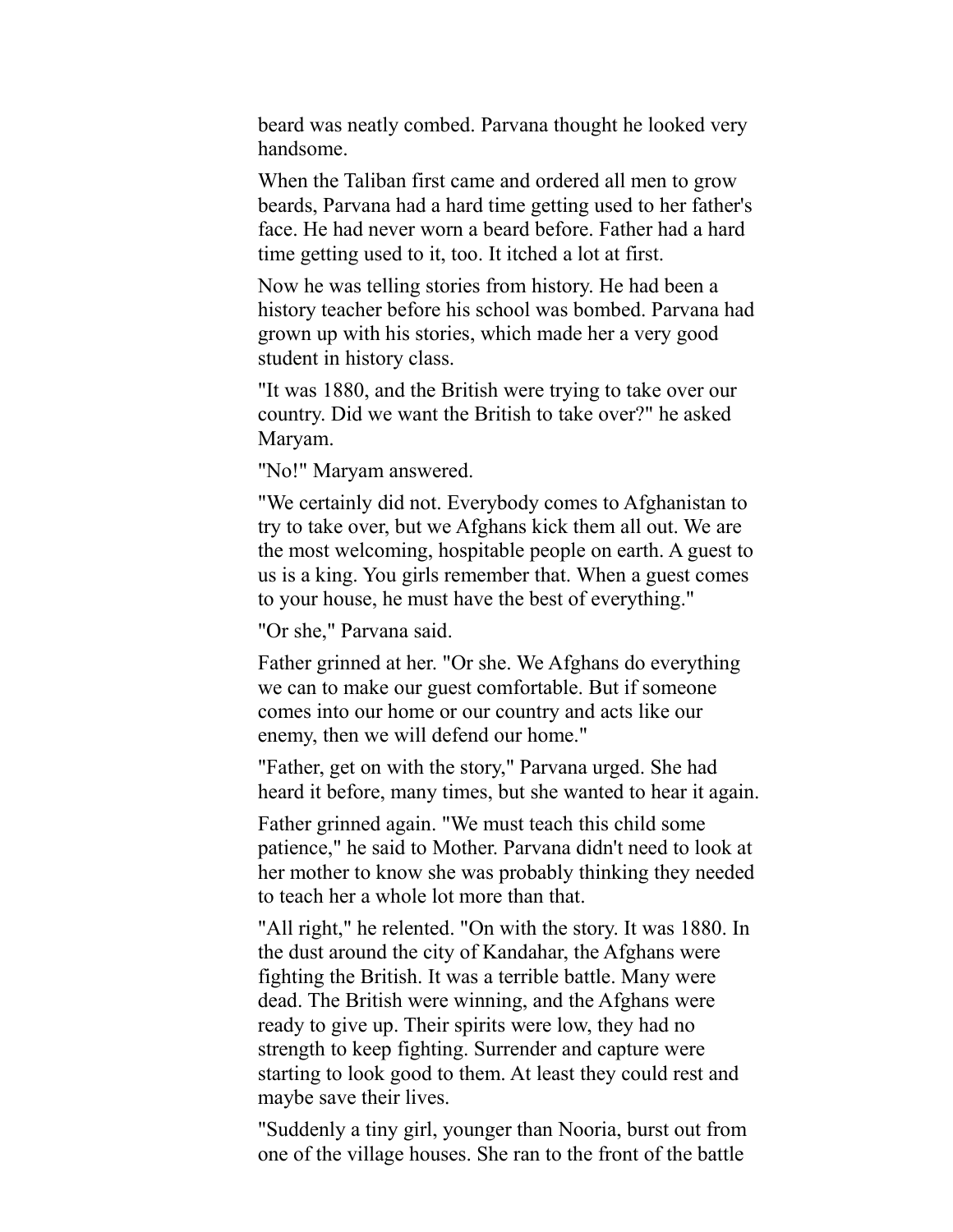beard was neatly combed. Parvana thought he looked very handsome.

When the Taliban first came and ordered all men to grow beards, Parvana had a hard time getting used to her father's face. He had never worn a beard before. Father had a hard time getting used to it, too. It itched a lot at first.

Now he was telling stories from history. He had been a history teacher before his school was bombed. Parvana had grown up with his stories, which made her a very good student in history class.

"It was 1880, and the British were trying to take over our country. Did we want the British to take over?" he asked Maryam.

"No!" Maryam answered.

"We certainly did not. Everybody comes to Afghanistan to try to take over, but we Afghans kick them all out. We are the most welcoming, hospitable people on earth. A guest to us is a king. You girls remember that. When a guest comes to your house, he must have the best of everything."

"Or she," Parvana said.

Father grinned at her. "Or she. We Afghans do everything we can to make our guest comfortable. But if someone comes into our home or our country and acts like our enemy, then we will defend our home."

"Father, get on with the story," Parvana urged. She had heard it before, many times, but she wanted to hear it again.

Father grinned again. "We must teach this child some patience," he said to Mother. Parvana didn't need to look at her mother to know she was probably thinking they needed to teach her a whole lot more than that.

"All right," he relented. "On with the story. It was 1880. In the dust around the city of Kandahar, the Afghans were fighting the British. It was a terrible battle. Many were dead. The British were winning, and the Afghans were ready to give up. Their spirits were low, they had no strength to keep fighting. Surrender and capture were starting to look good to them. At least they could rest and maybe save their lives.

"Suddenly a tiny girl, younger than Nooria, burst out from one of the village houses. She ran to the front of the battle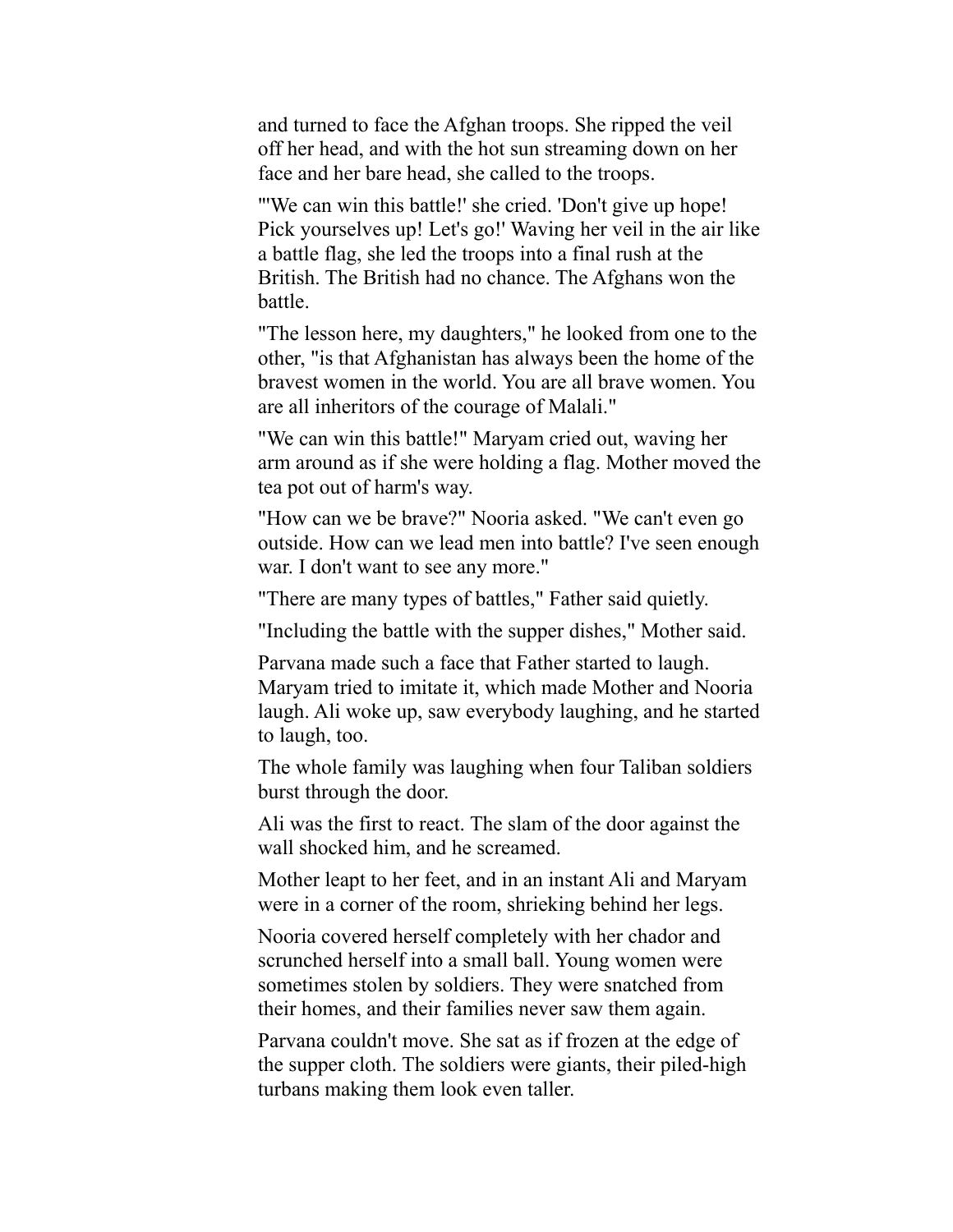and turned to face the Afghan troops. She ripped the veil off her head, and with the hot sun streaming down on her face and her bare head, she called to the troops.

"'We can win this battle!' she cried. 'Don't give up hope! Pick yourselves up! Let's go!' Waving her veil in the air like a battle flag, she led the troops into a final rush at the British. The British had no chance. The Afghans won the battle.

"The lesson here, my daughters," he looked from one to the other, "is that Afghanistan has always been the home of the bravest women in the world. You are all brave women. You are all inheritors of the courage of Malali."

"We can win this battle!" Maryam cried out, waving her arm around as if she were holding a flag. Mother moved the tea pot out of harm's way.

"How can we be brave?" Nooria asked. "We can't even go outside. How can we lead men into battle? I've seen enough war. I don't want to see any more."

"There are many types of battles," Father said quietly.

"Including the battle with the supper dishes," Mother said.

Parvana made such a face that Father started to laugh. Maryam tried to imitate it, which made Mother and Nooria laugh. Ali woke up, saw everybody laughing, and he started to laugh, too.

The whole family was laughing when four Taliban soldiers burst through the door.

Ali was the first to react. The slam of the door against the wall shocked him, and he screamed.

Mother leapt to her feet, and in an instant Ali and Maryam were in a corner of the room, shrieking behind her legs.

Nooria covered herself completely with her chador and scrunched herself into a small ball. Young women were sometimes stolen by soldiers. They were snatched from their homes, and their families never saw them again.

Parvana couldn't move. She sat as if frozen at the edge of the supper cloth. The soldiers were giants, their piled-high turbans making them look even taller.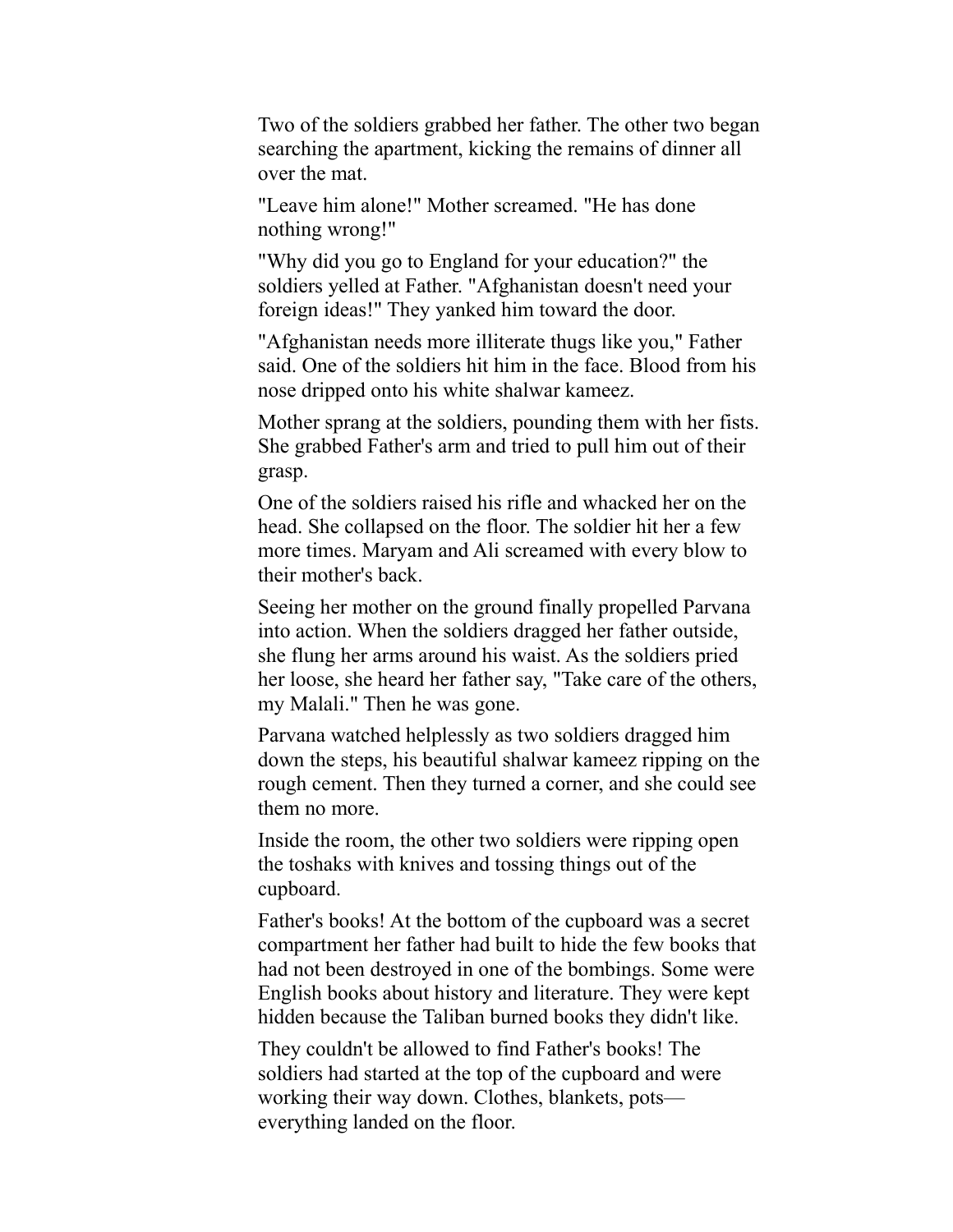Two of the soldiers grabbed her father. The other two began searching the apartment, kicking the remains of dinner all over the mat.

"Leave him alone!" Mother screamed. "He has done nothing wrong!"

"Why did you go to England for your education?" the soldiers yelled at Father. "Afghanistan doesn't need your foreign ideas!" They yanked him toward the door.

"Afghanistan needs more illiterate thugs like you," Father said. One of the soldiers hit him in the face. Blood from his nose dripped onto his white shalwar kameez.

Mother sprang at the soldiers, pounding them with her fists. She grabbed Father's arm and tried to pull him out of their grasp.

One of the soldiers raised his rifle and whacked her on the head. She collapsed on the floor. The soldier hit her a few more times. Maryam and Ali screamed with every blow to their mother's back.

Seeing her mother on the ground finally propelled Parvana into action. When the soldiers dragged her father outside, she flung her arms around his waist. As the soldiers pried her loose, she heard her father say, "Take care of the others, my Malali." Then he was gone.

Parvana watched helplessly as two soldiers dragged him down the steps, his beautiful shalwar kameez ripping on the rough cement. Then they turned a corner, and she could see them no more.

Inside the room, the other two soldiers were ripping open the toshaks with knives and tossing things out of the cupboard.

Father's books! At the bottom of the cupboard was a secret compartment her father had built to hide the few books that had not been destroyed in one of the bombings. Some were English books about history and literature. They were kept hidden because the Taliban burned books they didn't like.

They couldn't be allowed to find Father's books! The soldiers had started at the top of the cupboard and were working their way down. Clothes, blankets, pots everything landed on the floor.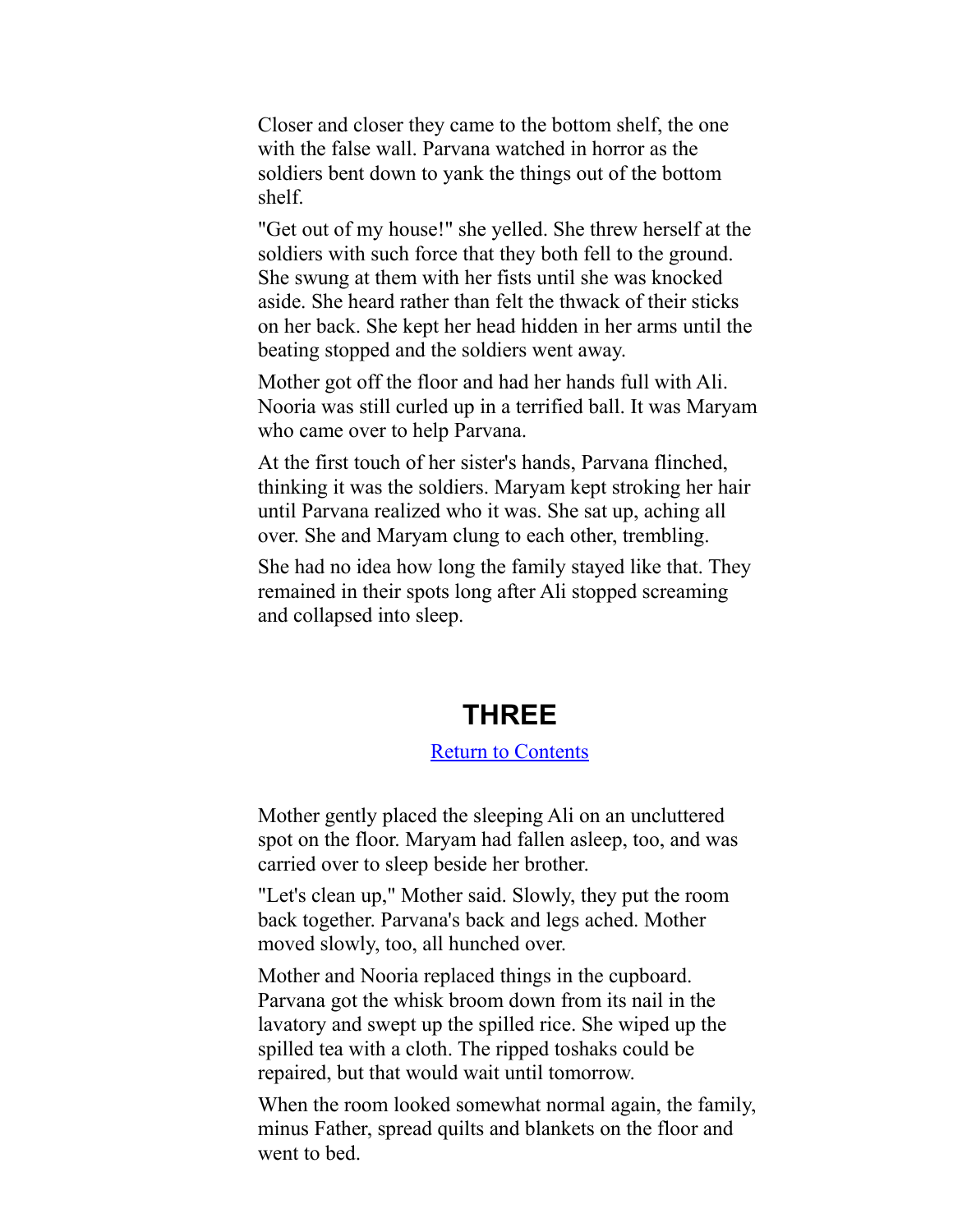Closer and closer they came to the bottom shelf, the one with the false wall. Parvana watched in horror as the soldiers bent down to yank the things out of the bottom shelf.

"Get out of my house!" she yelled. She threw herself at the soldiers with such force that they both fell to the ground. She swung at them with her fists until she was knocked aside. She heard rather than felt the thwack of their sticks on her back. She kept her head hidden in her arms until the beating stopped and the soldiers went away.

Mother got off the floor and had her hands full with Ali. Nooria was still curled up in a terrified ball. It was Maryam who came over to help Parvana.

At the first touch of her sister's hands, Parvana flinched, thinking it was the soldiers. Maryam kept stroking her hair until Parvana realized who it was. She sat up, aching all over. She and Maryam clung to each other, trembling.

She had no idea how long the family stayed like that. They remained in their spots long after Ali stopped screaming and collapsed into sleep.

## <span id="page-17-0"></span>**THREE**

#### [Return to Contents](#page-17-0)

Mother gently placed the sleeping Ali on an uncluttered spot on the floor. Maryam had fallen asleep, too, and was carried over to sleep beside her brother.

"Let's clean up," Mother said. Slowly, they put the room back together. Parvana's back and legs ached. Mother moved slowly, too, all hunched over.

Mother and Nooria replaced things in the cupboard. Parvana got the whisk broom down from its nail in the lavatory and swept up the spilled rice. She wiped up the spilled tea with a cloth. The ripped toshaks could be repaired, but that would wait until tomorrow.

When the room looked somewhat normal again, the family, minus Father, spread quilts and blankets on the floor and went to bed.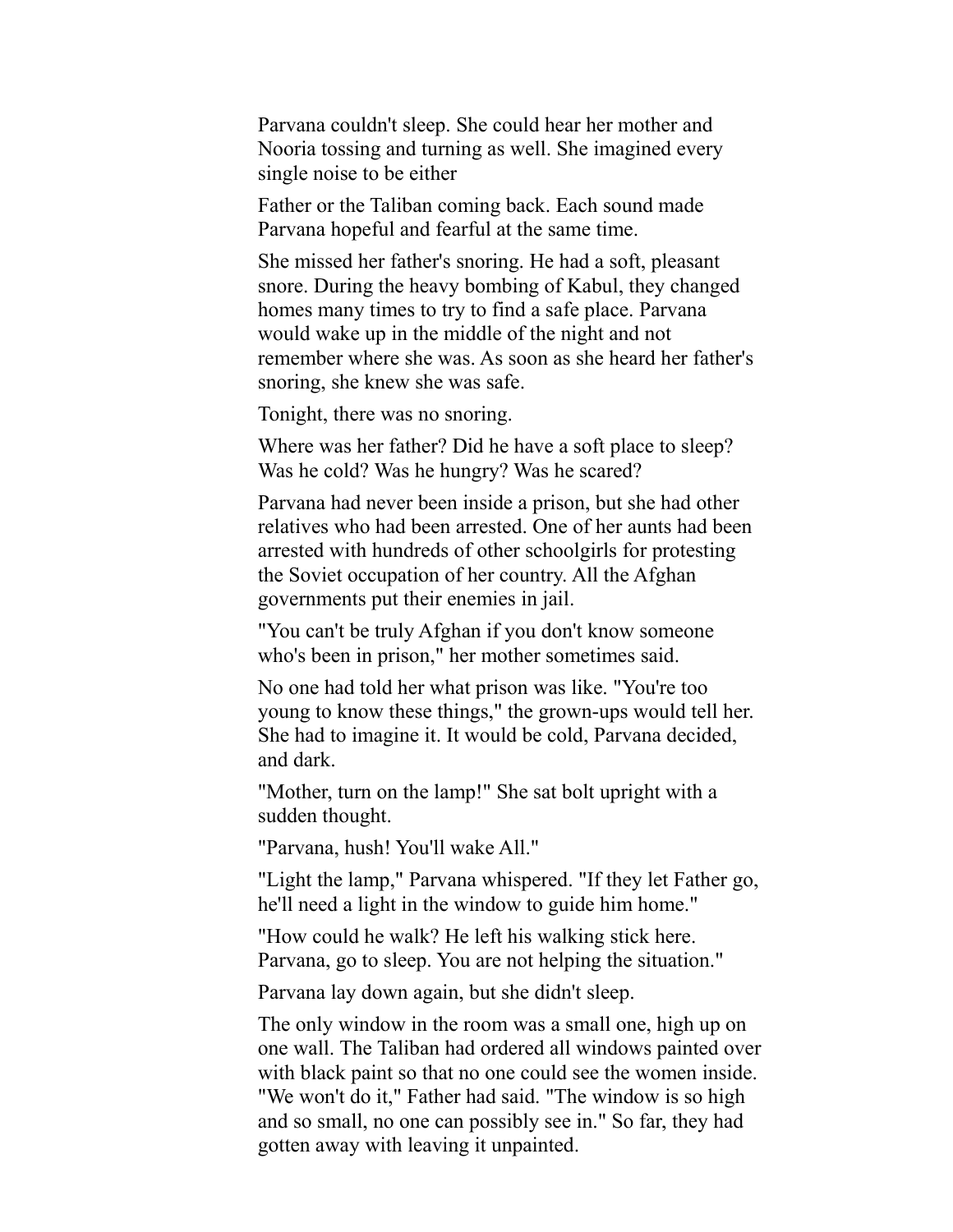Parvana couldn't sleep. She could hear her mother and Nooria tossing and turning as well. She imagined every single noise to be either

Father or the Taliban coming back. Each sound made Parvana hopeful and fearful at the same time.

She missed her father's snoring. He had a soft, pleasant snore. During the heavy bombing of Kabul, they changed homes many times to try to find a safe place. Parvana would wake up in the middle of the night and not remember where she was. As soon as she heard her father's snoring, she knew she was safe.

Tonight, there was no snoring.

Where was her father? Did he have a soft place to sleep? Was he cold? Was he hungry? Was he scared?

Parvana had never been inside a prison, but she had other relatives who had been arrested. One of her aunts had been arrested with hundreds of other schoolgirls for protesting the Soviet occupation of her country. All the Afghan governments put their enemies in jail.

"You can't be truly Afghan if you don't know someone who's been in prison," her mother sometimes said.

No one had told her what prison was like. "You're too young to know these things," the grown-ups would tell her. She had to imagine it. It would be cold, Parvana decided, and dark.

"Mother, turn on the lamp!" She sat bolt upright with a sudden thought.

"Parvana, hush! You'll wake All."

"Light the lamp," Parvana whispered. "If they let Father go, he'll need a light in the window to guide him home."

"How could he walk? He left his walking stick here. Parvana, go to sleep. You are not helping the situation."

Parvana lay down again, but she didn't sleep.

The only window in the room was a small one, high up on one wall. The Taliban had ordered all windows painted over with black paint so that no one could see the women inside. "We won't do it," Father had said. "The window is so high and so small, no one can possibly see in." So far, they had gotten away with leaving it unpainted.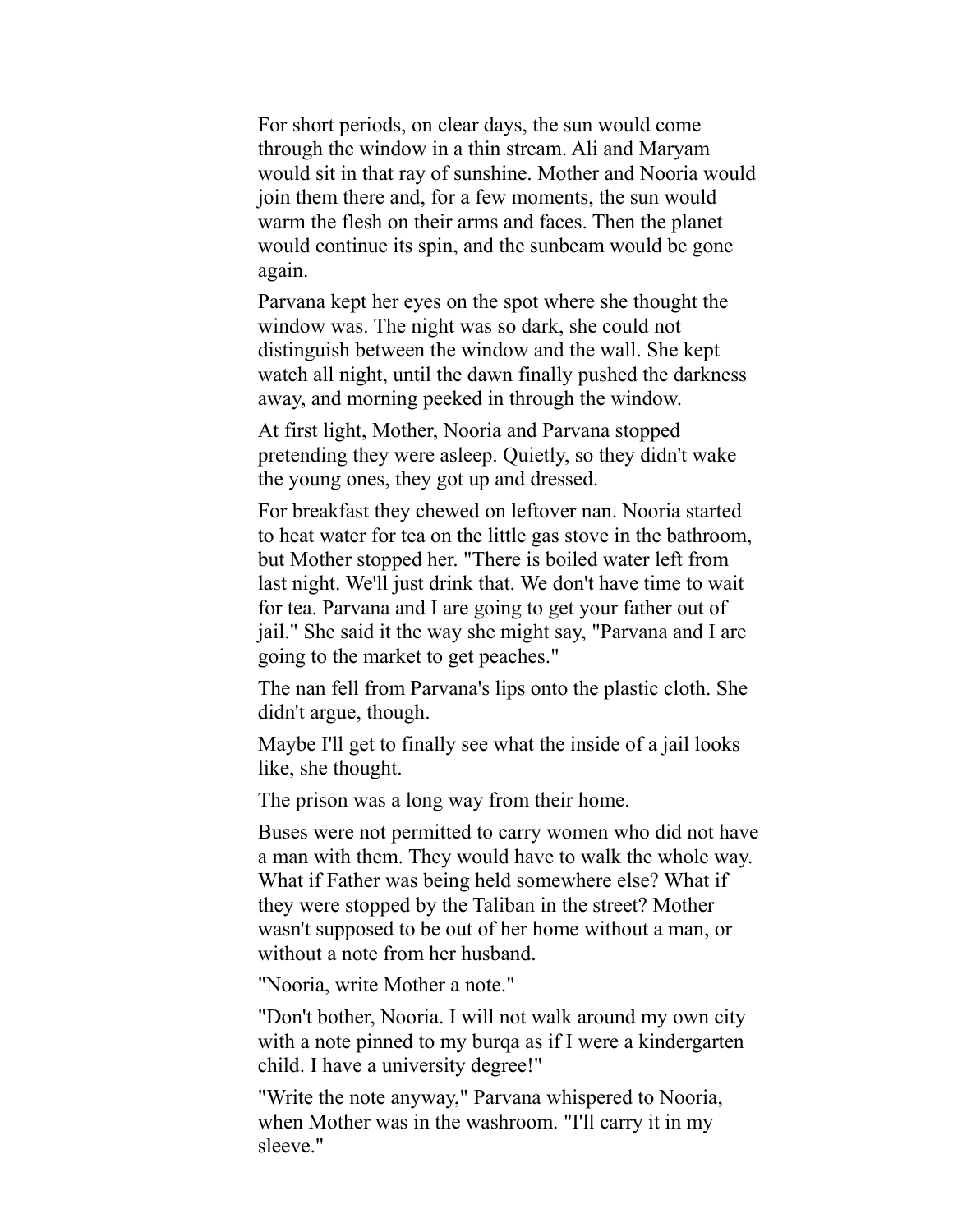For short periods, on clear days, the sun would come through the window in a thin stream. Ali and Maryam would sit in that ray of sunshine. Mother and Nooria would join them there and, for a few moments, the sun would warm the flesh on their arms and faces. Then the planet would continue its spin, and the sunbeam would be gone again.

Parvana kept her eyes on the spot where she thought the window was. The night was so dark, she could not distinguish between the window and the wall. She kept watch all night, until the dawn finally pushed the darkness away, and morning peeked in through the window.

At first light, Mother, Nooria and Parvana stopped pretending they were asleep. Quietly, so they didn't wake the young ones, they got up and dressed.

For breakfast they chewed on leftover nan. Nooria started to heat water for tea on the little gas stove in the bathroom, but Mother stopped her. "There is boiled water left from last night. We'll just drink that. We don't have time to wait for tea. Parvana and I are going to get your father out of jail." She said it the way she might say, "Parvana and I are going to the market to get peaches."

The nan fell from Parvana's lips onto the plastic cloth. She didn't argue, though.

Maybe I'll get to finally see what the inside of a jail looks like, she thought.

The prison was a long way from their home.

Buses were not permitted to carry women who did not have a man with them. They would have to walk the whole way. What if Father was being held somewhere else? What if they were stopped by the Taliban in the street? Mother wasn't supposed to be out of her home without a man, or without a note from her husband.

"Nooria, write Mother a note."

"Don't bother, Nooria. I will not walk around my own city with a note pinned to my burqa as if I were a kindergarten child. I have a university degree!"

"Write the note anyway," Parvana whispered to Nooria, when Mother was in the washroom. "I'll carry it in my sleeve."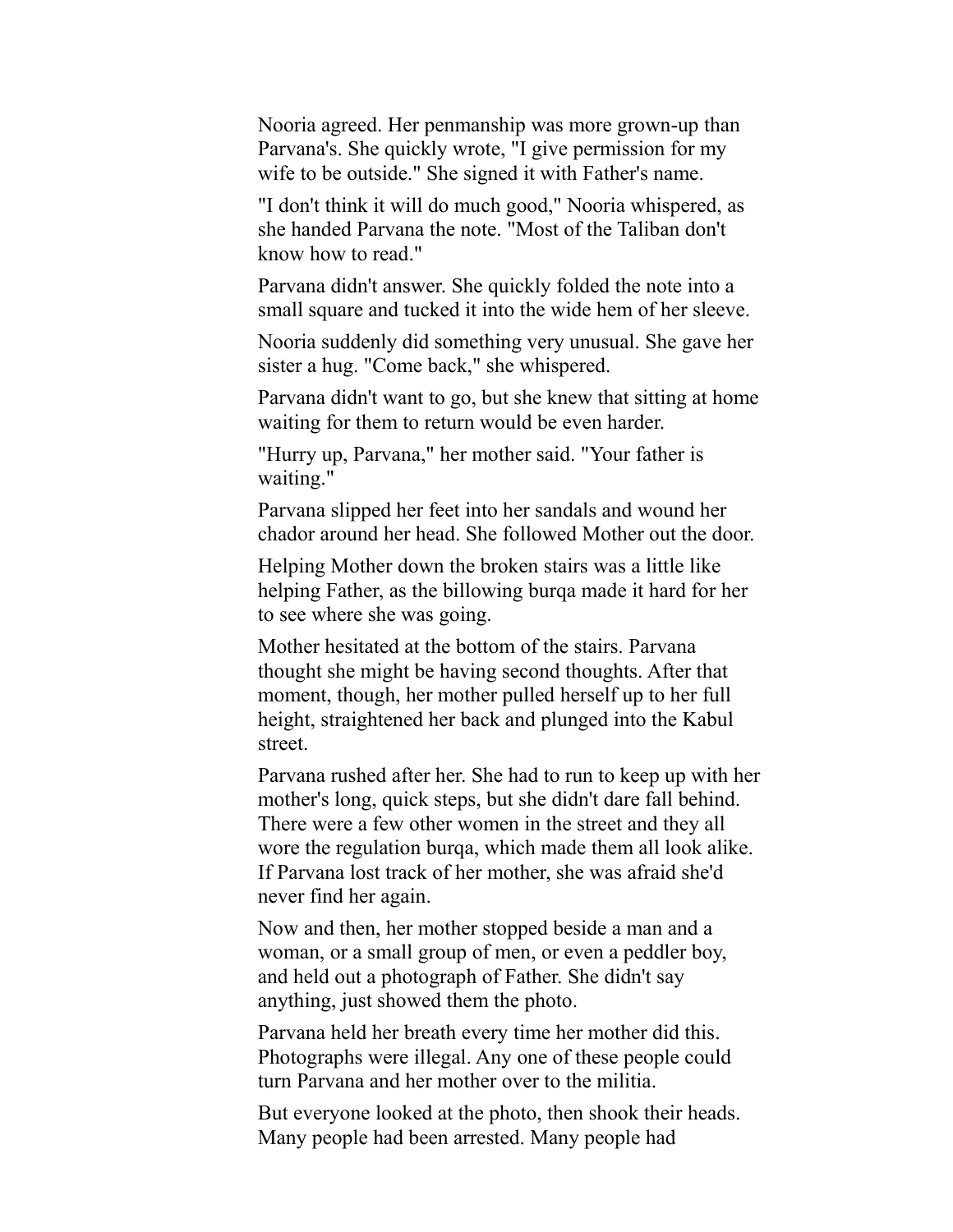Nooria agreed. Her penmanship was more grown-up than Parvana's. She quickly wrote, "I give permission for my wife to be outside." She signed it with Father's name.

"I don't think it will do much good," Nooria whispered, as she handed Parvana the note. "Most of the Taliban don't know how to read."

Parvana didn't answer. She quickly folded the note into a small square and tucked it into the wide hem of her sleeve.

Nooria suddenly did something very unusual. She gave her sister a hug. "Come back," she whispered.

Parvana didn't want to go, but she knew that sitting at home waiting for them to return would be even harder.

"Hurry up, Parvana," her mother said. "Your father is waiting."

Parvana slipped her feet into her sandals and wound her chador around her head. She followed Mother out the door.

Helping Mother down the broken stairs was a little like helping Father, as the billowing burqa made it hard for her to see where she was going.

Mother hesitated at the bottom of the stairs. Parvana thought she might be having second thoughts. After that moment, though, her mother pulled herself up to her full height, straightened her back and plunged into the Kabul street.

Parvana rushed after her. She had to run to keep up with her mother's long, quick steps, but she didn't dare fall behind. There were a few other women in the street and they all wore the regulation burqa, which made them all look alike. If Parvana lost track of her mother, she was afraid she'd never find her again.

Now and then, her mother stopped beside a man and a woman, or a small group of men, or even a peddler boy, and held out a photograph of Father. She didn't say anything, just showed them the photo.

Parvana held her breath every time her mother did this. Photographs were illegal. Any one of these people could turn Parvana and her mother over to the militia.

But everyone looked at the photo, then shook their heads. Many people had been arrested. Many people had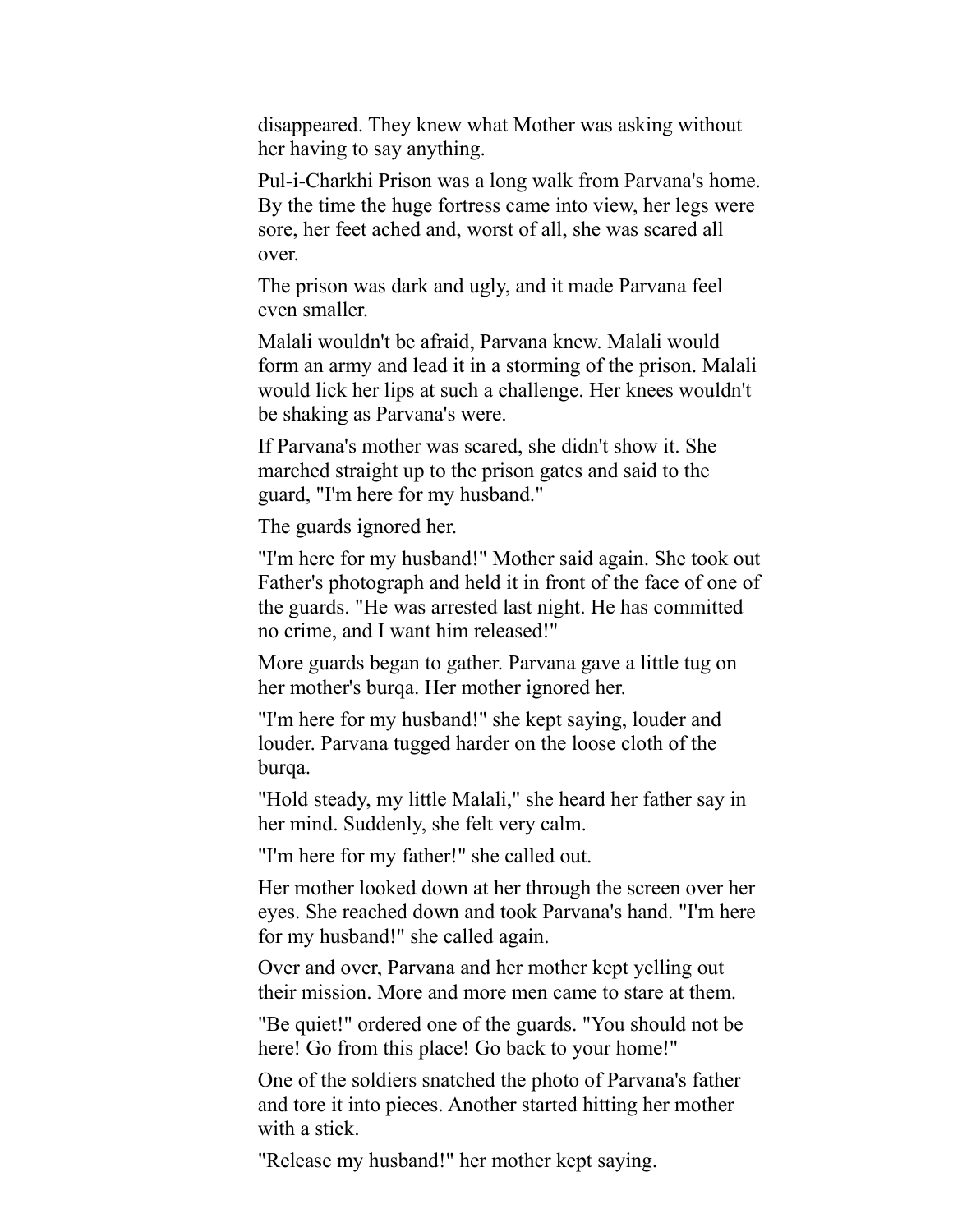disappeared. They knew what Mother was asking without her having to say anything.

Pul-i-Charkhi Prison was a long walk from Parvana's home. By the time the huge fortress came into view, her legs were sore, her feet ached and, worst of all, she was scared all over.

The prison was dark and ugly, and it made Parvana feel even smaller.

Malali wouldn't be afraid, Parvana knew. Malali would form an army and lead it in a storming of the prison. Malali would lick her lips at such a challenge. Her knees wouldn't be shaking as Parvana's were.

If Parvana's mother was scared, she didn't show it. She marched straight up to the prison gates and said to the guard, "I'm here for my husband."

The guards ignored her.

"I'm here for my husband!" Mother said again. She took out Father's photograph and held it in front of the face of one of the guards. "He was arrested last night. He has committed no crime, and I want him released!"

More guards began to gather. Parvana gave a little tug on her mother's burqa. Her mother ignored her.

"I'm here for my husband!" she kept saying, louder and louder. Parvana tugged harder on the loose cloth of the burqa.

"Hold steady, my little Malali," she heard her father say in her mind. Suddenly, she felt very calm.

"I'm here for my father!" she called out.

Her mother looked down at her through the screen over her eyes. She reached down and took Parvana's hand. "I'm here for my husband!" she called again.

Over and over, Parvana and her mother kept yelling out their mission. More and more men came to stare at them.

"Be quiet!" ordered one of the guards. "You should not be here! Go from this place! Go back to your home!"

One of the soldiers snatched the photo of Parvana's father and tore it into pieces. Another started hitting her mother with a stick.

"Release my husband!" her mother kept saying.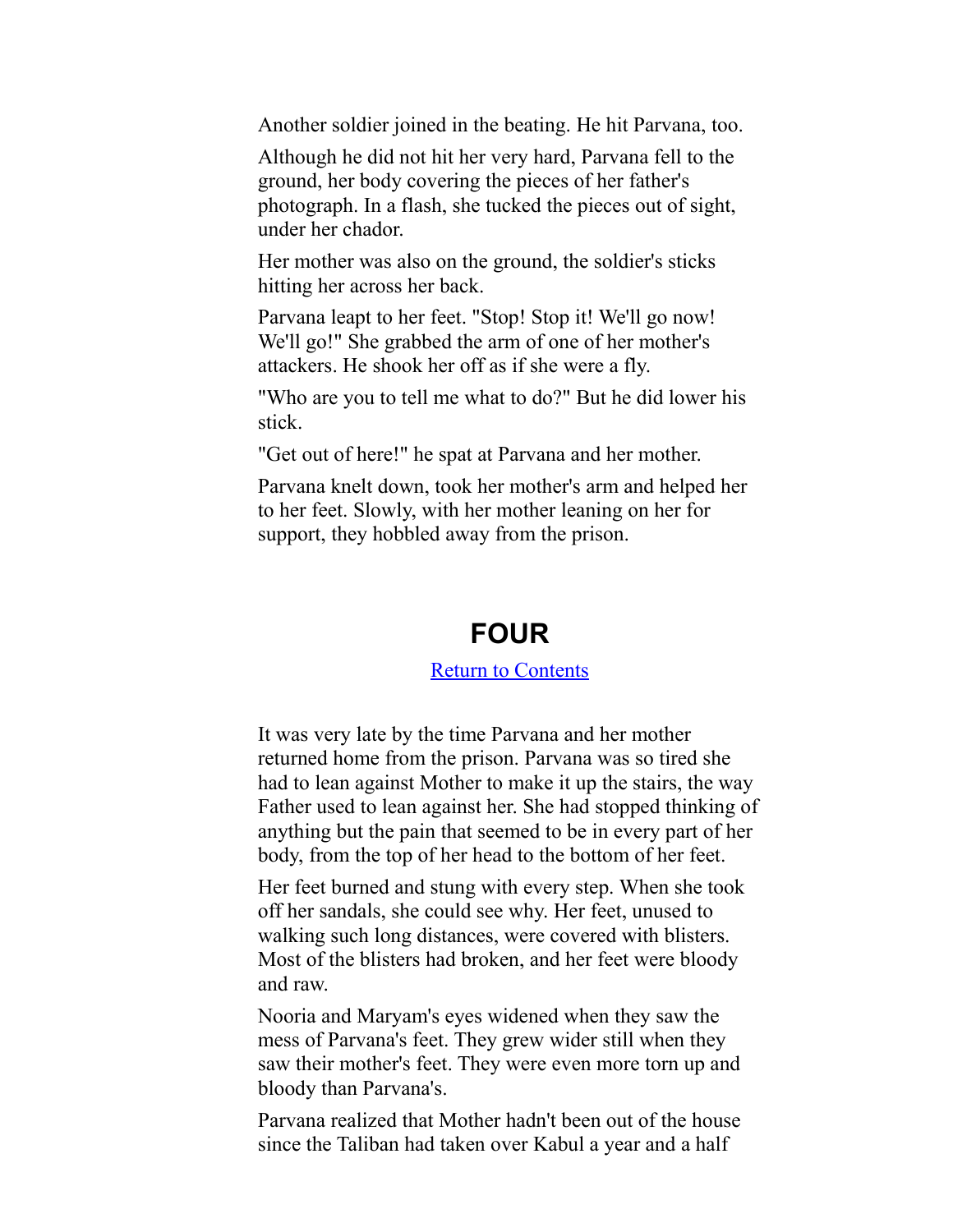Another soldier joined in the beating. He hit Parvana, too.

Although he did not hit her very hard, Parvana fell to the ground, her body covering the pieces of her father's photograph. In a flash, she tucked the pieces out of sight, under her chador.

Her mother was also on the ground, the soldier's sticks hitting her across her back.

Parvana leapt to her feet. "Stop! Stop it! We'll go now! We'll go!" She grabbed the arm of one of her mother's attackers. He shook her off as if she were a fly.

"Who are you to tell me what to do?" But he did lower his stick.

"Get out of here!" he spat at Parvana and her mother.

Parvana knelt down, took her mother's arm and helped her to her feet. Slowly, with her mother leaning on her for support, they hobbled away from the prison.

# <span id="page-22-0"></span>**FOUR**

#### [Return to Contents](#page-22-0)

It was very late by the time Parvana and her mother returned home from the prison. Parvana was so tired she had to lean against Mother to make it up the stairs, the way Father used to lean against her. She had stopped thinking of anything but the pain that seemed to be in every part of her body, from the top of her head to the bottom of her feet.

Her feet burned and stung with every step. When she took off her sandals, she could see why. Her feet, unused to walking such long distances, were covered with blisters. Most of the blisters had broken, and her feet were bloody and raw.

Nooria and Maryam's eyes widened when they saw the mess of Parvana's feet. They grew wider still when they saw their mother's feet. They were even more torn up and bloody than Parvana's.

Parvana realized that Mother hadn't been out of the house since the Taliban had taken over Kabul a year and a half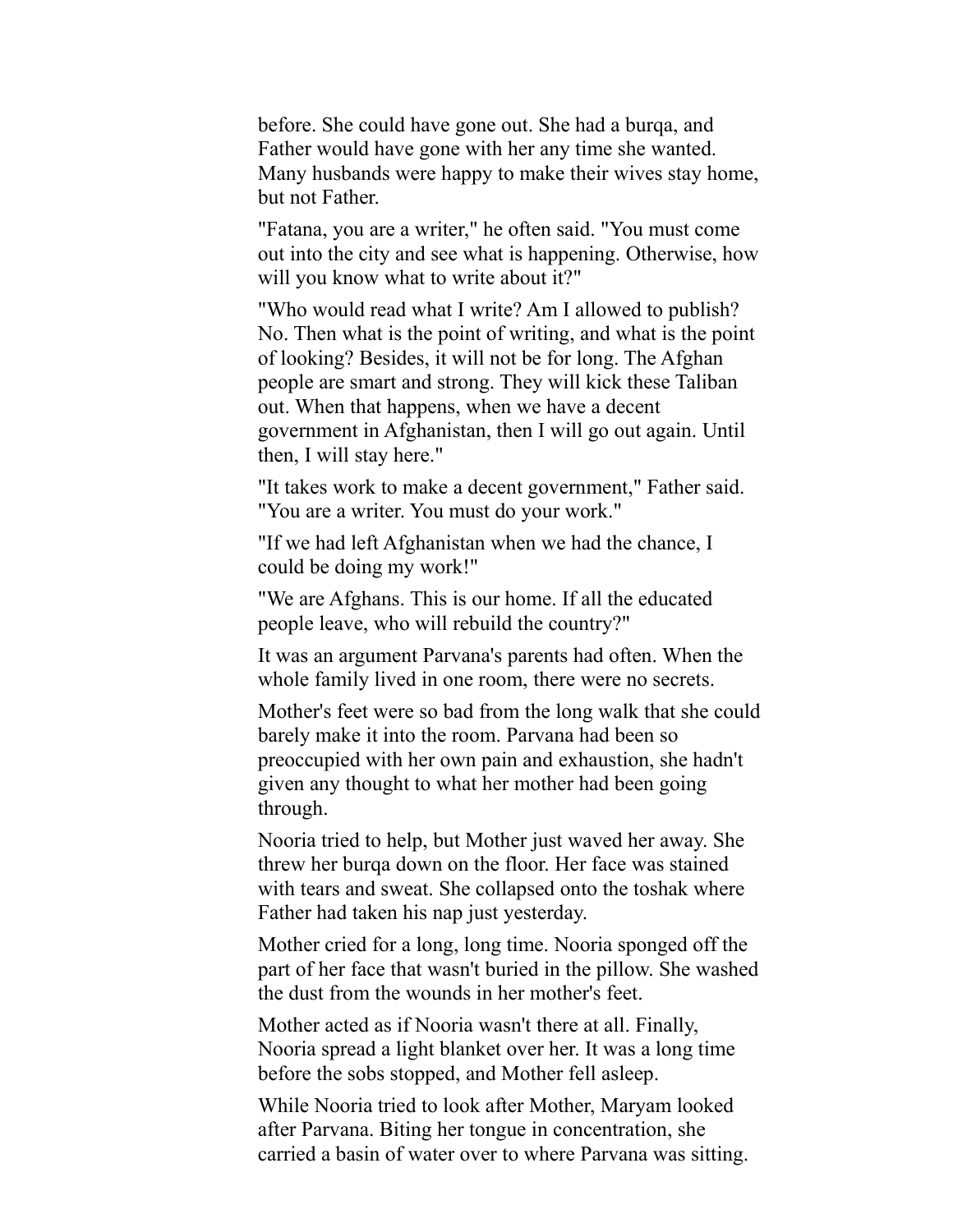before. She could have gone out. She had a burqa, and Father would have gone with her any time she wanted. Many husbands were happy to make their wives stay home, but not Father.

"Fatana, you are a writer," he often said. "You must come out into the city and see what is happening. Otherwise, how will you know what to write about it?"

"Who would read what I write? Am I allowed to publish? No. Then what is the point of writing, and what is the point of looking? Besides, it will not be for long. The Afghan people are smart and strong. They will kick these Taliban out. When that happens, when we have a decent government in Afghanistan, then I will go out again. Until then, I will stay here."

"It takes work to make a decent government," Father said. "You are a writer. You must do your work."

"If we had left Afghanistan when we had the chance, I could be doing my work!"

"We are Afghans. This is our home. If all the educated people leave, who will rebuild the country?"

It was an argument Parvana's parents had often. When the whole family lived in one room, there were no secrets.

Mother's feet were so bad from the long walk that she could barely make it into the room. Parvana had been so preoccupied with her own pain and exhaustion, she hadn't given any thought to what her mother had been going through.

Nooria tried to help, but Mother just waved her away. She threw her burqa down on the floor. Her face was stained with tears and sweat. She collapsed onto the toshak where Father had taken his nap just yesterday.

Mother cried for a long, long time. Nooria sponged off the part of her face that wasn't buried in the pillow. She washed the dust from the wounds in her mother's feet.

Mother acted as if Nooria wasn't there at all. Finally, Nooria spread a light blanket over her. It was a long time before the sobs stopped, and Mother fell asleep.

While Nooria tried to look after Mother, Maryam looked after Parvana. Biting her tongue in concentration, she carried a basin of water over to where Parvana was sitting.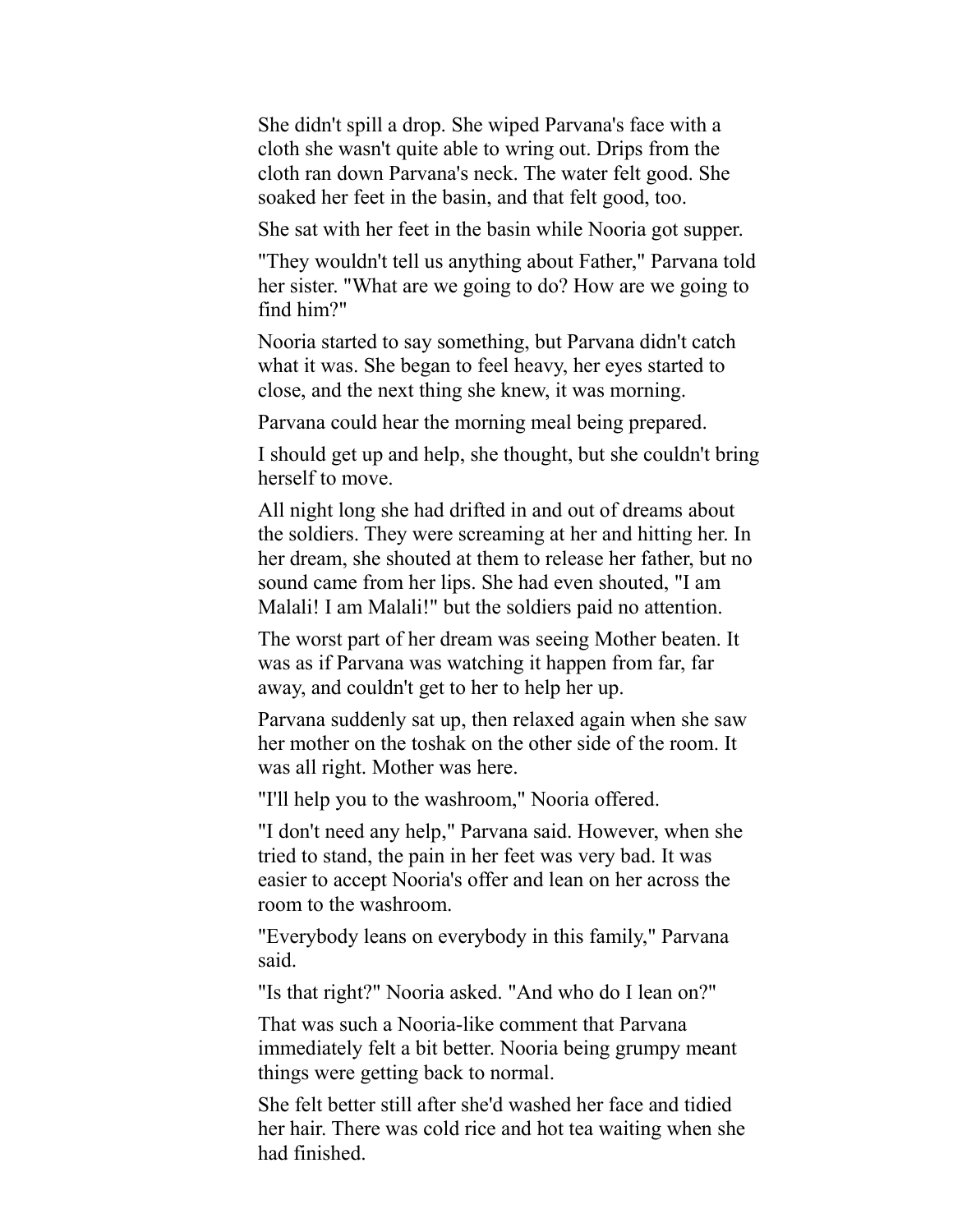She didn't spill a drop. She wiped Parvana's face with a cloth she wasn't quite able to wring out. Drips from the cloth ran down Parvana's neck. The water felt good. She soaked her feet in the basin, and that felt good, too.

She sat with her feet in the basin while Nooria got supper.

"They wouldn't tell us anything about Father," Parvana told her sister. "What are we going to do? How are we going to find him?"

Nooria started to say something, but Parvana didn't catch what it was. She began to feel heavy, her eyes started to close, and the next thing she knew, it was morning.

Parvana could hear the morning meal being prepared.

I should get up and help, she thought, but she couldn't bring herself to move.

All night long she had drifted in and out of dreams about the soldiers. They were screaming at her and hitting her. In her dream, she shouted at them to release her father, but no sound came from her lips. She had even shouted, "I am Malali! I am Malali!" but the soldiers paid no attention.

The worst part of her dream was seeing Mother beaten. It was as if Parvana was watching it happen from far, far away, and couldn't get to her to help her up.

Parvana suddenly sat up, then relaxed again when she saw her mother on the toshak on the other side of the room. It was all right. Mother was here.

"I'll help you to the washroom," Nooria offered.

"I don't need any help," Parvana said. However, when she tried to stand, the pain in her feet was very bad. It was easier to accept Nooria's offer and lean on her across the room to the washroom.

"Everybody leans on everybody in this family," Parvana said.

"Is that right?" Nooria asked. "And who do I lean on?"

That was such a Nooria-like comment that Parvana immediately felt a bit better. Nooria being grumpy meant things were getting back to normal.

She felt better still after she'd washed her face and tidied her hair. There was cold rice and hot tea waiting when she had finished.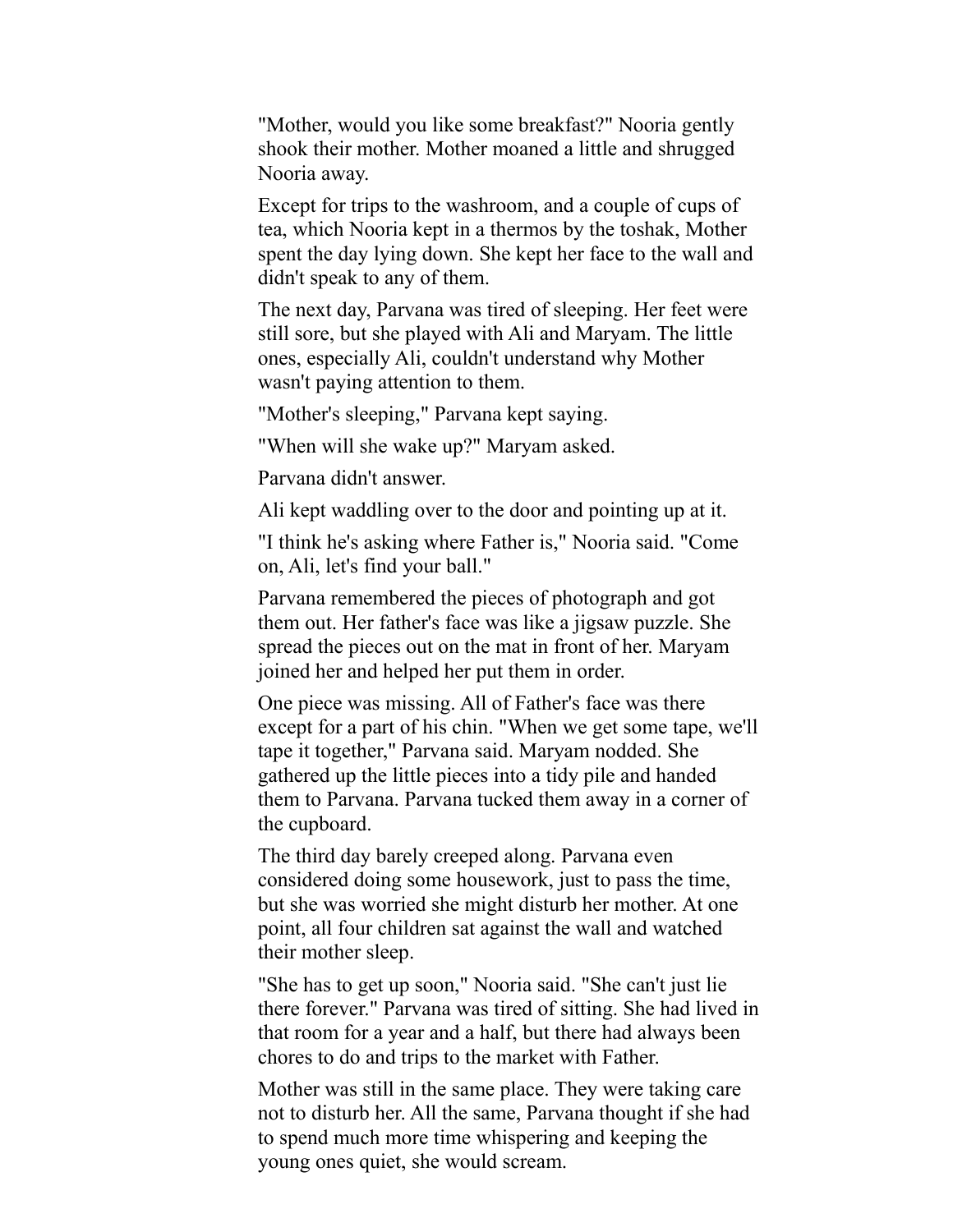"Mother, would you like some breakfast?" Nooria gently shook their mother. Mother moaned a little and shrugged Nooria away.

Except for trips to the washroom, and a couple of cups of tea, which Nooria kept in a thermos by the toshak, Mother spent the day lying down. She kept her face to the wall and didn't speak to any of them.

The next day, Parvana was tired of sleeping. Her feet were still sore, but she played with Ali and Maryam. The little ones, especially Ali, couldn't understand why Mother wasn't paying attention to them.

"Mother's sleeping," Parvana kept saying.

"When will she wake up?" Maryam asked.

Parvana didn't answer.

Ali kept waddling over to the door and pointing up at it.

"I think he's asking where Father is," Nooria said. "Come on, Ali, let's find your ball."

Parvana remembered the pieces of photograph and got them out. Her father's face was like a jigsaw puzzle. She spread the pieces out on the mat in front of her. Maryam joined her and helped her put them in order.

One piece was missing. All of Father's face was there except for a part of his chin. "When we get some tape, we'll tape it together," Parvana said. Maryam nodded. She gathered up the little pieces into a tidy pile and handed them to Parvana. Parvana tucked them away in a corner of the cupboard.

The third day barely creeped along. Parvana even considered doing some housework, just to pass the time, but she was worried she might disturb her mother. At one point, all four children sat against the wall and watched their mother sleep.

"She has to get up soon," Nooria said. "She can't just lie there forever." Parvana was tired of sitting. She had lived in that room for a year and a half, but there had always been chores to do and trips to the market with Father.

Mother was still in the same place. They were taking care not to disturb her. All the same, Parvana thought if she had to spend much more time whispering and keeping the young ones quiet, she would scream.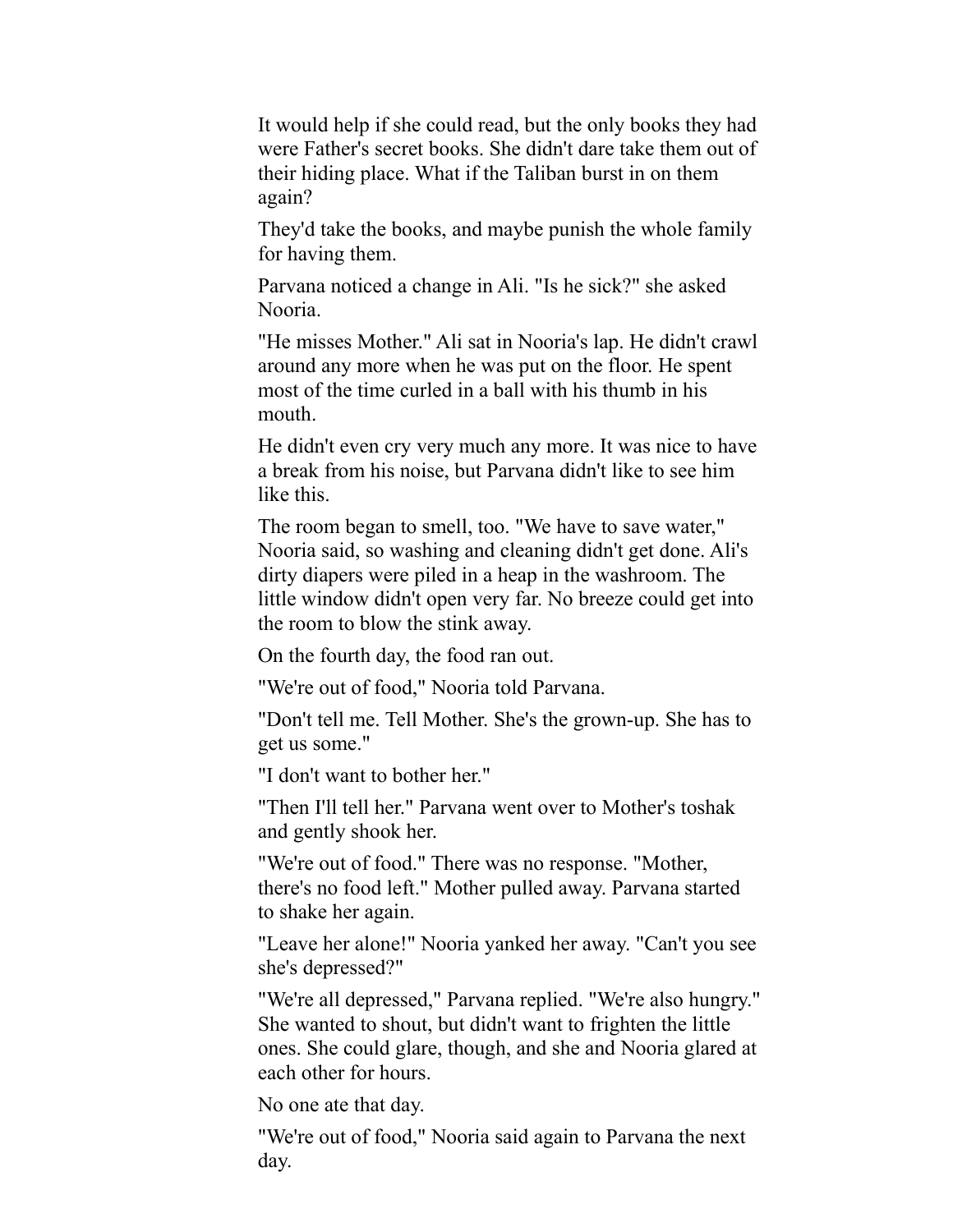It would help if she could read, but the only books they had were Father's secret books. She didn't dare take them out of their hiding place. What if the Taliban burst in on them again?

They'd take the books, and maybe punish the whole family for having them.

Parvana noticed a change in Ali. "Is he sick?" she asked Nooria.

"He misses Mother." Ali sat in Nooria's lap. He didn't crawl around any more when he was put on the floor. He spent most of the time curled in a ball with his thumb in his mouth.

He didn't even cry very much any more. It was nice to have a break from his noise, but Parvana didn't like to see him like this.

The room began to smell, too. "We have to save water," Nooria said, so washing and cleaning didn't get done. Ali's dirty diapers were piled in a heap in the washroom. The little window didn't open very far. No breeze could get into the room to blow the stink away.

On the fourth day, the food ran out.

"We're out of food," Nooria told Parvana.

"Don't tell me. Tell Mother. She's the grown-up. She has to get us some."

"I don't want to bother her."

"Then I'll tell her." Parvana went over to Mother's toshak and gently shook her.

"We're out of food." There was no response. "Mother, there's no food left." Mother pulled away. Parvana started to shake her again.

"Leave her alone!" Nooria yanked her away. "Can't you see she's depressed?"

"We're all depressed," Parvana replied. "We're also hungry." She wanted to shout, but didn't want to frighten the little ones. She could glare, though, and she and Nooria glared at each other for hours.

No one ate that day.

"We're out of food," Nooria said again to Parvana the next day.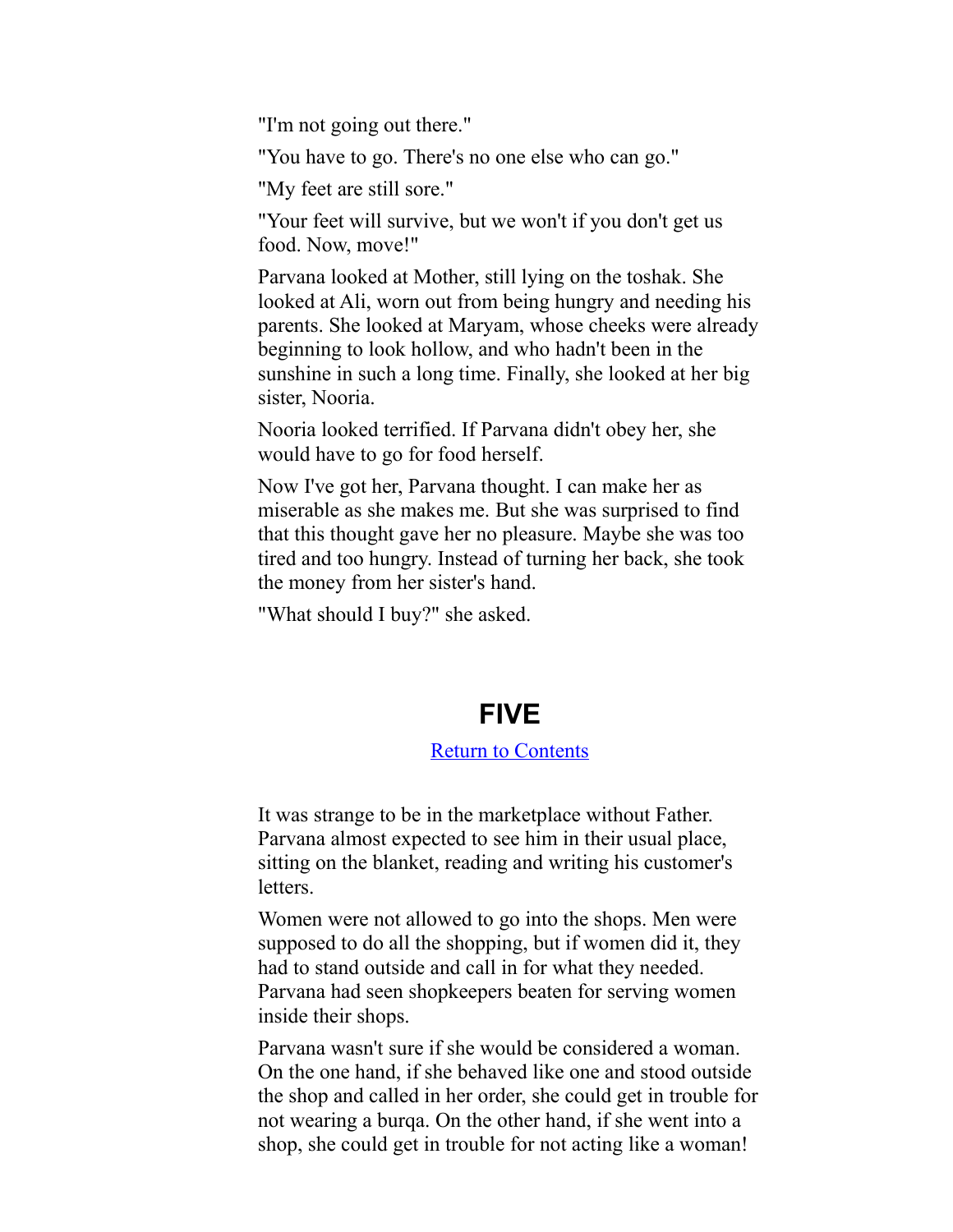"I'm not going out there."

"You have to go. There's no one else who can go."

"My feet are still sore."

"Your feet will survive, but we won't if you don't get us food. Now, move!"

Parvana looked at Mother, still lying on the toshak. She looked at Ali, worn out from being hungry and needing his parents. She looked at Maryam, whose cheeks were already beginning to look hollow, and who hadn't been in the sunshine in such a long time. Finally, she looked at her big sister, Nooria.

Nooria looked terrified. If Parvana didn't obey her, she would have to go for food herself.

Now I've got her, Parvana thought. I can make her as miserable as she makes me. But she was surprised to find that this thought gave her no pleasure. Maybe she was too tired and too hungry. Instead of turning her back, she took the money from her sister's hand.

"What should I buy?" she asked.

## <span id="page-27-0"></span>**FIVE**

#### [Return to Contents](#page-27-0)

It was strange to be in the marketplace without Father. Parvana almost expected to see him in their usual place, sitting on the blanket, reading and writing his customer's **letters** 

Women were not allowed to go into the shops. Men were supposed to do all the shopping, but if women did it, they had to stand outside and call in for what they needed. Parvana had seen shopkeepers beaten for serving women inside their shops.

Parvana wasn't sure if she would be considered a woman. On the one hand, if she behaved like one and stood outside the shop and called in her order, she could get in trouble for not wearing a burqa. On the other hand, if she went into a shop, she could get in trouble for not acting like a woman!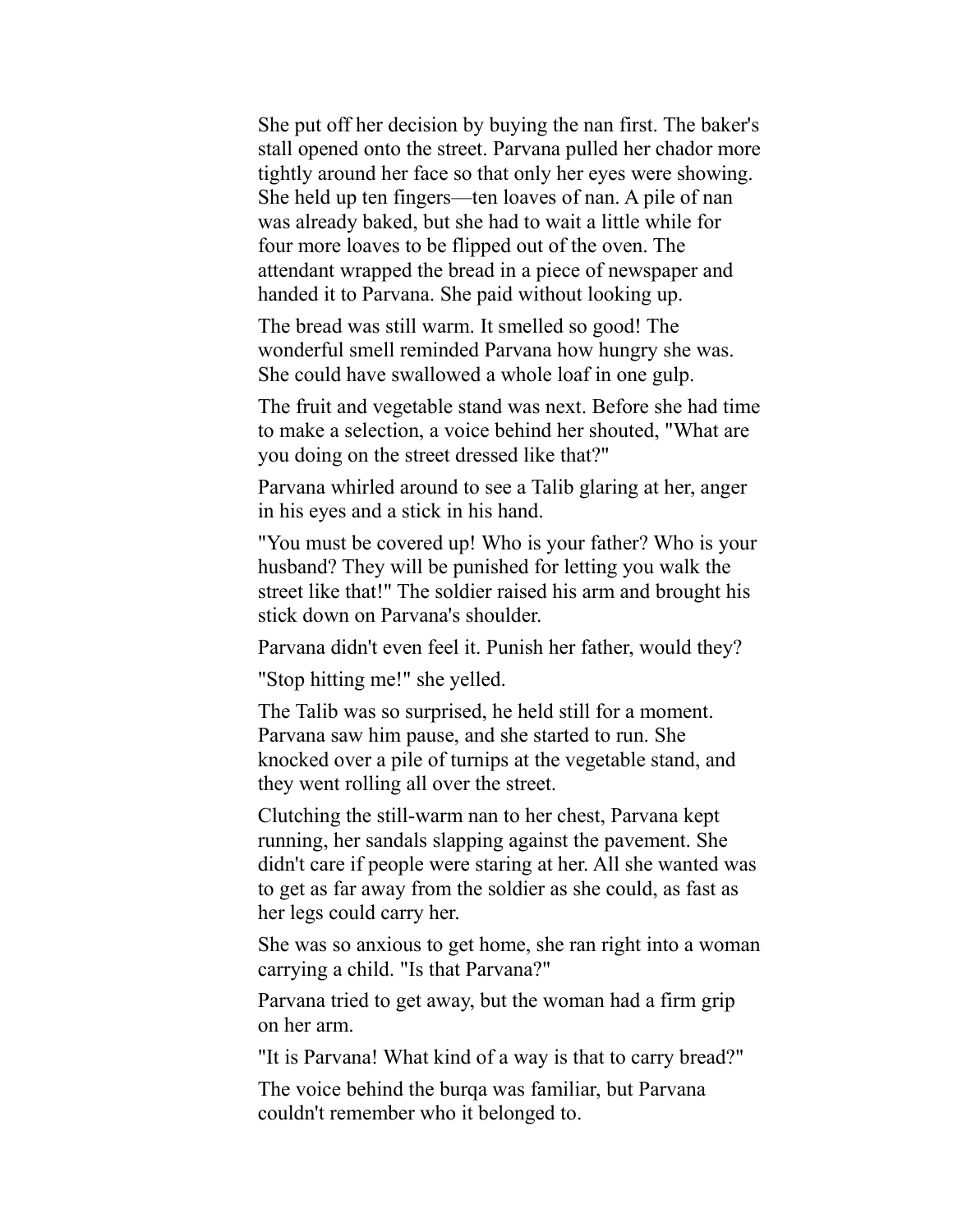She put off her decision by buying the nan first. The baker's stall opened onto the street. Parvana pulled her chador more tightly around her face so that only her eyes were showing. She held up ten fingers—ten loaves of nan. A pile of nan was already baked, but she had to wait a little while for four more loaves to be flipped out of the oven. The attendant wrapped the bread in a piece of newspaper and handed it to Parvana. She paid without looking up.

The bread was still warm. It smelled so good! The wonderful smell reminded Parvana how hungry she was. She could have swallowed a whole loaf in one gulp.

The fruit and vegetable stand was next. Before she had time to make a selection, a voice behind her shouted, "What are you doing on the street dressed like that?"

Parvana whirled around to see a Talib glaring at her, anger in his eyes and a stick in his hand.

"You must be covered up! Who is your father? Who is your husband? They will be punished for letting you walk the street like that!" The soldier raised his arm and brought his stick down on Parvana's shoulder.

Parvana didn't even feel it. Punish her father, would they?

"Stop hitting me!" she yelled.

The Talib was so surprised, he held still for a moment. Parvana saw him pause, and she started to run. She knocked over a pile of turnips at the vegetable stand, and they went rolling all over the street.

Clutching the still-warm nan to her chest, Parvana kept running, her sandals slapping against the pavement. She didn't care if people were staring at her. All she wanted was to get as far away from the soldier as she could, as fast as her legs could carry her.

She was so anxious to get home, she ran right into a woman carrying a child. "Is that Parvana?"

Parvana tried to get away, but the woman had a firm grip on her arm.

"It is Parvana! What kind of a way is that to carry bread?"

The voice behind the burqa was familiar, but Parvana couldn't remember who it belonged to.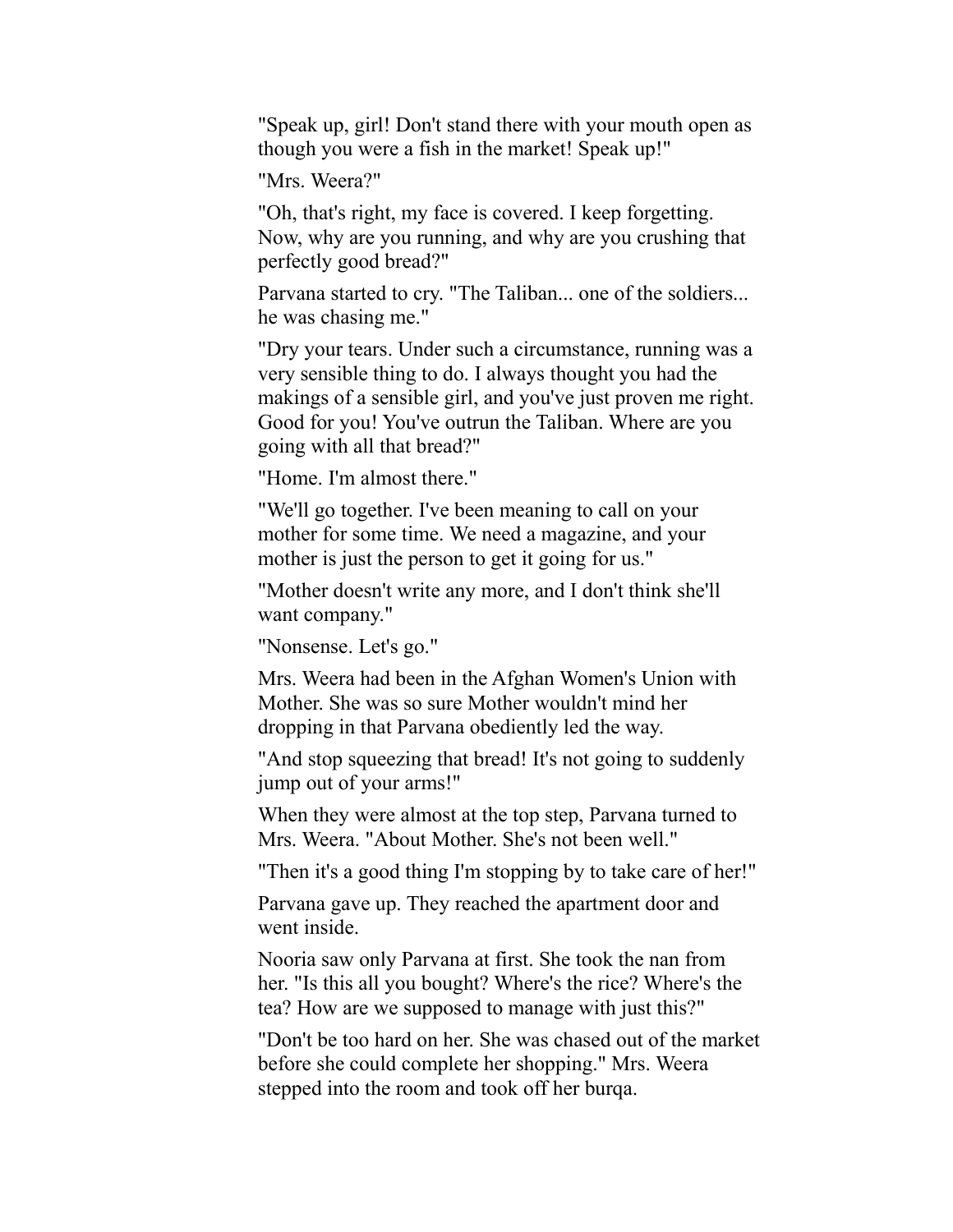"Speak up, girl! Don't stand there with your mouth open as though you were a fish in the market! Speak up!"

"Mrs. Weera?"

"Oh, that's right, my face is covered. I keep forgetting. Now, why are you running, and why are you crushing that perfectly good bread?"

Parvana started to cry. "The Taliban... one of the soldiers... he was chasing me."

"Dry your tears. Under such a circumstance, running was a very sensible thing to do. I always thought you had the makings of a sensible girl, and you've just proven me right. Good for you! You've outrun the Taliban. Where are you going with all that bread?"

"Home. I'm almost there."

"We'll go together. I've been meaning to call on your mother for some time. We need a magazine, and your mother is just the person to get it going for us."

"Mother doesn't write any more, and I don't think she'll want company."

"Nonsense. Let's go."

Mrs. Weera had been in the Afghan Women's Union with Mother. She was so sure Mother wouldn't mind her dropping in that Parvana obediently led the way.

"And stop squeezing that bread! It's not going to suddenly jump out of your arms!"

When they were almost at the top step, Parvana turned to Mrs. Weera. "About Mother. She's not been well."

"Then it's a good thing I'm stopping by to take care of her!"

Parvana gave up. They reached the apartment door and went inside.

Nooria saw only Parvana at first. She took the nan from her. "Is this all you bought? Where's the rice? Where's the tea? How are we supposed to manage with just this?"

"Don't be too hard on her. She was chased out of the market before she could complete her shopping." Mrs. Weera stepped into the room and took off her burqa.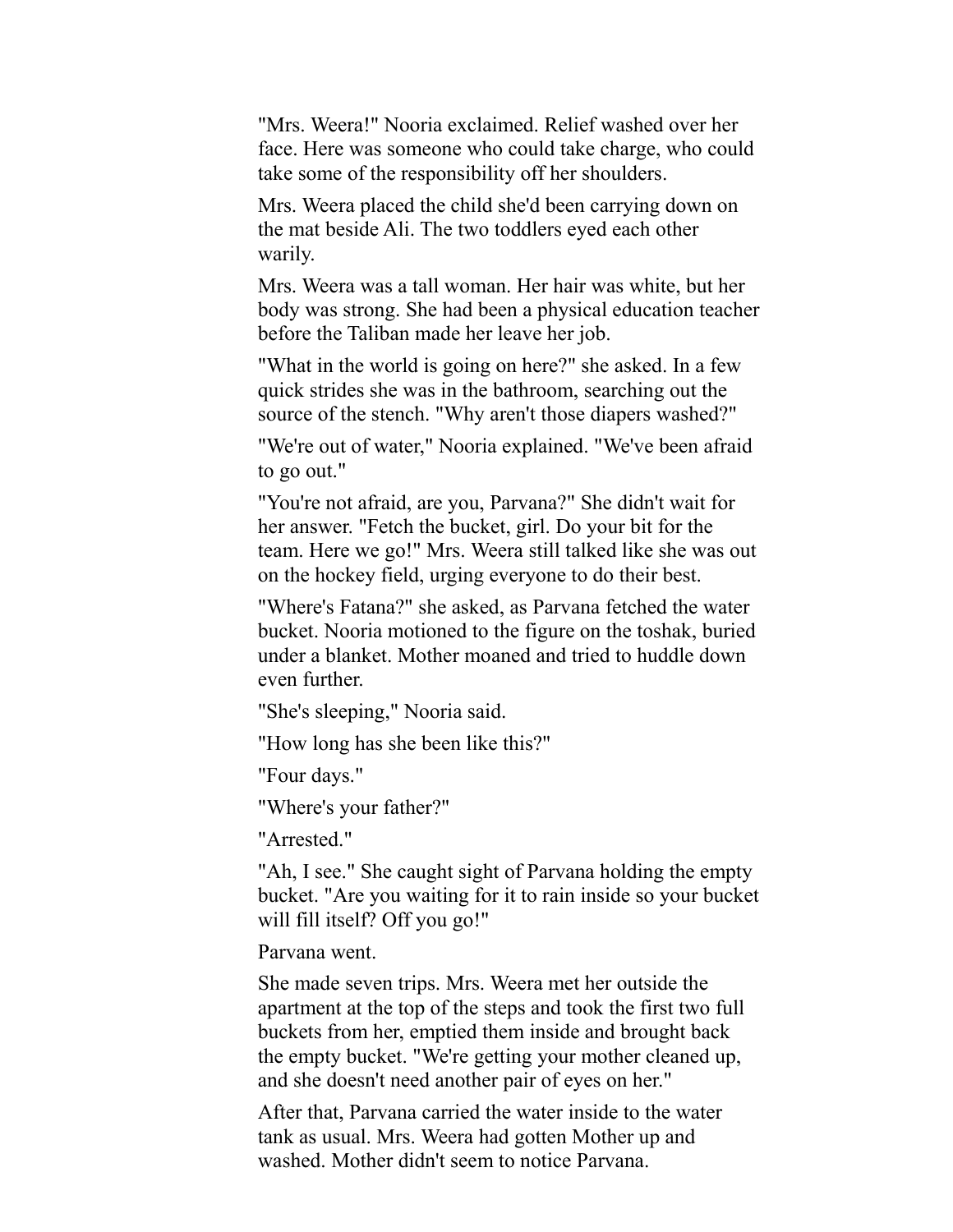"Mrs. Weera!" Nooria exclaimed. Relief washed over her face. Here was someone who could take charge, who could take some of the responsibility off her shoulders.

Mrs. Weera placed the child she'd been carrying down on the mat beside Ali. The two toddlers eyed each other warily.

Mrs. Weera was a tall woman. Her hair was white, but her body was strong. She had been a physical education teacher before the Taliban made her leave her job.

"What in the world is going on here?" she asked. In a few quick strides she was in the bathroom, searching out the source of the stench. "Why aren't those diapers washed?"

"We're out of water," Nooria explained. "We've been afraid to go out."

"You're not afraid, are you, Parvana?" She didn't wait for her answer. "Fetch the bucket, girl. Do your bit for the team. Here we go!" Mrs. Weera still talked like she was out on the hockey field, urging everyone to do their best.

"Where's Fatana?" she asked, as Parvana fetched the water bucket. Nooria motioned to the figure on the toshak, buried under a blanket. Mother moaned and tried to huddle down even further.

"She's sleeping," Nooria said.

"How long has she been like this?"

"Four days."

"Where's your father?"

"Arrested."

"Ah, I see." She caught sight of Parvana holding the empty bucket. "Are you waiting for it to rain inside so your bucket will fill itself? Off you go!"

Parvana went.

She made seven trips. Mrs. Weera met her outside the apartment at the top of the steps and took the first two full buckets from her, emptied them inside and brought back the empty bucket. "We're getting your mother cleaned up, and she doesn't need another pair of eyes on her."

After that, Parvana carried the water inside to the water tank as usual. Mrs. Weera had gotten Mother up and washed. Mother didn't seem to notice Parvana.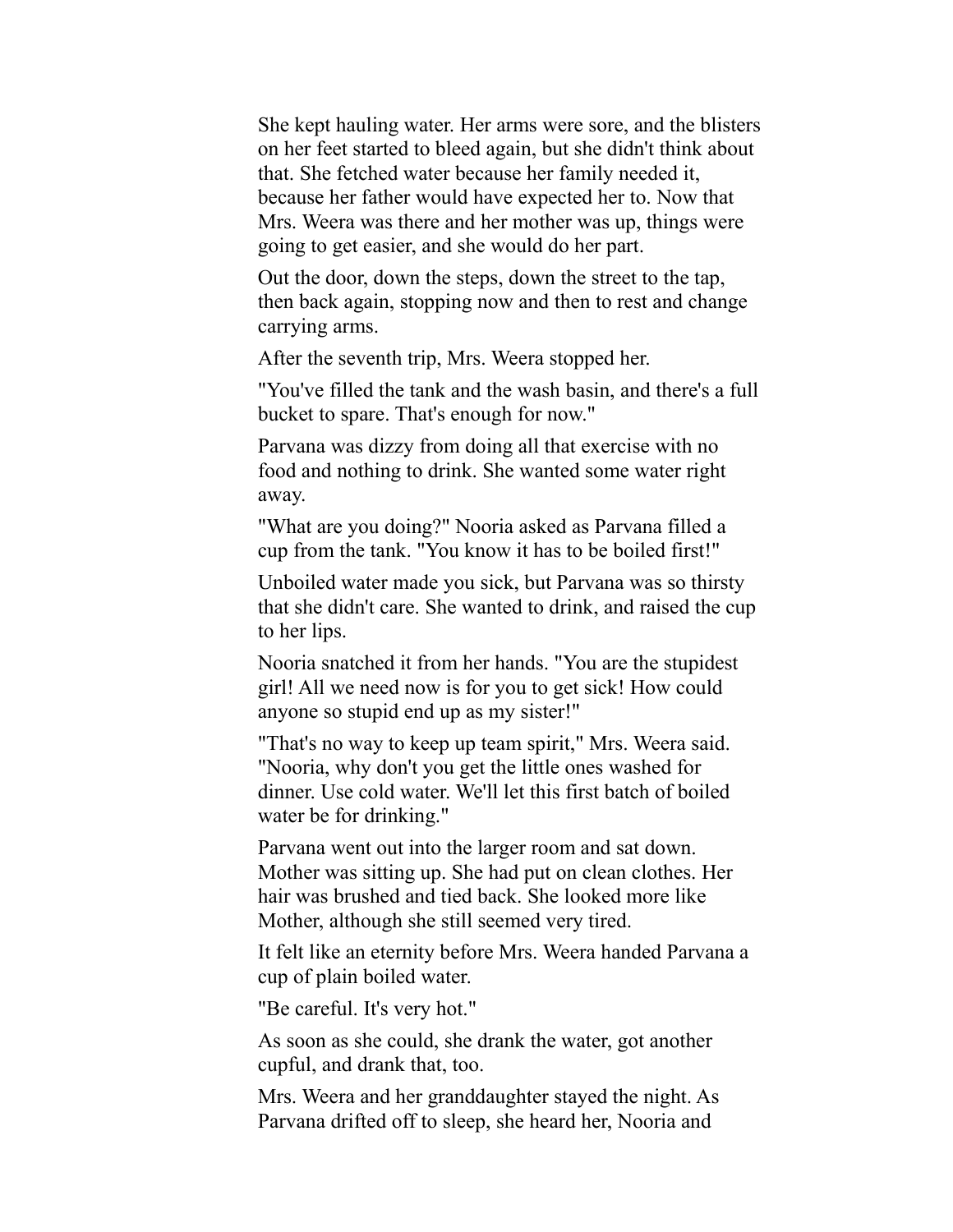She kept hauling water. Her arms were sore, and the blisters on her feet started to bleed again, but she didn't think about that. She fetched water because her family needed it, because her father would have expected her to. Now that Mrs. Weera was there and her mother was up, things were going to get easier, and she would do her part.

Out the door, down the steps, down the street to the tap, then back again, stopping now and then to rest and change carrying arms.

After the seventh trip, Mrs. Weera stopped her.

"You've filled the tank and the wash basin, and there's a full bucket to spare. That's enough for now."

Parvana was dizzy from doing all that exercise with no food and nothing to drink. She wanted some water right away.

"What are you doing?" Nooria asked as Parvana filled a cup from the tank. "You know it has to be boiled first!"

Unboiled water made you sick, but Parvana was so thirsty that she didn't care. She wanted to drink, and raised the cup to her lips.

Nooria snatched it from her hands. "You are the stupidest girl! All we need now is for you to get sick! How could anyone so stupid end up as my sister!"

"That's no way to keep up team spirit," Mrs. Weera said. "Nooria, why don't you get the little ones washed for dinner. Use cold water. We'll let this first batch of boiled water be for drinking."

Parvana went out into the larger room and sat down. Mother was sitting up. She had put on clean clothes. Her hair was brushed and tied back. She looked more like Mother, although she still seemed very tired.

It felt like an eternity before Mrs. Weera handed Parvana a cup of plain boiled water.

"Be careful. It's very hot."

As soon as she could, she drank the water, got another cupful, and drank that, too.

Mrs. Weera and her granddaughter stayed the night. As Parvana drifted off to sleep, she heard her, Nooria and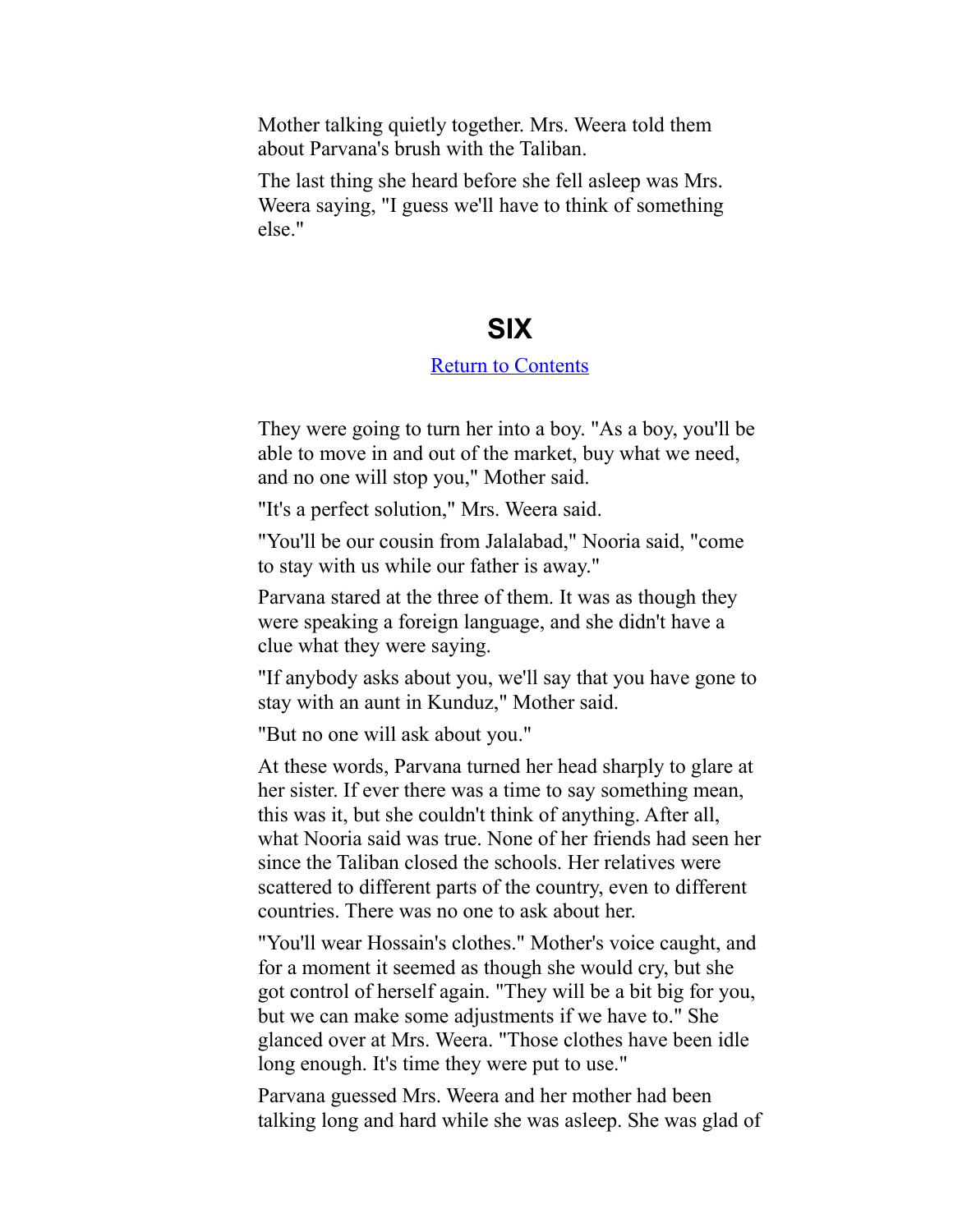Mother talking quietly together. Mrs. Weera told them about Parvana's brush with the Taliban.

The last thing she heard before she fell asleep was Mrs. Weera saying, "I guess we'll have to think of something else."

### <span id="page-32-0"></span>**SIX**

#### [Return to Contents](#page-32-0)

They were going to turn her into a boy. "As a boy, you'll be able to move in and out of the market, buy what we need, and no one will stop you," Mother said.

"It's a perfect solution," Mrs. Weera said.

"You'll be our cousin from Jalalabad," Nooria said, "come to stay with us while our father is away."

Parvana stared at the three of them. It was as though they were speaking a foreign language, and she didn't have a clue what they were saying.

"If anybody asks about you, we'll say that you have gone to stay with an aunt in Kunduz," Mother said.

"But no one will ask about you."

At these words, Parvana turned her head sharply to glare at her sister. If ever there was a time to say something mean, this was it, but she couldn't think of anything. After all, what Nooria said was true. None of her friends had seen her since the Taliban closed the schools. Her relatives were scattered to different parts of the country, even to different countries. There was no one to ask about her.

"You'll wear Hossain's clothes." Mother's voice caught, and for a moment it seemed as though she would cry, but she got control of herself again. "They will be a bit big for you, but we can make some adjustments if we have to." She glanced over at Mrs. Weera. "Those clothes have been idle long enough. It's time they were put to use."

Parvana guessed Mrs. Weera and her mother had been talking long and hard while she was asleep. She was glad of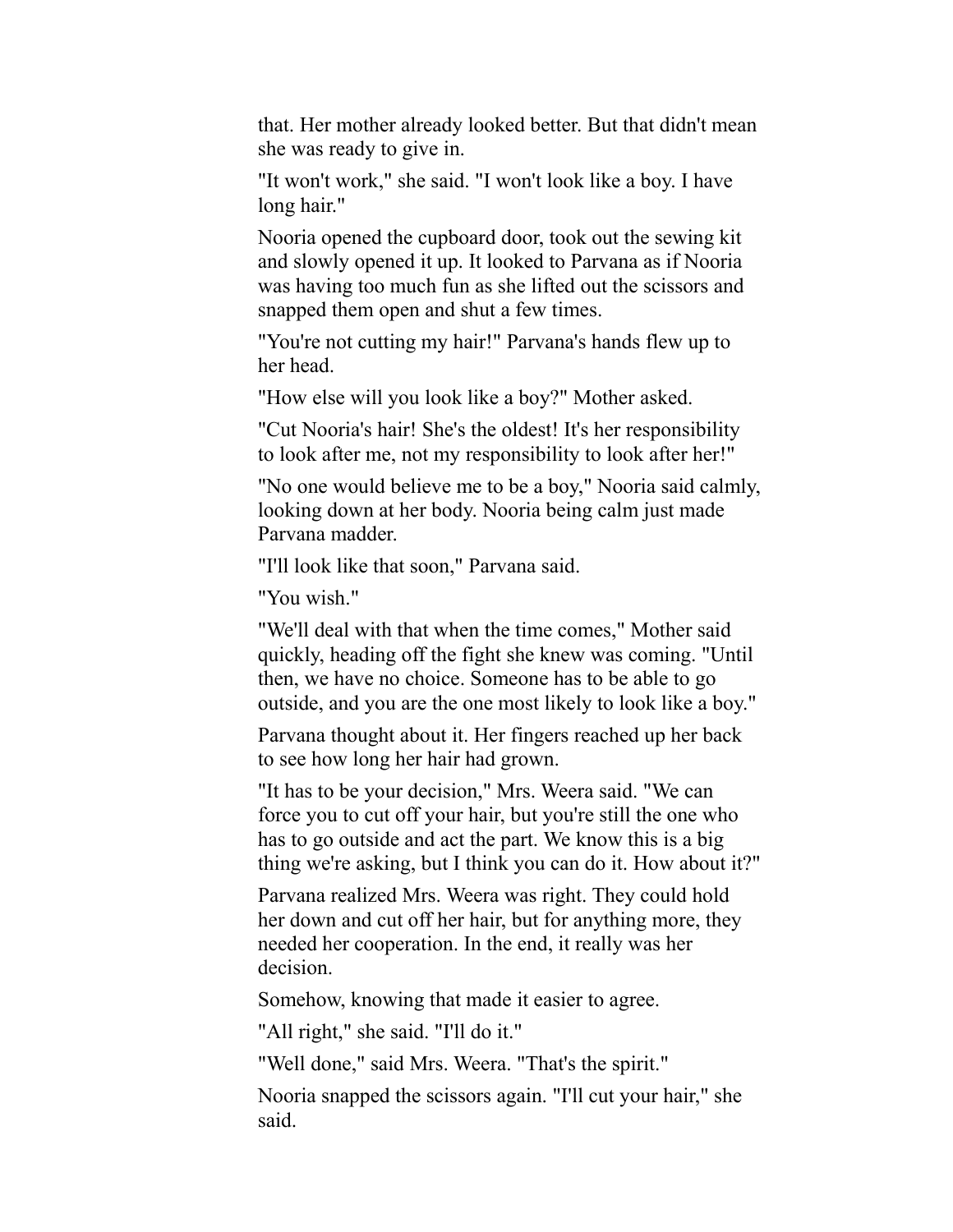that. Her mother already looked better. But that didn't mean she was ready to give in.

"It won't work," she said. "I won't look like a boy. I have long hair."

Nooria opened the cupboard door, took out the sewing kit and slowly opened it up. It looked to Parvana as if Nooria was having too much fun as she lifted out the scissors and snapped them open and shut a few times.

"You're not cutting my hair!" Parvana's hands flew up to her head.

"How else will you look like a boy?" Mother asked.

"Cut Nooria's hair! She's the oldest! It's her responsibility to look after me, not my responsibility to look after her!"

"No one would believe me to be a boy," Nooria said calmly, looking down at her body. Nooria being calm just made Parvana madder.

"I'll look like that soon," Parvana said.

"You wish."

"We'll deal with that when the time comes," Mother said quickly, heading off the fight she knew was coming. "Until then, we have no choice. Someone has to be able to go outside, and you are the one most likely to look like a boy."

Parvana thought about it. Her fingers reached up her back to see how long her hair had grown.

"It has to be your decision," Mrs. Weera said. "We can force you to cut off your hair, but you're still the one who has to go outside and act the part. We know this is a big thing we're asking, but I think you can do it. How about it?"

Parvana realized Mrs. Weera was right. They could hold her down and cut off her hair, but for anything more, they needed her cooperation. In the end, it really was her decision.

Somehow, knowing that made it easier to agree.

"All right," she said. "I'll do it."

"Well done," said Mrs. Weera. "That's the spirit."

Nooria snapped the scissors again. "I'll cut your hair," she said.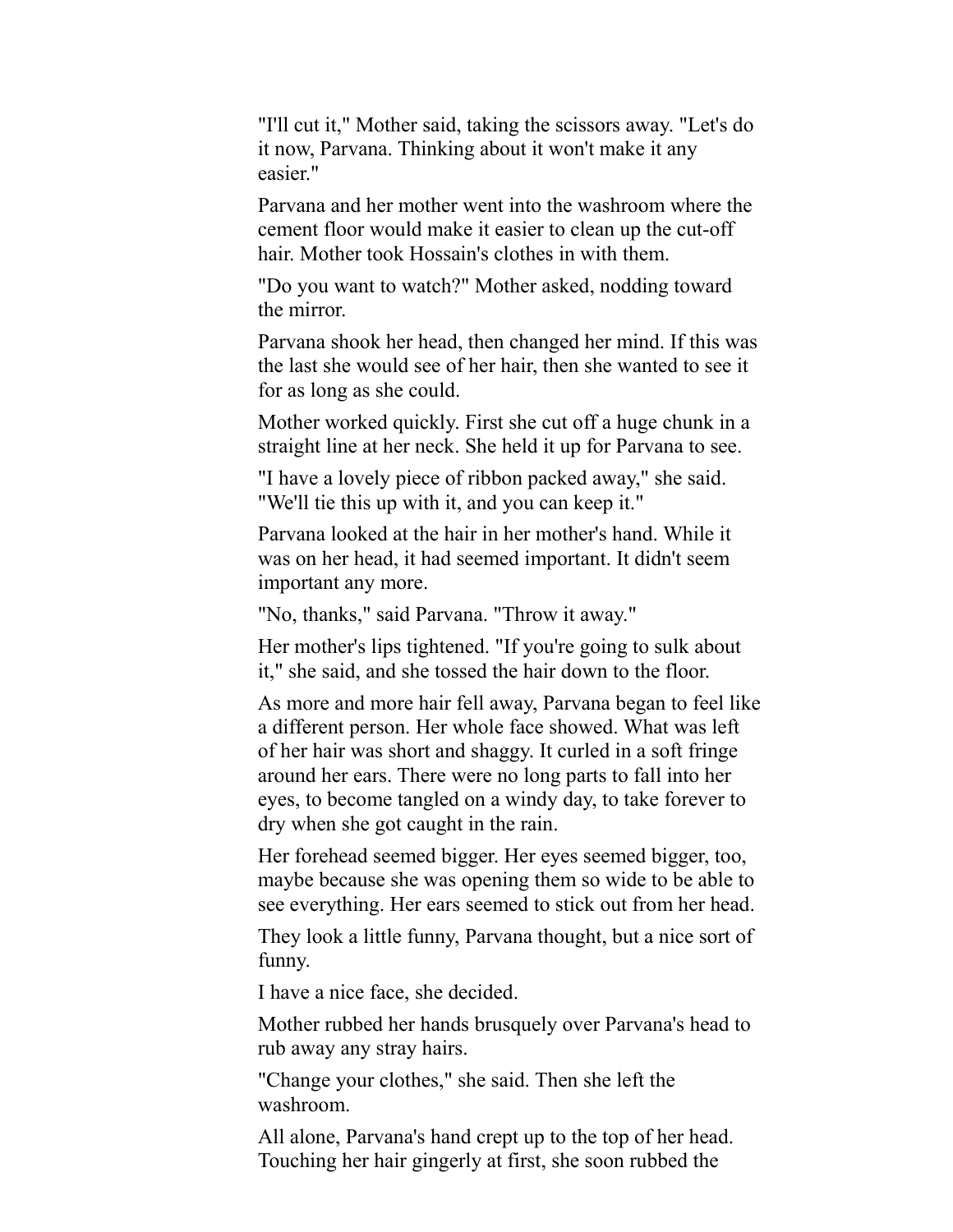"I'll cut it," Mother said, taking the scissors away. "Let's do it now, Parvana. Thinking about it won't make it any easier."

Parvana and her mother went into the washroom where the cement floor would make it easier to clean up the cut-off hair. Mother took Hossain's clothes in with them.

"Do you want to watch?" Mother asked, nodding toward the mirror.

Parvana shook her head, then changed her mind. If this was the last she would see of her hair, then she wanted to see it for as long as she could.

Mother worked quickly. First she cut off a huge chunk in a straight line at her neck. She held it up for Parvana to see.

"I have a lovely piece of ribbon packed away," she said. "We'll tie this up with it, and you can keep it."

Parvana looked at the hair in her mother's hand. While it was on her head, it had seemed important. It didn't seem important any more.

"No, thanks," said Parvana. "Throw it away."

Her mother's lips tightened. "If you're going to sulk about it," she said, and she tossed the hair down to the floor.

As more and more hair fell away, Parvana began to feel like a different person. Her whole face showed. What was left of her hair was short and shaggy. It curled in a soft fringe around her ears. There were no long parts to fall into her eyes, to become tangled on a windy day, to take forever to dry when she got caught in the rain.

Her forehead seemed bigger. Her eyes seemed bigger, too, maybe because she was opening them so wide to be able to see everything. Her ears seemed to stick out from her head.

They look a little funny, Parvana thought, but a nice sort of funny.

I have a nice face, she decided.

Mother rubbed her hands brusquely over Parvana's head to rub away any stray hairs.

"Change your clothes," she said. Then she left the washroom.

All alone, Parvana's hand crept up to the top of her head. Touching her hair gingerly at first, she soon rubbed the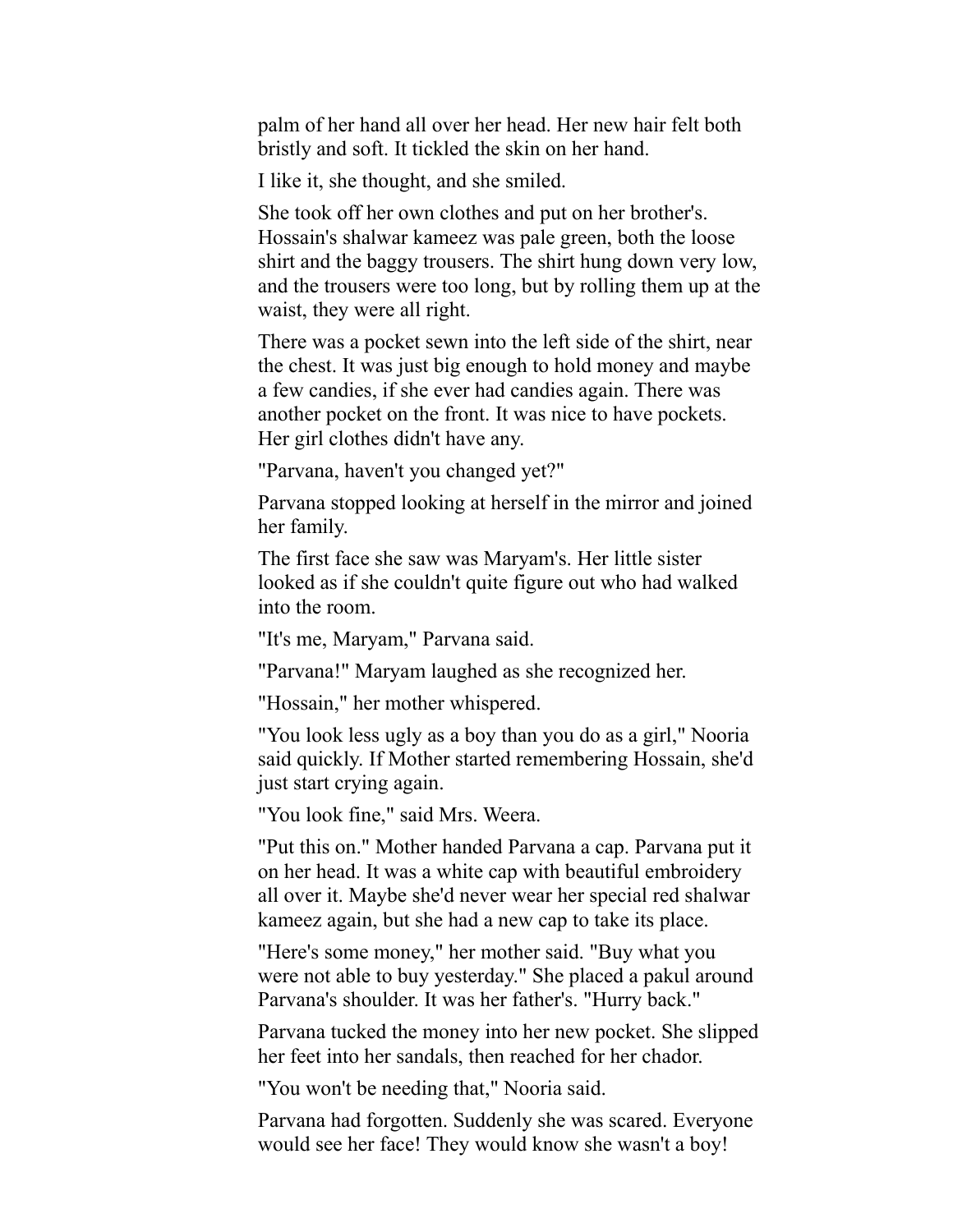palm of her hand all over her head. Her new hair felt both bristly and soft. It tickled the skin on her hand.

I like it, she thought, and she smiled.

She took off her own clothes and put on her brother's. Hossain's shalwar kameez was pale green, both the loose shirt and the baggy trousers. The shirt hung down very low, and the trousers were too long, but by rolling them up at the waist, they were all right.

There was a pocket sewn into the left side of the shirt, near the chest. It was just big enough to hold money and maybe a few candies, if she ever had candies again. There was another pocket on the front. It was nice to have pockets. Her girl clothes didn't have any.

"Parvana, haven't you changed yet?"

Parvana stopped looking at herself in the mirror and joined her family.

The first face she saw was Maryam's. Her little sister looked as if she couldn't quite figure out who had walked into the room.

"It's me, Maryam," Parvana said.

"Parvana!" Maryam laughed as she recognized her.

"Hossain," her mother whispered.

"You look less ugly as a boy than you do as a girl," Nooria said quickly. If Mother started remembering Hossain, she'd just start crying again.

"You look fine," said Mrs. Weera.

"Put this on." Mother handed Parvana a cap. Parvana put it on her head. It was a white cap with beautiful embroidery all over it. Maybe she'd never wear her special red shalwar kameez again, but she had a new cap to take its place.

"Here's some money," her mother said. "Buy what you were not able to buy yesterday." She placed a pakul around Parvana's shoulder. It was her father's. "Hurry back."

Parvana tucked the money into her new pocket. She slipped her feet into her sandals, then reached for her chador.

"You won't be needing that," Nooria said.

Parvana had forgotten. Suddenly she was scared. Everyone would see her face! They would know she wasn't a boy!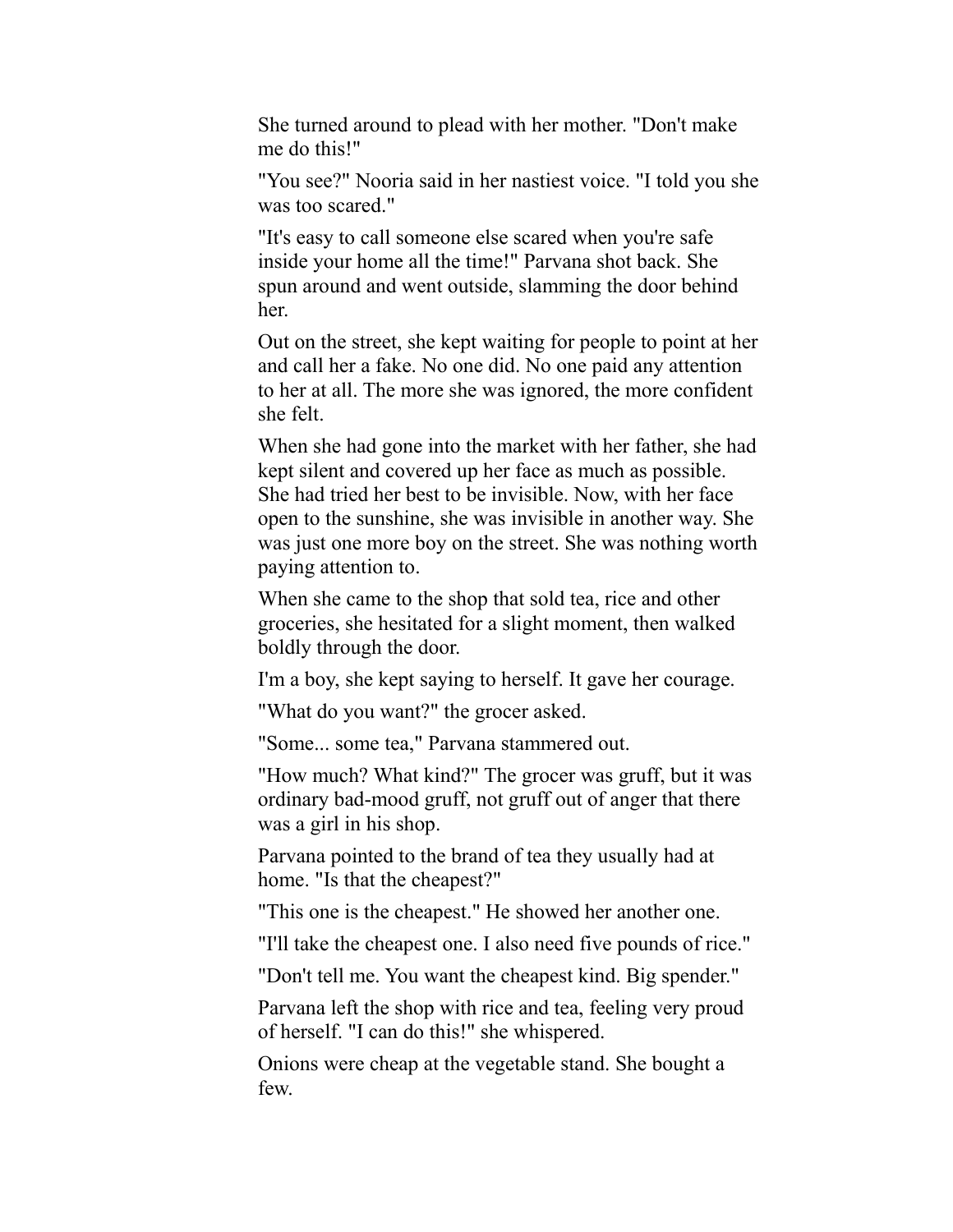She turned around to plead with her mother. "Don't make me do this!"

"You see?" Nooria said in her nastiest voice. "I told you she was too scared."

"It's easy to call someone else scared when you're safe inside your home all the time!" Parvana shot back. She spun around and went outside, slamming the door behind her.

Out on the street, she kept waiting for people to point at her and call her a fake. No one did. No one paid any attention to her at all. The more she was ignored, the more confident she felt.

When she had gone into the market with her father, she had kept silent and covered up her face as much as possible. She had tried her best to be invisible. Now, with her face open to the sunshine, she was invisible in another way. She was just one more boy on the street. She was nothing worth paying attention to.

When she came to the shop that sold tea, rice and other groceries, she hesitated for a slight moment, then walked boldly through the door.

I'm a boy, she kept saying to herself. It gave her courage.

"What do you want?" the grocer asked.

"Some... some tea," Parvana stammered out.

"How much? What kind?" The grocer was gruff, but it was ordinary bad-mood gruff, not gruff out of anger that there was a girl in his shop.

Parvana pointed to the brand of tea they usually had at home. "Is that the cheapest?"

"This one is the cheapest." He showed her another one.

"I'll take the cheapest one. I also need five pounds of rice."

"Don't tell me. You want the cheapest kind. Big spender."

Parvana left the shop with rice and tea, feeling very proud of herself. "I can do this!" she whispered.

Onions were cheap at the vegetable stand. She bought a few.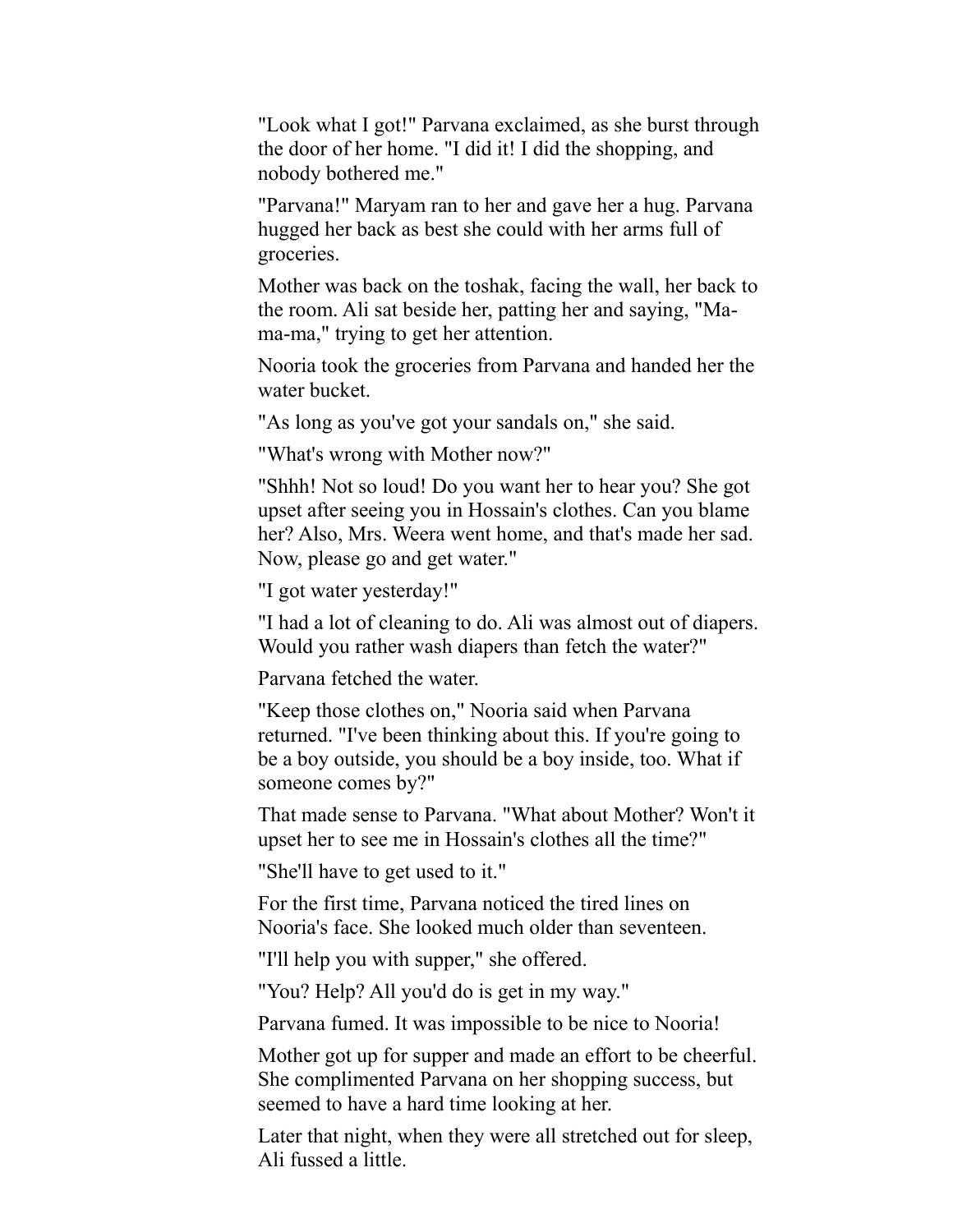"Look what I got!" Parvana exclaimed, as she burst through the door of her home. "I did it! I did the shopping, and nobody bothered me."

"Parvana!" Maryam ran to her and gave her a hug. Parvana hugged her back as best she could with her arms full of groceries.

Mother was back on the toshak, facing the wall, her back to the room. Ali sat beside her, patting her and saying, "Mama-ma," trying to get her attention.

Nooria took the groceries from Parvana and handed her the water bucket.

"As long as you've got your sandals on," she said.

"What's wrong with Mother now?"

"Shhh! Not so loud! Do you want her to hear you? She got upset after seeing you in Hossain's clothes. Can you blame her? Also, Mrs. Weera went home, and that's made her sad. Now, please go and get water."

"I got water yesterday!"

"I had a lot of cleaning to do. Ali was almost out of diapers. Would you rather wash diapers than fetch the water?"

Parvana fetched the water.

"Keep those clothes on," Nooria said when Parvana returned. "I've been thinking about this. If you're going to be a boy outside, you should be a boy inside, too. What if someone comes by?"

That made sense to Parvana. "What about Mother? Won't it upset her to see me in Hossain's clothes all the time?"

"She'll have to get used to it."

For the first time, Parvana noticed the tired lines on Nooria's face. She looked much older than seventeen.

"I'll help you with supper," she offered.

"You? Help? All you'd do is get in my way."

Parvana fumed. It was impossible to be nice to Nooria!

Mother got up for supper and made an effort to be cheerful. She complimented Parvana on her shopping success, but seemed to have a hard time looking at her.

Later that night, when they were all stretched out for sleep, Ali fussed a little.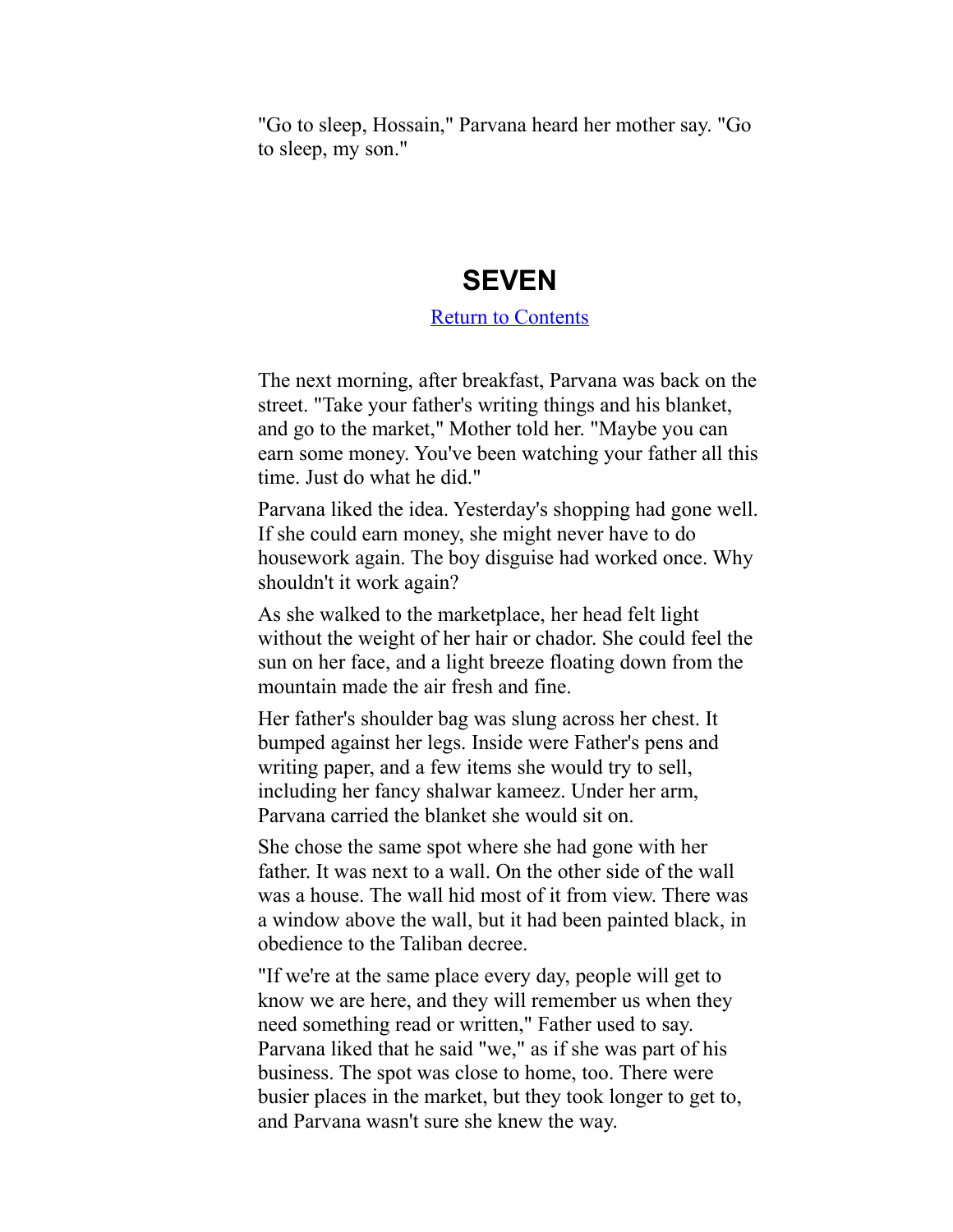"Go to sleep, Hossain," Parvana heard her mother say. "Go to sleep, my son."

## <span id="page-38-0"></span>**SEVEN**

## [Return to Contents](#page-38-0)

The next morning, after breakfast, Parvana was back on the street. "Take your father's writing things and his blanket, and go to the market," Mother told her. "Maybe you can earn some money. You've been watching your father all this time. Just do what he did."

Parvana liked the idea. Yesterday's shopping had gone well. If she could earn money, she might never have to do housework again. The boy disguise had worked once. Why shouldn't it work again?

As she walked to the marketplace, her head felt light without the weight of her hair or chador. She could feel the sun on her face, and a light breeze floating down from the mountain made the air fresh and fine.

Her father's shoulder bag was slung across her chest. It bumped against her legs. Inside were Father's pens and writing paper, and a few items she would try to sell, including her fancy shalwar kameez. Under her arm, Parvana carried the blanket she would sit on.

She chose the same spot where she had gone with her father. It was next to a wall. On the other side of the wall was a house. The wall hid most of it from view. There was a window above the wall, but it had been painted black, in obedience to the Taliban decree.

"If we're at the same place every day, people will get to know we are here, and they will remember us when they need something read or written," Father used to say. Parvana liked that he said "we," as if she was part of his business. The spot was close to home, too. There were busier places in the market, but they took longer to get to, and Parvana wasn't sure she knew the way.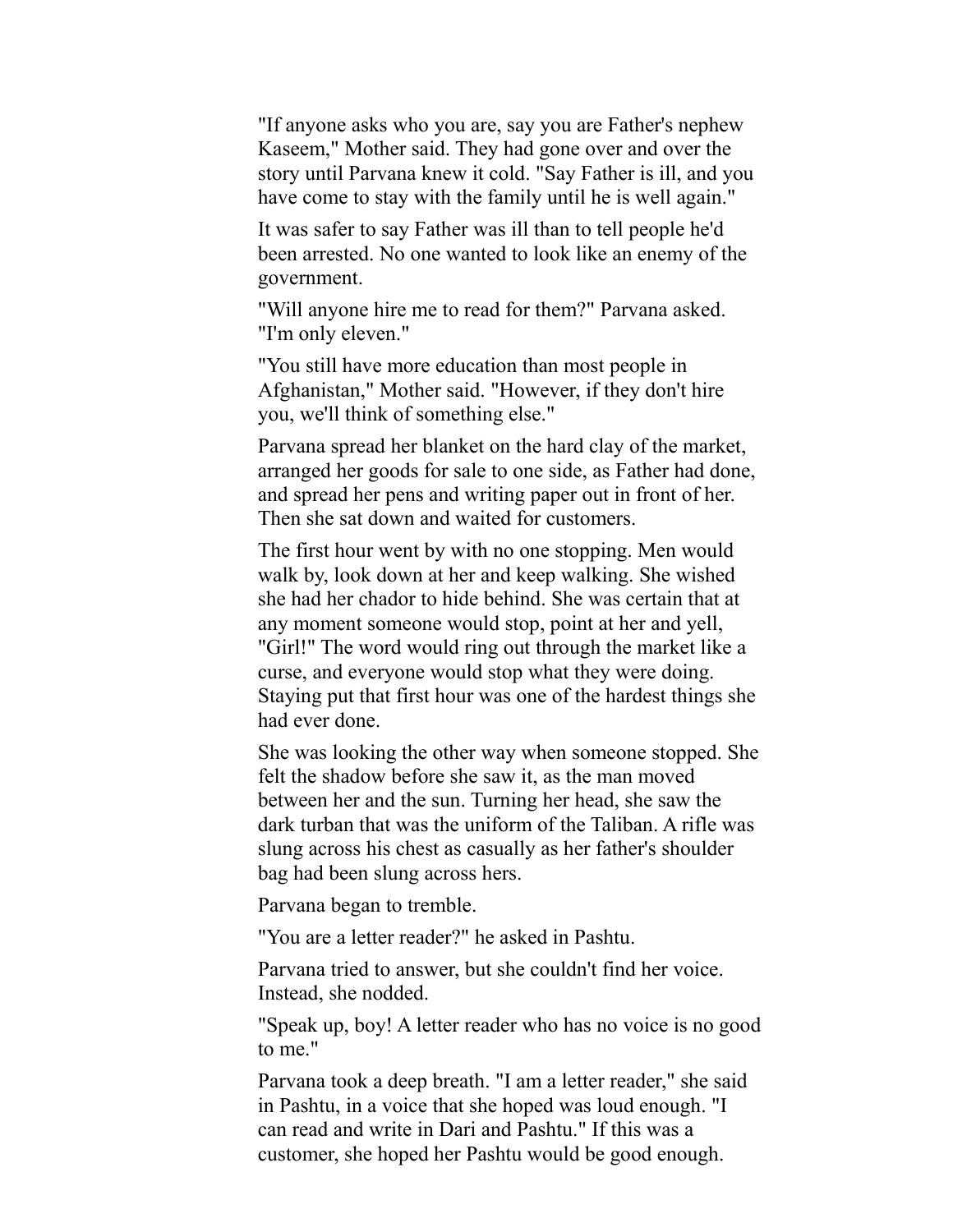"If anyone asks who you are, say you are Father's nephew Kaseem," Mother said. They had gone over and over the story until Parvana knew it cold. "Say Father is ill, and you have come to stay with the family until he is well again."

It was safer to say Father was ill than to tell people he'd been arrested. No one wanted to look like an enemy of the government.

"Will anyone hire me to read for them?" Parvana asked. "I'm only eleven."

"You still have more education than most people in Afghanistan," Mother said. "However, if they don't hire you, we'll think of something else."

Parvana spread her blanket on the hard clay of the market, arranged her goods for sale to one side, as Father had done, and spread her pens and writing paper out in front of her. Then she sat down and waited for customers.

The first hour went by with no one stopping. Men would walk by, look down at her and keep walking. She wished she had her chador to hide behind. She was certain that at any moment someone would stop, point at her and yell, "Girl!" The word would ring out through the market like a curse, and everyone would stop what they were doing. Staying put that first hour was one of the hardest things she had ever done.

She was looking the other way when someone stopped. She felt the shadow before she saw it, as the man moved between her and the sun. Turning her head, she saw the dark turban that was the uniform of the Taliban. A rifle was slung across his chest as casually as her father's shoulder bag had been slung across hers.

Parvana began to tremble.

"You are a letter reader?" he asked in Pashtu.

Parvana tried to answer, but she couldn't find her voice. Instead, she nodded.

"Speak up, boy! A letter reader who has no voice is no good to me."

Parvana took a deep breath. "I am a letter reader," she said in Pashtu, in a voice that she hoped was loud enough. "I can read and write in Dari and Pashtu." If this was a customer, she hoped her Pashtu would be good enough.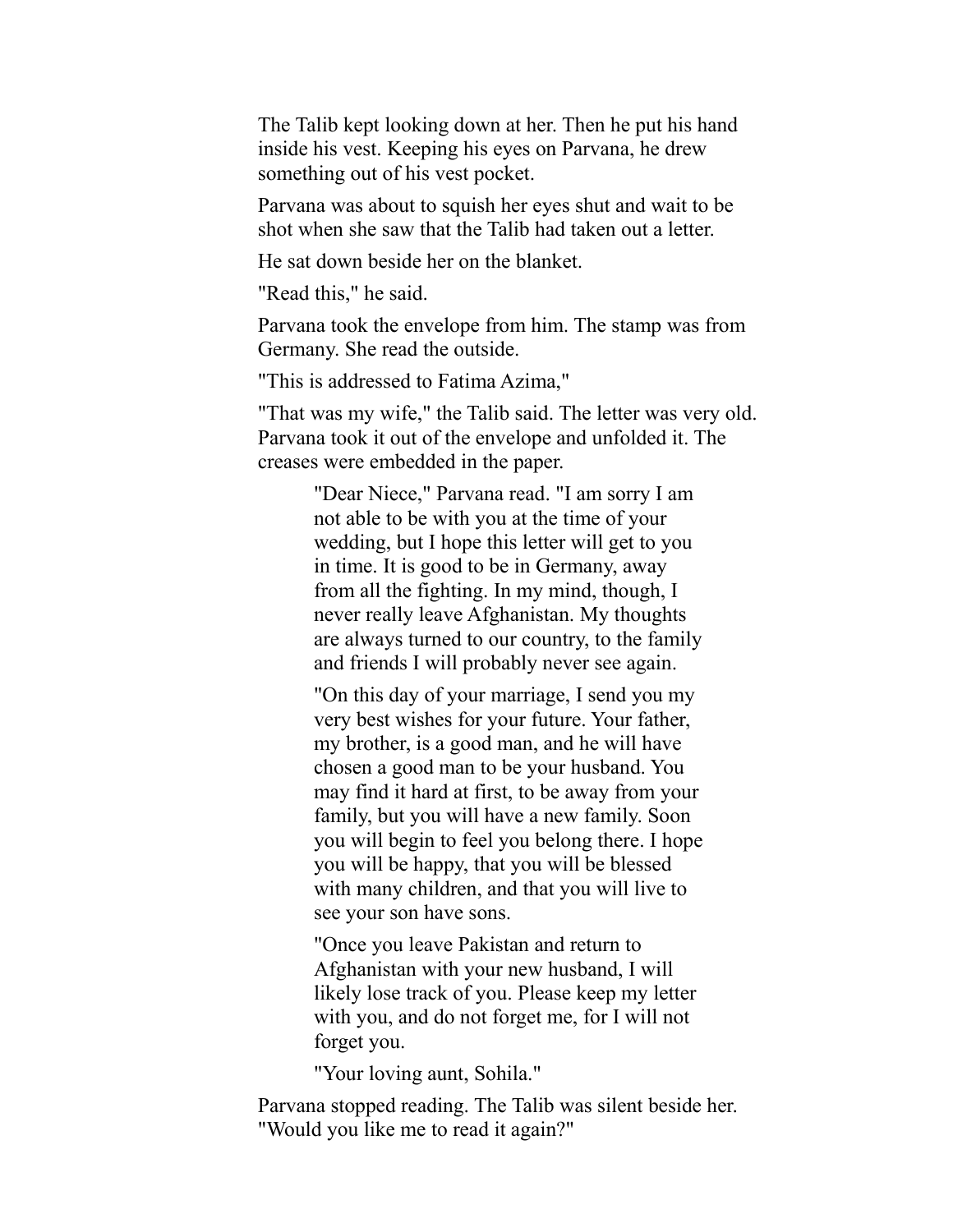The Talib kept looking down at her. Then he put his hand inside his vest. Keeping his eyes on Parvana, he drew something out of his vest pocket.

Parvana was about to squish her eyes shut and wait to be shot when she saw that the Talib had taken out a letter.

He sat down beside her on the blanket.

"Read this," he said.

Parvana took the envelope from him. The stamp was from Germany. She read the outside.

"This is addressed to Fatima Azima,"

"That was my wife," the Talib said. The letter was very old. Parvana took it out of the envelope and unfolded it. The creases were embedded in the paper.

> "Dear Niece," Parvana read. "I am sorry I am not able to be with you at the time of your wedding, but I hope this letter will get to you in time. It is good to be in Germany, away from all the fighting. In my mind, though, I never really leave Afghanistan. My thoughts are always turned to our country, to the family and friends I will probably never see again.

> "On this day of your marriage, I send you my very best wishes for your future. Your father, my brother, is a good man, and he will have chosen a good man to be your husband. You may find it hard at first, to be away from your family, but you will have a new family. Soon you will begin to feel you belong there. I hope you will be happy, that you will be blessed with many children, and that you will live to see your son have sons.

"Once you leave Pakistan and return to Afghanistan with your new husband, I will likely lose track of you. Please keep my letter with you, and do not forget me, for I will not forget you.

"Your loving aunt, Sohila."

Parvana stopped reading. The Talib was silent beside her. "Would you like me to read it again?"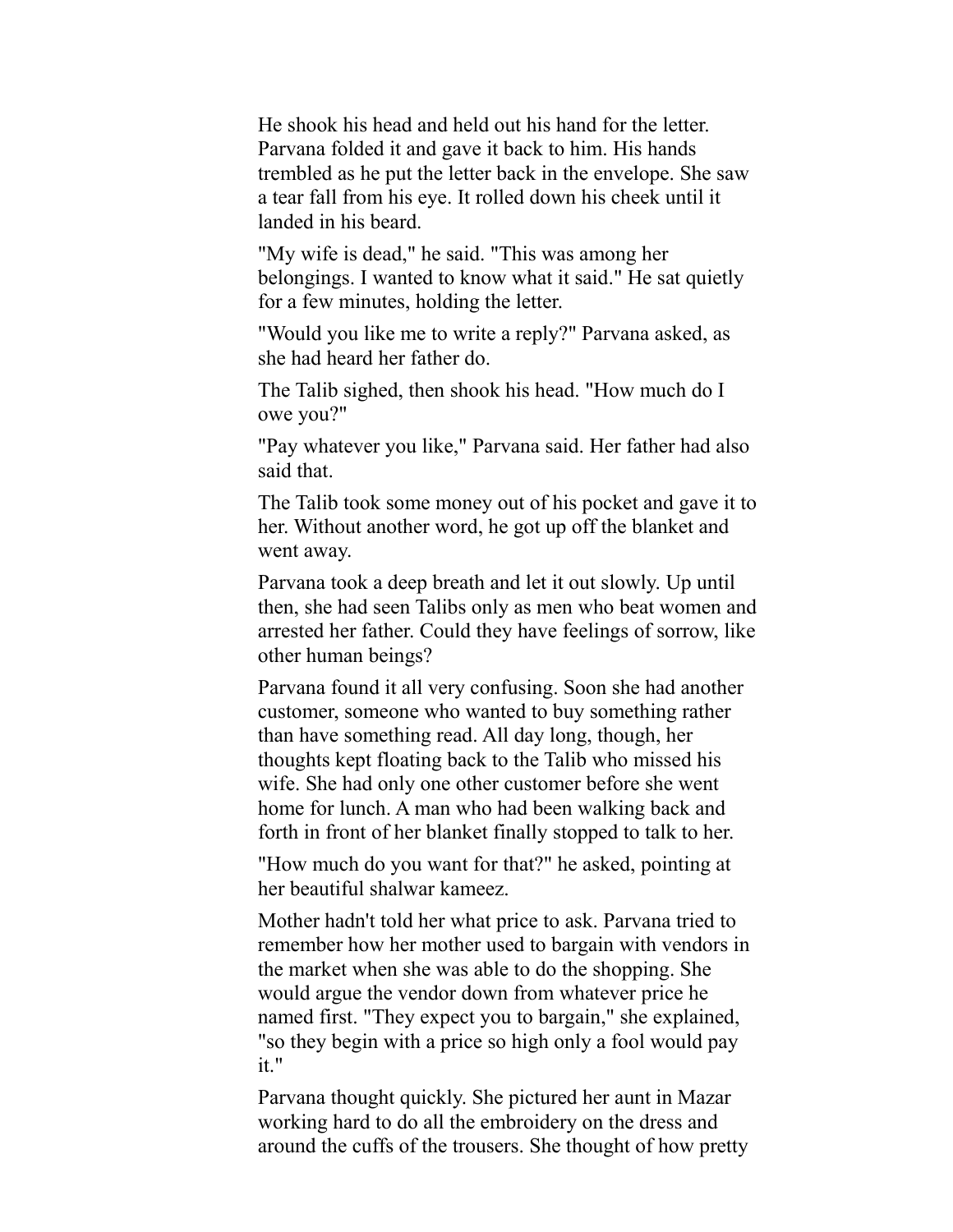He shook his head and held out his hand for the letter. Parvana folded it and gave it back to him. His hands trembled as he put the letter back in the envelope. She saw a tear fall from his eye. It rolled down his cheek until it landed in his beard.

"My wife is dead," he said. "This was among her belongings. I wanted to know what it said." He sat quietly for a few minutes, holding the letter.

"Would you like me to write a reply?" Parvana asked, as she had heard her father do.

The Talib sighed, then shook his head. "How much do I owe you?"

"Pay whatever you like," Parvana said. Her father had also said that.

The Talib took some money out of his pocket and gave it to her. Without another word, he got up off the blanket and went away.

Parvana took a deep breath and let it out slowly. Up until then, she had seen Talibs only as men who beat women and arrested her father. Could they have feelings of sorrow, like other human beings?

Parvana found it all very confusing. Soon she had another customer, someone who wanted to buy something rather than have something read. All day long, though, her thoughts kept floating back to the Talib who missed his wife. She had only one other customer before she went home for lunch. A man who had been walking back and forth in front of her blanket finally stopped to talk to her.

"How much do you want for that?" he asked, pointing at her beautiful shalwar kameez.

Mother hadn't told her what price to ask. Parvana tried to remember how her mother used to bargain with vendors in the market when she was able to do the shopping. She would argue the vendor down from whatever price he named first. "They expect you to bargain," she explained, "so they begin with a price so high only a fool would pay it."

Parvana thought quickly. She pictured her aunt in Mazar working hard to do all the embroidery on the dress and around the cuffs of the trousers. She thought of how pretty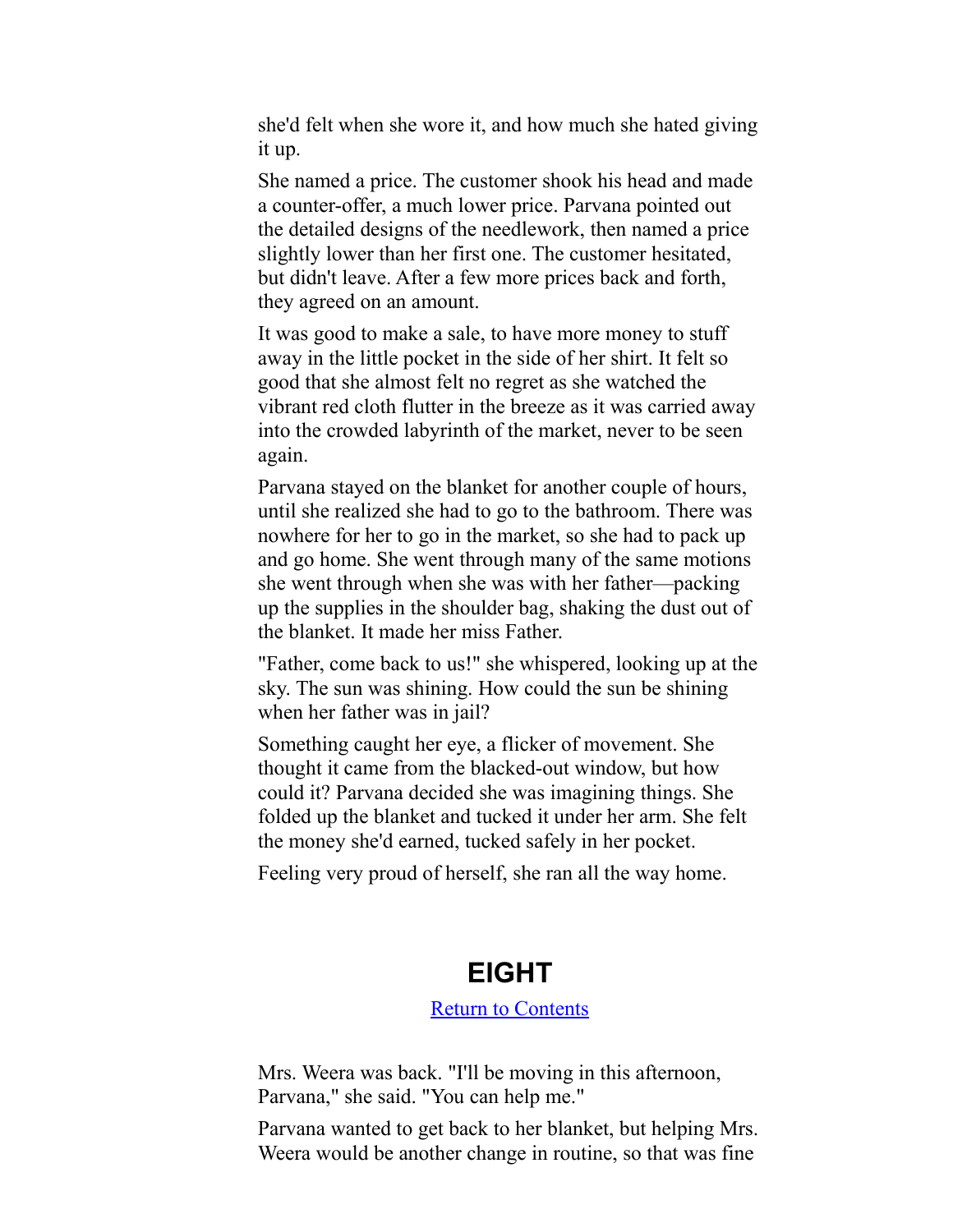she'd felt when she wore it, and how much she hated giving it up.

She named a price. The customer shook his head and made a counter-offer, a much lower price. Parvana pointed out the detailed designs of the needlework, then named a price slightly lower than her first one. The customer hesitated, but didn't leave. After a few more prices back and forth, they agreed on an amount.

It was good to make a sale, to have more money to stuff away in the little pocket in the side of her shirt. It felt so good that she almost felt no regret as she watched the vibrant red cloth flutter in the breeze as it was carried away into the crowded labyrinth of the market, never to be seen again.

Parvana stayed on the blanket for another couple of hours, until she realized she had to go to the bathroom. There was nowhere for her to go in the market, so she had to pack up and go home. She went through many of the same motions she went through when she was with her father—packing up the supplies in the shoulder bag, shaking the dust out of the blanket. It made her miss Father.

"Father, come back to us!" she whispered, looking up at the sky. The sun was shining. How could the sun be shining when her father was in jail?

Something caught her eye, a flicker of movement. She thought it came from the blacked-out window, but how could it? Parvana decided she was imagining things. She folded up the blanket and tucked it under her arm. She felt the money she'd earned, tucked safely in her pocket.

Feeling very proud of herself, she ran all the way home.

## <span id="page-42-0"></span>**EIGHT**

#### [Return to Contents](#page-42-0)

Mrs. Weera was back. "I'll be moving in this afternoon, Parvana," she said. "You can help me."

Parvana wanted to get back to her blanket, but helping Mrs. Weera would be another change in routine, so that was fine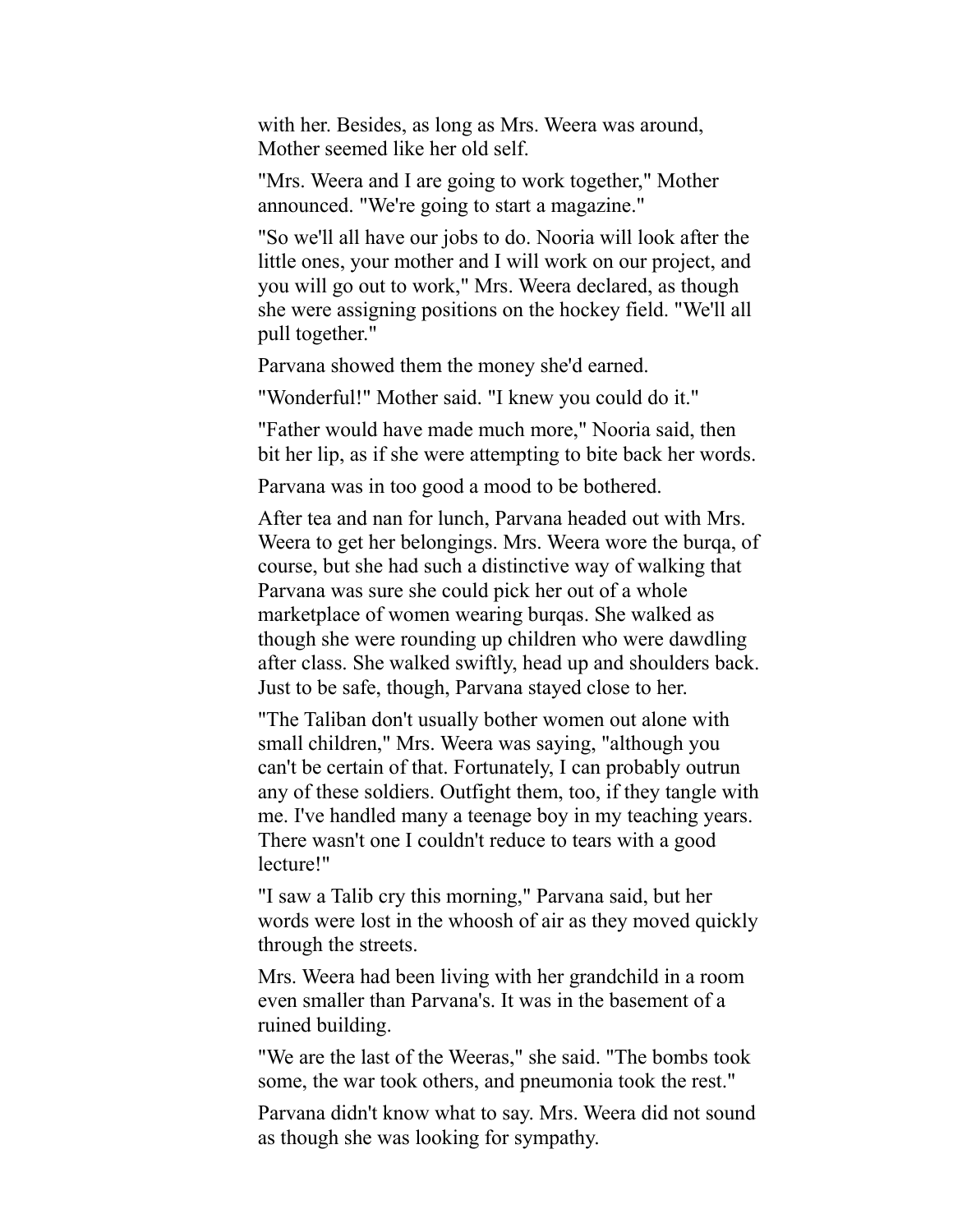with her. Besides, as long as Mrs. Weera was around, Mother seemed like her old self.

"Mrs. Weera and I are going to work together," Mother announced. "We're going to start a magazine."

"So we'll all have our jobs to do. Nooria will look after the little ones, your mother and I will work on our project, and you will go out to work," Mrs. Weera declared, as though she were assigning positions on the hockey field. "We'll all pull together."

Parvana showed them the money she'd earned.

"Wonderful!" Mother said. "I knew you could do it."

"Father would have made much more," Nooria said, then bit her lip, as if she were attempting to bite back her words.

Parvana was in too good a mood to be bothered.

After tea and nan for lunch, Parvana headed out with Mrs. Weera to get her belongings. Mrs. Weera wore the burqa, of course, but she had such a distinctive way of walking that Parvana was sure she could pick her out of a whole marketplace of women wearing burqas. She walked as though she were rounding up children who were dawdling after class. She walked swiftly, head up and shoulders back. Just to be safe, though, Parvana stayed close to her.

"The Taliban don't usually bother women out alone with small children," Mrs. Weera was saying, "although you can't be certain of that. Fortunately, I can probably outrun any of these soldiers. Outfight them, too, if they tangle with me. I've handled many a teenage boy in my teaching years. There wasn't one I couldn't reduce to tears with a good lecture!"

"I saw a Talib cry this morning," Parvana said, but her words were lost in the whoosh of air as they moved quickly through the streets.

Mrs. Weera had been living with her grandchild in a room even smaller than Parvana's. It was in the basement of a ruined building.

"We are the last of the Weeras," she said. "The bombs took some, the war took others, and pneumonia took the rest."

Parvana didn't know what to say. Mrs. Weera did not sound as though she was looking for sympathy.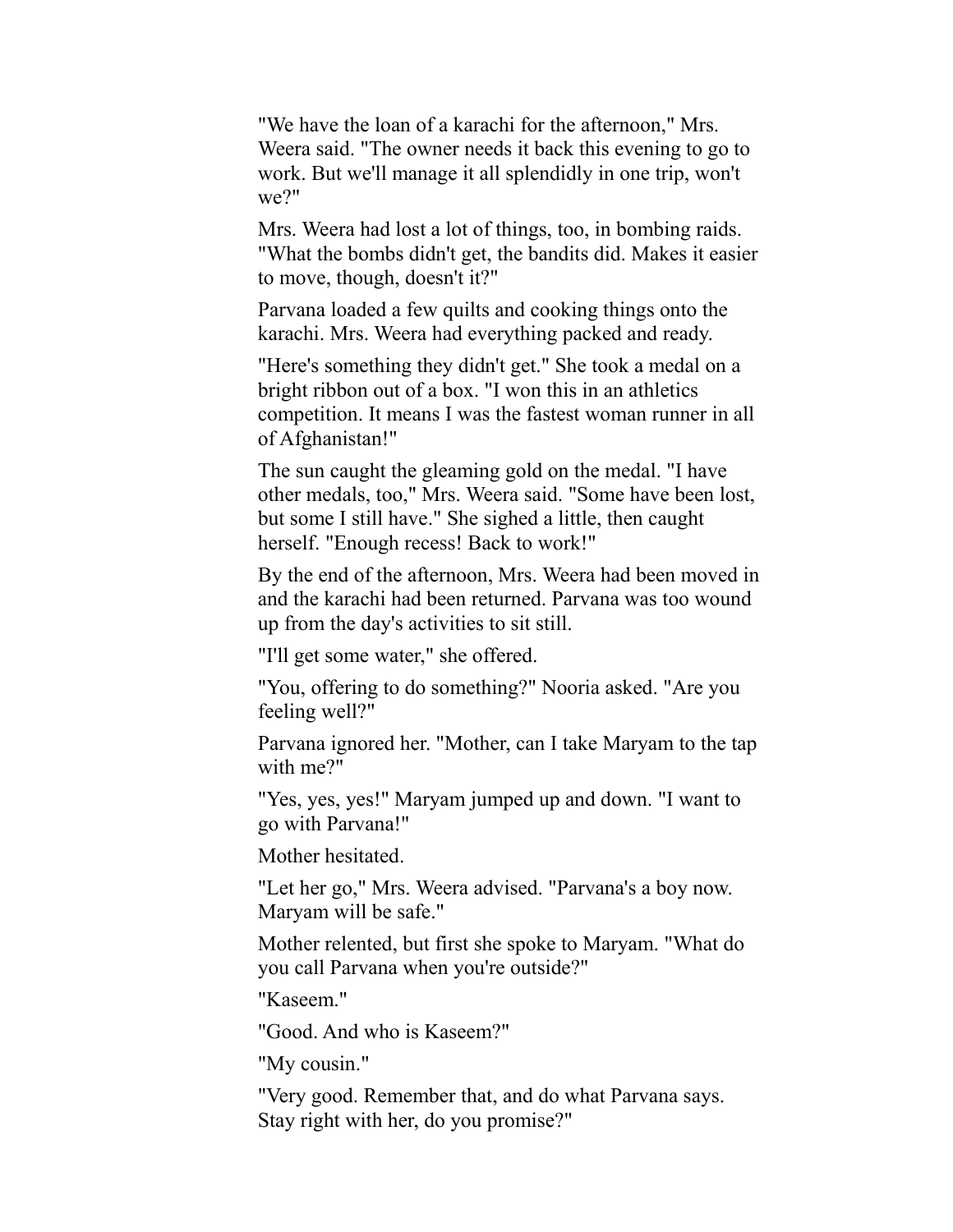"We have the loan of a karachi for the afternoon," Mrs. Weera said. "The owner needs it back this evening to go to work. But we'll manage it all splendidly in one trip, won't we?"

Mrs. Weera had lost a lot of things, too, in bombing raids. "What the bombs didn't get, the bandits did. Makes it easier to move, though, doesn't it?"

Parvana loaded a few quilts and cooking things onto the karachi. Mrs. Weera had everything packed and ready.

"Here's something they didn't get." She took a medal on a bright ribbon out of a box. "I won this in an athletics competition. It means I was the fastest woman runner in all of Afghanistan!"

The sun caught the gleaming gold on the medal. "I have other medals, too," Mrs. Weera said. "Some have been lost, but some I still have." She sighed a little, then caught herself. "Enough recess! Back to work!"

By the end of the afternoon, Mrs. Weera had been moved in and the karachi had been returned. Parvana was too wound up from the day's activities to sit still.

"I'll get some water," she offered.

"You, offering to do something?" Nooria asked. "Are you feeling well?"

Parvana ignored her. "Mother, can I take Maryam to the tap with me?"

"Yes, yes, yes!" Maryam jumped up and down. "I want to go with Parvana!"

Mother hesitated.

"Let her go," Mrs. Weera advised. "Parvana's a boy now. Maryam will be safe."

Mother relented, but first she spoke to Maryam. "What do you call Parvana when you're outside?"

"Kaseem."

"Good. And who is Kaseem?"

"My cousin."

"Very good. Remember that, and do what Parvana says. Stay right with her, do you promise?"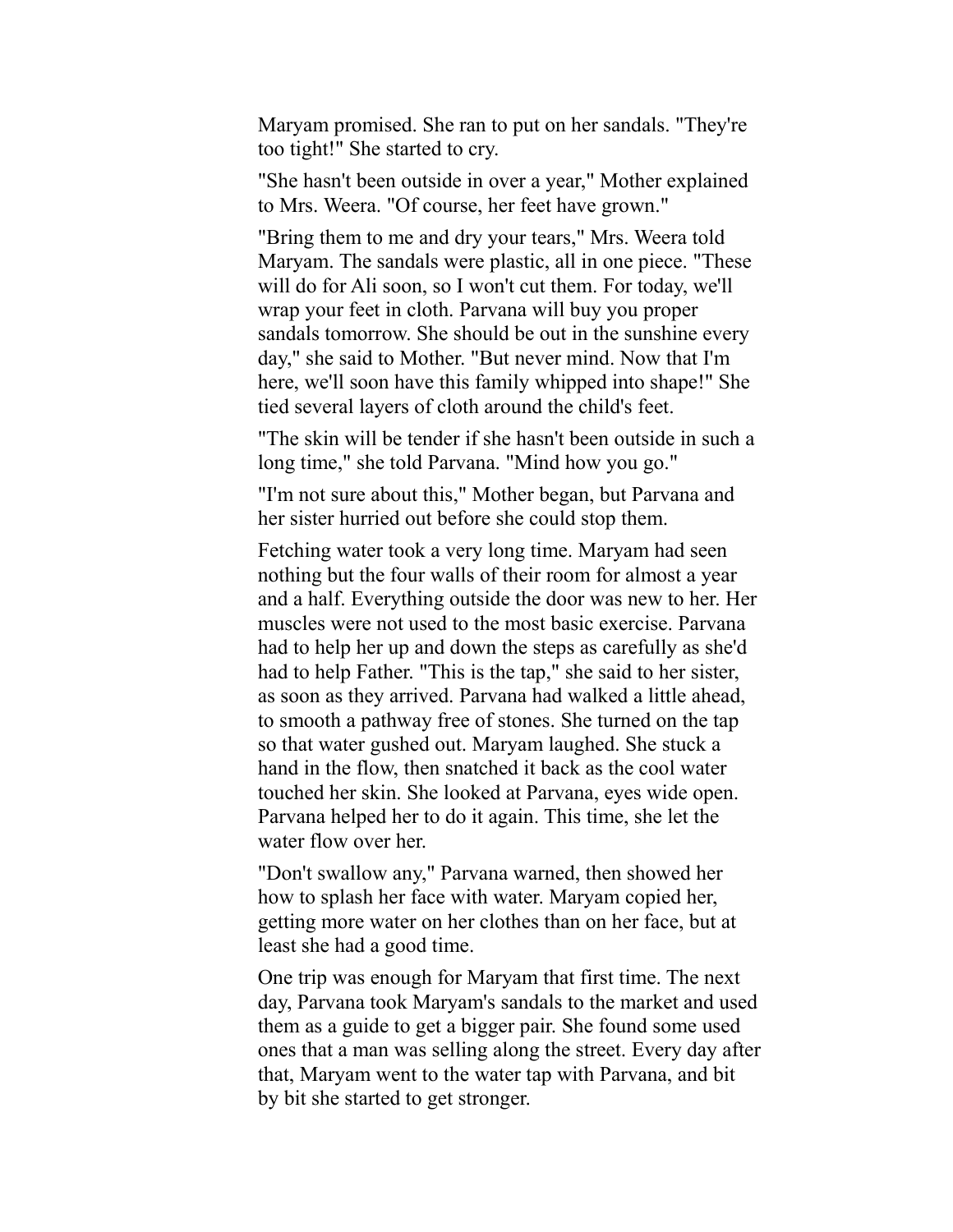Maryam promised. She ran to put on her sandals. "They're too tight!" She started to cry.

"She hasn't been outside in over a year," Mother explained to Mrs. Weera. "Of course, her feet have grown."

"Bring them to me and dry your tears," Mrs. Weera told Maryam. The sandals were plastic, all in one piece. "These will do for Ali soon, so I won't cut them. For today, we'll wrap your feet in cloth. Parvana will buy you proper sandals tomorrow. She should be out in the sunshine every day," she said to Mother. "But never mind. Now that I'm here, we'll soon have this family whipped into shape!" She tied several layers of cloth around the child's feet.

"The skin will be tender if she hasn't been outside in such a long time," she told Parvana. "Mind how you go."

"I'm not sure about this," Mother began, but Parvana and her sister hurried out before she could stop them.

Fetching water took a very long time. Maryam had seen nothing but the four walls of their room for almost a year and a half. Everything outside the door was new to her. Her muscles were not used to the most basic exercise. Parvana had to help her up and down the steps as carefully as she'd had to help Father. "This is the tap," she said to her sister, as soon as they arrived. Parvana had walked a little ahead, to smooth a pathway free of stones. She turned on the tap so that water gushed out. Maryam laughed. She stuck a hand in the flow, then snatched it back as the cool water touched her skin. She looked at Parvana, eyes wide open. Parvana helped her to do it again. This time, she let the water flow over her.

"Don't swallow any," Parvana warned, then showed her how to splash her face with water. Maryam copied her, getting more water on her clothes than on her face, but at least she had a good time.

One trip was enough for Maryam that first time. The next day, Parvana took Maryam's sandals to the market and used them as a guide to get a bigger pair. She found some used ones that a man was selling along the street. Every day after that, Maryam went to the water tap with Parvana, and bit by bit she started to get stronger.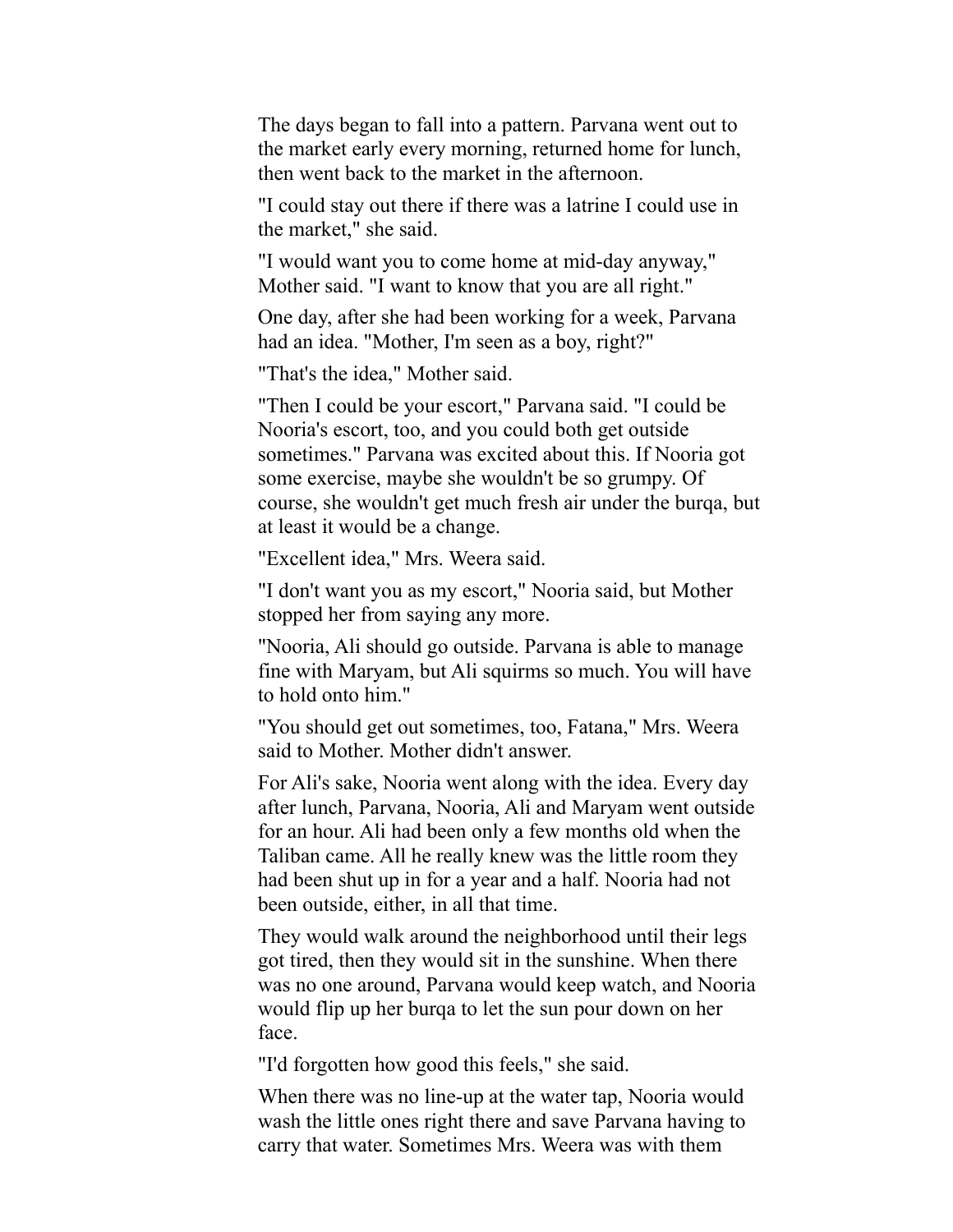The days began to fall into a pattern. Parvana went out to the market early every morning, returned home for lunch, then went back to the market in the afternoon.

"I could stay out there if there was a latrine I could use in the market," she said.

"I would want you to come home at mid-day anyway," Mother said. "I want to know that you are all right."

One day, after she had been working for a week, Parvana had an idea. "Mother, I'm seen as a boy, right?"

"That's the idea," Mother said.

"Then I could be your escort," Parvana said. "I could be Nooria's escort, too, and you could both get outside sometimes." Parvana was excited about this. If Nooria got some exercise, maybe she wouldn't be so grumpy. Of course, she wouldn't get much fresh air under the burqa, but at least it would be a change.

"Excellent idea," Mrs. Weera said.

"I don't want you as my escort," Nooria said, but Mother stopped her from saying any more.

"Nooria, Ali should go outside. Parvana is able to manage fine with Maryam, but Ali squirms so much. You will have to hold onto him."

"You should get out sometimes, too, Fatana," Mrs. Weera said to Mother. Mother didn't answer.

For Ali's sake, Nooria went along with the idea. Every day after lunch, Parvana, Nooria, Ali and Maryam went outside for an hour. Ali had been only a few months old when the Taliban came. All he really knew was the little room they had been shut up in for a year and a half. Nooria had not been outside, either, in all that time.

They would walk around the neighborhood until their legs got tired, then they would sit in the sunshine. When there was no one around, Parvana would keep watch, and Nooria would flip up her burqa to let the sun pour down on her face.

"I'd forgotten how good this feels," she said.

When there was no line-up at the water tap, Nooria would wash the little ones right there and save Parvana having to carry that water. Sometimes Mrs. Weera was with them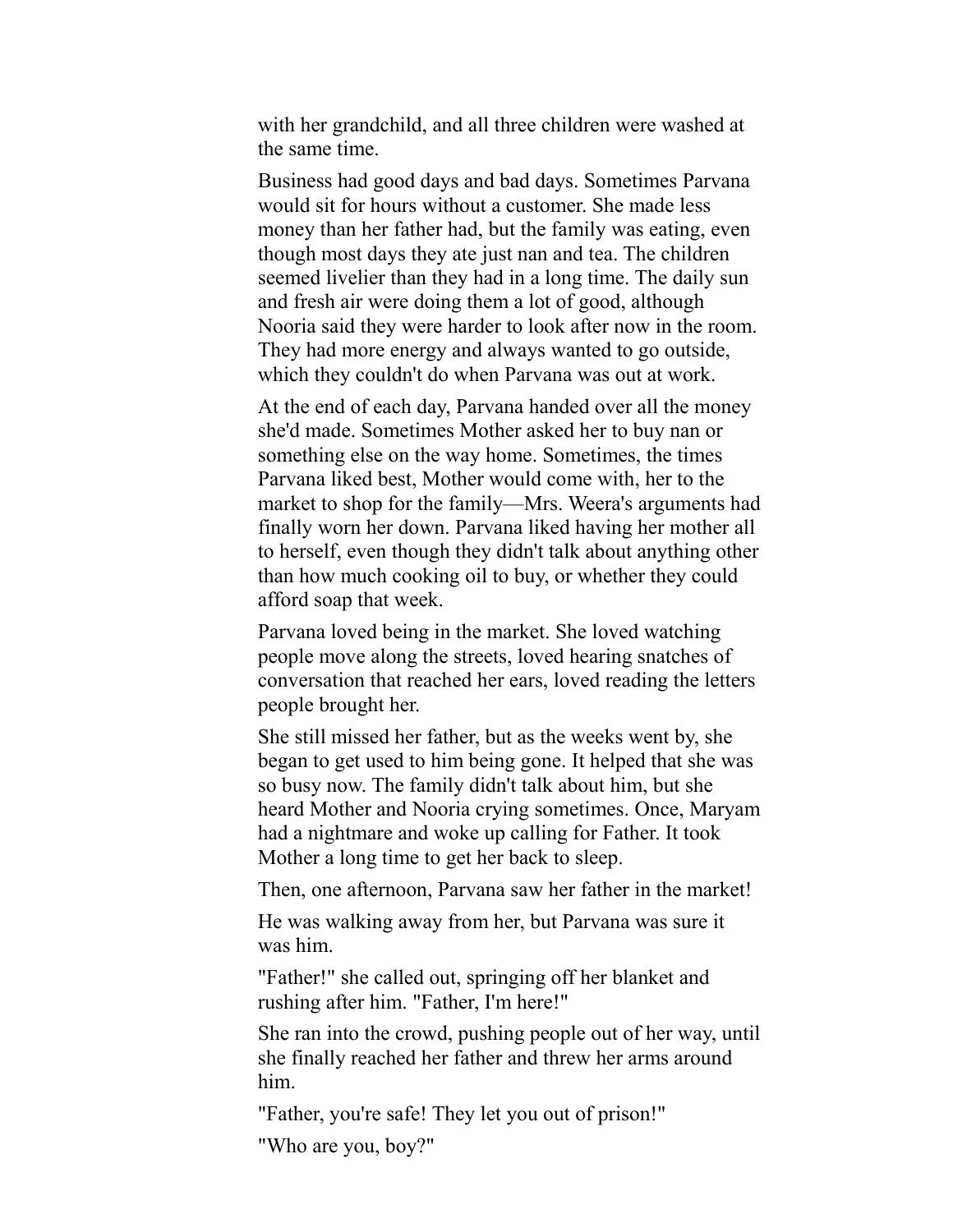with her grandchild, and all three children were washed at the same time.

Business had good days and bad days. Sometimes Parvana would sit for hours without a customer. She made less money than her father had, but the family was eating, even though most days they ate just nan and tea. The children seemed livelier than they had in a long time. The daily sun and fresh air were doing them a lot of good, although Nooria said they were harder to look after now in the room. They had more energy and always wanted to go outside, which they couldn't do when Parvana was out at work.

At the end of each day, Parvana handed over all the money she'd made. Sometimes Mother asked her to buy nan or something else on the way home. Sometimes, the times Parvana liked best, Mother would come with, her to the market to shop for the family—Mrs. Weera's arguments had finally worn her down. Parvana liked having her mother all to herself, even though they didn't talk about anything other than how much cooking oil to buy, or whether they could afford soap that week.

Parvana loved being in the market. She loved watching people move along the streets, loved hearing snatches of conversation that reached her ears, loved reading the letters people brought her.

She still missed her father, but as the weeks went by, she began to get used to him being gone. It helped that she was so busy now. The family didn't talk about him, but she heard Mother and Nooria crying sometimes. Once, Maryam had a nightmare and woke up calling for Father. It took Mother a long time to get her back to sleep.

Then, one afternoon, Parvana saw her father in the market!

He was walking away from her, but Parvana was sure it was him.

"Father!" she called out, springing off her blanket and rushing after him. "Father, I'm here!"

She ran into the crowd, pushing people out of her way, until she finally reached her father and threw her arms around him.

"Father, you're safe! They let you out of prison!"

"Who are you, boy?"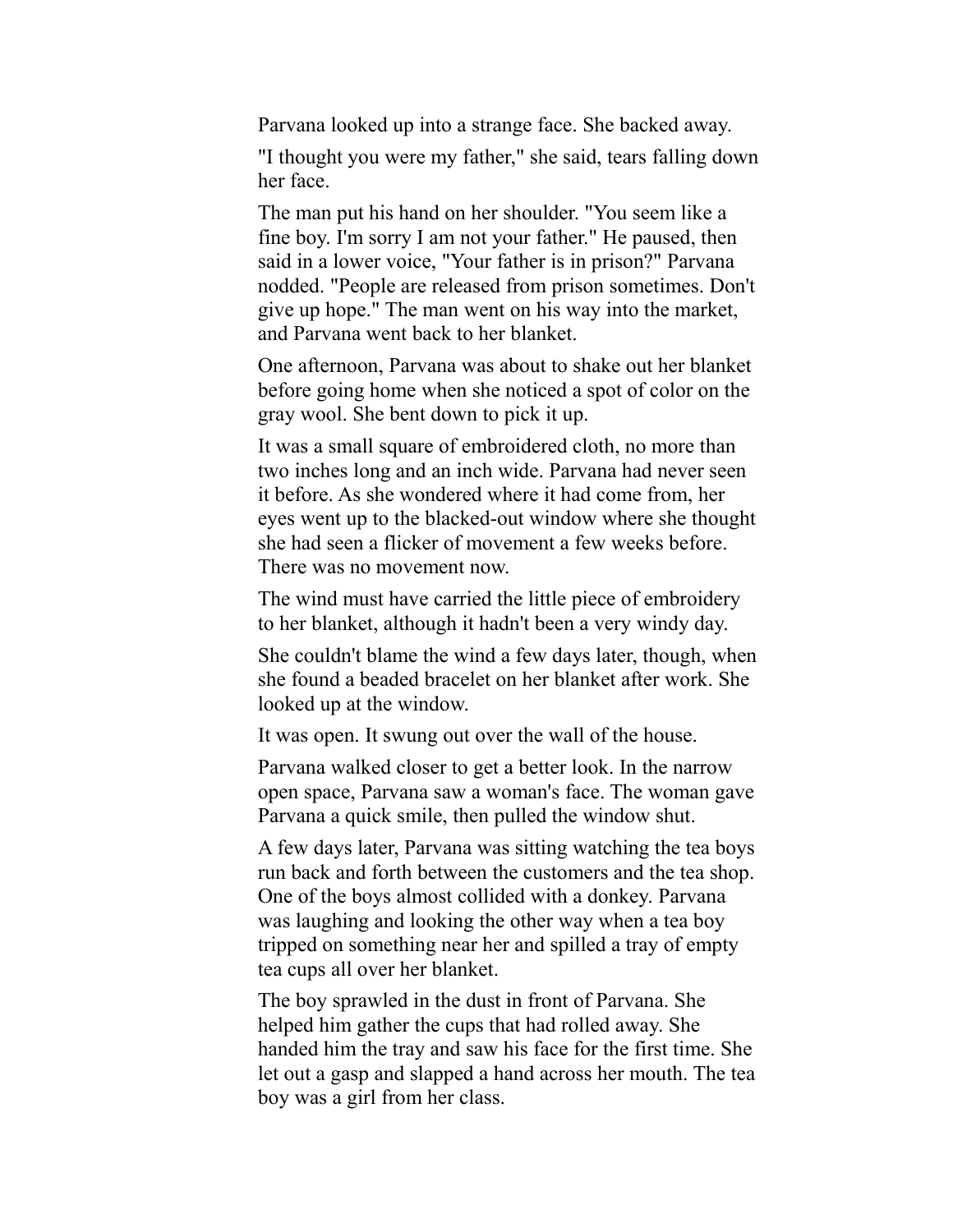Parvana looked up into a strange face. She backed away.

"I thought you were my father," she said, tears falling down her face.

The man put his hand on her shoulder. "You seem like a fine boy. I'm sorry I am not your father." He paused, then said in a lower voice, "Your father is in prison?" Parvana nodded. "People are released from prison sometimes. Don't give up hope." The man went on his way into the market, and Parvana went back to her blanket.

One afternoon, Parvana was about to shake out her blanket before going home when she noticed a spot of color on the gray wool. She bent down to pick it up.

It was a small square of embroidered cloth, no more than two inches long and an inch wide. Parvana had never seen it before. As she wondered where it had come from, her eyes went up to the blacked-out window where she thought she had seen a flicker of movement a few weeks before. There was no movement now.

The wind must have carried the little piece of embroidery to her blanket, although it hadn't been a very windy day.

She couldn't blame the wind a few days later, though, when she found a beaded bracelet on her blanket after work. She looked up at the window.

It was open. It swung out over the wall of the house.

Parvana walked closer to get a better look. In the narrow open space, Parvana saw a woman's face. The woman gave Parvana a quick smile, then pulled the window shut.

A few days later, Parvana was sitting watching the tea boys run back and forth between the customers and the tea shop. One of the boys almost collided with a donkey. Parvana was laughing and looking the other way when a tea boy tripped on something near her and spilled a tray of empty tea cups all over her blanket.

The boy sprawled in the dust in front of Parvana. She helped him gather the cups that had rolled away. She handed him the tray and saw his face for the first time. She let out a gasp and slapped a hand across her mouth. The tea boy was a girl from her class.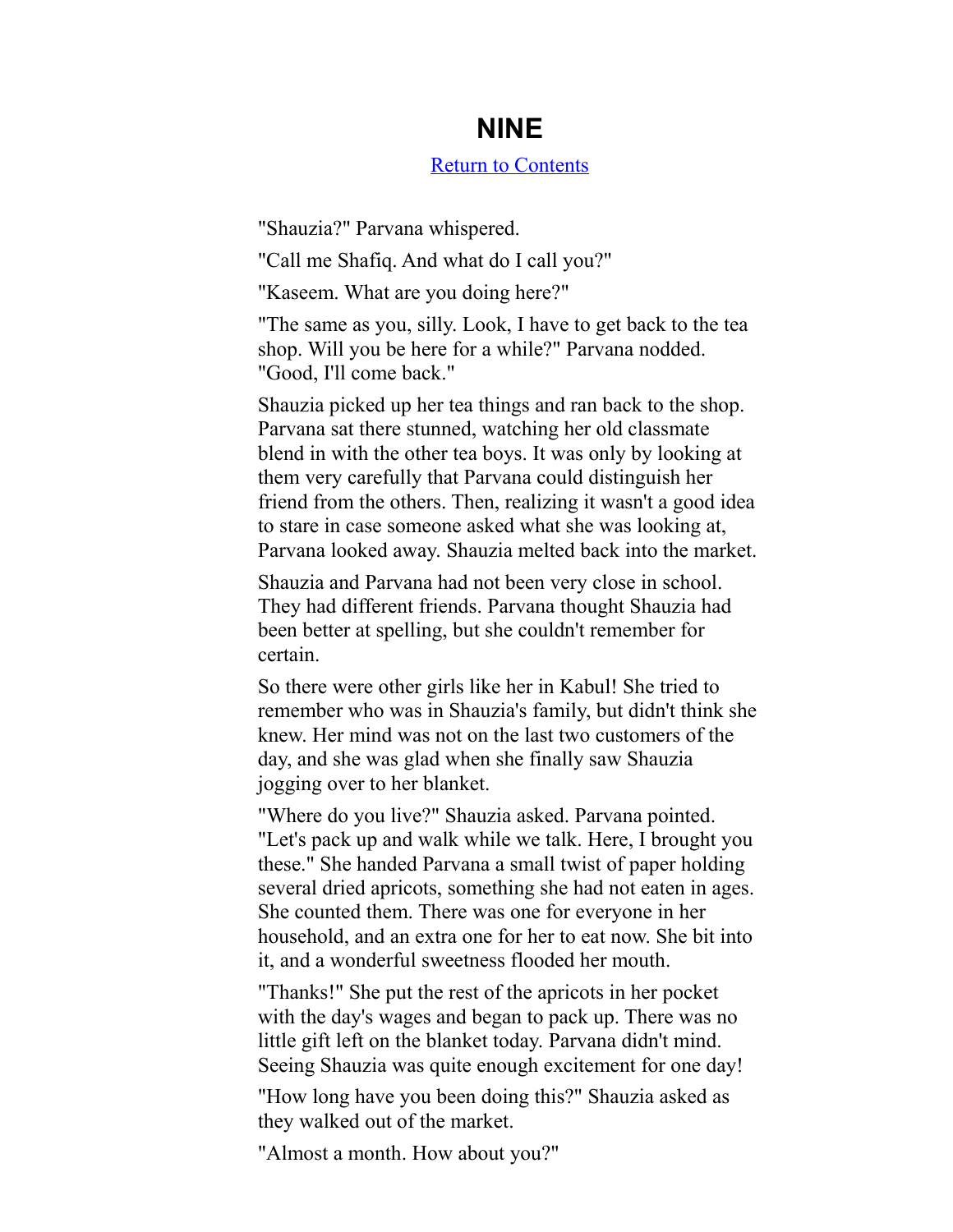## <span id="page-49-0"></span>**NINE**

#### [Return to Contents](#page-49-0)

"Shauzia?" Parvana whispered.

"Call me Shafiq. And what do I call you?"

"Kaseem. What are you doing here?"

"The same as you, silly. Look, I have to get back to the tea shop. Will you be here for a while?" Parvana nodded. "Good, I'll come back."

Shauzia picked up her tea things and ran back to the shop. Parvana sat there stunned, watching her old classmate blend in with the other tea boys. It was only by looking at them very carefully that Parvana could distinguish her friend from the others. Then, realizing it wasn't a good idea to stare in case someone asked what she was looking at, Parvana looked away. Shauzia melted back into the market.

Shauzia and Parvana had not been very close in school. They had different friends. Parvana thought Shauzia had been better at spelling, but she couldn't remember for certain.

So there were other girls like her in Kabul! She tried to remember who was in Shauzia's family, but didn't think she knew. Her mind was not on the last two customers of the day, and she was glad when she finally saw Shauzia jogging over to her blanket.

"Where do you live?" Shauzia asked. Parvana pointed. "Let's pack up and walk while we talk. Here, I brought you these." She handed Parvana a small twist of paper holding several dried apricots, something she had not eaten in ages. She counted them. There was one for everyone in her household, and an extra one for her to eat now. She bit into it, and a wonderful sweetness flooded her mouth.

"Thanks!" She put the rest of the apricots in her pocket with the day's wages and began to pack up. There was no little gift left on the blanket today. Parvana didn't mind. Seeing Shauzia was quite enough excitement for one day!

"How long have you been doing this?" Shauzia asked as they walked out of the market.

"Almost a month. How about you?"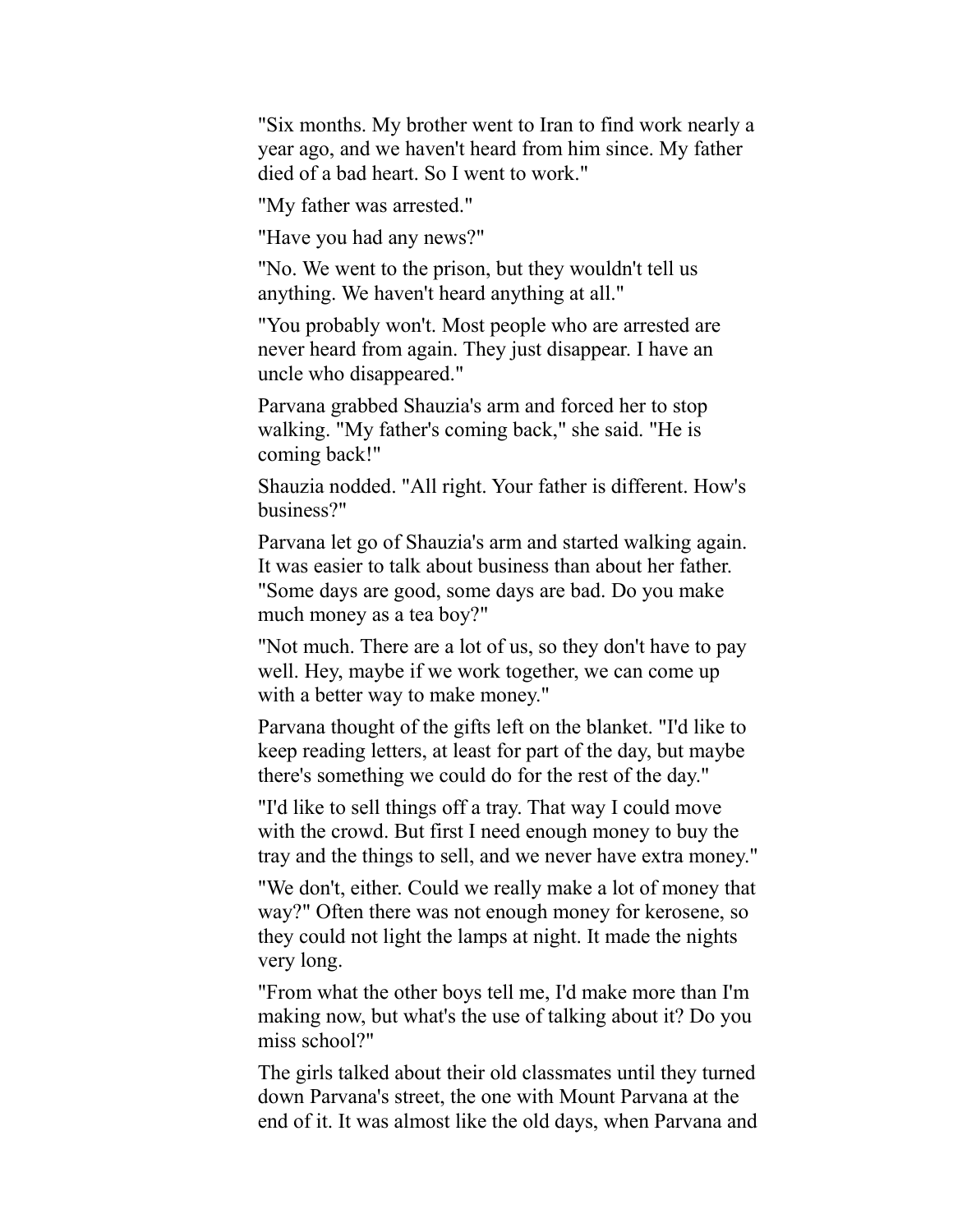"Six months. My brother went to Iran to find work nearly a year ago, and we haven't heard from him since. My father died of a bad heart. So I went to work."

"My father was arrested."

"Have you had any news?"

"No. We went to the prison, but they wouldn't tell us anything. We haven't heard anything at all."

"You probably won't. Most people who are arrested are never heard from again. They just disappear. I have an uncle who disappeared."

Parvana grabbed Shauzia's arm and forced her to stop walking. "My father's coming back," she said. "He is coming back!"

Shauzia nodded. "All right. Your father is different. How's business?"

Parvana let go of Shauzia's arm and started walking again. It was easier to talk about business than about her father. "Some days are good, some days are bad. Do you make much money as a tea boy?"

"Not much. There are a lot of us, so they don't have to pay well. Hey, maybe if we work together, we can come up with a better way to make money."

Parvana thought of the gifts left on the blanket. "I'd like to keep reading letters, at least for part of the day, but maybe there's something we could do for the rest of the day."

"I'd like to sell things off a tray. That way I could move with the crowd. But first I need enough money to buy the tray and the things to sell, and we never have extra money."

"We don't, either. Could we really make a lot of money that way?" Often there was not enough money for kerosene, so they could not light the lamps at night. It made the nights very long.

"From what the other boys tell me, I'd make more than I'm making now, but what's the use of talking about it? Do you miss school?"

The girls talked about their old classmates until they turned down Parvana's street, the one with Mount Parvana at the end of it. It was almost like the old days, when Parvana and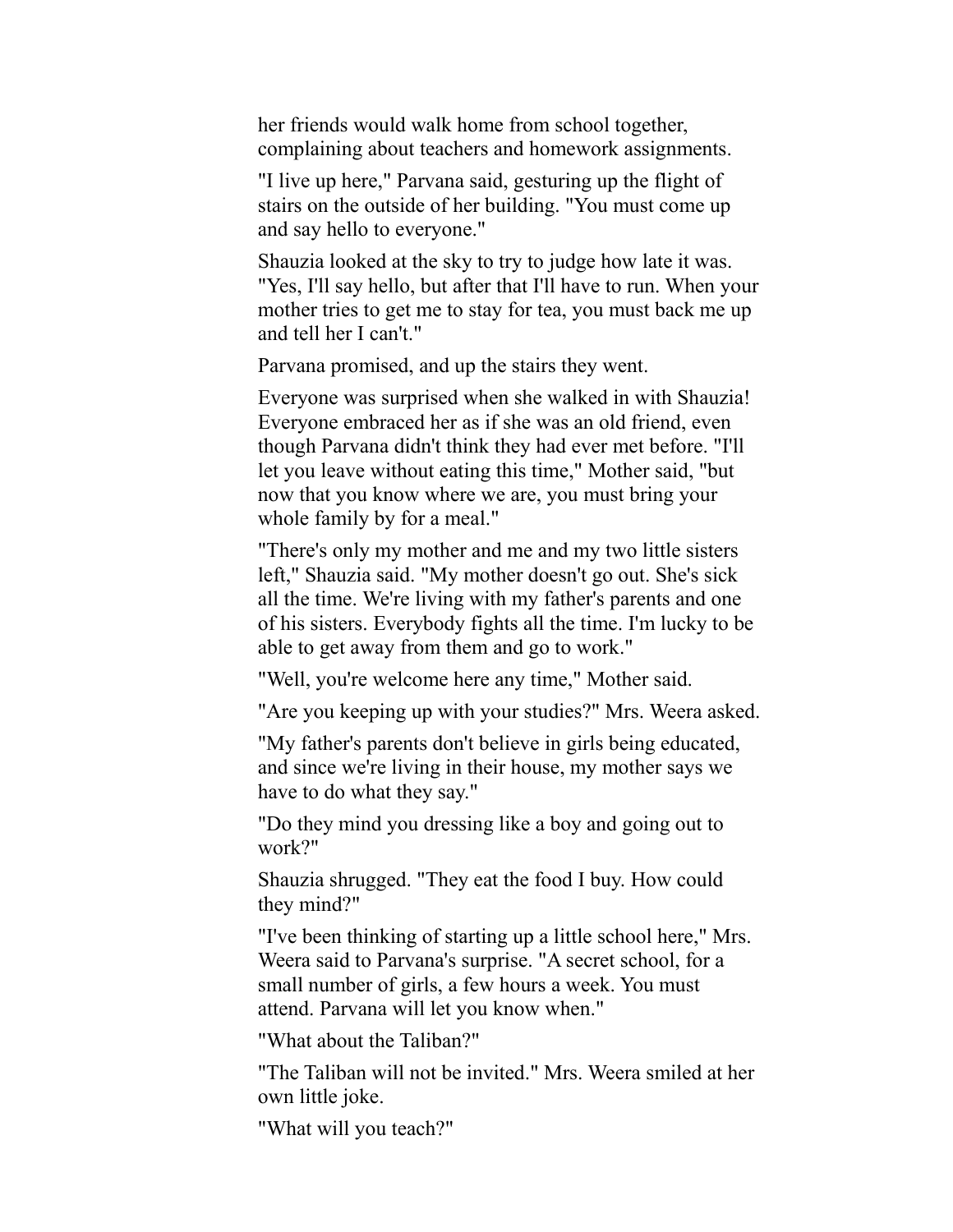her friends would walk home from school together, complaining about teachers and homework assignments.

"I live up here," Parvana said, gesturing up the flight of stairs on the outside of her building. "You must come up and say hello to everyone."

Shauzia looked at the sky to try to judge how late it was. "Yes, I'll say hello, but after that I'll have to run. When your mother tries to get me to stay for tea, you must back me up and tell her I can't."

Parvana promised, and up the stairs they went.

Everyone was surprised when she walked in with Shauzia! Everyone embraced her as if she was an old friend, even though Parvana didn't think they had ever met before. "I'll let you leave without eating this time," Mother said, "but now that you know where we are, you must bring your whole family by for a meal."

"There's only my mother and me and my two little sisters left," Shauzia said. "My mother doesn't go out. She's sick all the time. We're living with my father's parents and one of his sisters. Everybody fights all the time. I'm lucky to be able to get away from them and go to work."

"Well, you're welcome here any time," Mother said.

"Are you keeping up with your studies?" Mrs. Weera asked.

"My father's parents don't believe in girls being educated, and since we're living in their house, my mother says we have to do what they say."

"Do they mind you dressing like a boy and going out to work?"

Shauzia shrugged. "They eat the food I buy. How could they mind?"

"I've been thinking of starting up a little school here," Mrs. Weera said to Parvana's surprise. "A secret school, for a small number of girls, a few hours a week. You must attend. Parvana will let you know when."

"What about the Taliban?"

"The Taliban will not be invited." Mrs. Weera smiled at her own little joke.

"What will you teach?"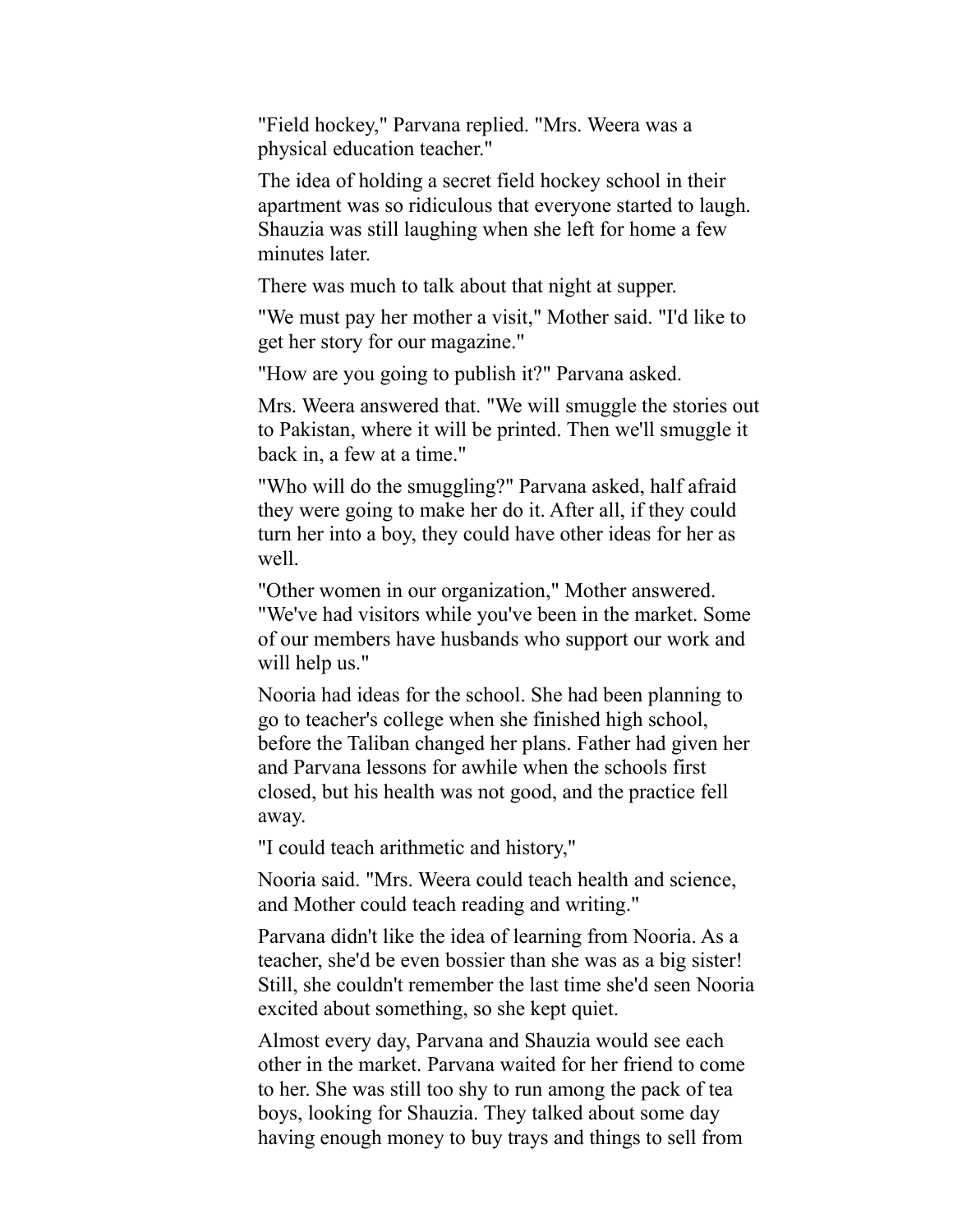"Field hockey," Parvana replied. "Mrs. Weera was a physical education teacher."

The idea of holding a secret field hockey school in their apartment was so ridiculous that everyone started to laugh. Shauzia was still laughing when she left for home a few minutes later.

There was much to talk about that night at supper.

"We must pay her mother a visit," Mother said. "I'd like to get her story for our magazine."

"How are you going to publish it?" Parvana asked.

Mrs. Weera answered that. "We will smuggle the stories out to Pakistan, where it will be printed. Then we'll smuggle it back in, a few at a time."

"Who will do the smuggling?" Parvana asked, half afraid they were going to make her do it. After all, if they could turn her into a boy, they could have other ideas for her as well.

"Other women in our organization," Mother answered. "We've had visitors while you've been in the market. Some of our members have husbands who support our work and will help us."

Nooria had ideas for the school. She had been planning to go to teacher's college when she finished high school, before the Taliban changed her plans. Father had given her and Parvana lessons for awhile when the schools first closed, but his health was not good, and the practice fell away.

"I could teach arithmetic and history,"

Nooria said. "Mrs. Weera could teach health and science, and Mother could teach reading and writing."

Parvana didn't like the idea of learning from Nooria. As a teacher, she'd be even bossier than she was as a big sister! Still, she couldn't remember the last time she'd seen Nooria excited about something, so she kept quiet.

Almost every day, Parvana and Shauzia would see each other in the market. Parvana waited for her friend to come to her. She was still too shy to run among the pack of tea boys, looking for Shauzia. They talked about some day having enough money to buy trays and things to sell from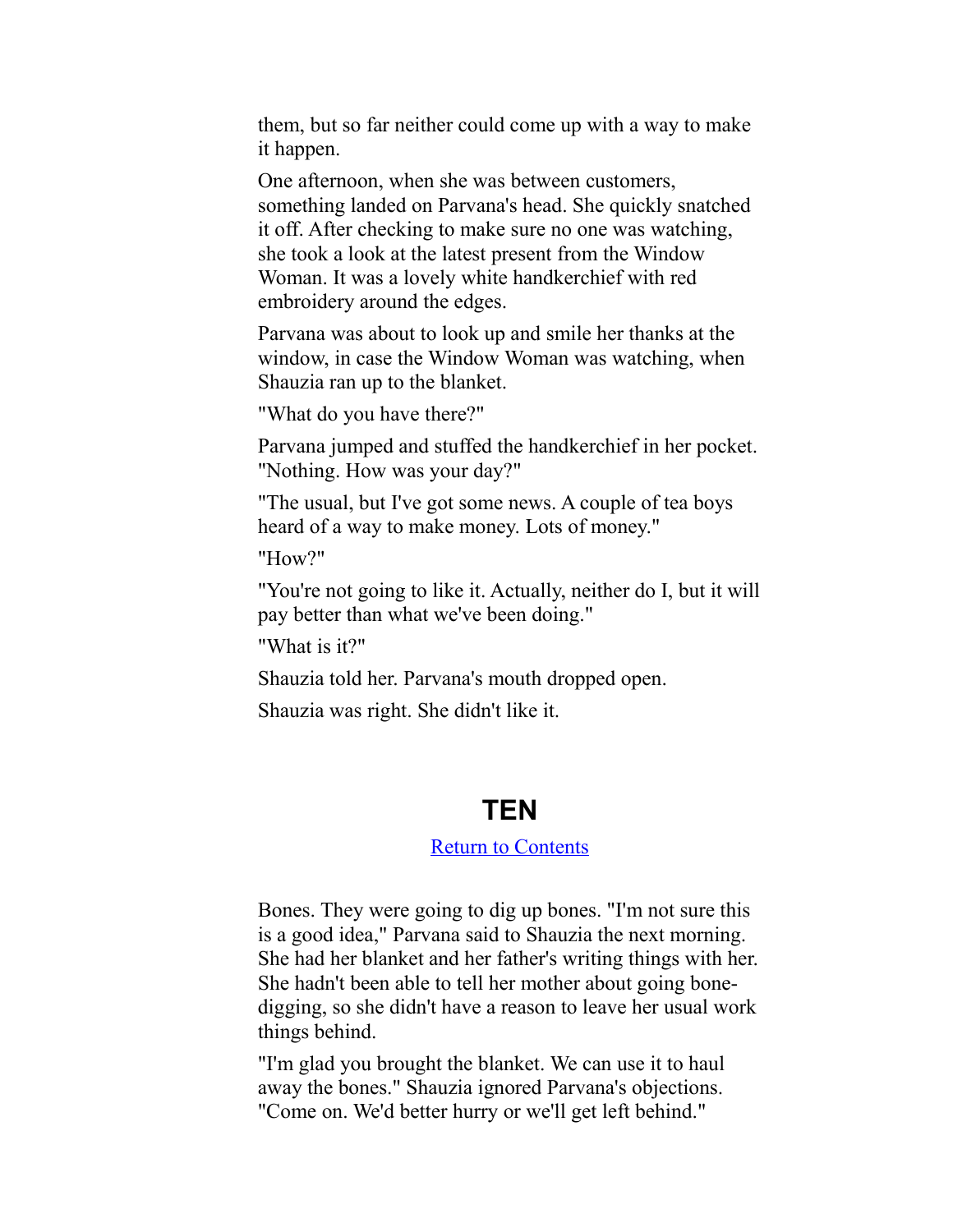them, but so far neither could come up with a way to make it happen.

One afternoon, when she was between customers, something landed on Parvana's head. She quickly snatched it off. After checking to make sure no one was watching, she took a look at the latest present from the Window Woman. It was a lovely white handkerchief with red embroidery around the edges.

Parvana was about to look up and smile her thanks at the window, in case the Window Woman was watching, when Shauzia ran up to the blanket.

"What do you have there?"

Parvana jumped and stuffed the handkerchief in her pocket. "Nothing. How was your day?"

"The usual, but I've got some news. A couple of tea boys heard of a way to make money. Lots of money."

"How?"

"You're not going to like it. Actually, neither do I, but it will pay better than what we've been doing."

"What is it?"

Shauzia told her. Parvana's mouth dropped open.

Shauzia was right. She didn't like it.

## <span id="page-53-0"></span>**TEN**

## [Return to Contents](#page-53-0)

Bones. They were going to dig up bones. "I'm not sure this is a good idea," Parvana said to Shauzia the next morning. She had her blanket and her father's writing things with her. She hadn't been able to tell her mother about going bonedigging, so she didn't have a reason to leave her usual work things behind.

"I'm glad you brought the blanket. We can use it to haul away the bones." Shauzia ignored Parvana's objections. "Come on. We'd better hurry or we'll get left behind."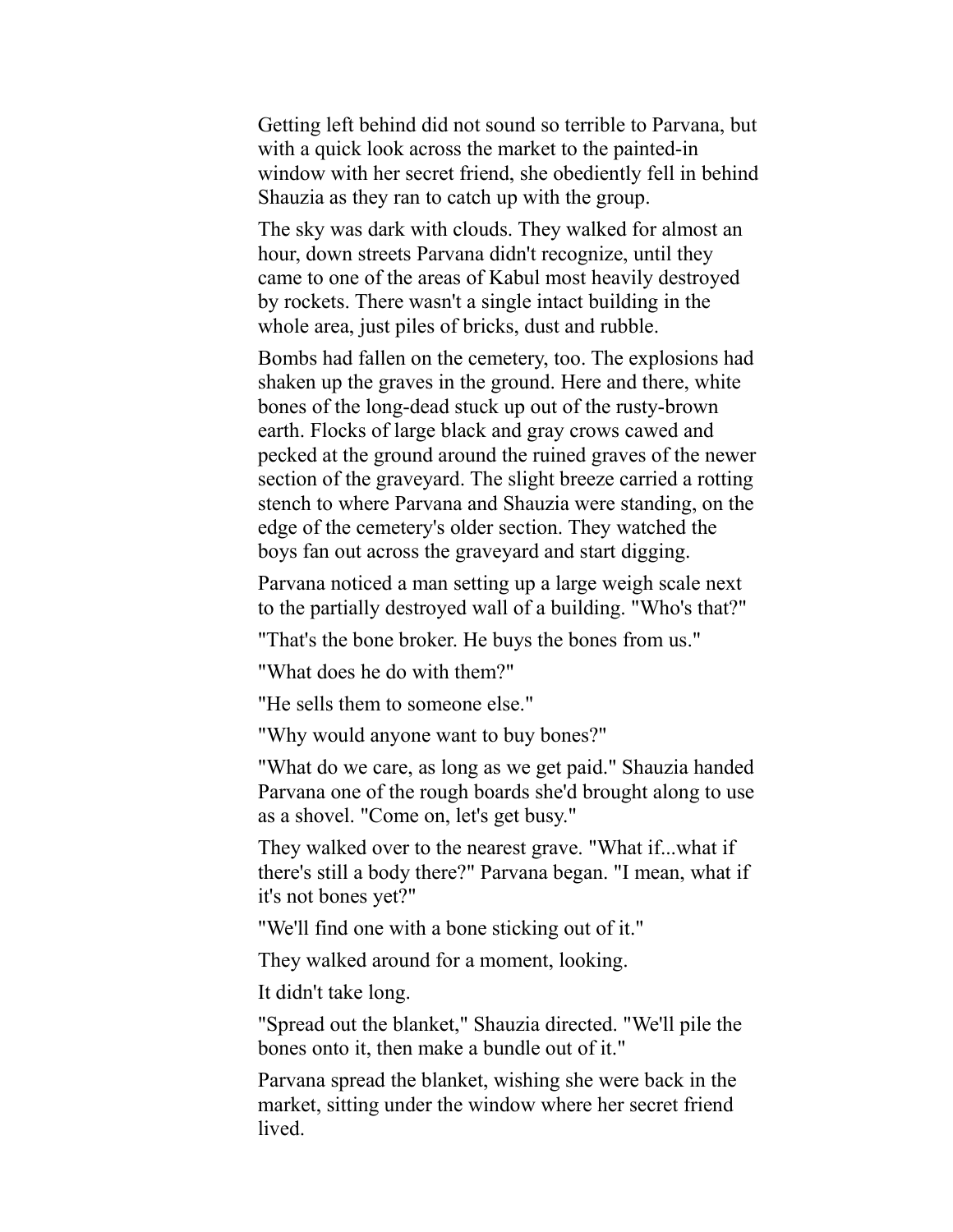Getting left behind did not sound so terrible to Parvana, but with a quick look across the market to the painted-in window with her secret friend, she obediently fell in behind Shauzia as they ran to catch up with the group.

The sky was dark with clouds. They walked for almost an hour, down streets Parvana didn't recognize, until they came to one of the areas of Kabul most heavily destroyed by rockets. There wasn't a single intact building in the whole area, just piles of bricks, dust and rubble.

Bombs had fallen on the cemetery, too. The explosions had shaken up the graves in the ground. Here and there, white bones of the long-dead stuck up out of the rusty-brown earth. Flocks of large black and gray crows cawed and pecked at the ground around the ruined graves of the newer section of the graveyard. The slight breeze carried a rotting stench to where Parvana and Shauzia were standing, on the edge of the cemetery's older section. They watched the boys fan out across the graveyard and start digging.

Parvana noticed a man setting up a large weigh scale next to the partially destroyed wall of a building. "Who's that?"

"That's the bone broker. He buys the bones from us."

"What does he do with them?"

"He sells them to someone else."

"Why would anyone want to buy bones?"

"What do we care, as long as we get paid." Shauzia handed Parvana one of the rough boards she'd brought along to use as a shovel. "Come on, let's get busy."

They walked over to the nearest grave. "What if...what if there's still a body there?" Parvana began. "I mean, what if it's not bones yet?"

"We'll find one with a bone sticking out of it."

They walked around for a moment, looking.

It didn't take long.

"Spread out the blanket," Shauzia directed. "We'll pile the bones onto it, then make a bundle out of it."

Parvana spread the blanket, wishing she were back in the market, sitting under the window where her secret friend lived.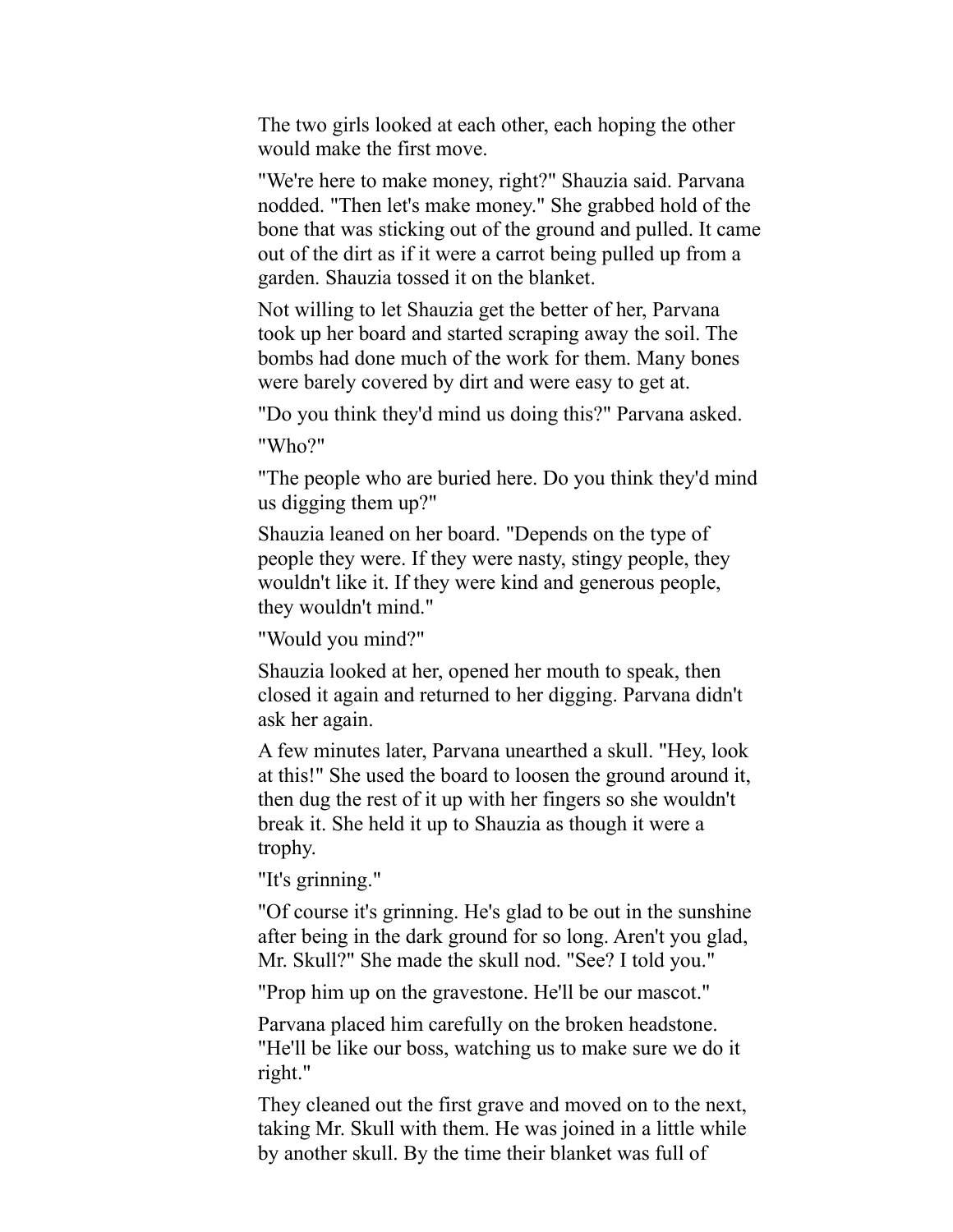The two girls looked at each other, each hoping the other would make the first move.

"We're here to make money, right?" Shauzia said. Parvana nodded. "Then let's make money." She grabbed hold of the bone that was sticking out of the ground and pulled. It came out of the dirt as if it were a carrot being pulled up from a garden. Shauzia tossed it on the blanket.

Not willing to let Shauzia get the better of her, Parvana took up her board and started scraping away the soil. The bombs had done much of the work for them. Many bones were barely covered by dirt and were easy to get at.

"Do you think they'd mind us doing this?" Parvana asked. "Who?"

"The people who are buried here. Do you think they'd mind us digging them up?"

Shauzia leaned on her board. "Depends on the type of people they were. If they were nasty, stingy people, they wouldn't like it. If they were kind and generous people, they wouldn't mind."

"Would you mind?"

Shauzia looked at her, opened her mouth to speak, then closed it again and returned to her digging. Parvana didn't ask her again.

A few minutes later, Parvana unearthed a skull. "Hey, look at this!" She used the board to loosen the ground around it, then dug the rest of it up with her fingers so she wouldn't break it. She held it up to Shauzia as though it were a trophy.

"It's grinning."

"Of course it's grinning. He's glad to be out in the sunshine after being in the dark ground for so long. Aren't you glad, Mr. Skull?" She made the skull nod. "See? I told you."

"Prop him up on the gravestone. He'll be our mascot."

Parvana placed him carefully on the broken headstone. "He'll be like our boss, watching us to make sure we do it right."

They cleaned out the first grave and moved on to the next, taking Mr. Skull with them. He was joined in a little while by another skull. By the time their blanket was full of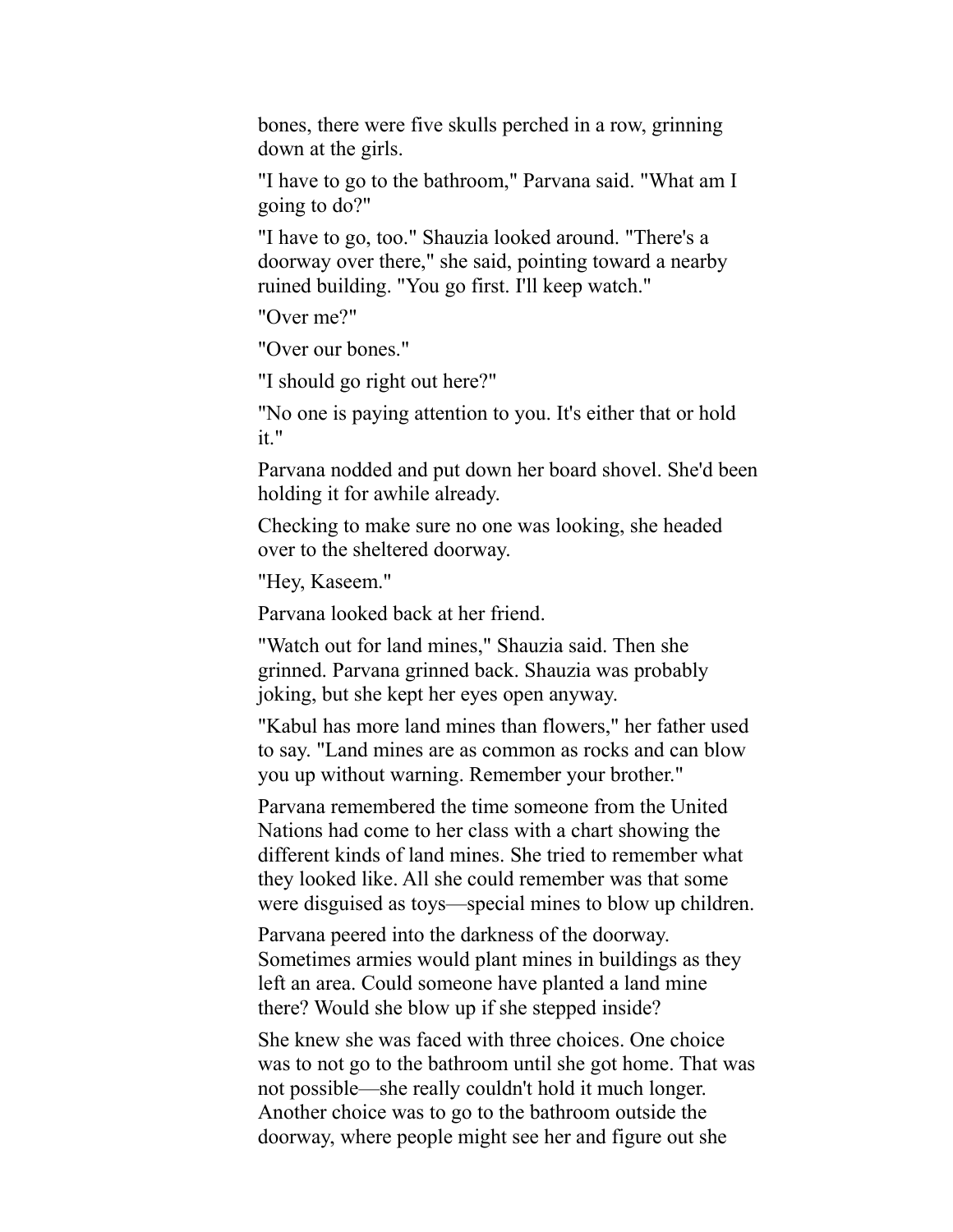bones, there were five skulls perched in a row, grinning down at the girls.

"I have to go to the bathroom," Parvana said. "What am I going to do?"

"I have to go, too." Shauzia looked around. "There's a doorway over there," she said, pointing toward a nearby ruined building. "You go first. I'll keep watch."

"Over me?"

"Over our bones."

"I should go right out here?"

"No one is paying attention to you. It's either that or hold it."

Parvana nodded and put down her board shovel. She'd been holding it for awhile already.

Checking to make sure no one was looking, she headed over to the sheltered doorway.

"Hey, Kaseem."

Parvana looked back at her friend.

"Watch out for land mines," Shauzia said. Then she grinned. Parvana grinned back. Shauzia was probably joking, but she kept her eyes open anyway.

"Kabul has more land mines than flowers," her father used to say. "Land mines are as common as rocks and can blow you up without warning. Remember your brother."

Parvana remembered the time someone from the United Nations had come to her class with a chart showing the different kinds of land mines. She tried to remember what they looked like. All she could remember was that some were disguised as toys—special mines to blow up children.

Parvana peered into the darkness of the doorway. Sometimes armies would plant mines in buildings as they left an area. Could someone have planted a land mine there? Would she blow up if she stepped inside?

She knew she was faced with three choices. One choice was to not go to the bathroom until she got home. That was not possible—she really couldn't hold it much longer. Another choice was to go to the bathroom outside the doorway, where people might see her and figure out she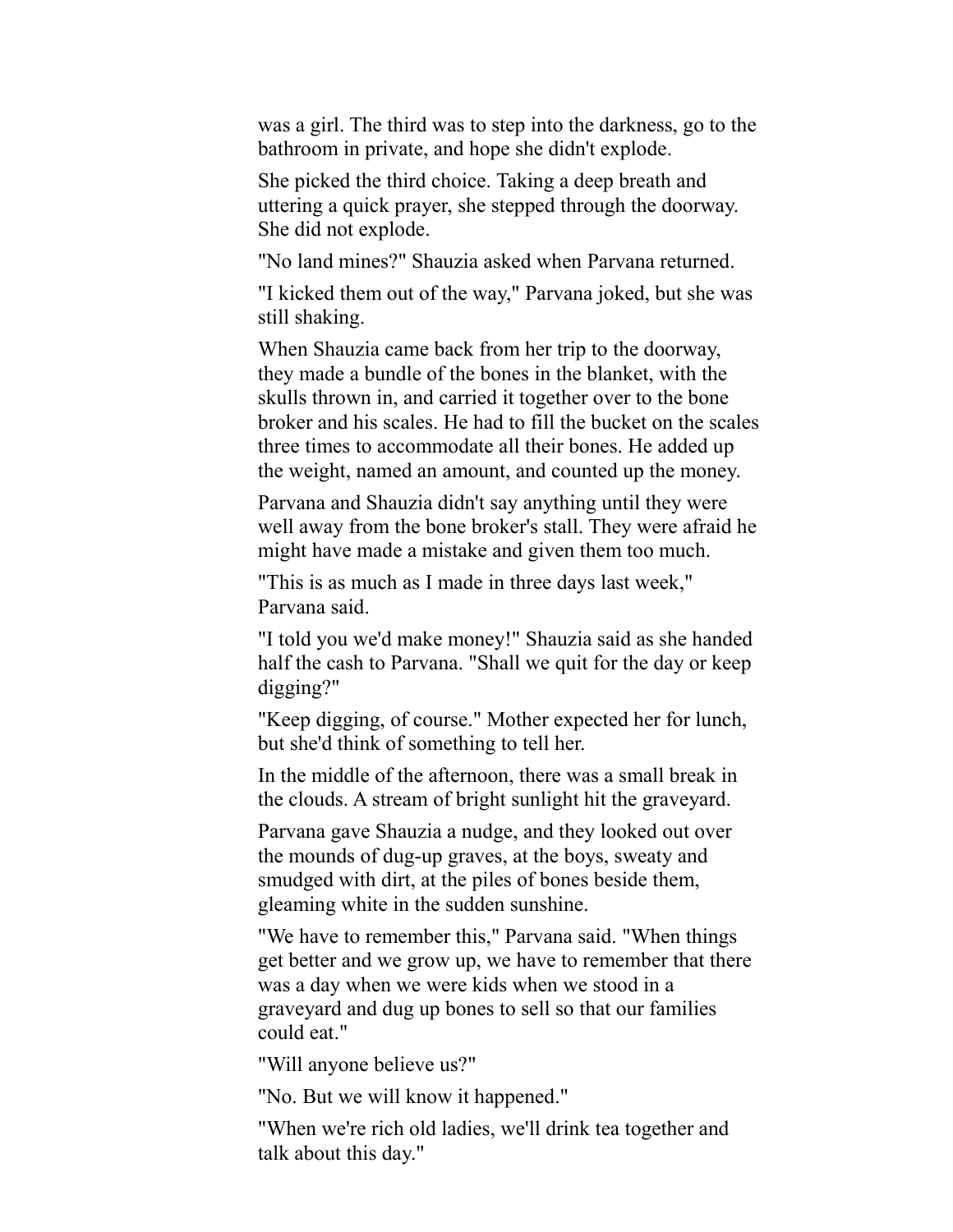was a girl. The third was to step into the darkness, go to the bathroom in private, and hope she didn't explode.

She picked the third choice. Taking a deep breath and uttering a quick prayer, she stepped through the doorway. She did not explode.

"No land mines?" Shauzia asked when Parvana returned.

"I kicked them out of the way," Parvana joked, but she was still shaking.

When Shauzia came back from her trip to the doorway, they made a bundle of the bones in the blanket, with the skulls thrown in, and carried it together over to the bone broker and his scales. He had to fill the bucket on the scales three times to accommodate all their bones. He added up the weight, named an amount, and counted up the money.

Parvana and Shauzia didn't say anything until they were well away from the bone broker's stall. They were afraid he might have made a mistake and given them too much.

"This is as much as I made in three days last week," Parvana said.

"I told you we'd make money!" Shauzia said as she handed half the cash to Parvana. "Shall we quit for the day or keep digging?"

"Keep digging, of course." Mother expected her for lunch, but she'd think of something to tell her.

In the middle of the afternoon, there was a small break in the clouds. A stream of bright sunlight hit the graveyard.

Parvana gave Shauzia a nudge, and they looked out over the mounds of dug-up graves, at the boys, sweaty and smudged with dirt, at the piles of bones beside them, gleaming white in the sudden sunshine.

"We have to remember this," Parvana said. "When things get better and we grow up, we have to remember that there was a day when we were kids when we stood in a graveyard and dug up bones to sell so that our families could eat."

"Will anyone believe us?"

"No. But we will know it happened."

"When we're rich old ladies, we'll drink tea together and talk about this day."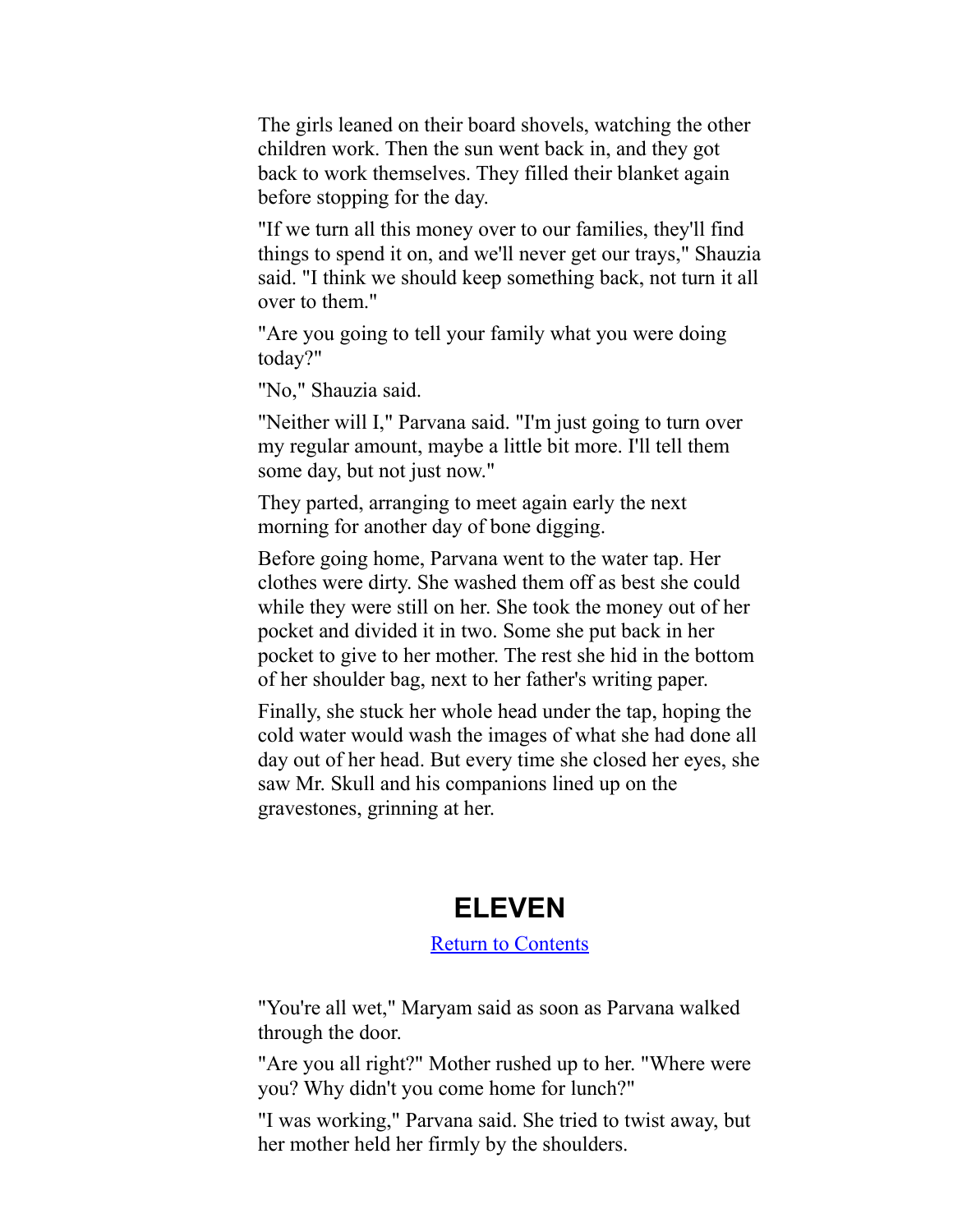The girls leaned on their board shovels, watching the other children work. Then the sun went back in, and they got back to work themselves. They filled their blanket again before stopping for the day.

"If we turn all this money over to our families, they'll find things to spend it on, and we'll never get our trays," Shauzia said. "I think we should keep something back, not turn it all over to them."

"Are you going to tell your family what you were doing today?"

"No," Shauzia said.

"Neither will I," Parvana said. "I'm just going to turn over my regular amount, maybe a little bit more. I'll tell them some day, but not just now."

They parted, arranging to meet again early the next morning for another day of bone digging.

Before going home, Parvana went to the water tap. Her clothes were dirty. She washed them off as best she could while they were still on her. She took the money out of her pocket and divided it in two. Some she put back in her pocket to give to her mother. The rest she hid in the bottom of her shoulder bag, next to her father's writing paper.

Finally, she stuck her whole head under the tap, hoping the cold water would wash the images of what she had done all day out of her head. But every time she closed her eyes, she saw Mr. Skull and his companions lined up on the gravestones, grinning at her.

# <span id="page-58-0"></span>**ELEVEN**

#### [Return to Contents](#page-58-0)

"You're all wet," Maryam said as soon as Parvana walked through the door.

"Are you all right?" Mother rushed up to her. "Where were you? Why didn't you come home for lunch?"

"I was working," Parvana said. She tried to twist away, but her mother held her firmly by the shoulders.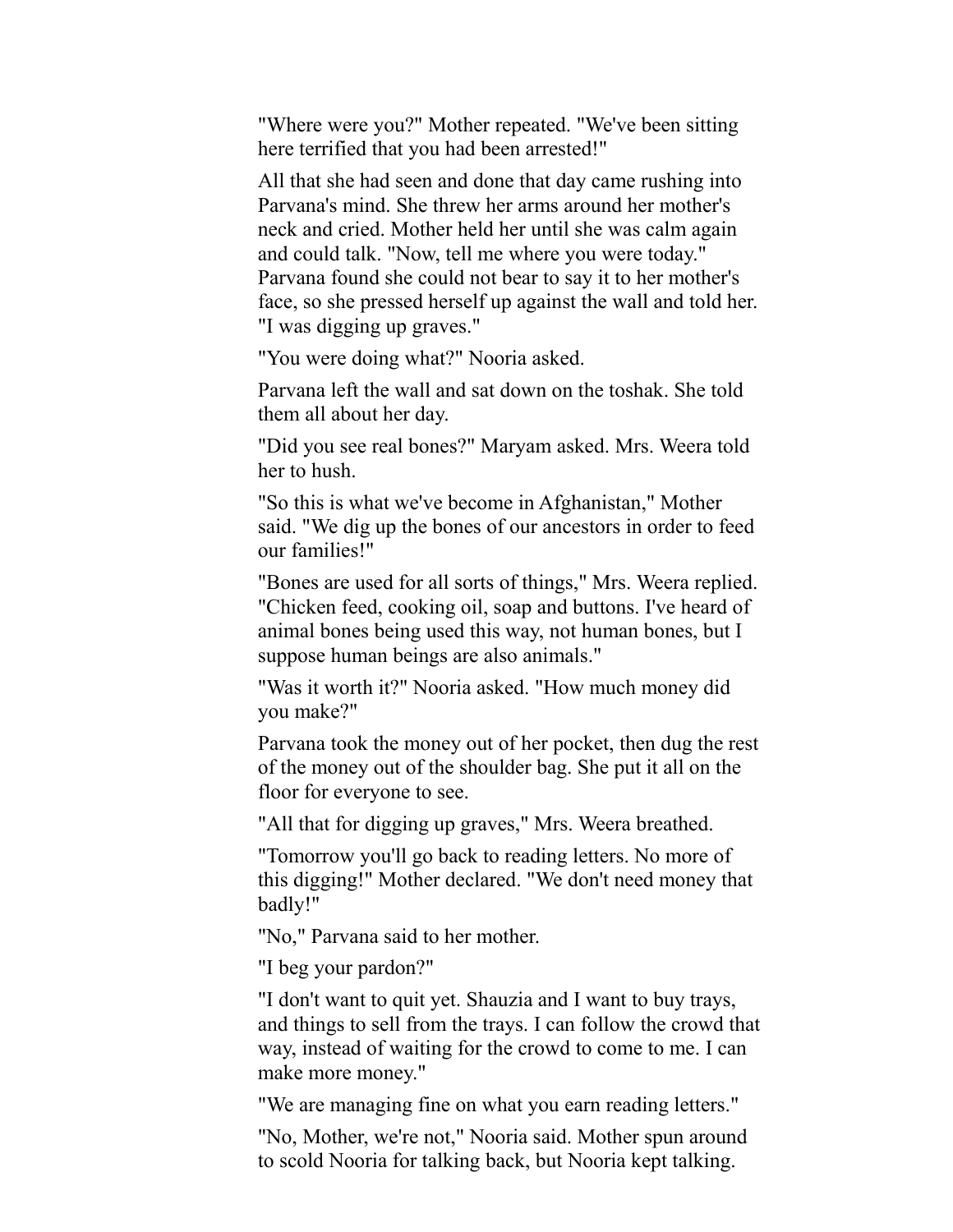"Where were you?" Mother repeated. "We've been sitting here terrified that you had been arrested!"

All that she had seen and done that day came rushing into Parvana's mind. She threw her arms around her mother's neck and cried. Mother held her until she was calm again and could talk. "Now, tell me where you were today." Parvana found she could not bear to say it to her mother's face, so she pressed herself up against the wall and told her. "I was digging up graves."

"You were doing what?" Nooria asked.

Parvana left the wall and sat down on the toshak. She told them all about her day.

"Did you see real bones?" Maryam asked. Mrs. Weera told her to hush.

"So this is what we've become in Afghanistan," Mother said. "We dig up the bones of our ancestors in order to feed our families!"

"Bones are used for all sorts of things," Mrs. Weera replied. "Chicken feed, cooking oil, soap and buttons. I've heard of animal bones being used this way, not human bones, but I suppose human beings are also animals."

"Was it worth it?" Nooria asked. "How much money did you make?"

Parvana took the money out of her pocket, then dug the rest of the money out of the shoulder bag. She put it all on the floor for everyone to see.

"All that for digging up graves," Mrs. Weera breathed.

"Tomorrow you'll go back to reading letters. No more of this digging!" Mother declared. "We don't need money that badly!"

"No," Parvana said to her mother.

"I beg your pardon?"

"I don't want to quit yet. Shauzia and I want to buy trays, and things to sell from the trays. I can follow the crowd that way, instead of waiting for the crowd to come to me. I can make more money."

"We are managing fine on what you earn reading letters."

"No, Mother, we're not," Nooria said. Mother spun around to scold Nooria for talking back, but Nooria kept talking.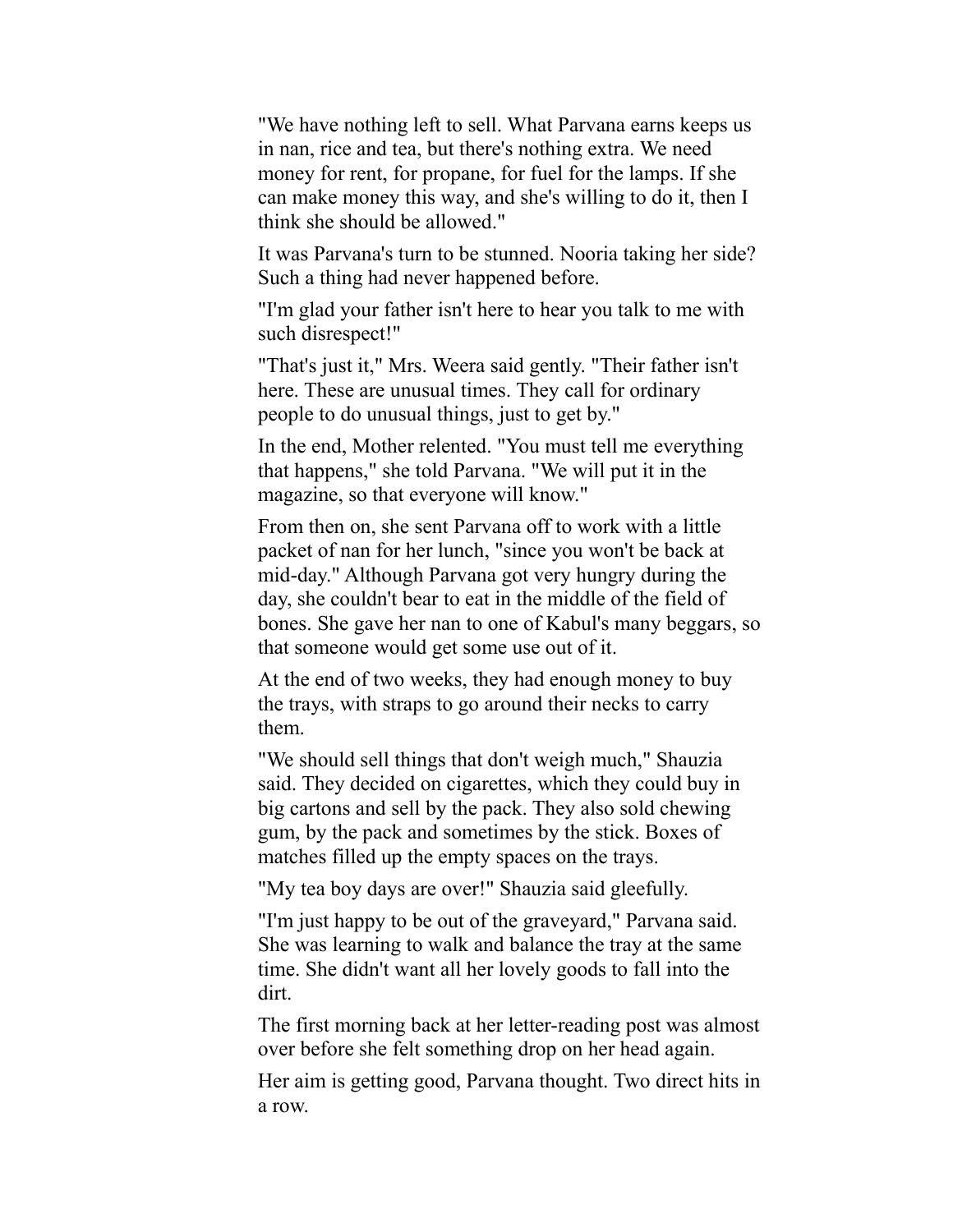"We have nothing left to sell. What Parvana earns keeps us in nan, rice and tea, but there's nothing extra. We need money for rent, for propane, for fuel for the lamps. If she can make money this way, and she's willing to do it, then I think she should be allowed."

It was Parvana's turn to be stunned. Nooria taking her side? Such a thing had never happened before.

"I'm glad your father isn't here to hear you talk to me with such disrespect!"

"That's just it," Mrs. Weera said gently. "Their father isn't here. These are unusual times. They call for ordinary people to do unusual things, just to get by."

In the end, Mother relented. "You must tell me everything that happens," she told Parvana. "We will put it in the magazine, so that everyone will know."

From then on, she sent Parvana off to work with a little packet of nan for her lunch, "since you won't be back at mid-day." Although Parvana got very hungry during the day, she couldn't bear to eat in the middle of the field of bones. She gave her nan to one of Kabul's many beggars, so that someone would get some use out of it.

At the end of two weeks, they had enough money to buy the trays, with straps to go around their necks to carry them.

"We should sell things that don't weigh much," Shauzia said. They decided on cigarettes, which they could buy in big cartons and sell by the pack. They also sold chewing gum, by the pack and sometimes by the stick. Boxes of matches filled up the empty spaces on the trays.

"My tea boy days are over!" Shauzia said gleefully.

"I'm just happy to be out of the graveyard," Parvana said. She was learning to walk and balance the tray at the same time. She didn't want all her lovely goods to fall into the dirt.

The first morning back at her letter-reading post was almost over before she felt something drop on her head again.

Her aim is getting good, Parvana thought. Two direct hits in a row.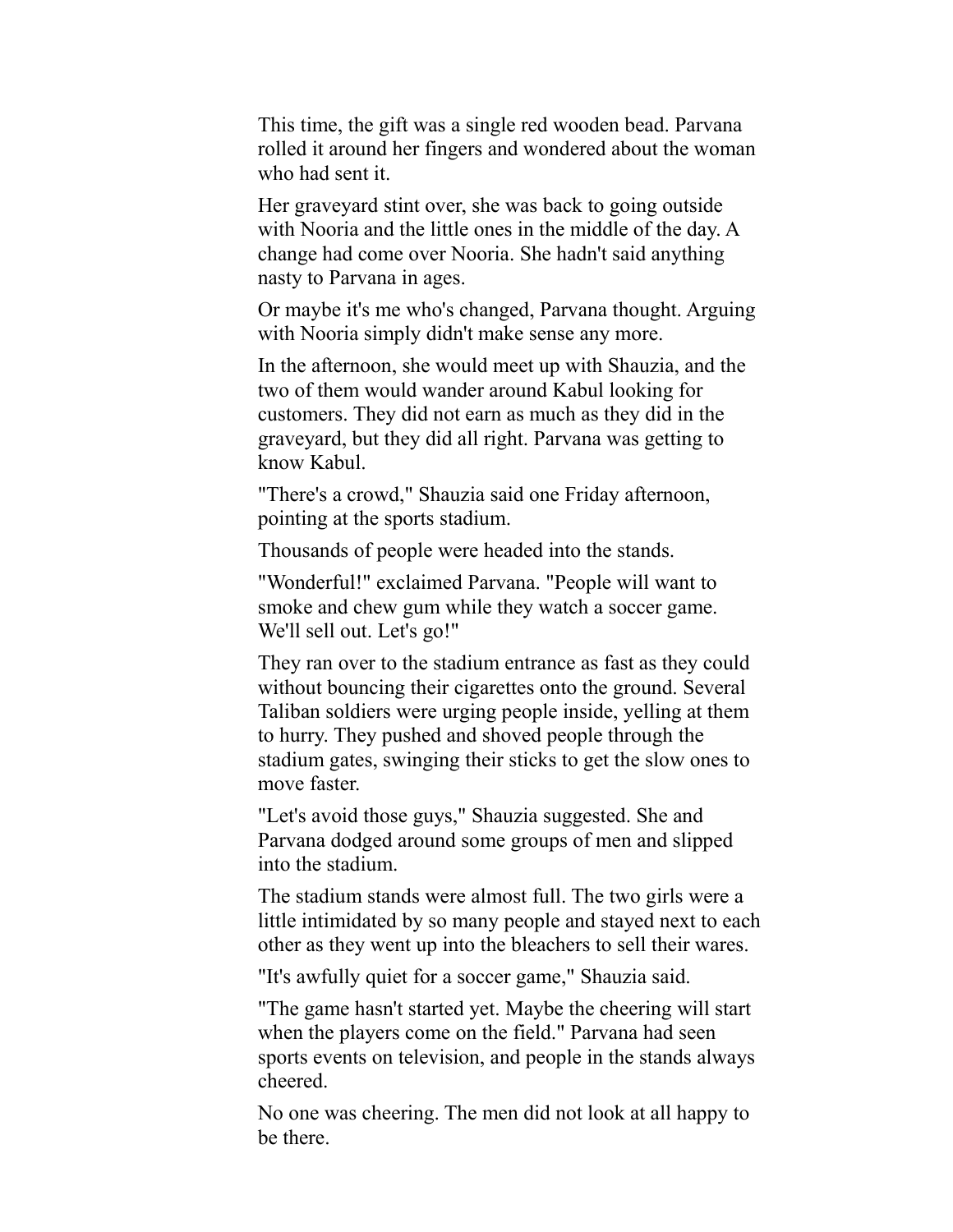This time, the gift was a single red wooden bead. Parvana rolled it around her fingers and wondered about the woman who had sent it.

Her graveyard stint over, she was back to going outside with Nooria and the little ones in the middle of the day. A change had come over Nooria. She hadn't said anything nasty to Parvana in ages.

Or maybe it's me who's changed, Parvana thought. Arguing with Nooria simply didn't make sense any more.

In the afternoon, she would meet up with Shauzia, and the two of them would wander around Kabul looking for customers. They did not earn as much as they did in the graveyard, but they did all right. Parvana was getting to know Kabul.

"There's a crowd," Shauzia said one Friday afternoon, pointing at the sports stadium.

Thousands of people were headed into the stands.

"Wonderful!" exclaimed Parvana. "People will want to smoke and chew gum while they watch a soccer game. We'll sell out. Let's go!"

They ran over to the stadium entrance as fast as they could without bouncing their cigarettes onto the ground. Several Taliban soldiers were urging people inside, yelling at them to hurry. They pushed and shoved people through the stadium gates, swinging their sticks to get the slow ones to move faster.

"Let's avoid those guys," Shauzia suggested. She and Parvana dodged around some groups of men and slipped into the stadium.

The stadium stands were almost full. The two girls were a little intimidated by so many people and stayed next to each other as they went up into the bleachers to sell their wares.

"It's awfully quiet for a soccer game," Shauzia said.

"The game hasn't started yet. Maybe the cheering will start when the players come on the field." Parvana had seen sports events on television, and people in the stands always cheered.

No one was cheering. The men did not look at all happy to be there.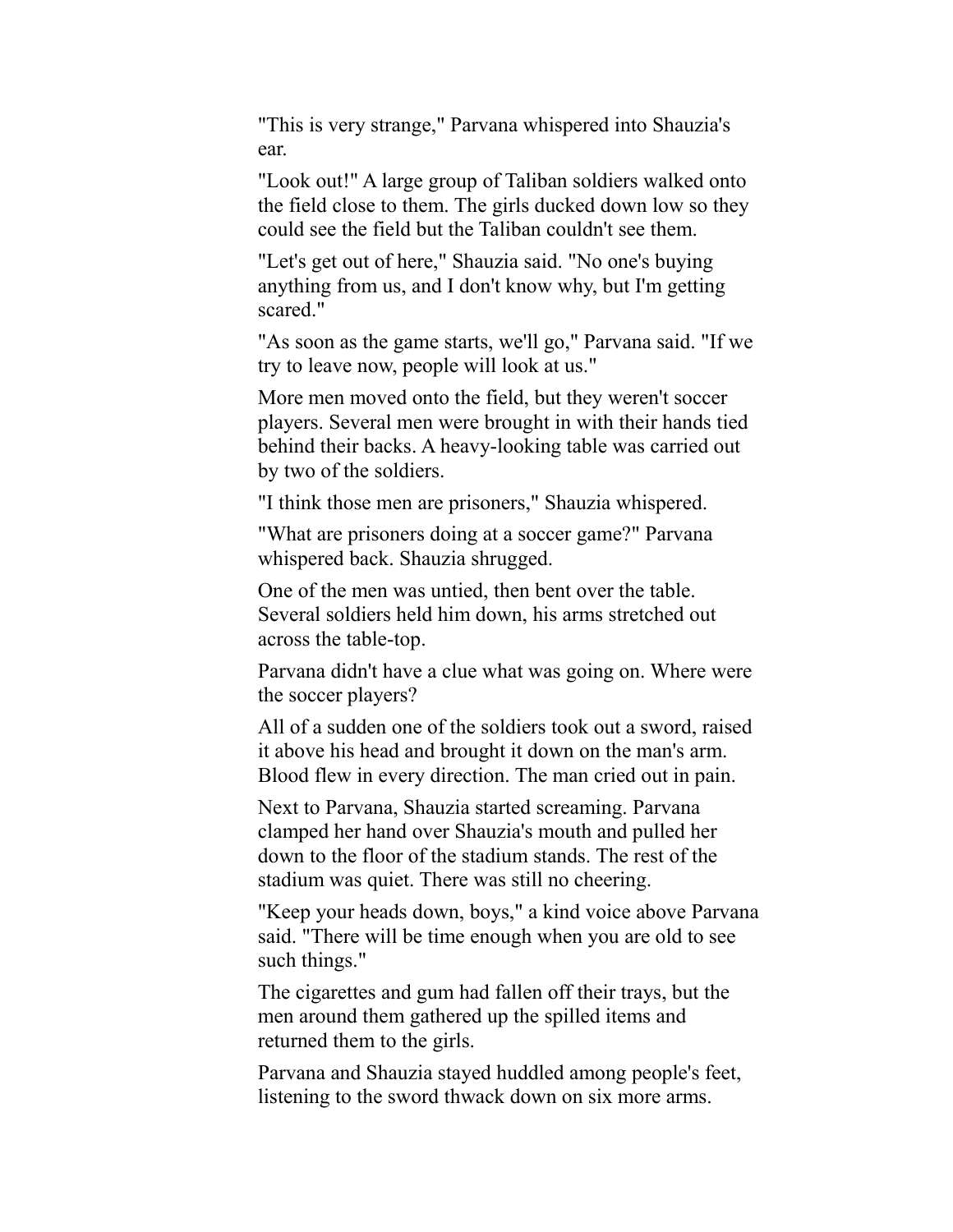"This is very strange," Parvana whispered into Shauzia's ear.

"Look out!" A large group of Taliban soldiers walked onto the field close to them. The girls ducked down low so they could see the field but the Taliban couldn't see them.

"Let's get out of here," Shauzia said. "No one's buying anything from us, and I don't know why, but I'm getting scared."

"As soon as the game starts, we'll go," Parvana said. "If we try to leave now, people will look at us."

More men moved onto the field, but they weren't soccer players. Several men were brought in with their hands tied behind their backs. A heavy-looking table was carried out by two of the soldiers.

"I think those men are prisoners," Shauzia whispered.

"What are prisoners doing at a soccer game?" Parvana whispered back. Shauzia shrugged.

One of the men was untied, then bent over the table. Several soldiers held him down, his arms stretched out across the table-top.

Parvana didn't have a clue what was going on. Where were the soccer players?

All of a sudden one of the soldiers took out a sword, raised it above his head and brought it down on the man's arm. Blood flew in every direction. The man cried out in pain.

Next to Parvana, Shauzia started screaming. Parvana clamped her hand over Shauzia's mouth and pulled her down to the floor of the stadium stands. The rest of the stadium was quiet. There was still no cheering.

"Keep your heads down, boys," a kind voice above Parvana said. "There will be time enough when you are old to see such things."

The cigarettes and gum had fallen off their trays, but the men around them gathered up the spilled items and returned them to the girls.

Parvana and Shauzia stayed huddled among people's feet, listening to the sword thwack down on six more arms.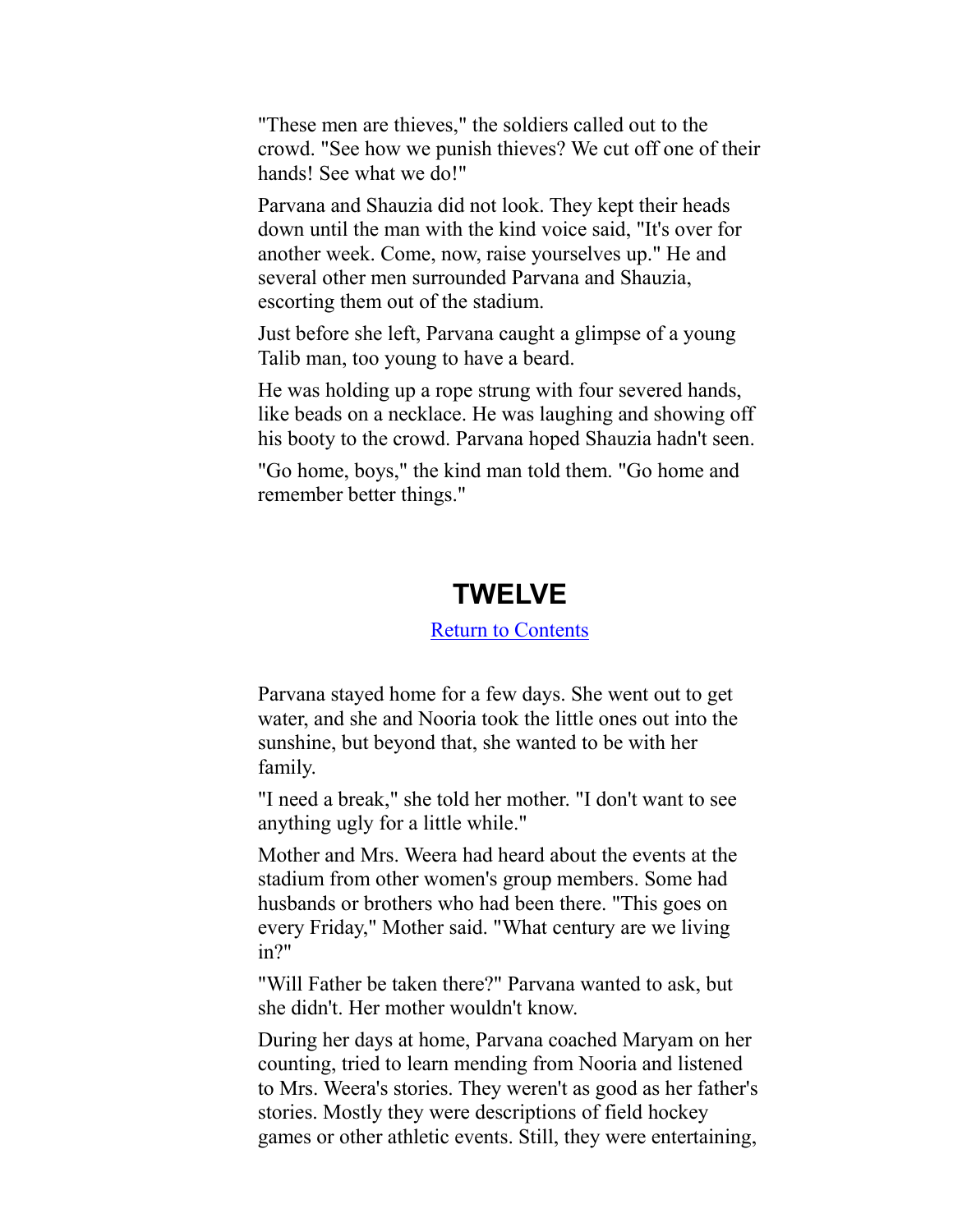"These men are thieves," the soldiers called out to the crowd. "See how we punish thieves? We cut off one of their hands! See what we do!"

Parvana and Shauzia did not look. They kept their heads down until the man with the kind voice said, "It's over for another week. Come, now, raise yourselves up." He and several other men surrounded Parvana and Shauzia, escorting them out of the stadium.

Just before she left, Parvana caught a glimpse of a young Talib man, too young to have a beard.

He was holding up a rope strung with four severed hands, like beads on a necklace. He was laughing and showing off his booty to the crowd. Parvana hoped Shauzia hadn't seen.

"Go home, boys," the kind man told them. "Go home and remember better things."

# <span id="page-63-0"></span>**TWELVE**

#### [Return to Contents](#page-63-0)

Parvana stayed home for a few days. She went out to get water, and she and Nooria took the little ones out into the sunshine, but beyond that, she wanted to be with her family.

"I need a break," she told her mother. "I don't want to see anything ugly for a little while."

Mother and Mrs. Weera had heard about the events at the stadium from other women's group members. Some had husbands or brothers who had been there. "This goes on every Friday," Mother said. "What century are we living in?"

"Will Father be taken there?" Parvana wanted to ask, but she didn't. Her mother wouldn't know.

During her days at home, Parvana coached Maryam on her counting, tried to learn mending from Nooria and listened to Mrs. Weera's stories. They weren't as good as her father's stories. Mostly they were descriptions of field hockey games or other athletic events. Still, they were entertaining,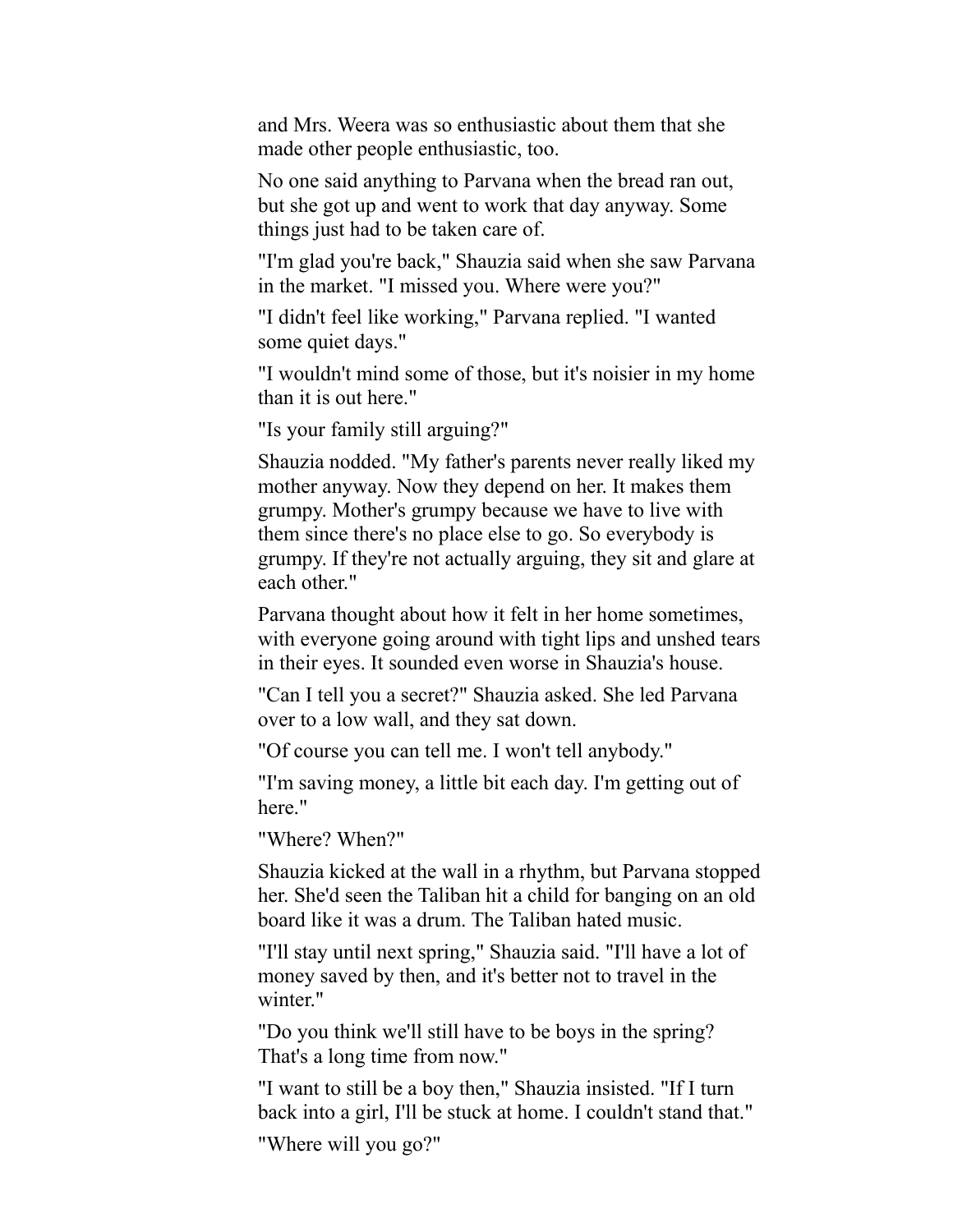and Mrs. Weera was so enthusiastic about them that she made other people enthusiastic, too.

No one said anything to Parvana when the bread ran out, but she got up and went to work that day anyway. Some things just had to be taken care of.

"I'm glad you're back," Shauzia said when she saw Parvana in the market. "I missed you. Where were you?"

"I didn't feel like working," Parvana replied. "I wanted some quiet days."

"I wouldn't mind some of those, but it's noisier in my home than it is out here."

"Is your family still arguing?"

Shauzia nodded. "My father's parents never really liked my mother anyway. Now they depend on her. It makes them grumpy. Mother's grumpy because we have to live with them since there's no place else to go. So everybody is grumpy. If they're not actually arguing, they sit and glare at each other."

Parvana thought about how it felt in her home sometimes, with everyone going around with tight lips and unshed tears in their eyes. It sounded even worse in Shauzia's house.

"Can I tell you a secret?" Shauzia asked. She led Parvana over to a low wall, and they sat down.

"Of course you can tell me. I won't tell anybody."

"I'm saving money, a little bit each day. I'm getting out of here."

"Where? When?"

Shauzia kicked at the wall in a rhythm, but Parvana stopped her. She'd seen the Taliban hit a child for banging on an old board like it was a drum. The Taliban hated music.

"I'll stay until next spring," Shauzia said. "I'll have a lot of money saved by then, and it's better not to travel in the winter."

"Do you think we'll still have to be boys in the spring? That's a long time from now."

"I want to still be a boy then," Shauzia insisted. "If I turn back into a girl, I'll be stuck at home. I couldn't stand that."

"Where will you go?"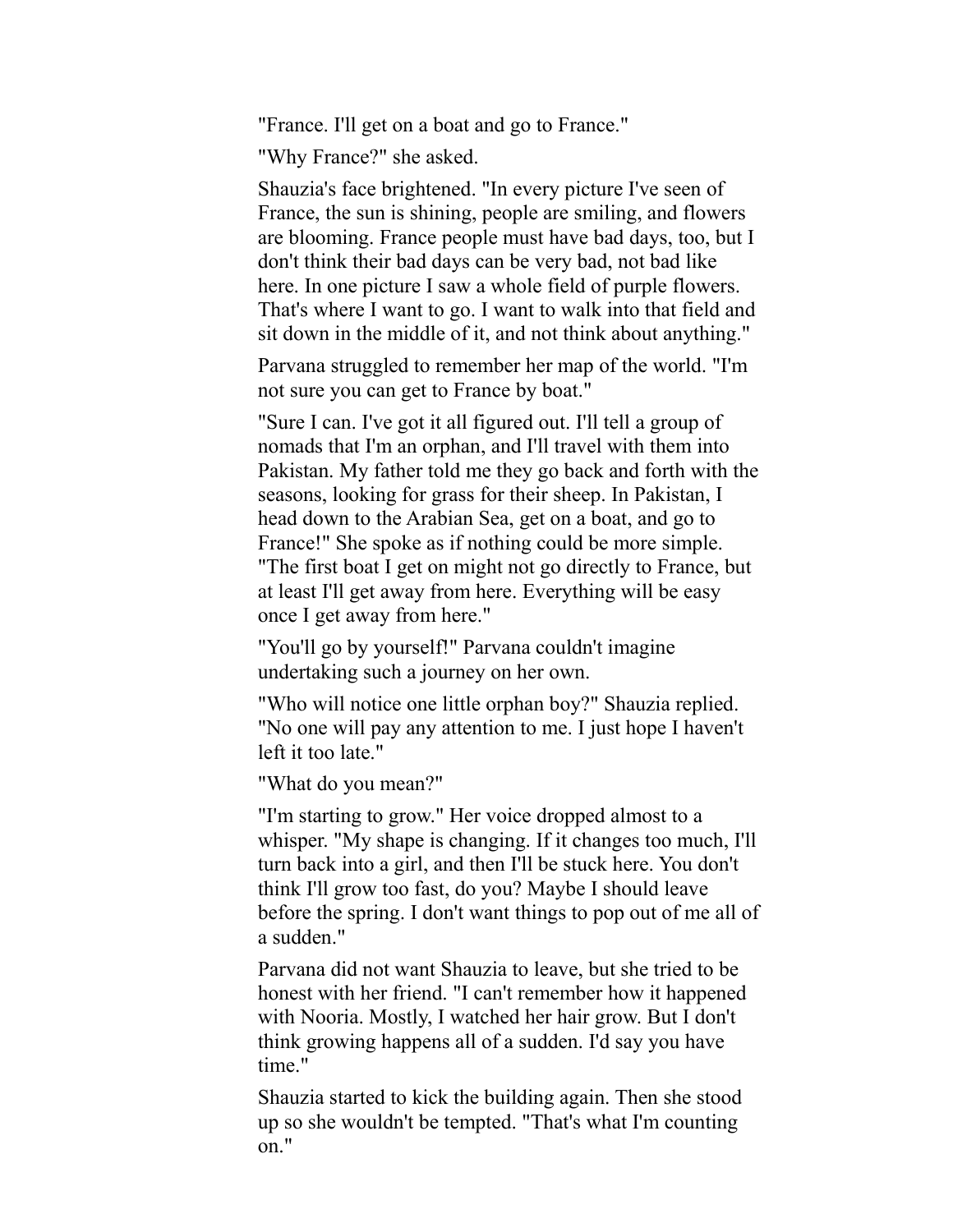"France. I'll get on a boat and go to France."

"Why France?" she asked.

Shauzia's face brightened. "In every picture I've seen of France, the sun is shining, people are smiling, and flowers are blooming. France people must have bad days, too, but I don't think their bad days can be very bad, not bad like here. In one picture I saw a whole field of purple flowers. That's where I want to go. I want to walk into that field and sit down in the middle of it, and not think about anything."

Parvana struggled to remember her map of the world. "I'm not sure you can get to France by boat."

"Sure I can. I've got it all figured out. I'll tell a group of nomads that I'm an orphan, and I'll travel with them into Pakistan. My father told me they go back and forth with the seasons, looking for grass for their sheep. In Pakistan, I head down to the Arabian Sea, get on a boat, and go to France!" She spoke as if nothing could be more simple. "The first boat I get on might not go directly to France, but at least I'll get away from here. Everything will be easy once I get away from here."

"You'll go by yourself!" Parvana couldn't imagine undertaking such a journey on her own.

"Who will notice one little orphan boy?" Shauzia replied. "No one will pay any attention to me. I just hope I haven't left it too late."

"What do you mean?"

"I'm starting to grow." Her voice dropped almost to a whisper. "My shape is changing. If it changes too much, I'll turn back into a girl, and then I'll be stuck here. You don't think I'll grow too fast, do you? Maybe I should leave before the spring. I don't want things to pop out of me all of a sudden."

Parvana did not want Shauzia to leave, but she tried to be honest with her friend. "I can't remember how it happened with Nooria. Mostly, I watched her hair grow. But I don't think growing happens all of a sudden. I'd say you have time."

Shauzia started to kick the building again. Then she stood up so she wouldn't be tempted. "That's what I'm counting on."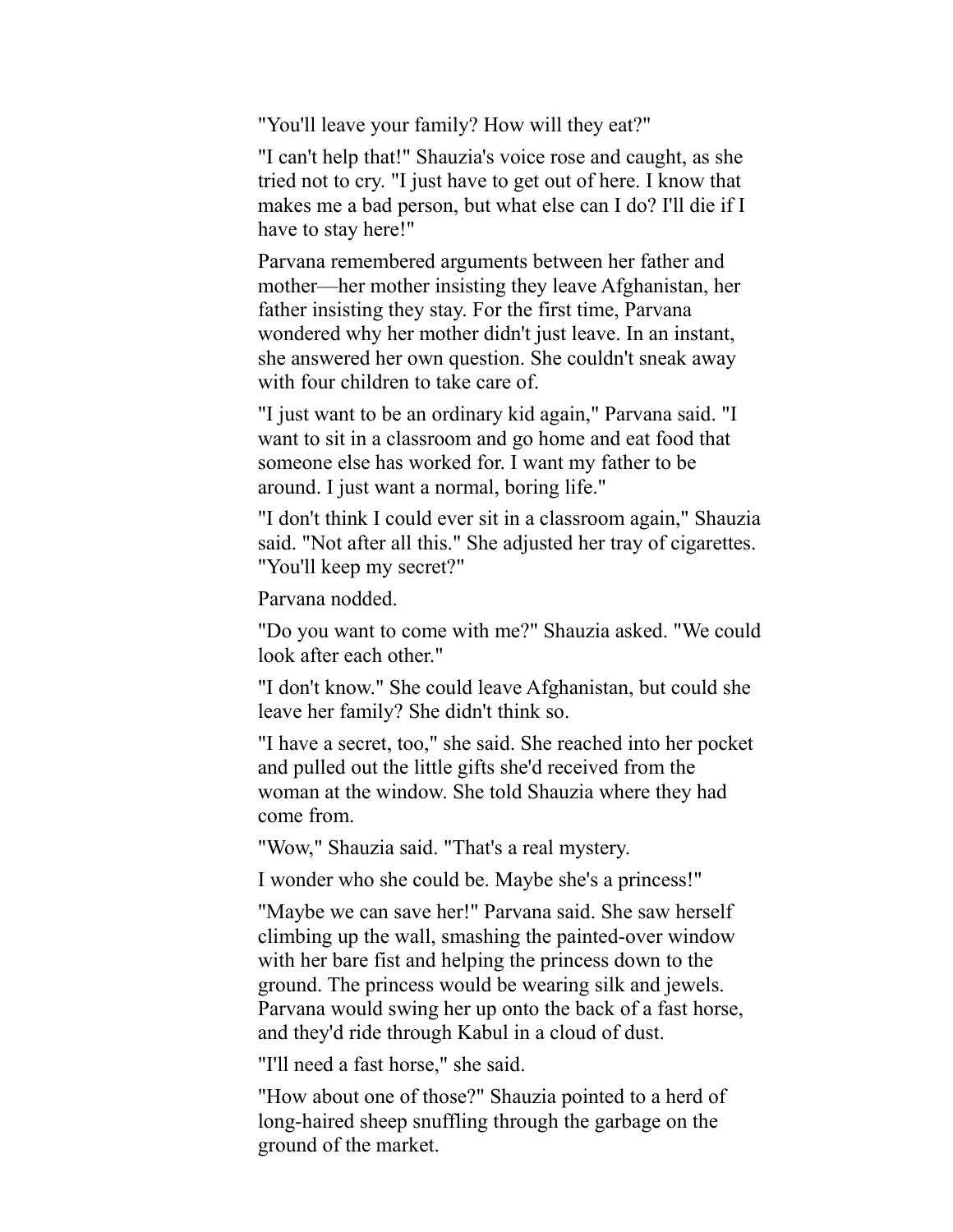"You'll leave your family? How will they eat?"

"I can't help that!" Shauzia's voice rose and caught, as she tried not to cry. "I just have to get out of here. I know that makes me a bad person, but what else can I do? I'll die if I have to stay here!"

Parvana remembered arguments between her father and mother—her mother insisting they leave Afghanistan, her father insisting they stay. For the first time, Parvana wondered why her mother didn't just leave. In an instant, she answered her own question. She couldn't sneak away with four children to take care of.

"I just want to be an ordinary kid again," Parvana said. "I want to sit in a classroom and go home and eat food that someone else has worked for. I want my father to be around. I just want a normal, boring life."

"I don't think I could ever sit in a classroom again," Shauzia said. "Not after all this." She adjusted her tray of cigarettes. "You'll keep my secret?"

Parvana nodded.

"Do you want to come with me?" Shauzia asked. "We could look after each other."

"I don't know." She could leave Afghanistan, but could she leave her family? She didn't think so.

"I have a secret, too," she said. She reached into her pocket and pulled out the little gifts she'd received from the woman at the window. She told Shauzia where they had come from.

"Wow," Shauzia said. "That's a real mystery.

I wonder who she could be. Maybe she's a princess!"

"Maybe we can save her!" Parvana said. She saw herself climbing up the wall, smashing the painted-over window with her bare fist and helping the princess down to the ground. The princess would be wearing silk and jewels. Parvana would swing her up onto the back of a fast horse, and they'd ride through Kabul in a cloud of dust.

"I'll need a fast horse," she said.

"How about one of those?" Shauzia pointed to a herd of long-haired sheep snuffling through the garbage on the ground of the market.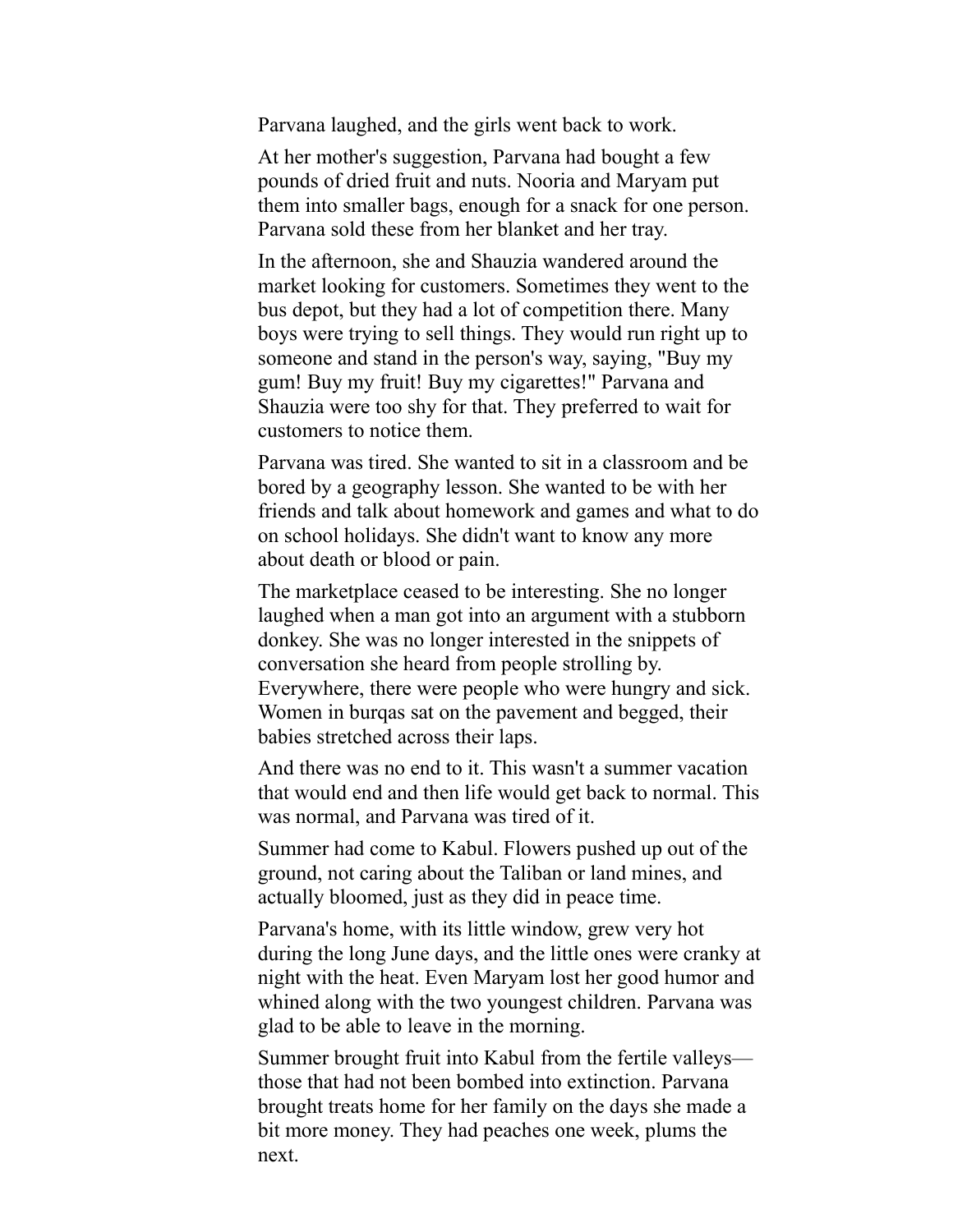Parvana laughed, and the girls went back to work.

At her mother's suggestion, Parvana had bought a few pounds of dried fruit and nuts. Nooria and Maryam put them into smaller bags, enough for a snack for one person. Parvana sold these from her blanket and her tray.

In the afternoon, she and Shauzia wandered around the market looking for customers. Sometimes they went to the bus depot, but they had a lot of competition there. Many boys were trying to sell things. They would run right up to someone and stand in the person's way, saying, "Buy my gum! Buy my fruit! Buy my cigarettes!" Parvana and Shauzia were too shy for that. They preferred to wait for customers to notice them.

Parvana was tired. She wanted to sit in a classroom and be bored by a geography lesson. She wanted to be with her friends and talk about homework and games and what to do on school holidays. She didn't want to know any more about death or blood or pain.

The marketplace ceased to be interesting. She no longer laughed when a man got into an argument with a stubborn donkey. She was no longer interested in the snippets of conversation she heard from people strolling by. Everywhere, there were people who were hungry and sick. Women in burqas sat on the pavement and begged, their babies stretched across their laps.

And there was no end to it. This wasn't a summer vacation that would end and then life would get back to normal. This was normal, and Parvana was tired of it.

Summer had come to Kabul. Flowers pushed up out of the ground, not caring about the Taliban or land mines, and actually bloomed, just as they did in peace time.

Parvana's home, with its little window, grew very hot during the long June days, and the little ones were cranky at night with the heat. Even Maryam lost her good humor and whined along with the two youngest children. Parvana was glad to be able to leave in the morning.

Summer brought fruit into Kabul from the fertile valleys those that had not been bombed into extinction. Parvana brought treats home for her family on the days she made a bit more money. They had peaches one week, plums the next.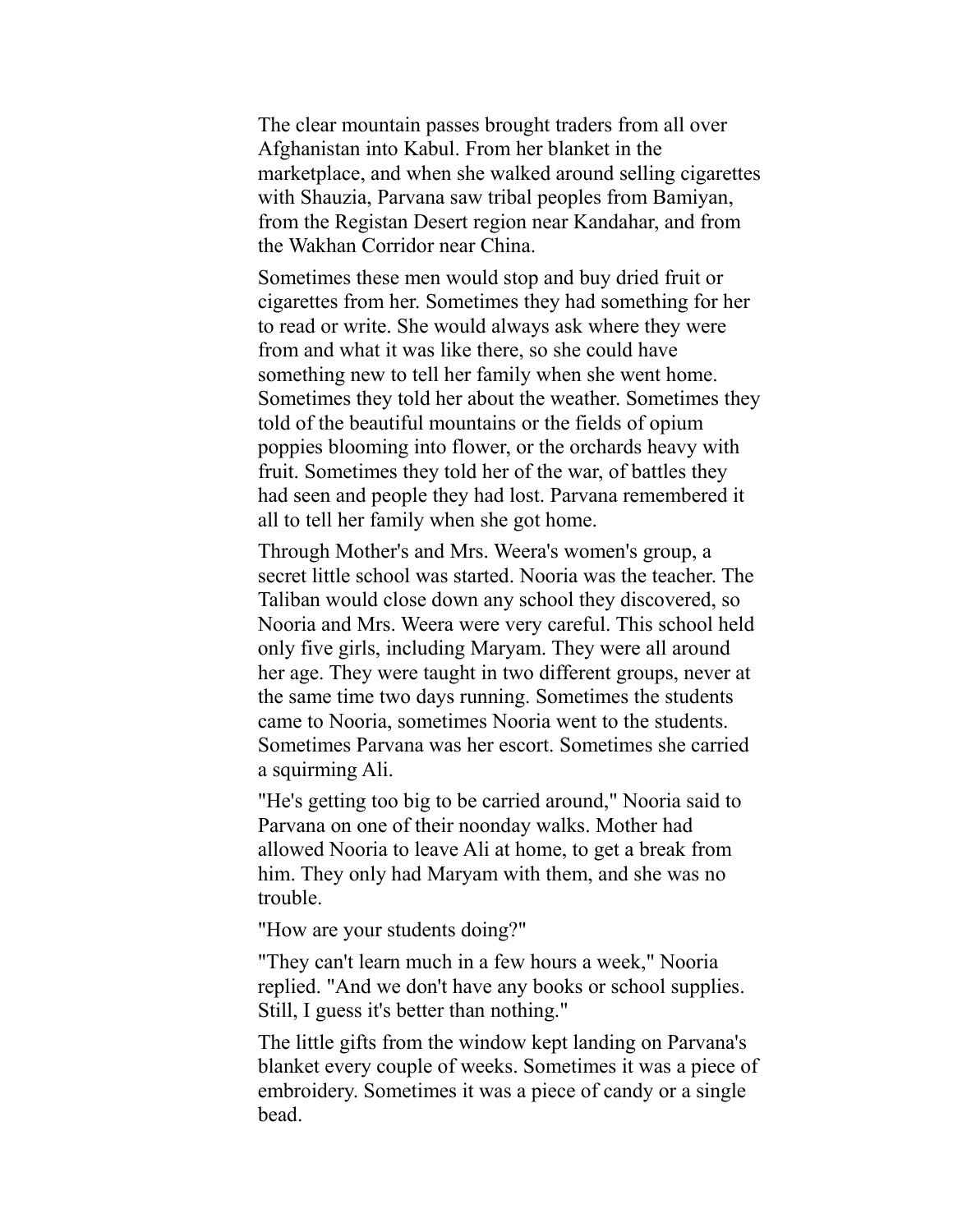The clear mountain passes brought traders from all over Afghanistan into Kabul. From her blanket in the marketplace, and when she walked around selling cigarettes with Shauzia, Parvana saw tribal peoples from Bamiyan, from the Registan Desert region near Kandahar, and from the Wakhan Corridor near China.

Sometimes these men would stop and buy dried fruit or cigarettes from her. Sometimes they had something for her to read or write. She would always ask where they were from and what it was like there, so she could have something new to tell her family when she went home. Sometimes they told her about the weather. Sometimes they told of the beautiful mountains or the fields of opium poppies blooming into flower, or the orchards heavy with fruit. Sometimes they told her of the war, of battles they had seen and people they had lost. Parvana remembered it all to tell her family when she got home.

Through Mother's and Mrs. Weera's women's group, a secret little school was started. Nooria was the teacher. The Taliban would close down any school they discovered, so Nooria and Mrs. Weera were very careful. This school held only five girls, including Maryam. They were all around her age. They were taught in two different groups, never at the same time two days running. Sometimes the students came to Nooria, sometimes Nooria went to the students. Sometimes Parvana was her escort. Sometimes she carried a squirming Ali.

"He's getting too big to be carried around," Nooria said to Parvana on one of their noonday walks. Mother had allowed Nooria to leave Ali at home, to get a break from him. They only had Maryam with them, and she was no trouble.

"How are your students doing?"

"They can't learn much in a few hours a week," Nooria replied. "And we don't have any books or school supplies. Still, I guess it's better than nothing."

The little gifts from the window kept landing on Parvana's blanket every couple of weeks. Sometimes it was a piece of embroidery. Sometimes it was a piece of candy or a single bead.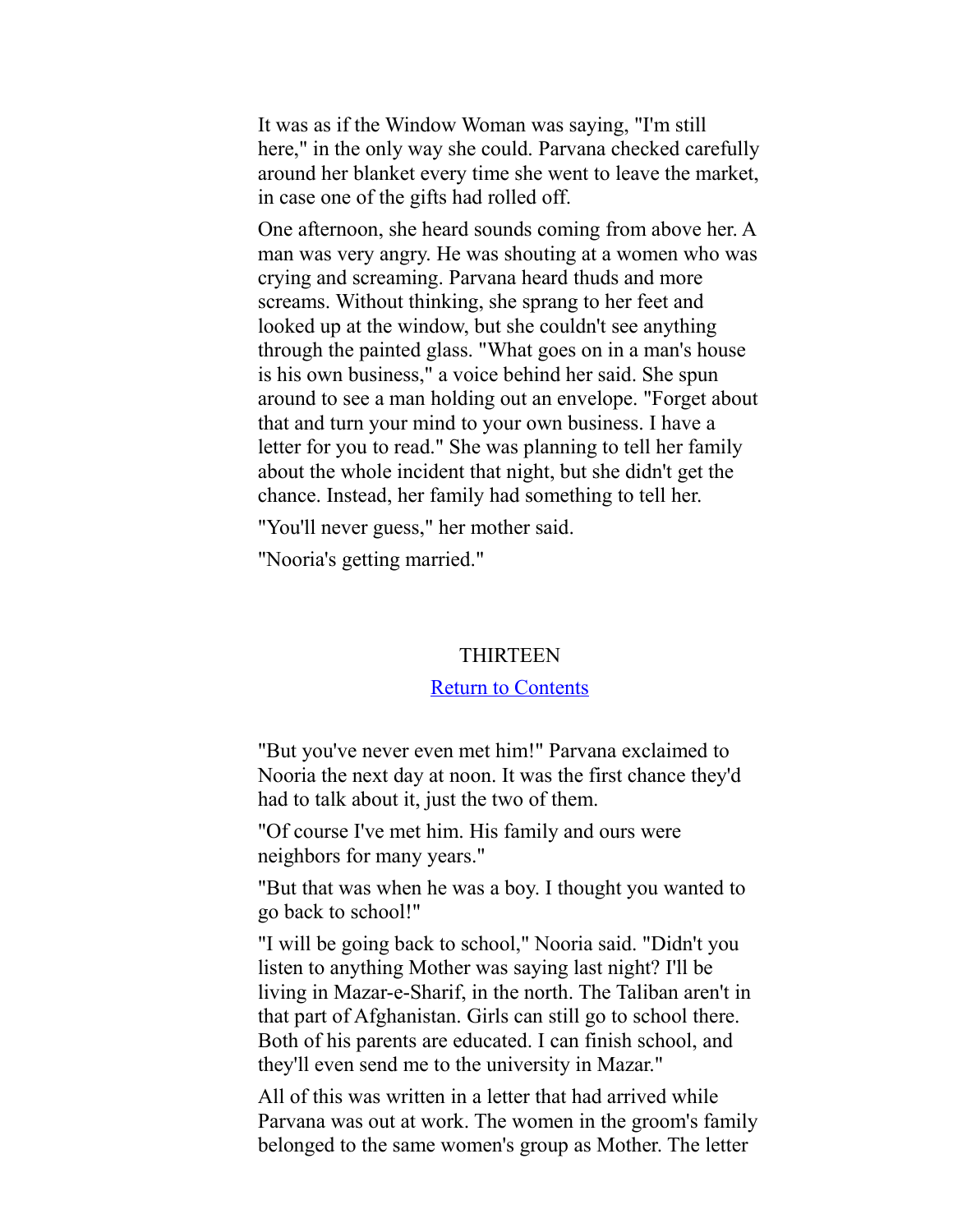It was as if the Window Woman was saying, "I'm still here," in the only way she could. Parvana checked carefully around her blanket every time she went to leave the market, in case one of the gifts had rolled off.

One afternoon, she heard sounds coming from above her. A man was very angry. He was shouting at a women who was crying and screaming. Parvana heard thuds and more screams. Without thinking, she sprang to her feet and looked up at the window, but she couldn't see anything through the painted glass. "What goes on in a man's house is his own business," a voice behind her said. She spun around to see a man holding out an envelope. "Forget about that and turn your mind to your own business. I have a letter for you to read." She was planning to tell her family about the whole incident that night, but she didn't get the chance. Instead, her family had something to tell her.

"You'll never guess," her mother said.

"Nooria's getting married."

#### <span id="page-69-0"></span>THIRTEEN

#### [Return to Contents](#page-69-0)

"But you've never even met him!" Parvana exclaimed to Nooria the next day at noon. It was the first chance they'd had to talk about it, just the two of them.

"Of course I've met him. His family and ours were neighbors for many years."

"But that was when he was a boy. I thought you wanted to go back to school!"

"I will be going back to school," Nooria said. "Didn't you listen to anything Mother was saying last night? I'll be living in Mazar-e-Sharif, in the north. The Taliban aren't in that part of Afghanistan. Girls can still go to school there. Both of his parents are educated. I can finish school, and they'll even send me to the university in Mazar."

All of this was written in a letter that had arrived while Parvana was out at work. The women in the groom's family belonged to the same women's group as Mother. The letter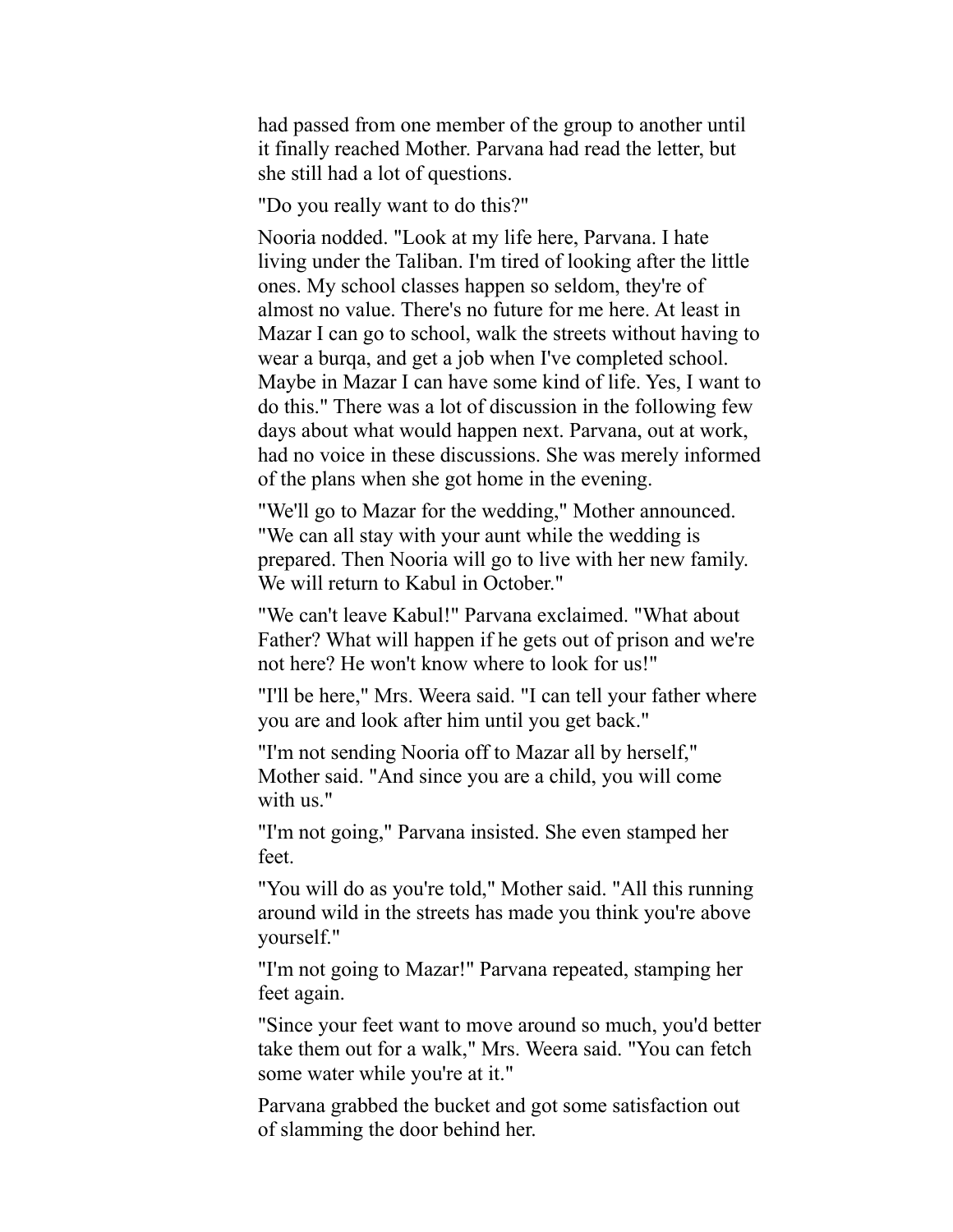had passed from one member of the group to another until it finally reached Mother. Parvana had read the letter, but she still had a lot of questions.

"Do you really want to do this?"

Nooria nodded. "Look at my life here, Parvana. I hate living under the Taliban. I'm tired of looking after the little ones. My school classes happen so seldom, they're of almost no value. There's no future for me here. At least in Mazar I can go to school, walk the streets without having to wear a burqa, and get a job when I've completed school. Maybe in Mazar I can have some kind of life. Yes, I want to do this." There was a lot of discussion in the following few days about what would happen next. Parvana, out at work, had no voice in these discussions. She was merely informed of the plans when she got home in the evening.

"We'll go to Mazar for the wedding," Mother announced. "We can all stay with your aunt while the wedding is prepared. Then Nooria will go to live with her new family. We will return to Kabul in October."

"We can't leave Kabul!" Parvana exclaimed. "What about Father? What will happen if he gets out of prison and we're not here? He won't know where to look for us!"

"I'll be here," Mrs. Weera said. "I can tell your father where you are and look after him until you get back."

"I'm not sending Nooria off to Mazar all by herself," Mother said. "And since you are a child, you will come with us."

"I'm not going," Parvana insisted. She even stamped her feet.

"You will do as you're told," Mother said. "All this running around wild in the streets has made you think you're above yourself."

"I'm not going to Mazar!" Parvana repeated, stamping her feet again.

"Since your feet want to move around so much, you'd better take them out for a walk," Mrs. Weera said. "You can fetch some water while you're at it."

Parvana grabbed the bucket and got some satisfaction out of slamming the door behind her.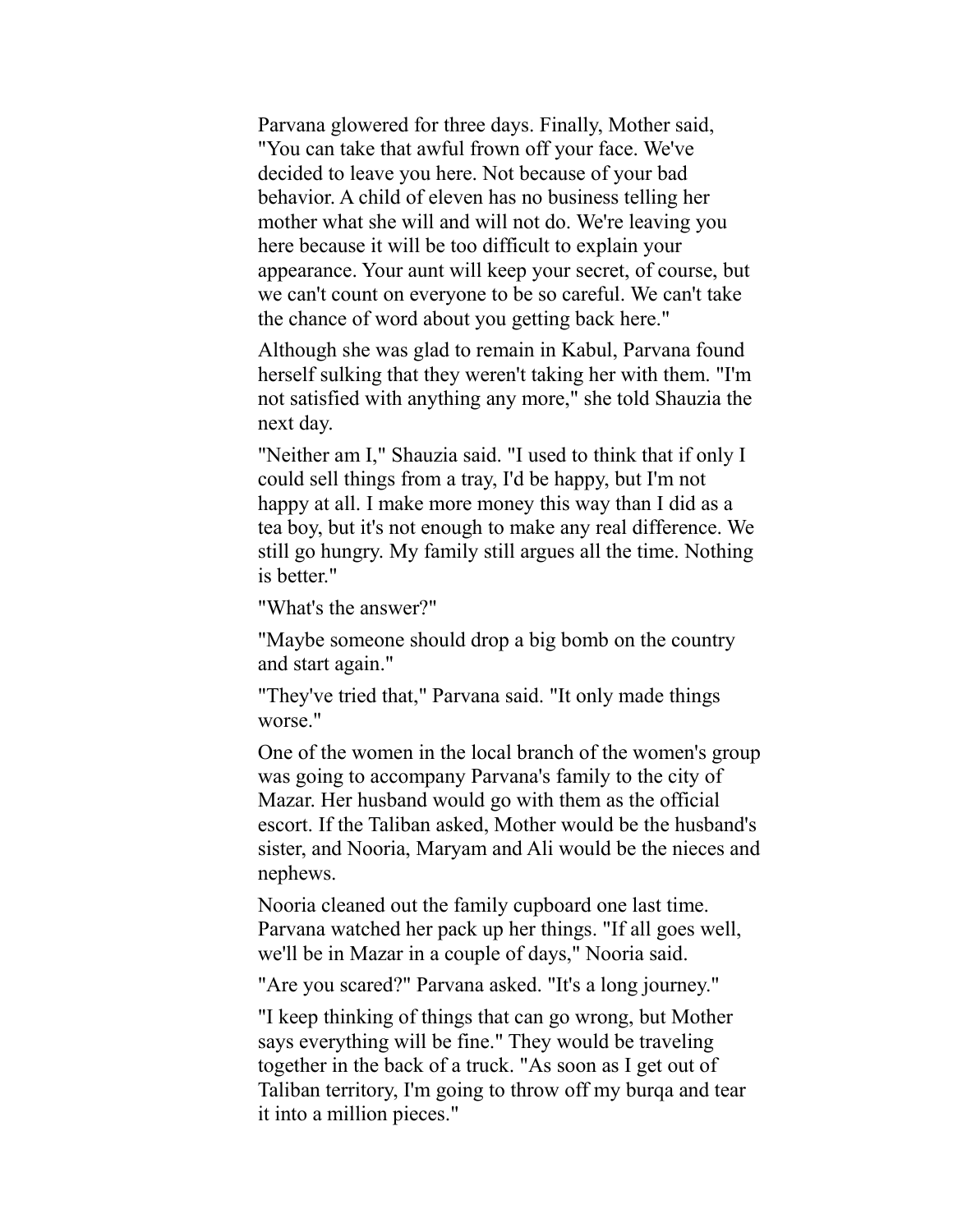Parvana glowered for three days. Finally, Mother said, "You can take that awful frown off your face. We've decided to leave you here. Not because of your bad behavior. A child of eleven has no business telling her mother what she will and will not do. We're leaving you here because it will be too difficult to explain your appearance. Your aunt will keep your secret, of course, but we can't count on everyone to be so careful. We can't take the chance of word about you getting back here."

Although she was glad to remain in Kabul, Parvana found herself sulking that they weren't taking her with them. "I'm not satisfied with anything any more," she told Shauzia the next day.

"Neither am I," Shauzia said. "I used to think that if only I could sell things from a tray, I'd be happy, but I'm not happy at all. I make more money this way than I did as a tea boy, but it's not enough to make any real difference. We still go hungry. My family still argues all the time. Nothing is better."

"What's the answer?"

"Maybe someone should drop a big bomb on the country and start again."

"They've tried that," Parvana said. "It only made things worse."

One of the women in the local branch of the women's group was going to accompany Parvana's family to the city of Mazar. Her husband would go with them as the official escort. If the Taliban asked, Mother would be the husband's sister, and Nooria, Maryam and Ali would be the nieces and nephews.

Nooria cleaned out the family cupboard one last time. Parvana watched her pack up her things. "If all goes well, we'll be in Mazar in a couple of days," Nooria said.

"Are you scared?" Parvana asked. "It's a long journey."

"I keep thinking of things that can go wrong, but Mother says everything will be fine." They would be traveling together in the back of a truck. "As soon as I get out of Taliban territory, I'm going to throw off my burqa and tear it into a million pieces."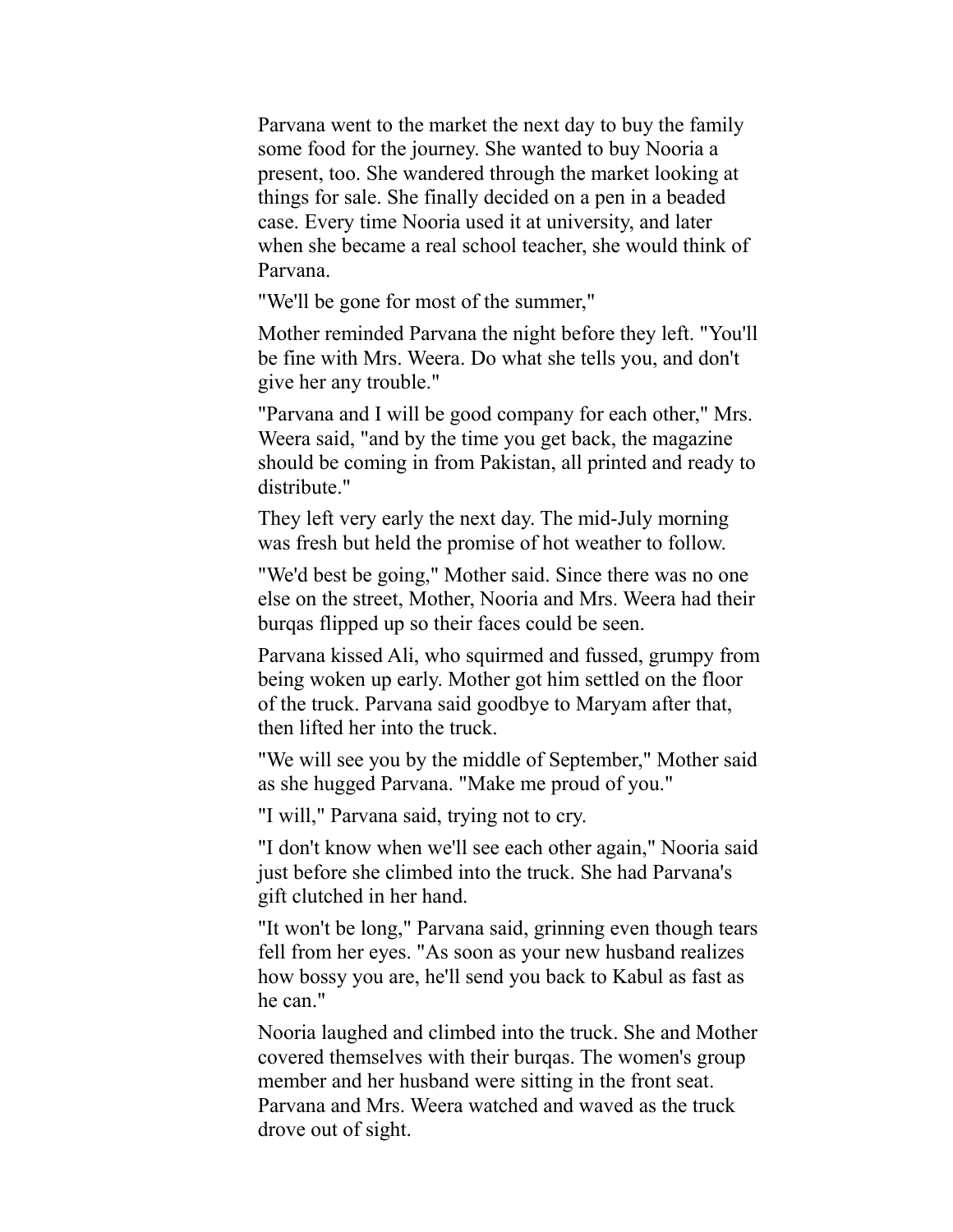Parvana went to the market the next day to buy the family some food for the journey. She wanted to buy Nooria a present, too. She wandered through the market looking at things for sale. She finally decided on a pen in a beaded case. Every time Nooria used it at university, and later when she became a real school teacher, she would think of Parvana.

"We'll be gone for most of the summer,"

Mother reminded Parvana the night before they left. "You'll be fine with Mrs. Weera. Do what she tells you, and don't give her any trouble."

"Parvana and I will be good company for each other," Mrs. Weera said, "and by the time you get back, the magazine should be coming in from Pakistan, all printed and ready to distribute."

They left very early the next day. The mid-July morning was fresh but held the promise of hot weather to follow.

"We'd best be going," Mother said. Since there was no one else on the street, Mother, Nooria and Mrs. Weera had their burqas flipped up so their faces could be seen.

Parvana kissed Ali, who squirmed and fussed, grumpy from being woken up early. Mother got him settled on the floor of the truck. Parvana said goodbye to Maryam after that, then lifted her into the truck.

"We will see you by the middle of September," Mother said as she hugged Parvana. "Make me proud of you."

"I will," Parvana said, trying not to cry.

"I don't know when we'll see each other again," Nooria said just before she climbed into the truck. She had Parvana's gift clutched in her hand.

"It won't be long," Parvana said, grinning even though tears fell from her eyes. "As soon as your new husband realizes how bossy you are, he'll send you back to Kabul as fast as he can."

Nooria laughed and climbed into the truck. She and Mother covered themselves with their burqas. The women's group member and her husband were sitting in the front seat. Parvana and Mrs. Weera watched and waved as the truck drove out of sight.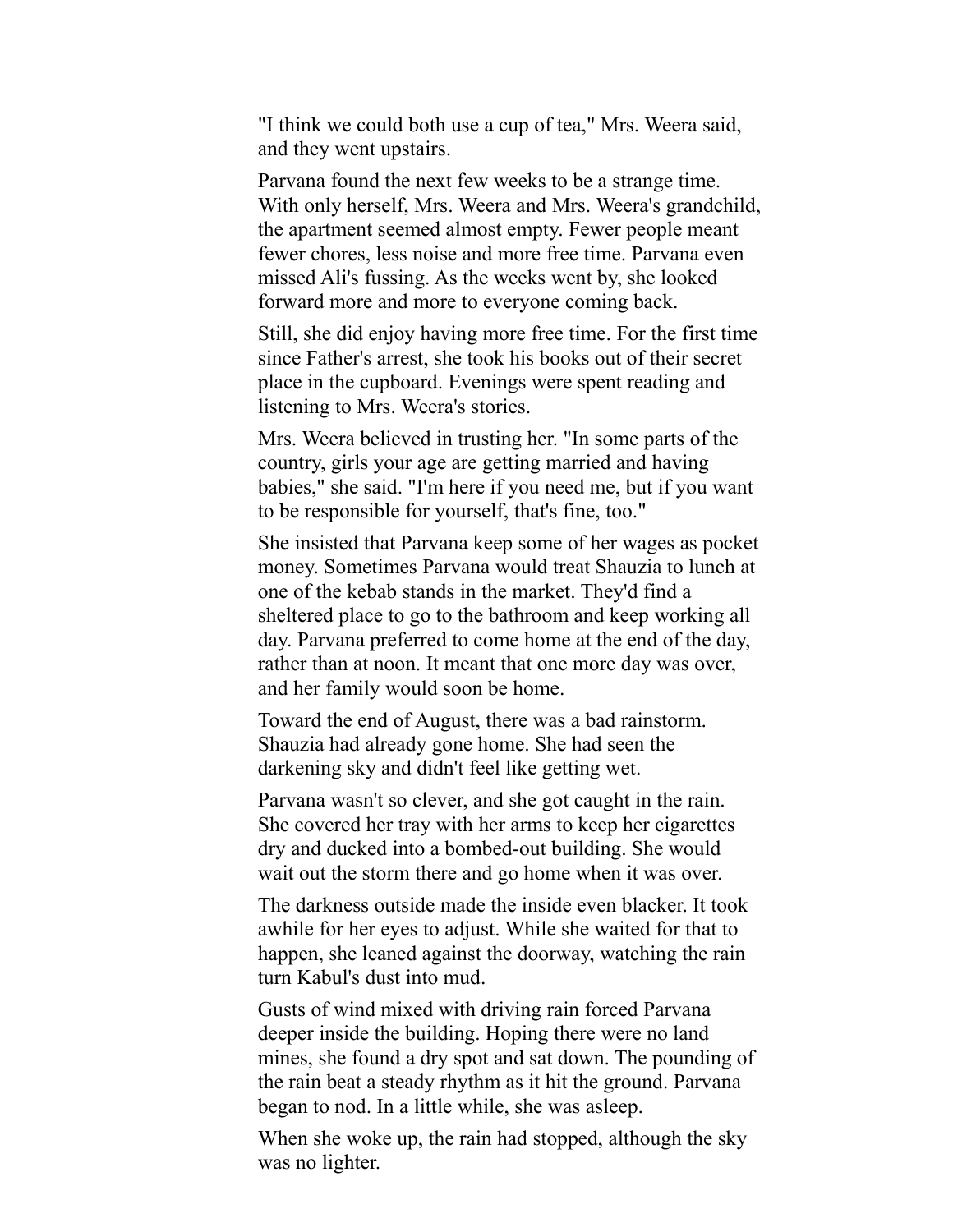"I think we could both use a cup of tea," Mrs. Weera said, and they went upstairs.

Parvana found the next few weeks to be a strange time. With only herself, Mrs. Weera and Mrs. Weera's grandchild, the apartment seemed almost empty. Fewer people meant fewer chores, less noise and more free time. Parvana even missed Ali's fussing. As the weeks went by, she looked forward more and more to everyone coming back.

Still, she did enjoy having more free time. For the first time since Father's arrest, she took his books out of their secret place in the cupboard. Evenings were spent reading and listening to Mrs. Weera's stories.

Mrs. Weera believed in trusting her. "In some parts of the country, girls your age are getting married and having babies," she said. "I'm here if you need me, but if you want to be responsible for yourself, that's fine, too."

She insisted that Parvana keep some of her wages as pocket money. Sometimes Parvana would treat Shauzia to lunch at one of the kebab stands in the market. They'd find a sheltered place to go to the bathroom and keep working all day. Parvana preferred to come home at the end of the day, rather than at noon. It meant that one more day was over, and her family would soon be home.

Toward the end of August, there was a bad rainstorm. Shauzia had already gone home. She had seen the darkening sky and didn't feel like getting wet.

Parvana wasn't so clever, and she got caught in the rain. She covered her tray with her arms to keep her cigarettes dry and ducked into a bombed-out building. She would wait out the storm there and go home when it was over.

The darkness outside made the inside even blacker. It took awhile for her eyes to adjust. While she waited for that to happen, she leaned against the doorway, watching the rain turn Kabul's dust into mud.

Gusts of wind mixed with driving rain forced Parvana deeper inside the building. Hoping there were no land mines, she found a dry spot and sat down. The pounding of the rain beat a steady rhythm as it hit the ground. Parvana began to nod. In a little while, she was asleep.

When she woke up, the rain had stopped, although the sky was no lighter.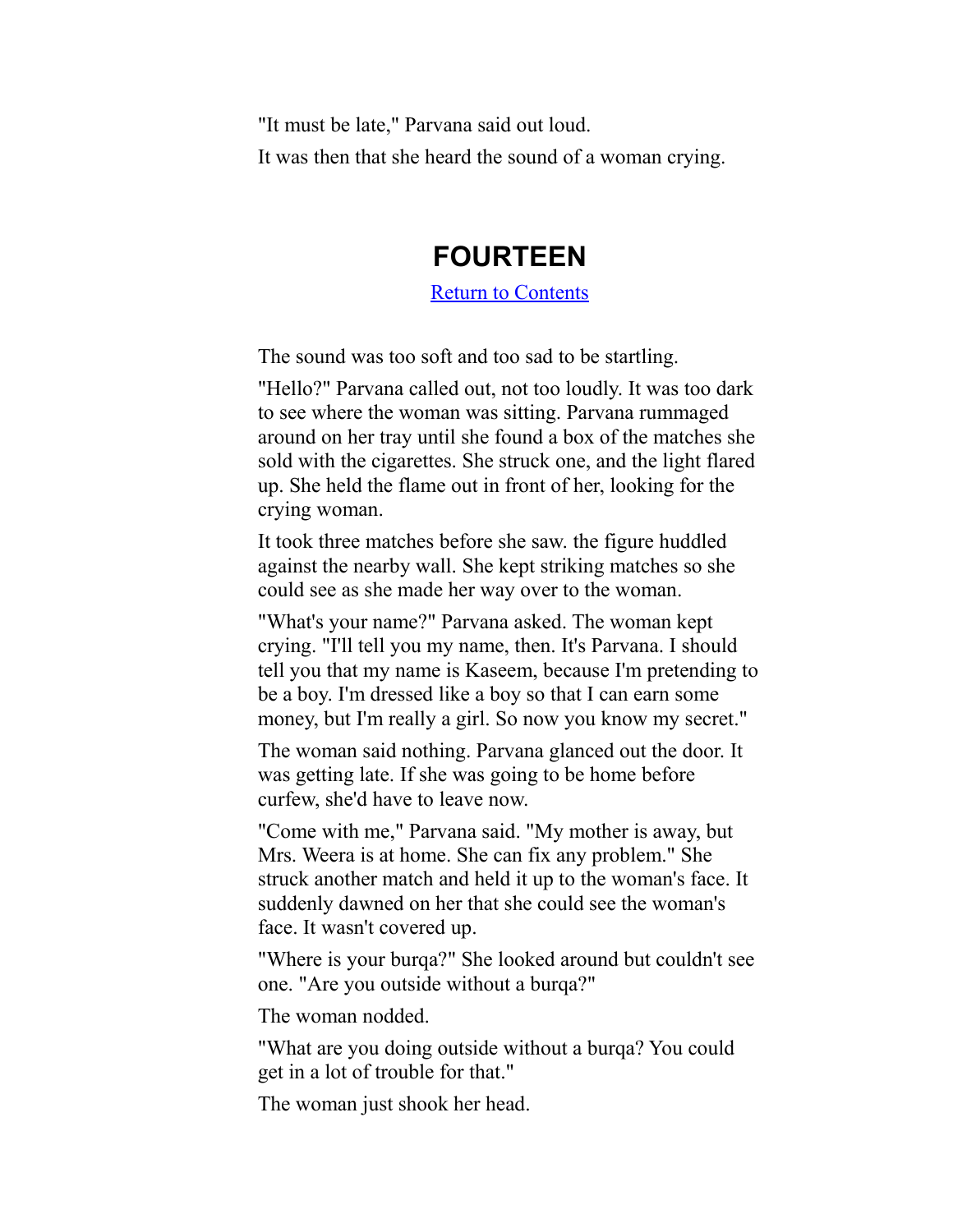"It must be late," Parvana said out loud.

It was then that she heard the sound of a woman crying.

# **FOURTEEN**

<span id="page-74-0"></span>[Return to Contents](#page-74-0)

The sound was too soft and too sad to be startling.

"Hello?" Parvana called out, not too loudly. It was too dark to see where the woman was sitting. Parvana rummaged around on her tray until she found a box of the matches she sold with the cigarettes. She struck one, and the light flared up. She held the flame out in front of her, looking for the crying woman.

It took three matches before she saw. the figure huddled against the nearby wall. She kept striking matches so she could see as she made her way over to the woman.

"What's your name?" Parvana asked. The woman kept crying. "I'll tell you my name, then. It's Parvana. I should tell you that my name is Kaseem, because I'm pretending to be a boy. I'm dressed like a boy so that I can earn some money, but I'm really a girl. So now you know my secret."

The woman said nothing. Parvana glanced out the door. It was getting late. If she was going to be home before curfew, she'd have to leave now.

"Come with me," Parvana said. "My mother is away, but Mrs. Weera is at home. She can fix any problem." She struck another match and held it up to the woman's face. It suddenly dawned on her that she could see the woman's face. It wasn't covered up.

"Where is your burqa?" She looked around but couldn't see one. "Are you outside without a burqa?"

The woman nodded.

"What are you doing outside without a burqa? You could get in a lot of trouble for that."

The woman just shook her head.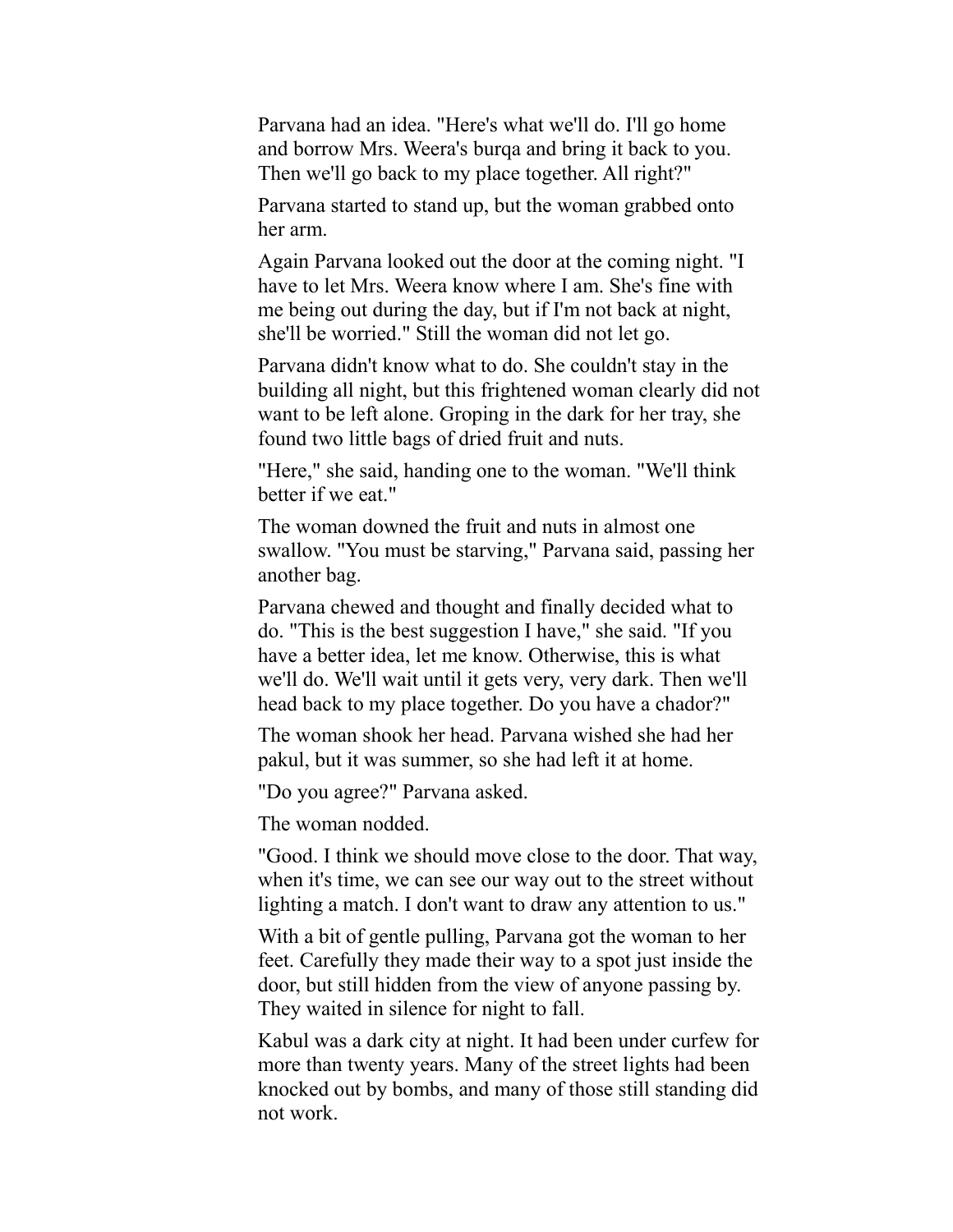Parvana had an idea. "Here's what we'll do. I'll go home and borrow Mrs. Weera's burqa and bring it back to you. Then we'll go back to my place together. All right?"

Parvana started to stand up, but the woman grabbed onto her arm.

Again Parvana looked out the door at the coming night. "I have to let Mrs. Weera know where I am. She's fine with me being out during the day, but if I'm not back at night, she'll be worried." Still the woman did not let go.

Parvana didn't know what to do. She couldn't stay in the building all night, but this frightened woman clearly did not want to be left alone. Groping in the dark for her tray, she found two little bags of dried fruit and nuts.

"Here," she said, handing one to the woman. "We'll think better if we eat."

The woman downed the fruit and nuts in almost one swallow. "You must be starving," Parvana said, passing her another bag.

Parvana chewed and thought and finally decided what to do. "This is the best suggestion I have," she said. "If you have a better idea, let me know. Otherwise, this is what we'll do. We'll wait until it gets very, very dark. Then we'll head back to my place together. Do you have a chador?"

The woman shook her head. Parvana wished she had her pakul, but it was summer, so she had left it at home.

"Do you agree?" Parvana asked.

The woman nodded.

"Good. I think we should move close to the door. That way, when it's time, we can see our way out to the street without lighting a match. I don't want to draw any attention to us."

With a bit of gentle pulling, Parvana got the woman to her feet. Carefully they made their way to a spot just inside the door, but still hidden from the view of anyone passing by. They waited in silence for night to fall.

Kabul was a dark city at night. It had been under curfew for more than twenty years. Many of the street lights had been knocked out by bombs, and many of those still standing did not work.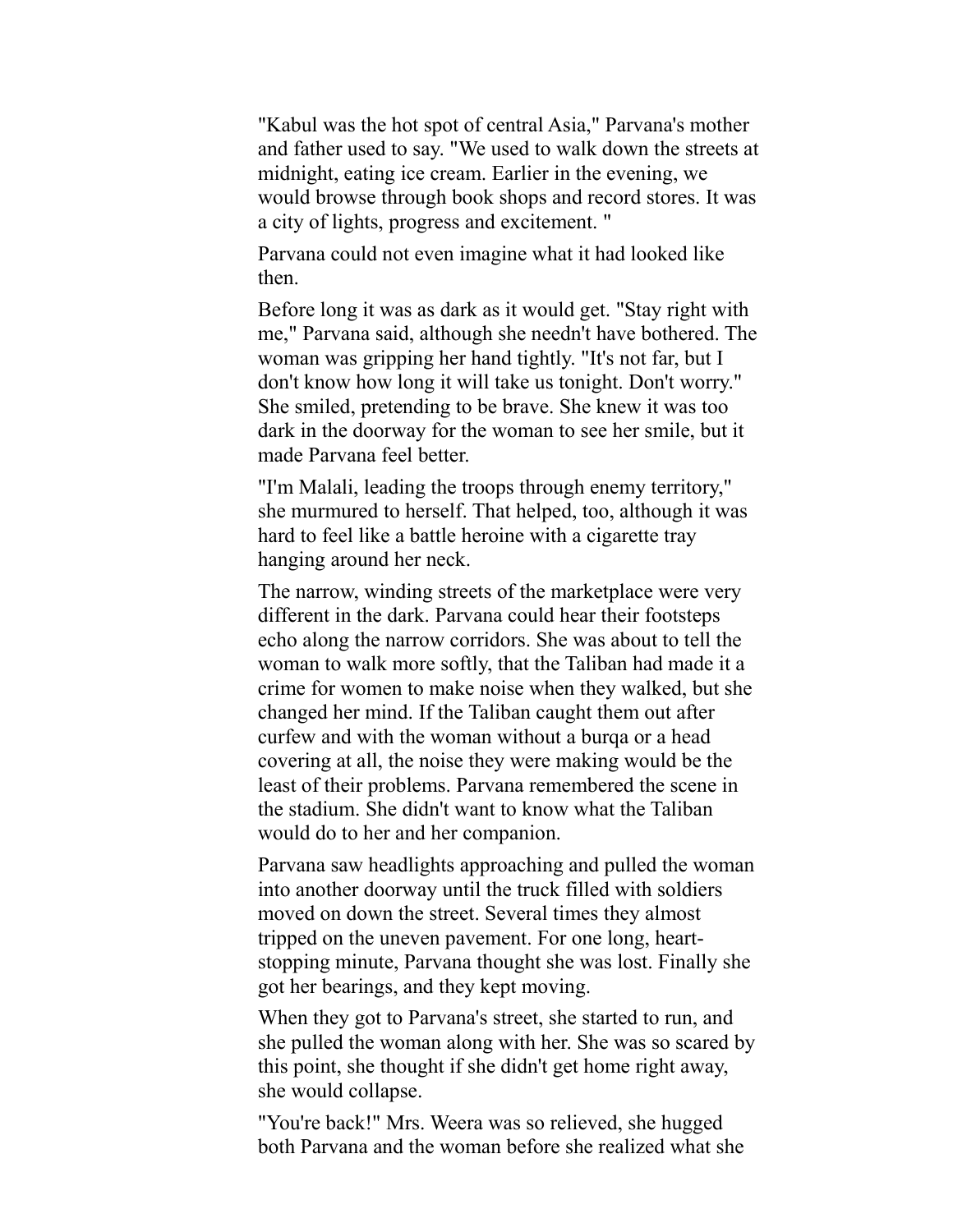"Kabul was the hot spot of central Asia," Parvana's mother and father used to say. "We used to walk down the streets at midnight, eating ice cream. Earlier in the evening, we would browse through book shops and record stores. It was a city of lights, progress and excitement. "

Parvana could not even imagine what it had looked like then.

Before long it was as dark as it would get. "Stay right with me," Parvana said, although she needn't have bothered. The woman was gripping her hand tightly. "It's not far, but I don't know how long it will take us tonight. Don't worry." She smiled, pretending to be brave. She knew it was too dark in the doorway for the woman to see her smile, but it made Parvana feel better.

"I'm Malali, leading the troops through enemy territory," she murmured to herself. That helped, too, although it was hard to feel like a battle heroine with a cigarette tray hanging around her neck.

The narrow, winding streets of the marketplace were very different in the dark. Parvana could hear their footsteps echo along the narrow corridors. She was about to tell the woman to walk more softly, that the Taliban had made it a crime for women to make noise when they walked, but she changed her mind. If the Taliban caught them out after curfew and with the woman without a burqa or a head covering at all, the noise they were making would be the least of their problems. Parvana remembered the scene in the stadium. She didn't want to know what the Taliban would do to her and her companion.

Parvana saw headlights approaching and pulled the woman into another doorway until the truck filled with soldiers moved on down the street. Several times they almost tripped on the uneven pavement. For one long, heartstopping minute, Parvana thought she was lost. Finally she got her bearings, and they kept moving.

When they got to Parvana's street, she started to run, and she pulled the woman along with her. She was so scared by this point, she thought if she didn't get home right away, she would collapse.

"You're back!" Mrs. Weera was so relieved, she hugged both Parvana and the woman before she realized what she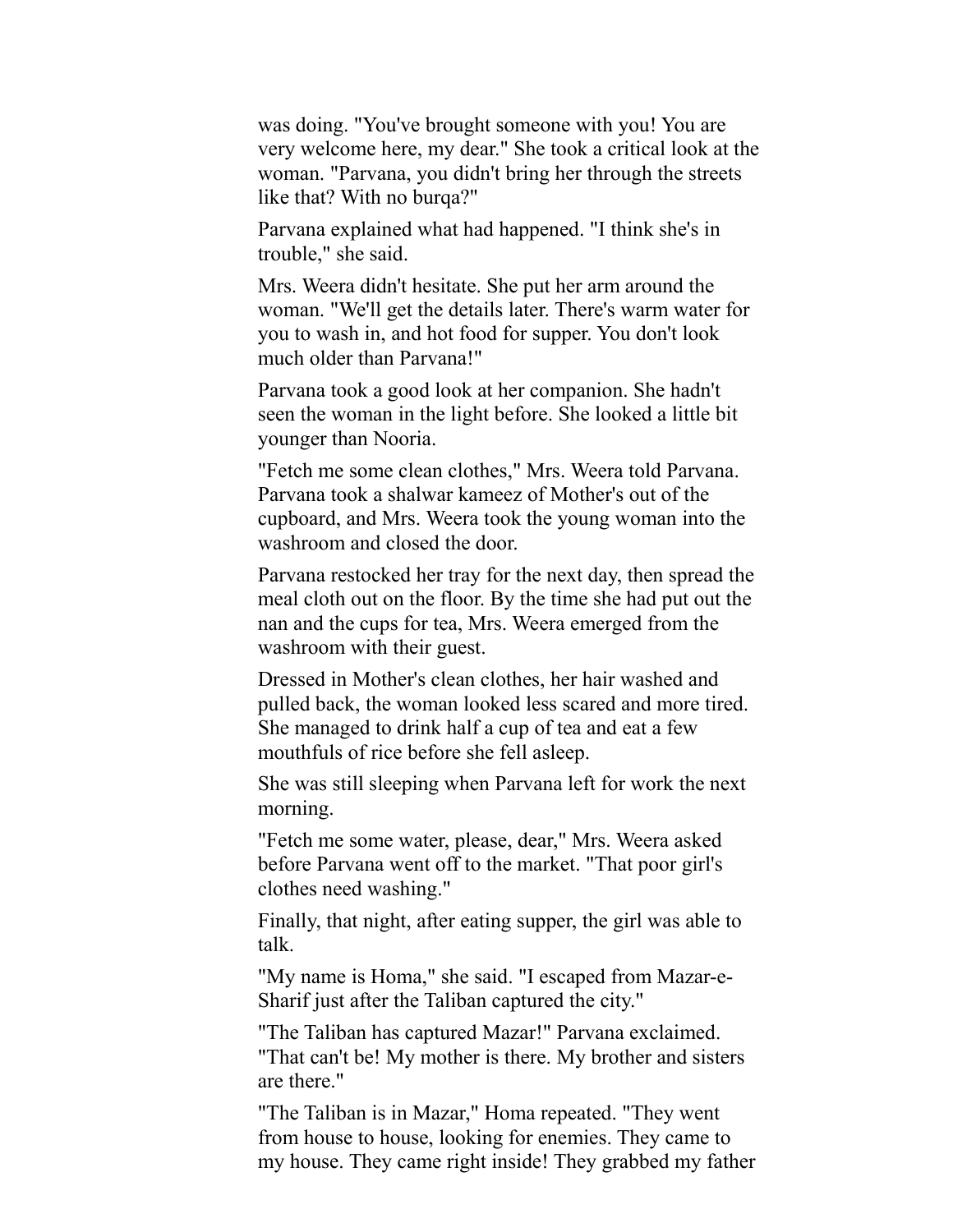was doing. "You've brought someone with you! You are very welcome here, my dear." She took a critical look at the woman. "Parvana, you didn't bring her through the streets like that? With no burqa?"

Parvana explained what had happened. "I think she's in trouble," she said.

Mrs. Weera didn't hesitate. She put her arm around the woman. "We'll get the details later. There's warm water for you to wash in, and hot food for supper. You don't look much older than Parvana!"

Parvana took a good look at her companion. She hadn't seen the woman in the light before. She looked a little bit younger than Nooria.

"Fetch me some clean clothes," Mrs. Weera told Parvana. Parvana took a shalwar kameez of Mother's out of the cupboard, and Mrs. Weera took the young woman into the washroom and closed the door.

Parvana restocked her tray for the next day, then spread the meal cloth out on the floor. By the time she had put out the nan and the cups for tea, Mrs. Weera emerged from the washroom with their guest.

Dressed in Mother's clean clothes, her hair washed and pulled back, the woman looked less scared and more tired. She managed to drink half a cup of tea and eat a few mouthfuls of rice before she fell asleep.

She was still sleeping when Parvana left for work the next morning.

"Fetch me some water, please, dear," Mrs. Weera asked before Parvana went off to the market. "That poor girl's clothes need washing."

Finally, that night, after eating supper, the girl was able to talk.

"My name is Homa," she said. "I escaped from Mazar-e-Sharif just after the Taliban captured the city."

"The Taliban has captured Mazar!" Parvana exclaimed. "That can't be! My mother is there. My brother and sisters are there."

"The Taliban is in Mazar," Homa repeated. "They went from house to house, looking for enemies. They came to my house. They came right inside! They grabbed my father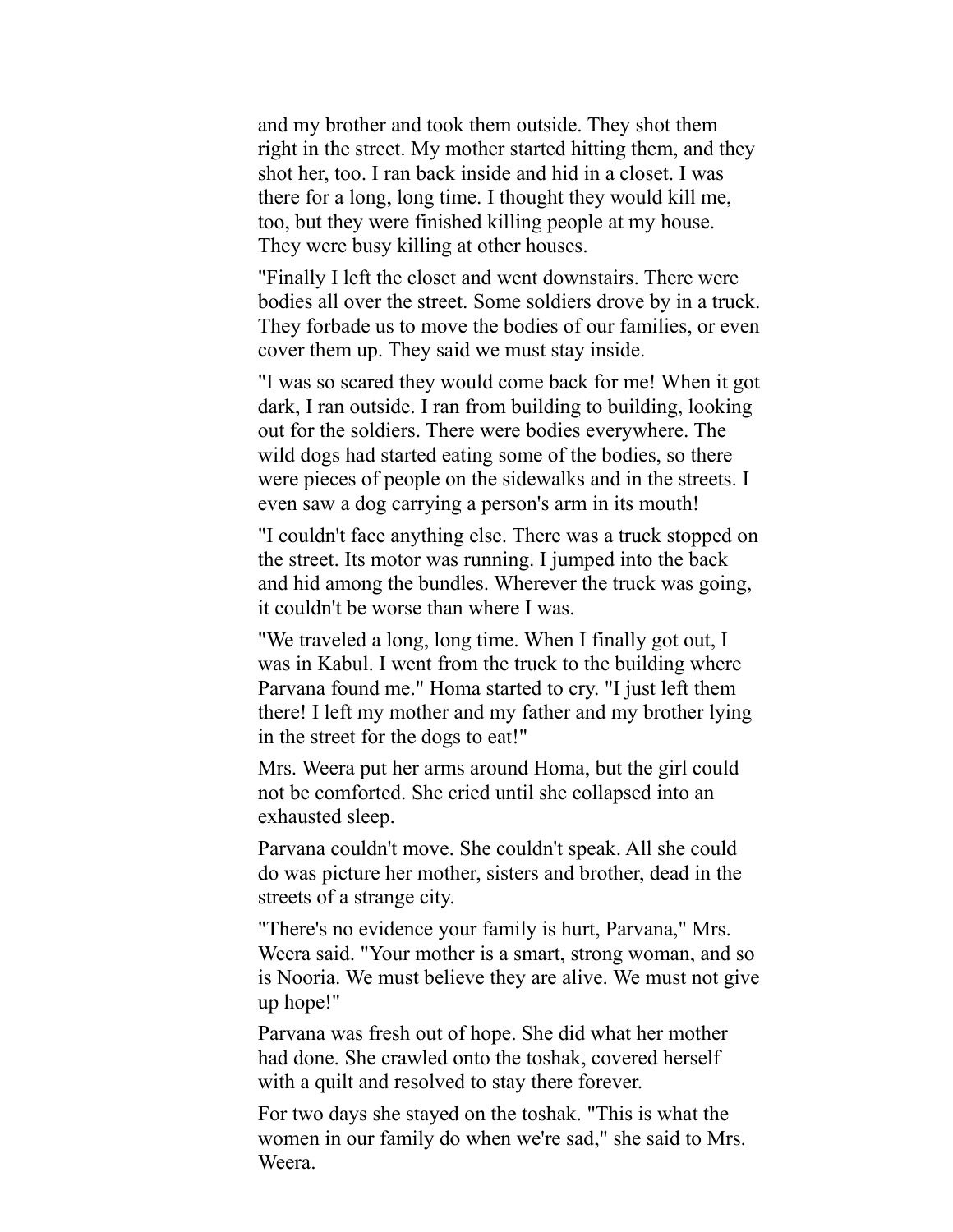and my brother and took them outside. They shot them right in the street. My mother started hitting them, and they shot her, too. I ran back inside and hid in a closet. I was there for a long, long time. I thought they would kill me, too, but they were finished killing people at my house. They were busy killing at other houses.

"Finally I left the closet and went downstairs. There were bodies all over the street. Some soldiers drove by in a truck. They forbade us to move the bodies of our families, or even cover them up. They said we must stay inside.

"I was so scared they would come back for me! When it got dark, I ran outside. I ran from building to building, looking out for the soldiers. There were bodies everywhere. The wild dogs had started eating some of the bodies, so there were pieces of people on the sidewalks and in the streets. I even saw a dog carrying a person's arm in its mouth!

"I couldn't face anything else. There was a truck stopped on the street. Its motor was running. I jumped into the back and hid among the bundles. Wherever the truck was going, it couldn't be worse than where I was.

"We traveled a long, long time. When I finally got out, I was in Kabul. I went from the truck to the building where Parvana found me." Homa started to cry. "I just left them there! I left my mother and my father and my brother lying in the street for the dogs to eat!"

Mrs. Weera put her arms around Homa, but the girl could not be comforted. She cried until she collapsed into an exhausted sleep.

Parvana couldn't move. She couldn't speak. All she could do was picture her mother, sisters and brother, dead in the streets of a strange city.

"There's no evidence your family is hurt, Parvana," Mrs. Weera said. "Your mother is a smart, strong woman, and so is Nooria. We must believe they are alive. We must not give up hope!"

Parvana was fresh out of hope. She did what her mother had done. She crawled onto the toshak, covered herself with a quilt and resolved to stay there forever.

For two days she stayed on the toshak. "This is what the women in our family do when we're sad," she said to Mrs. Weera.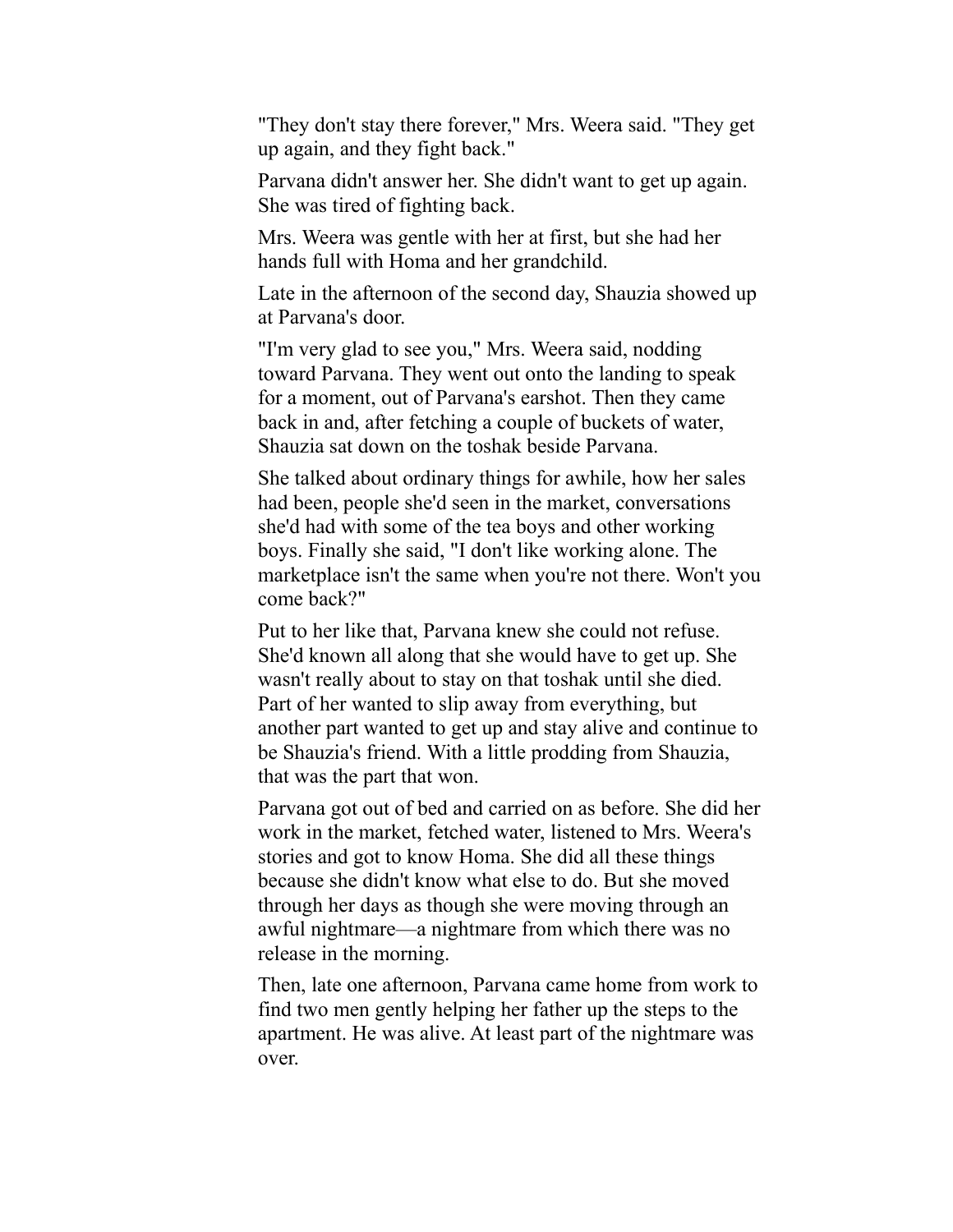"They don't stay there forever," Mrs. Weera said. "They get up again, and they fight back."

Parvana didn't answer her. She didn't want to get up again. She was tired of fighting back.

Mrs. Weera was gentle with her at first, but she had her hands full with Homa and her grandchild.

Late in the afternoon of the second day, Shauzia showed up at Parvana's door.

"I'm very glad to see you," Mrs. Weera said, nodding toward Parvana. They went out onto the landing to speak for a moment, out of Parvana's earshot. Then they came back in and, after fetching a couple of buckets of water, Shauzia sat down on the toshak beside Parvana.

She talked about ordinary things for awhile, how her sales had been, people she'd seen in the market, conversations she'd had with some of the tea boys and other working boys. Finally she said, "I don't like working alone. The marketplace isn't the same when you're not there. Won't you come back?"

Put to her like that, Parvana knew she could not refuse. She'd known all along that she would have to get up. She wasn't really about to stay on that toshak until she died. Part of her wanted to slip away from everything, but another part wanted to get up and stay alive and continue to be Shauzia's friend. With a little prodding from Shauzia, that was the part that won.

Parvana got out of bed and carried on as before. She did her work in the market, fetched water, listened to Mrs. Weera's stories and got to know Homa. She did all these things because she didn't know what else to do. But she moved through her days as though she were moving through an awful nightmare—a nightmare from which there was no release in the morning.

Then, late one afternoon, Parvana came home from work to find two men gently helping her father up the steps to the apartment. He was alive. At least part of the nightmare was over.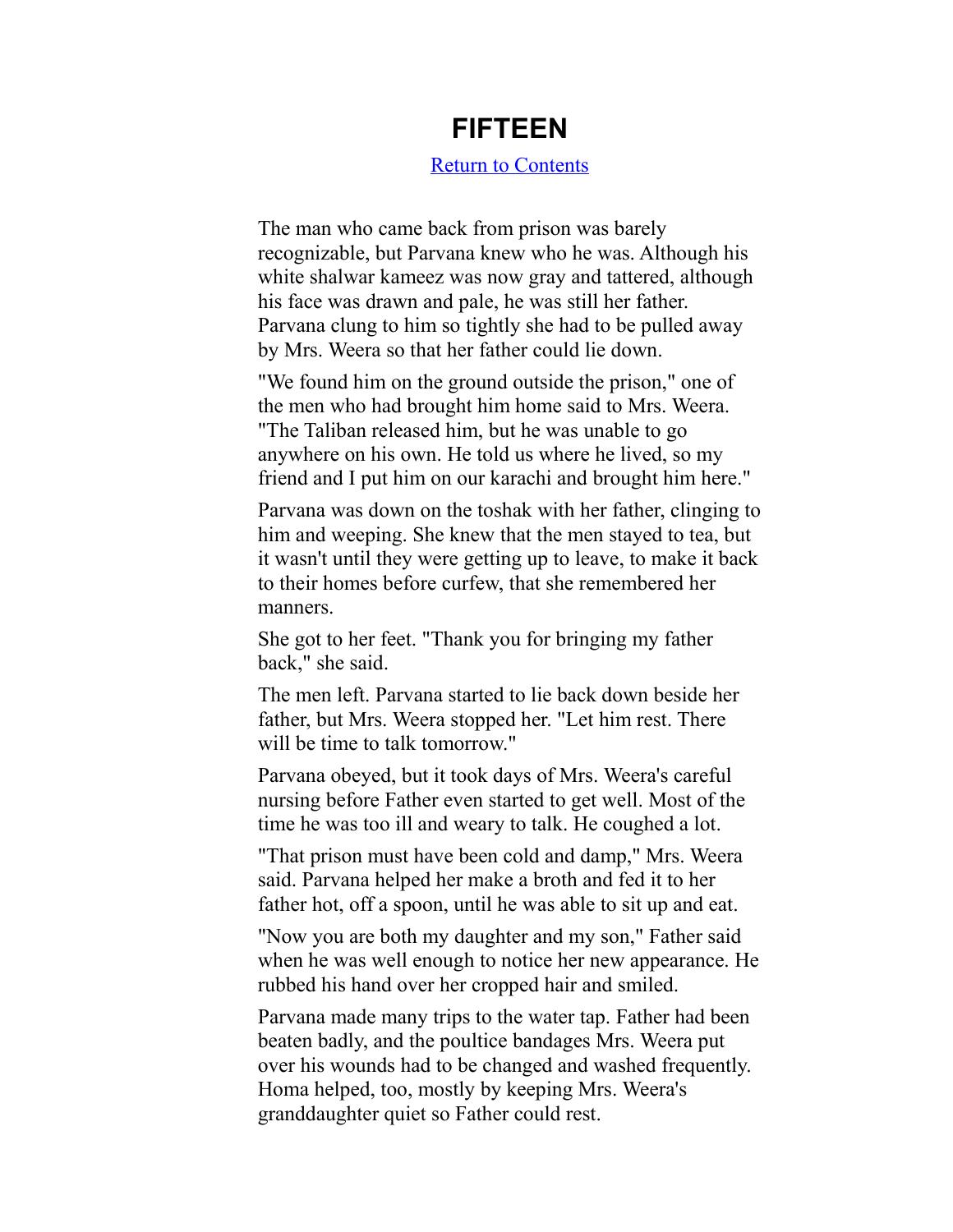## <span id="page-80-0"></span>**FIFTEEN**

#### [Return to Contents](#page-80-0)

The man who came back from prison was barely recognizable, but Parvana knew who he was. Although his white shalwar kameez was now gray and tattered, although his face was drawn and pale, he was still her father. Parvana clung to him so tightly she had to be pulled away by Mrs. Weera so that her father could lie down.

"We found him on the ground outside the prison," one of the men who had brought him home said to Mrs. Weera. "The Taliban released him, but he was unable to go anywhere on his own. He told us where he lived, so my friend and I put him on our karachi and brought him here."

Parvana was down on the toshak with her father, clinging to him and weeping. She knew that the men stayed to tea, but it wasn't until they were getting up to leave, to make it back to their homes before curfew, that she remembered her manners.

She got to her feet. "Thank you for bringing my father back," she said.

The men left. Parvana started to lie back down beside her father, but Mrs. Weera stopped her. "Let him rest. There will be time to talk tomorrow."

Parvana obeyed, but it took days of Mrs. Weera's careful nursing before Father even started to get well. Most of the time he was too ill and weary to talk. He coughed a lot.

"That prison must have been cold and damp," Mrs. Weera said. Parvana helped her make a broth and fed it to her father hot, off a spoon, until he was able to sit up and eat.

"Now you are both my daughter and my son," Father said when he was well enough to notice her new appearance. He rubbed his hand over her cropped hair and smiled.

Parvana made many trips to the water tap. Father had been beaten badly, and the poultice bandages Mrs. Weera put over his wounds had to be changed and washed frequently. Homa helped, too, mostly by keeping Mrs. Weera's granddaughter quiet so Father could rest.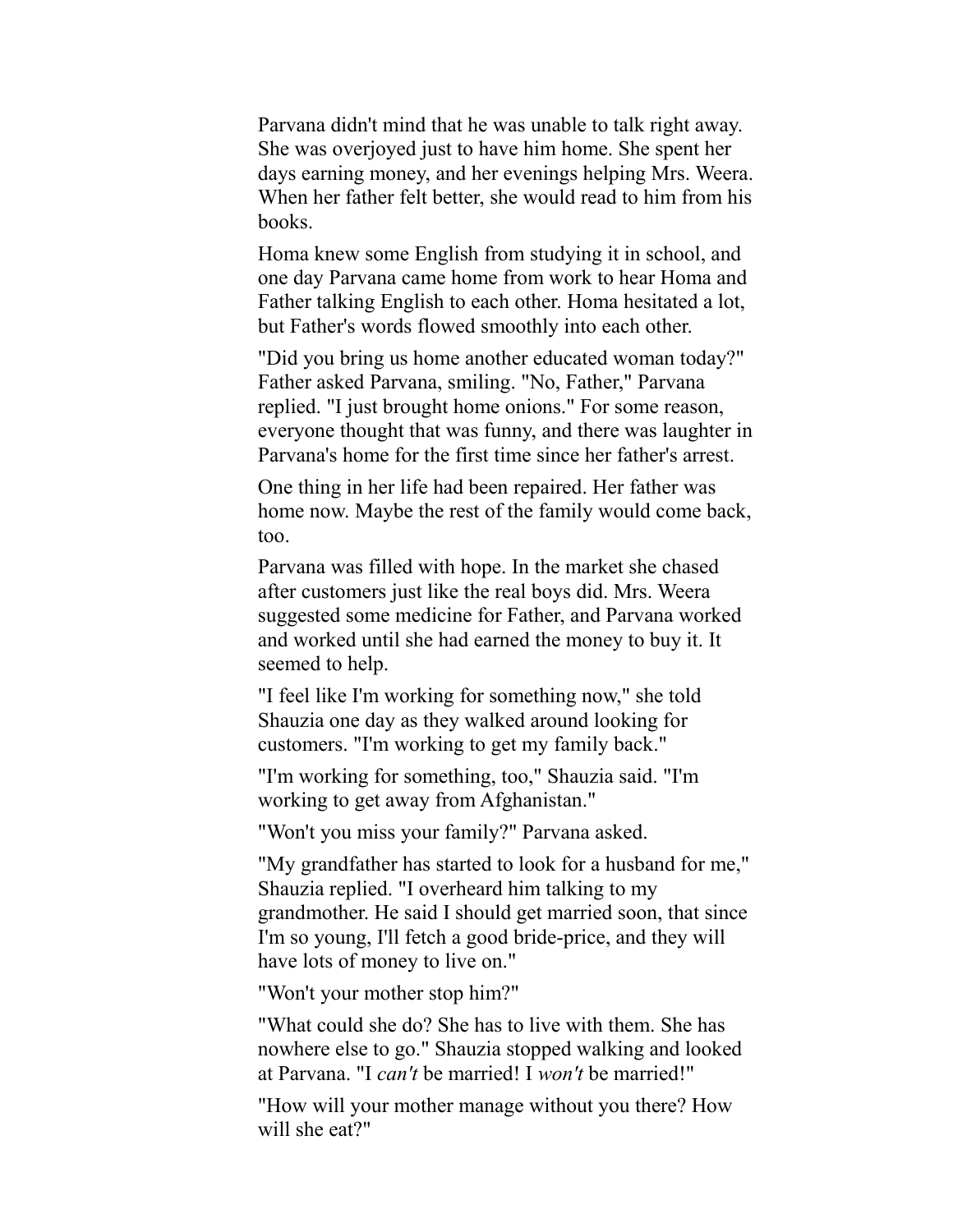Parvana didn't mind that he was unable to talk right away. She was overjoyed just to have him home. She spent her days earning money, and her evenings helping Mrs. Weera. When her father felt better, she would read to him from his books.

Homa knew some English from studying it in school, and one day Parvana came home from work to hear Homa and Father talking English to each other. Homa hesitated a lot, but Father's words flowed smoothly into each other.

"Did you bring us home another educated woman today?" Father asked Parvana, smiling. "No, Father," Parvana replied. "I just brought home onions." For some reason, everyone thought that was funny, and there was laughter in Parvana's home for the first time since her father's arrest.

One thing in her life had been repaired. Her father was home now. Maybe the rest of the family would come back, too.

Parvana was filled with hope. In the market she chased after customers just like the real boys did. Mrs. Weera suggested some medicine for Father, and Parvana worked and worked until she had earned the money to buy it. It seemed to help.

"I feel like I'm working for something now," she told Shauzia one day as they walked around looking for customers. "I'm working to get my family back."

"I'm working for something, too," Shauzia said. "I'm working to get away from Afghanistan."

"Won't you miss your family?" Parvana asked.

"My grandfather has started to look for a husband for me," Shauzia replied. "I overheard him talking to my grandmother. He said I should get married soon, that since I'm so young, I'll fetch a good bride-price, and they will have lots of money to live on."

"Won't your mother stop him?"

"What could she do? She has to live with them. She has nowhere else to go." Shauzia stopped walking and looked at Parvana. "I *can't* be married! I *won't* be married!"

"How will your mother manage without you there? How will she eat?"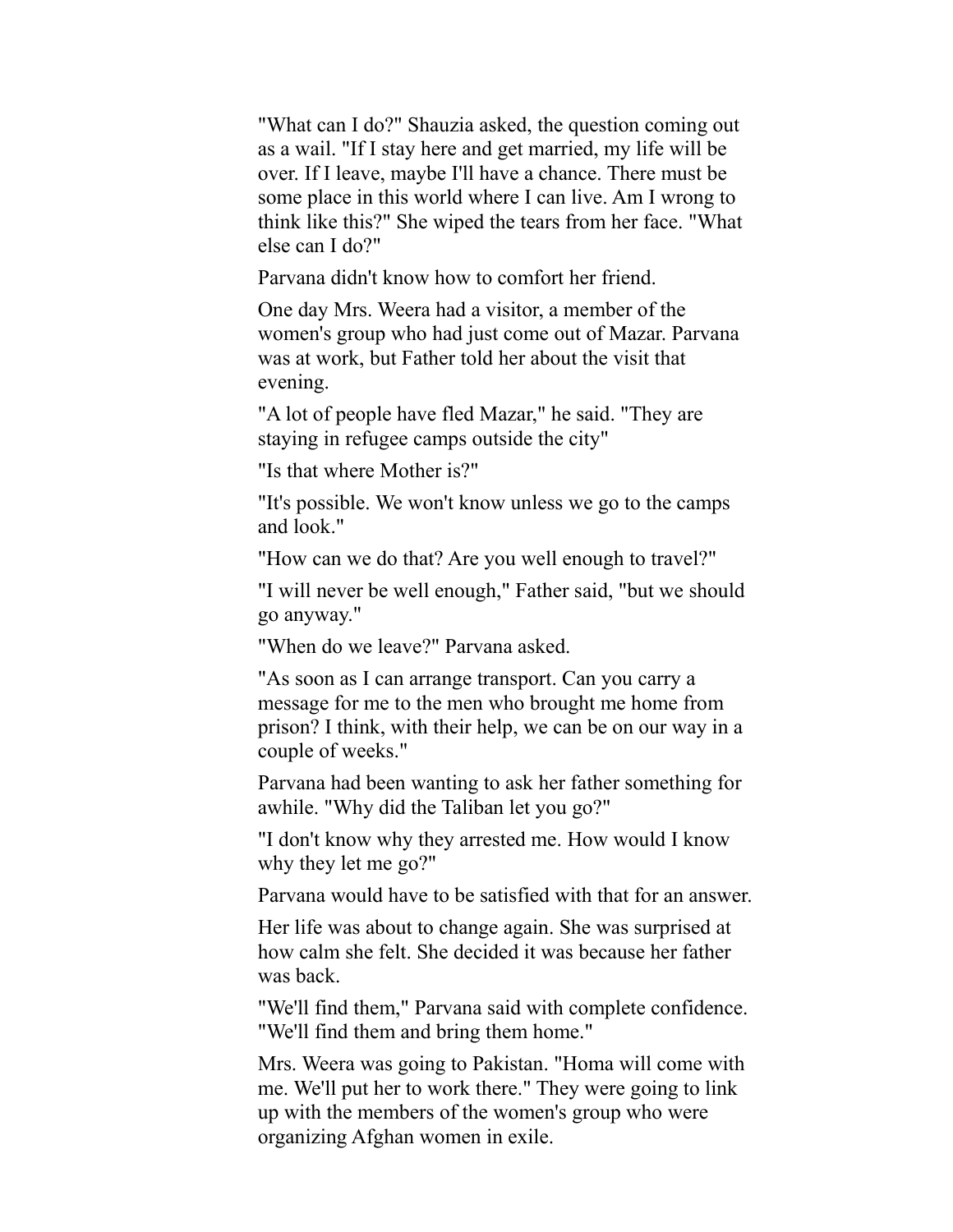"What can I do?" Shauzia asked, the question coming out as a wail. "If I stay here and get married, my life will be over. If I leave, maybe I'll have a chance. There must be some place in this world where I can live. Am I wrong to think like this?" She wiped the tears from her face. "What else can I do?"

Parvana didn't know how to comfort her friend.

One day Mrs. Weera had a visitor, a member of the women's group who had just come out of Mazar. Parvana was at work, but Father told her about the visit that evening.

"A lot of people have fled Mazar," he said. "They are staying in refugee camps outside the city"

"Is that where Mother is?"

"It's possible. We won't know unless we go to the camps and look."

"How can we do that? Are you well enough to travel?"

"I will never be well enough," Father said, "but we should go anyway."

"When do we leave?" Parvana asked.

"As soon as I can arrange transport. Can you carry a message for me to the men who brought me home from prison? I think, with their help, we can be on our way in a couple of weeks."

Parvana had been wanting to ask her father something for awhile. "Why did the Taliban let you go?"

"I don't know why they arrested me. How would I know why they let me go?"

Parvana would have to be satisfied with that for an answer.

Her life was about to change again. She was surprised at how calm she felt. She decided it was because her father was back.

"We'll find them," Parvana said with complete confidence. "We'll find them and bring them home."

Mrs. Weera was going to Pakistan. "Homa will come with me. We'll put her to work there." They were going to link up with the members of the women's group who were organizing Afghan women in exile.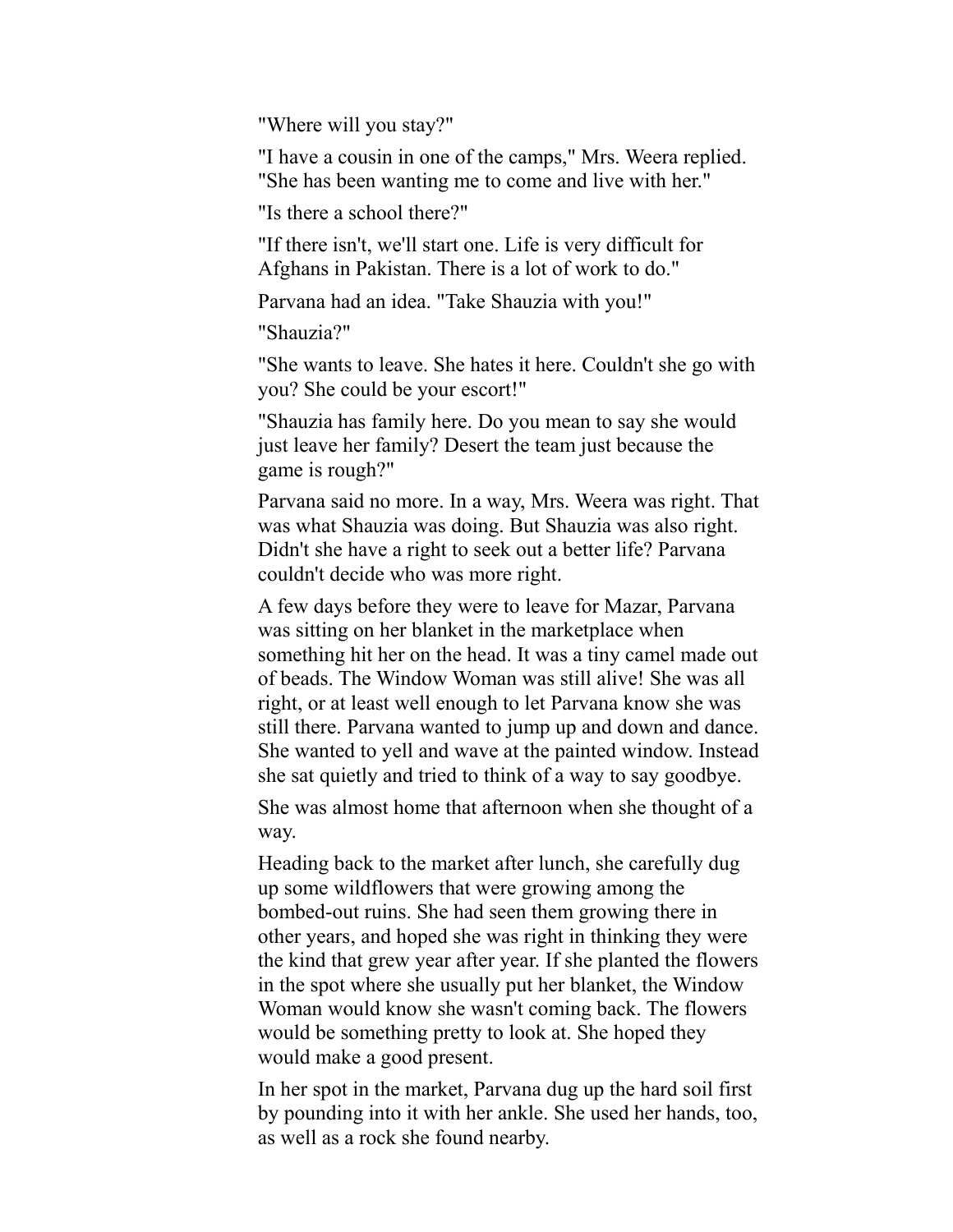"Where will you stay?"

"I have a cousin in one of the camps," Mrs. Weera replied. "She has been wanting me to come and live with her."

"Is there a school there?"

"If there isn't, we'll start one. Life is very difficult for Afghans in Pakistan. There is a lot of work to do."

Parvana had an idea. "Take Shauzia with you!"

"Shauzia?"

"She wants to leave. She hates it here. Couldn't she go with you? She could be your escort!"

"Shauzia has family here. Do you mean to say she would just leave her family? Desert the team just because the game is rough?"

Parvana said no more. In a way, Mrs. Weera was right. That was what Shauzia was doing. But Shauzia was also right. Didn't she have a right to seek out a better life? Parvana couldn't decide who was more right.

A few days before they were to leave for Mazar, Parvana was sitting on her blanket in the marketplace when something hit her on the head. It was a tiny camel made out of beads. The Window Woman was still alive! She was all right, or at least well enough to let Parvana know she was still there. Parvana wanted to jump up and down and dance. She wanted to yell and wave at the painted window. Instead she sat quietly and tried to think of a way to say goodbye.

She was almost home that afternoon when she thought of a way.

Heading back to the market after lunch, she carefully dug up some wildflowers that were growing among the bombed-out ruins. She had seen them growing there in other years, and hoped she was right in thinking they were the kind that grew year after year. If she planted the flowers in the spot where she usually put her blanket, the Window Woman would know she wasn't coming back. The flowers would be something pretty to look at. She hoped they would make a good present.

In her spot in the market, Parvana dug up the hard soil first by pounding into it with her ankle. She used her hands, too, as well as a rock she found nearby.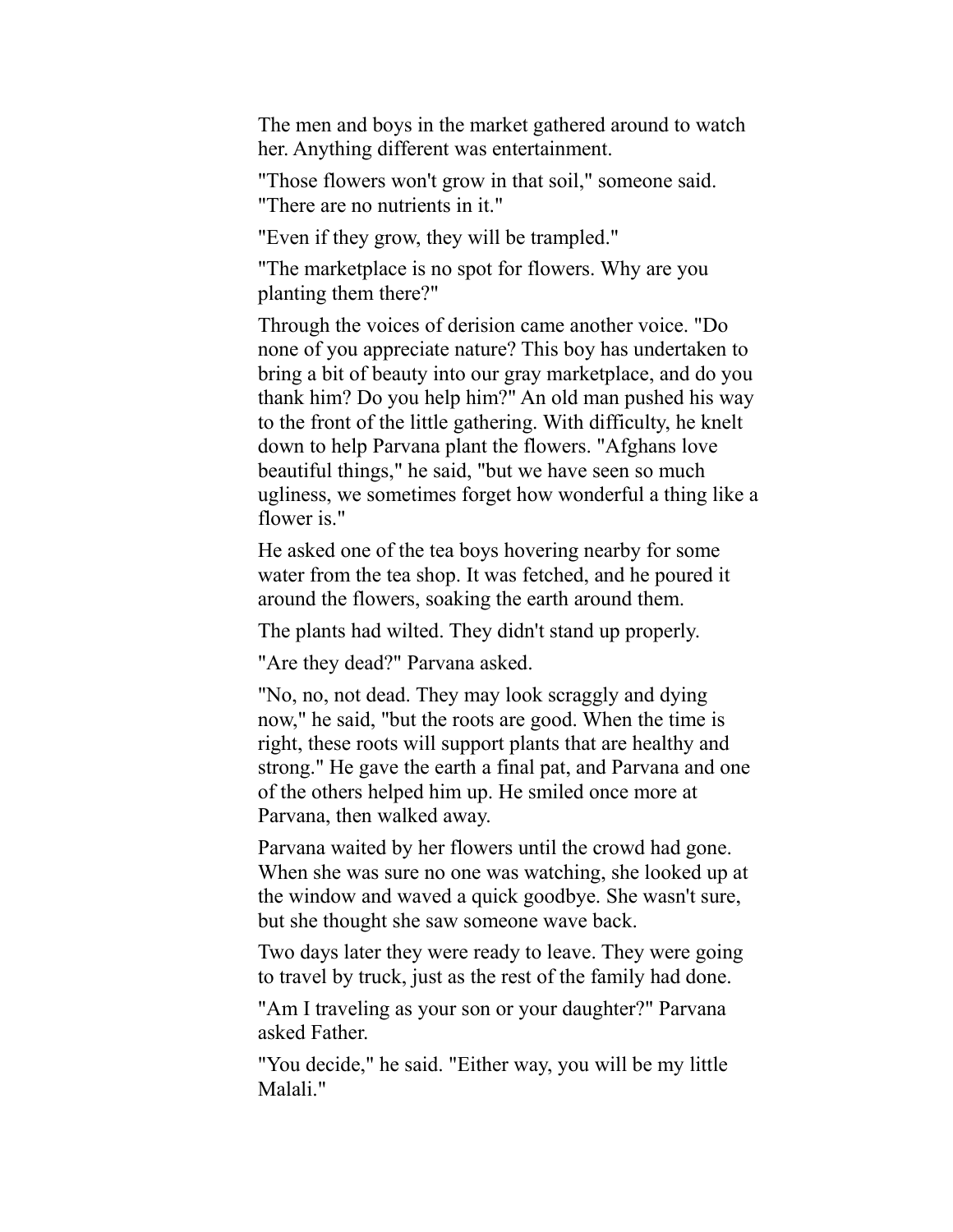The men and boys in the market gathered around to watch her. Anything different was entertainment.

"Those flowers won't grow in that soil," someone said. "There are no nutrients in it."

"Even if they grow, they will be trampled."

"The marketplace is no spot for flowers. Why are you planting them there?"

Through the voices of derision came another voice. "Do none of you appreciate nature? This boy has undertaken to bring a bit of beauty into our gray marketplace, and do you thank him? Do you help him?" An old man pushed his way to the front of the little gathering. With difficulty, he knelt down to help Parvana plant the flowers. "Afghans love beautiful things," he said, "but we have seen so much ugliness, we sometimes forget how wonderful a thing like a flower is."

He asked one of the tea boys hovering nearby for some water from the tea shop. It was fetched, and he poured it around the flowers, soaking the earth around them.

The plants had wilted. They didn't stand up properly.

"Are they dead?" Parvana asked.

"No, no, not dead. They may look scraggly and dying now," he said, "but the roots are good. When the time is right, these roots will support plants that are healthy and strong." He gave the earth a final pat, and Parvana and one of the others helped him up. He smiled once more at Parvana, then walked away.

Parvana waited by her flowers until the crowd had gone. When she was sure no one was watching, she looked up at the window and waved a quick goodbye. She wasn't sure, but she thought she saw someone wave back.

Two days later they were ready to leave. They were going to travel by truck, just as the rest of the family had done.

"Am I traveling as your son or your daughter?" Parvana asked Father.

"You decide," he said. "Either way, you will be my little Malali<sup>"</sup>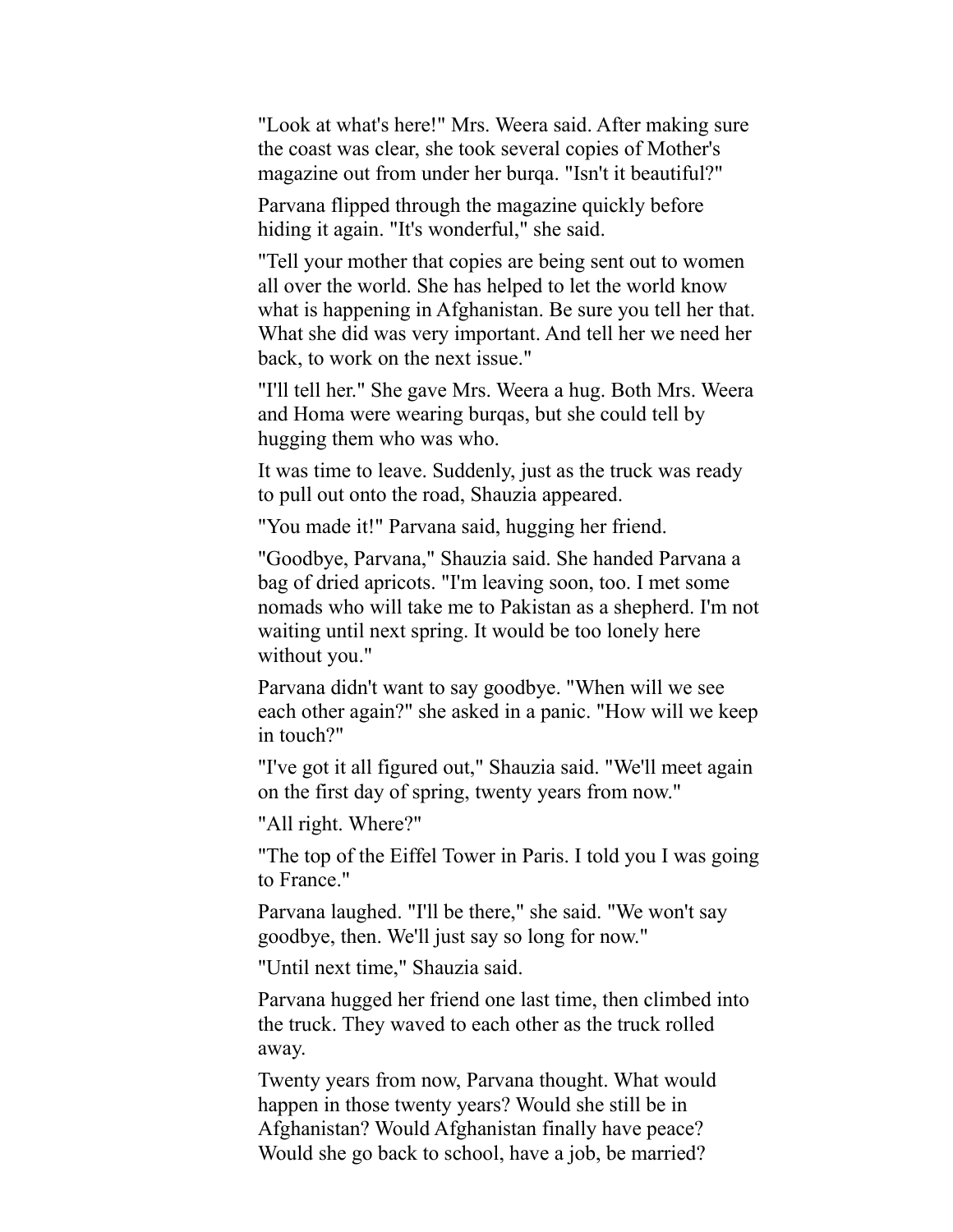"Look at what's here!" Mrs. Weera said. After making sure the coast was clear, she took several copies of Mother's magazine out from under her burqa. "Isn't it beautiful?"

Parvana flipped through the magazine quickly before hiding it again. "It's wonderful," she said.

"Tell your mother that copies are being sent out to women all over the world. She has helped to let the world know what is happening in Afghanistan. Be sure you tell her that. What she did was very important. And tell her we need her back, to work on the next issue."

"I'll tell her." She gave Mrs. Weera a hug. Both Mrs. Weera and Homa were wearing burqas, but she could tell by hugging them who was who.

It was time to leave. Suddenly, just as the truck was ready to pull out onto the road, Shauzia appeared.

"You made it!" Parvana said, hugging her friend.

"Goodbye, Parvana," Shauzia said. She handed Parvana a bag of dried apricots. "I'm leaving soon, too. I met some nomads who will take me to Pakistan as a shepherd. I'm not waiting until next spring. It would be too lonely here without you."

Parvana didn't want to say goodbye. "When will we see each other again?" she asked in a panic. "How will we keep in touch?"

"I've got it all figured out," Shauzia said. "We'll meet again on the first day of spring, twenty years from now."

"All right. Where?"

"The top of the Eiffel Tower in Paris. I told you I was going to France."

Parvana laughed. "I'll be there," she said. "We won't say goodbye, then. We'll just say so long for now."

"Until next time," Shauzia said.

Parvana hugged her friend one last time, then climbed into the truck. They waved to each other as the truck rolled away.

Twenty years from now, Parvana thought. What would happen in those twenty years? Would she still be in Afghanistan? Would Afghanistan finally have peace? Would she go back to school, have a job, be married?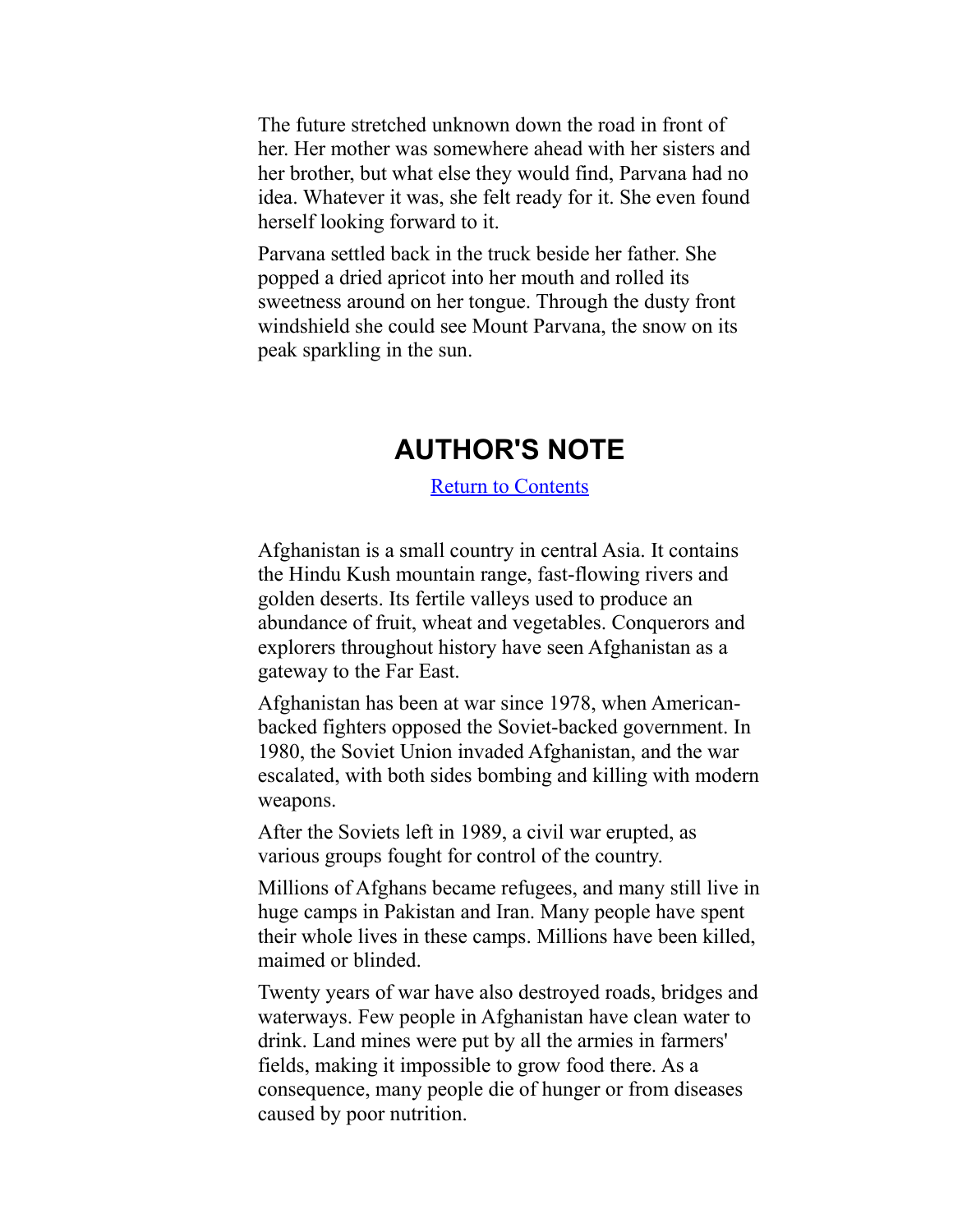The future stretched unknown down the road in front of her. Her mother was somewhere ahead with her sisters and her brother, but what else they would find, Parvana had no idea. Whatever it was, she felt ready for it. She even found herself looking forward to it.

Parvana settled back in the truck beside her father. She popped a dried apricot into her mouth and rolled its sweetness around on her tongue. Through the dusty front windshield she could see Mount Parvana, the snow on its peak sparkling in the sun.

### **AUTHOR'S NOTE**

<span id="page-86-0"></span>[Return to Contents](#page-86-0)

Afghanistan is a small country in central Asia. It contains the Hindu Kush mountain range, fast-flowing rivers and golden deserts. Its fertile valleys used to produce an abundance of fruit, wheat and vegetables. Conquerors and explorers throughout history have seen Afghanistan as a gateway to the Far East.

Afghanistan has been at war since 1978, when Americanbacked fighters opposed the Soviet-backed government. In 1980, the Soviet Union invaded Afghanistan, and the war escalated, with both sides bombing and killing with modern weapons.

After the Soviets left in 1989, a civil war erupted, as various groups fought for control of the country.

Millions of Afghans became refugees, and many still live in huge camps in Pakistan and Iran. Many people have spent their whole lives in these camps. Millions have been killed, maimed or blinded.

Twenty years of war have also destroyed roads, bridges and waterways. Few people in Afghanistan have clean water to drink. Land mines were put by all the armies in farmers' fields, making it impossible to grow food there. As a consequence, many people die of hunger or from diseases caused by poor nutrition.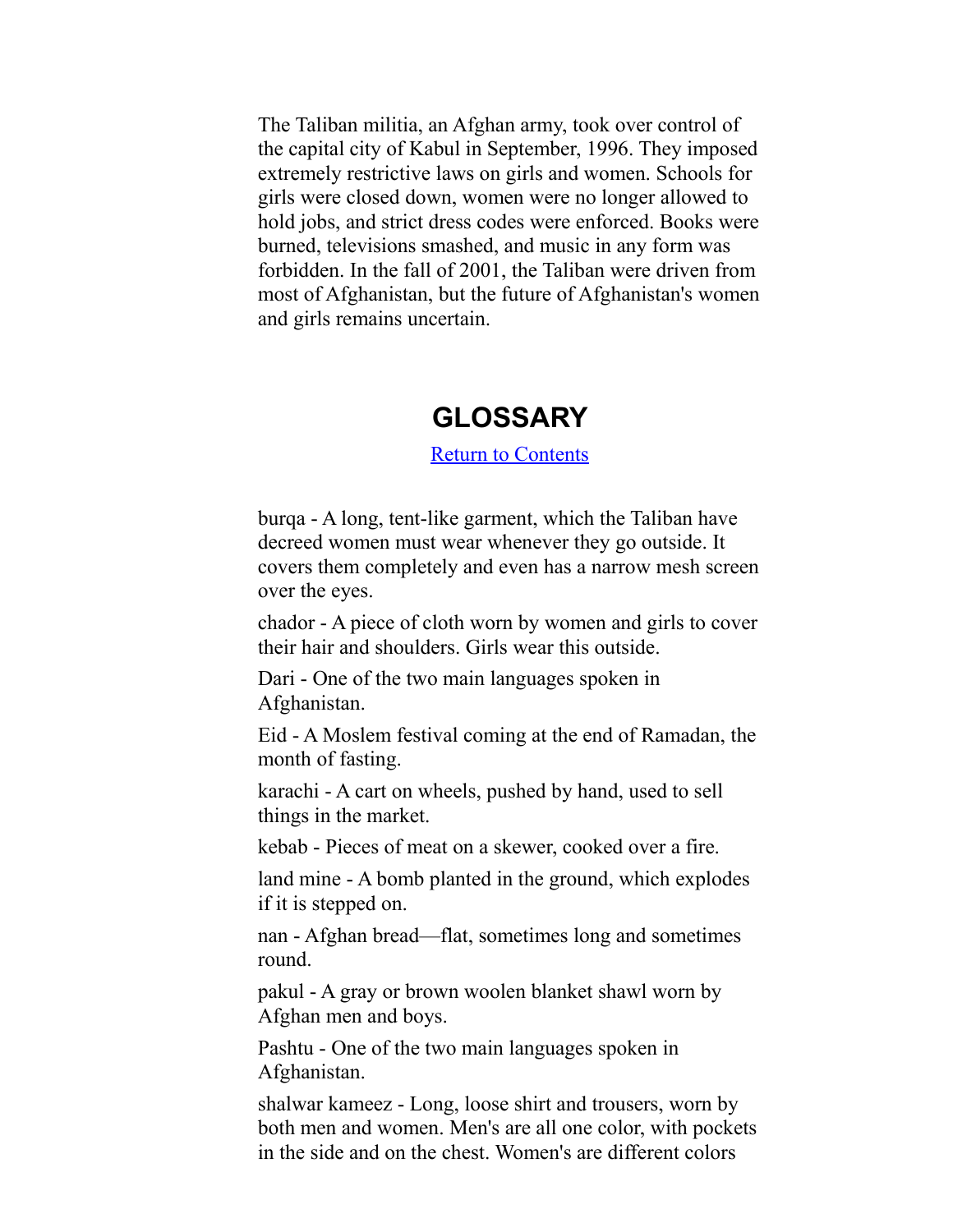The Taliban militia, an Afghan army, took over control of the capital city of Kabul in September, 1996. They imposed extremely restrictive laws on girls and women. Schools for girls were closed down, women were no longer allowed to hold jobs, and strict dress codes were enforced. Books were burned, televisions smashed, and music in any form was forbidden. In the fall of 2001, the Taliban were driven from most of Afghanistan, but the future of Afghanistan's women and girls remains uncertain.

## **GLOSSARY**

<span id="page-87-0"></span>[Return to Contents](#page-87-0)

burqa - A long, tent-like garment, which the Taliban have decreed women must wear whenever they go outside. It covers them completely and even has a narrow mesh screen over the eyes.

chador - A piece of cloth worn by women and girls to cover their hair and shoulders. Girls wear this outside.

Dari - One of the two main languages spoken in Afghanistan.

Eid - A Moslem festival coming at the end of Ramadan, the month of fasting.

karachi - A cart on wheels, pushed by hand, used to sell things in the market.

kebab - Pieces of meat on a skewer, cooked over a fire.

land mine - A bomb planted in the ground, which explodes if it is stepped on.

nan - Afghan bread—flat, sometimes long and sometimes round.

pakul - A gray or brown woolen blanket shawl worn by Afghan men and boys.

Pashtu - One of the two main languages spoken in Afghanistan.

shalwar kameez - Long, loose shirt and trousers, worn by both men and women. Men's are all one color, with pockets in the side and on the chest. Women's are different colors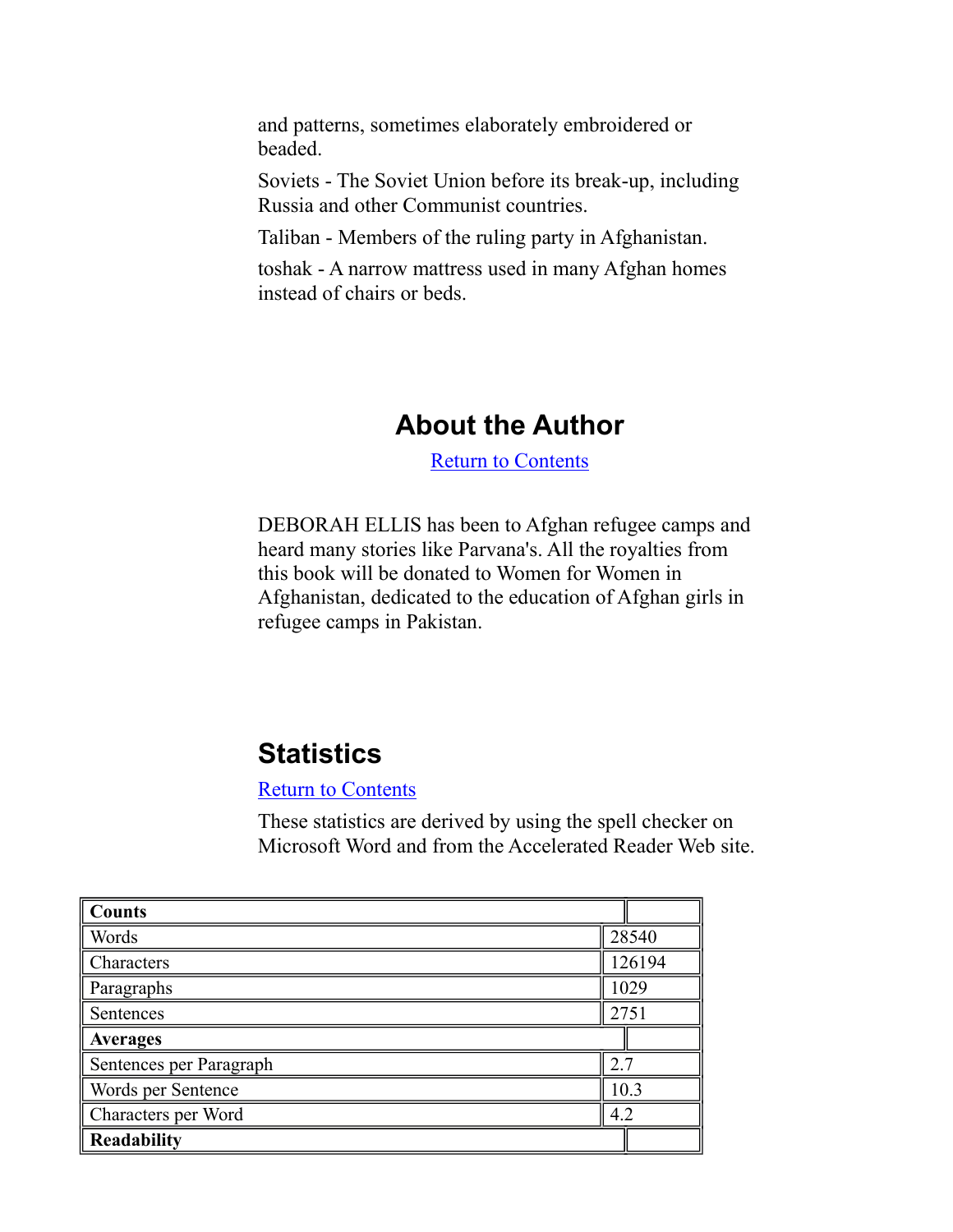and patterns, sometimes elaborately embroidered or beaded.

Soviets - The Soviet Union before its break-up, including Russia and other Communist countries.

Taliban - Members of the ruling party in Afghanistan.

toshak - A narrow mattress used in many Afghan homes instead of chairs or beds.

# **About the Author**

<span id="page-88-1"></span>[Return to Contents](#page-88-1)

DEBORAH ELLIS has been to Afghan refugee camps and heard many stories like Parvana's. All the royalties from this book will be donated to Women for Women in Afghanistan, dedicated to the education of Afghan girls in refugee camps in Pakistan.

# **Statistics**

### <span id="page-88-0"></span>[Return to Contents](#page-88-0)

These statistics are derived by using the spell checker on Microsoft Word and from the Accelerated Reader Web site.

| <b>Counts</b>           |        |
|-------------------------|--------|
| Words                   | 28540  |
| Characters              | 126194 |
| Paragraphs              | 1029   |
| Sentences               | 2751   |
| <b>Averages</b>         |        |
| Sentences per Paragraph | 2.7    |
| Words per Sentence      | 10.3   |
| Characters per Word     | 4.2    |
| <b>Readability</b>      |        |